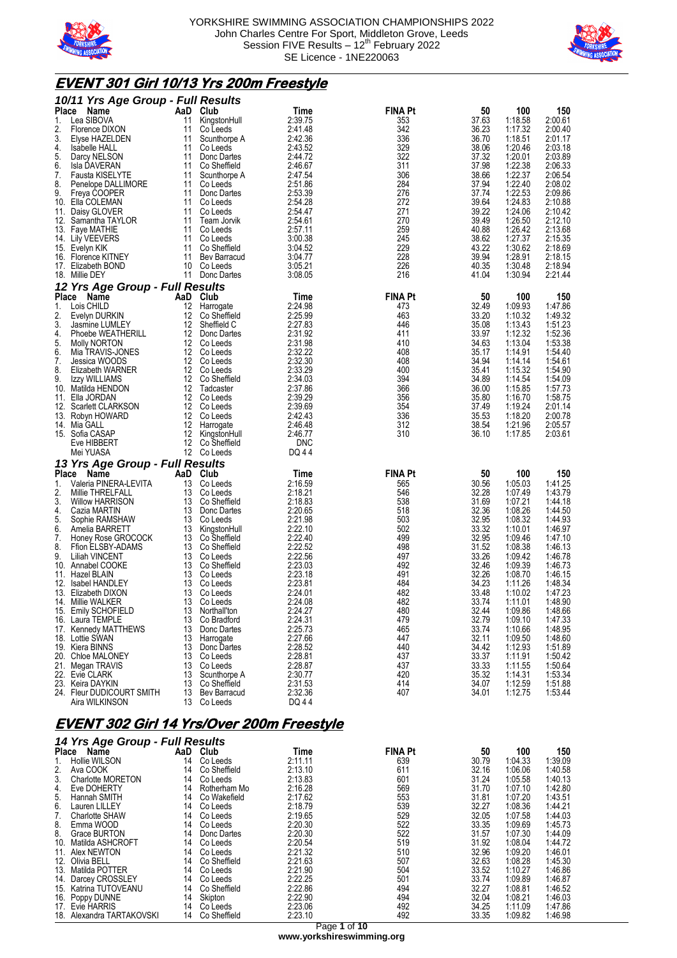



# **EVENT 301 Girl 10/13 Yrs 200m Freestyle**

|              | 10/11 Yrs Age Group - Full Results         |          |                          |                    |                |                |                    |                    |
|--------------|--------------------------------------------|----------|--------------------------|--------------------|----------------|----------------|--------------------|--------------------|
| <b>Place</b> | Name                                       | AaD      | Club                     | Time               | <b>FINA Pt</b> | 50             | 100                | 150                |
| 1.           | Lea SIBOVA                                 | 11       | KingstonHull             | 2:39.75            | 353            | 37.63          | 1:18.58            | 2:00.61            |
| 2.           | Florence DIXON                             | 11       | Co Leeds                 | 2:41.48            | 342            | 36.23          | 1:17.32            | 2:00.40            |
| 3.           | Elyse HAZELDEN                             | 11       | Scunthorpe A             | 2:42.36            | 336            | 36.70          | 1:18.51            | 2:01.17            |
| 4.           | <b>Isabelle HALL</b>                       | 11       | Co Leeds                 | 2:43.52            | 329            | 38.06          | 1:20.46            | 2:03.18            |
| 5.           | Darcy NELSON                               | 11       | Donc Dartes              | 2:44.72            | 322            | 37.32          | 1:20.01            | 2:03.89            |
| 6.           | Isla DAVERAN                               | 11       | Co Sheffield             | 2:46.67            | 311            | 37.98          | 1:22.38            | 2:06.33            |
| 7.           | Fausta KISELYTE                            | 11       | Scunthorpe A             | 2:47.54            | 306            | 38.66          | 1:22.37            | 2:06.54            |
| 8.           | Penelope DALLIMORE                         | 11       | Co Leeds                 | 2:51.86            | 284            | 37.94          | 1:22.40            | 2:08.02            |
| 9.           | Freya COOPER                               | 11       | Donc Dartes              | 2:53.39            | 276            | 37.74          | 1:22.53            | 2:09.86            |
|              | 10. Ella COLEMAN                           | 11       | Co Leeds                 | 2:54.28            | 272            | 39.64          | 1:24.83            | 2:10.88            |
|              | 11. Daisy GLOVER                           | 11       | Co Leeds                 | 2:54.47            | 271            | 39.22          | 1:24.06            | 2:10.42            |
|              | 12. Samantha TAYLOR                        | 11       | Team Jorvik              | 2:54.61            | 270            | 39.49          | 1:26.50            | 2:12.10            |
|              | 13. Faye MATHIE                            | 11       | Co Leeds                 | 2:57.11            | 259            | 40.88          | 1:26.42            | 2:13.68            |
|              | 14. Lily VEEVERS                           | 11       | Co Leeds                 | 3:00.38            | 245            | 38.62          | 1:27.37            | 2:15.35            |
|              | 15. Evelyn KIK                             | 11       | Co Sheffield             | 3:04.52            | 229            | 43.22          | 1:30.62            | 2:18.69            |
|              | 16. Florence KITNEY                        | 11       | Bev Barracud             | 3:04.77            | 228            | 39.94          | 1:28.91            | 2:18.15            |
|              | 17. Elizabeth BOND                         |          | 10 Co Leeds              | 3:05.21            | 226            | 40.35          | 1:30.48            | 2:18.94            |
|              | 18. Millie DEY                             |          | 11 Donc Dartes           | 3:08.05            | 216            | 41.04          | 1:30.94            | 2:21.44            |
|              | 12 Yrs Age Group - Full Results            |          |                          |                    |                |                |                    |                    |
| Place        | Name                                       | AaD      | Club                     | Time               | <b>FINA Pt</b> | 50             | 100                | 150                |
| 1.           | Lois CHILD                                 | 12       | Harrogate                | 2:24.98            | 473            | 32.49          | 1:09.93            | 1:47.86            |
| 2.           | Evelyn DURKIN                              | 12       | Co Sheffield             | 2:25.99            | 463            | 33.20          | 1:10.32            | 1:49.32            |
| 3.           | Jasmine LUMLEY                             | 12       | Sheffield C              | 2:27.83            | 446            | 35.08          | 1:13.43            | 1:51.23            |
| 4.           | Phoebe WEATHERILL                          |          | 12 Donc Dartes           | 2:31.92            | 411            | 33.97          | 1:12.32            | 1:52.36            |
| 5.           | Molly NORTON                               |          | 12 Co Leeds              | 2:31.98            | 410            | 34.63          | 1:13.04            | 1:53.38            |
| 6.           | Mia TRAVIS-JONES                           | 12       | Co Leeds                 | 2:32.22            | 408            | 35.17          | 1:14.91            | 1:54.40            |
| 7.           | Jessica WOODS                              |          | 12 Co Leeds              | 2:32.30            | 408            | 34.94          | 1:14.14            | 1:54.61            |
| 8.           | Elizabeth WARNER                           |          | 12 Co Leeds              | 2:33.29            | 400            | 35.41          | 1:15.32            | 1:54.90            |
| 9.           | Izzy WILLIAMS<br>10. Matilda HENDON        | 12       | Co Sheffield             | 2:34.03            | 394            | 34.89          | 1:14.54            | 1:54.09            |
|              | 11. Ella JORDAN                            | 12       | 12 Tadcaster<br>Co Leeds | 2:37.86<br>2:39.29 | 366            | 36.00          | 1:15.85            | 1:57.73            |
|              | 12. Scarlett CLARKSON                      | 12       | Co Leeds                 | 2:39.69            | 356<br>354     | 35.80<br>37.49 | 1:16.70<br>1:19.24 | 1:58.75<br>2:01.14 |
|              | 13. Robyn HOWARD                           |          | 12 Co Leeds              | 2:42.43            | 336            | 35.53          | 1:18.20            | 2:00.78            |
|              | 14. Mia GALL                               |          | 12 Harrogate             | 2:46.48            | 312            | 38.54          | 1:21.96            | 2:05.57            |
|              | 15. Sofia CASAP                            | 12       | KingstonHull             | 2:46.77            | 310            | 36.10          | 1:17.85            | 2:03.61            |
|              | Eve HIBBERT                                |          | 12 Co Sheffield          | <b>DNC</b>         |                |                |                    |                    |
|              | Mei YUASA                                  |          | 12 Co Leeds              | DQ 44              |                |                |                    |                    |
|              | 13 Yrs Age Group - Full Results            |          |                          |                    |                |                |                    |                    |
| Place        | Name                                       | AaD      | Club                     | Time               | <b>FINA Pt</b> | 50             | 100                | 150                |
| 1.           | Valeria PINERA-LEVITA                      | 13       | Co Leeds                 | 2:16.59            | 565            | 30.56          | 1:05.03            | 1:41.25            |
| 2.           | Millie THRELFALL                           | 13       | Co Leeds                 | 2:18.21            | 546            | 32.28          | 1:07.49            | 1:43.79            |
| 3.           | <b>Willow HARRISON</b>                     | 13       | Co Sheffield             | 2:18.83            | 538            | 31.69          | 1:07.21            | 1:44.18            |
| 4.           | Cazia MARTIN                               |          | 13 Donc Dartes           | 2:20.65            | 518            | 32.36          | 1:08.26            | 1:44.50            |
| 5.           | Sophie RAMSHAW                             | 13       | Co Leeds                 | 2:21.98            | 503            | 32.95          | 1:08.32            | 1:44.93            |
| 6.           | Amelia BARRETT                             | 13       | KingstonHull             | 2:22.10            | 502            | 33.32          | 1:10.01            | 1:46.97            |
| 7.           | Honey Rose GROCOCK                         |          | 13 Co Sheffield          | 2:22.40            | 499            | 32.95          | 1:09.46            | 1:47.10            |
| 8.           | Ffion ELSBY-ADAMS                          | 13       | Co Sheffield             | 2:22.52            | 498            | 31.52          | 1:08.38            | 1:46.13            |
| 9.           | <b>Liliah VINCENT</b>                      | 13       | Co Leeds                 | 2:22.56            | 497            | 33.26          | 1:09.42            | 1:46.78            |
|              | 10. Annabel COOKE                          | 13       | Co Sheffield             | 2:23.03            | 492            | 32.46          | 1:09.39            | 1:46.73            |
|              | 11. Hazel BLAIN                            | 13       | Co Leeds                 | 2:23.18            | 491            | 32.26          | 1:08.70            | 1:46.15            |
|              | 12. Isabel HANDLEY                         | 13       | Co Leeds                 | 2:23.81            | 484            | 34.23          | 1:11.26            | 1:48.34            |
|              | 13. Elizabeth DIXON                        | 13       | Co Leeds                 | 2:24.01            | 482            | 33.48          | 1:10.02            | 1:47.23            |
|              | 14. Millie WALKER                          |          | 13 Co Leeds              | 2:24.08            | 482            | 33.74          | 1:11.01            | 1.48.90            |
|              | 15. Emily SCHOFIELD                        | 13       | Northall'ton             | 2:24.27            | 480            | 32.44          | 1:09.86            | 1:48.66            |
|              | 16. Laura TEMPLE                           | 13       | Co Bradford              | 2:24.31            | 479            | 32.79          | 1:09.10            | 1:47.33            |
|              | 17. Kennedy MATTHEWS                       | 13       | Donc Dartes              | 2:25.73            | 465            | 33.74          | 1:10.66            | 1:48.95            |
|              | 18. Lottie SWAN                            | 13       | Harrogate                | 2:27.66            | 447            | 32.11          | 1:09.50            | 1:48.60            |
|              | 19. Kiera BINNS                            | 13       | Donc Dartes              | 2:28.52            | 440            | 34.42          | 1:12.93            | 1:51.89            |
|              | 20. Chloe MALONEY                          | 13       | Co Leeds                 | 2:28.81            | 437            | 33.37          | 1:11.91            | 1:50.42            |
|              | 21. Megan TRAVIS<br>22. Evie CLARK         | 13       | Co Leeds<br>Scunthorpe A | 2:28.87<br>2:30.77 | 437<br>420     | 33.33          | 1:11.55            | 1:50.64            |
|              | 23. Keira DAYKIN                           | 13<br>13 | Co Sheffield             | 2:31.53            | 414            | 35.32<br>34.07 | 1:14.31<br>1:12.59 | 1:53.34<br>1:51.88 |
|              | 24. Fleur DUDICOURT SMITH                  | 13       | <b>Bev Barracud</b>      | 2:32.36            | 407            | 34.01          | 1:12.75            | 1:53.44            |
|              | Aira WILKINSON                             | 13       | Co Leeds                 | DQ 44              |                |                |                    |                    |
|              |                                            |          |                          |                    |                |                |                    |                    |
|              | EVENT 200 Cirl 1.1 VralOvar 200m Eracetylo |          |                          |                    |                |                |                    |                    |

### **EVENT 302 Girl 14 Yrs/Over 200m Freestyle**

|              | 14 Yrs Age Group - Full Results |     |              |         |                |       |         |         |  |  |
|--------------|---------------------------------|-----|--------------|---------|----------------|-------|---------|---------|--|--|
| <b>Place</b> | Name                            | AaD | Club         | Time    | <b>FINA Pt</b> | 50    | 100     | 150     |  |  |
|              | Hollie WILSON                   | 14  | Co Leeds     | 2:11.11 | 639            | 30.79 | 1:04.33 | 1:39.09 |  |  |
| 2.           | Ava COOK                        | 14  | Co Sheffield | 2:13.10 | 611            | 32.16 | 1:06.06 | 1:40.58 |  |  |
| 3.           | Charlotte MORETON               | 14  | Co Leeds     | 2:13.83 | 601            | 31.24 | 1:05.58 | 1:40.13 |  |  |
| 4.           | Eve DOHERTY                     | 14  | Rotherham Mo | 2:16.28 | 569            | 31.70 | 1:07.10 | 1:42.80 |  |  |
| 5.           | Hannah SMITH                    | 14  | Co Wakefield | 2:17.62 | 553            | 31.81 | 1:07.20 | 1:43.51 |  |  |
| 6.           | Lauren LILLEY                   | 14  | Co Leeds     | 2:18.79 | 539            | 32.27 | 1:08.36 | 1:44.21 |  |  |
| 7.           | <b>Charlotte SHAW</b>           | 14  | Co Leeds     | 2:19.65 | 529            | 32.05 | 1:07.58 | 1:44.03 |  |  |
| 8.           | Emma WOOD                       | 14  | Co Leeds     | 2:20.30 | 522            | 33.35 | 1:09.69 | 1:45.73 |  |  |
| 8.           | Grace BURTON                    | 14  | Donc Dartes  | 2:20.30 | 522            | 31.57 | 1:07.30 | 1:44.09 |  |  |
| 10.          | Matilda ASHCROFT                | 14  | Co Leeds     | 2:20.54 | 519            | 31.92 | 1:08.04 | 1:44.72 |  |  |
|              | 11. Alex NEWTON                 | 14  | Co Leeds     | 2:21.32 | 510            | 32.96 | 1:09.20 | 1:46.01 |  |  |
| 12.          | Olivia BELL                     | 14  | Co Sheffield | 2:21.63 | 507            | 32.63 | 1:08.28 | 1:45.30 |  |  |
| 13.          | Matilda POTTER                  | 14  | Co Leeds     | 2:21.90 | 504            | 33.52 | 1:10.27 | 1:46.86 |  |  |
|              | 14. Darcey CROSSLEY             | 14  | Co Leeds     | 2:22.25 | 501            | 33.74 | 1:09.89 | 1:46.87 |  |  |
| 15.          | Katrina TUTOVEANU               | 14  | Co Sheffield | 2:22.86 | 494            | 32.27 | 1:08.81 | 1:46.52 |  |  |
|              | 16. Poppy DUNNE                 | 14  | Skipton      | 2:22.90 | 494            | 32.04 | 1:08.21 | 1:46.03 |  |  |
|              | 17. Evie HARRIS                 | 14  | Co Leeds     | 2:23.06 | 492            | 34.25 | 1:11.09 | 1:47.86 |  |  |
|              | 18. Alexandra TARTAKOVSKI       | 14  | Co Sheffield | 2:23.10 | 492            | 33.35 | 1:09.82 | 1:46.98 |  |  |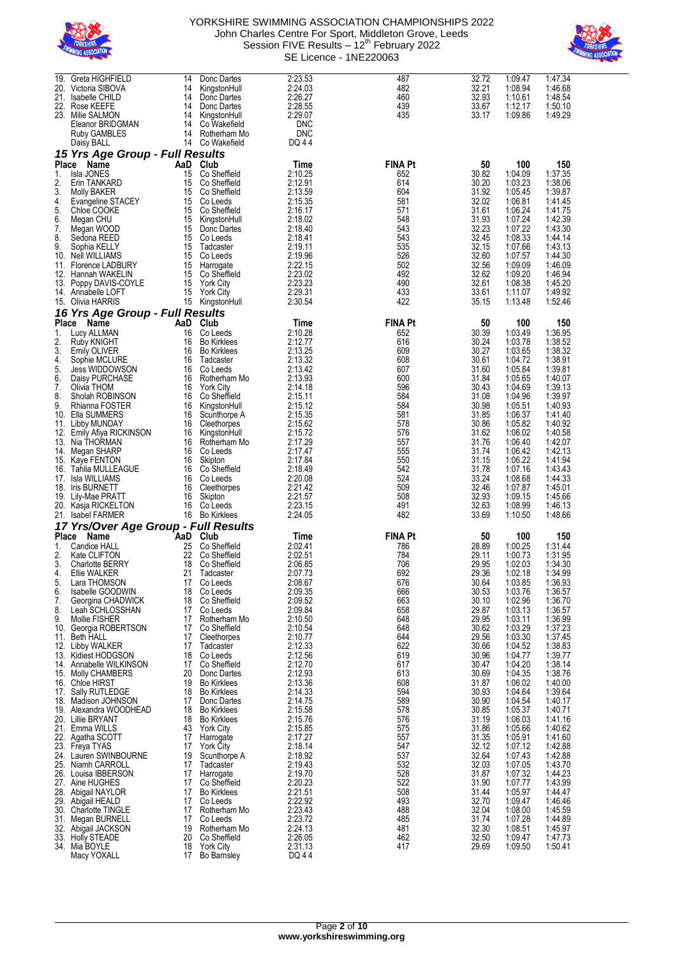



| 19.          | Greta HIGHFIELD                      | 14   | Donc Dartes                     | 2:23.53          | 487            | 32.72 | 1:09.47 | 1:47.34 |
|--------------|--------------------------------------|------|---------------------------------|------------------|----------------|-------|---------|---------|
| 20.          | Victoria SIBOVA                      | 14   | KingstonHull                    | 2:24.03          | 482            | 32.21 | 1:08.94 | 1:46.68 |
|              |                                      |      |                                 |                  |                |       |         |         |
| 21.          | Isabelle CHILD                       | 14   | Donc Dartes                     | 2:26.27          | 460            | 32.93 | 1:10.61 | 1:48.54 |
| 22.          | Rose KEEFE                           | 14   | Donc Dartes                     | 2:28.55          | 439            | 33.67 | 1:12.17 | 1:50.10 |
| 23.          | Milie SALMON                         | 14   | KingstonHull                    | 2:29.07          | 435            | 33.17 | 1:09.86 | 1:49.29 |
|              | Eleanor BRIDGMAN                     | 14   | Co Wakefield                    | <b>DNC</b>       |                |       |         |         |
|              |                                      |      |                                 |                  |                |       |         |         |
|              | Ruby GAMBLES                         | 14   | Rotherham Mo                    | DNC              |                |       |         |         |
|              | Daisy BALL                           | 14   | Co Wakefield                    | DQ 44            |                |       |         |         |
|              | 15 Yrs Age Group - Full Results      |      |                                 |                  |                |       |         |         |
|              |                                      |      |                                 |                  |                |       |         |         |
| <b>Place</b> | Name                                 | AaD  | Club                            | Time             | <b>FINA Pt</b> | 50    | 100     | 150     |
| 1.           | Isla JONES                           | 15   | Co Sheffield                    | 2:10.25          | 652            | 30.82 | 1:04.09 | 1:37.35 |
| 2.           |                                      | 15   | Co Sheffield                    |                  | 614            | 30.20 | 1:03.23 |         |
|              | Erin TANKARD                         |      |                                 | 2:12.91          |                |       |         | 1:38.06 |
| 3.           | Molly BAKER                          | 15   | Co Sheffield                    | 2:13.59          | 604            | 31.92 | 1:05.45 | 1:39.87 |
| 4.           | Evangeline STACEY                    | 15   | Co Leeds                        | 2:15.35          | 581            | 32.02 | 1:06.81 | 1:41.45 |
| 5.           | Chloe COOKE                          | 15   | Co Sheffield                    | 2:16.17          | 571            | 31.61 | 1:06.24 | 1:41.75 |
|              |                                      |      |                                 | 2:18.02          | 548            |       |         |         |
| 6.           | Megan CHU                            | 15   | KingstonHull                    |                  |                | 31.93 | 1:07.24 | 1:42.39 |
| 7.           | Megan WOOD                           | 15   | Donc Dartes                     | 2:18.40          | 543            | 32.23 | 1:07.22 | 1:43.30 |
| 8.           | Sedona REED                          | 15   | Co Leeds                        | 2:18.41          | 543            | 32.45 | 1:08.33 | 1:44.14 |
| 9.           | Sophia KELLY                         | 15   | Tadcaster                       | 2:19.11          | 535            | 32.15 | 1:07.66 | 1:43.13 |
|              |                                      |      |                                 |                  | 526            | 32.60 |         |         |
| 10.          | <b>Nell WILLIAMS</b>                 | 15   | Co Leeds                        | 2:19.96          |                |       | 1:07.57 | 1:44.30 |
| 11.          | Florence LADBURY                     | 15   | Harrogate                       | 2:22.15          | 502            | 32.56 | 1:09.09 | 1:46.09 |
| 12.          | Hannah WAKELIN                       | 15   | Co Sheffield                    | 2:23.02          | 492            | 32.62 | 1:09.20 | 1:46.94 |
|              | 13. Poppy DAVIS-COYLE                | 15   | <b>York City</b>                | 2:23.23          | 490            | 32.61 | 1:08.38 | 1:45.20 |
|              | 14. Annabelle LOFT                   | 15   | <b>York City</b>                | 2:29.31          | 433            | 33.61 | 1:11.07 | 1:49.92 |
|              |                                      |      |                                 |                  |                |       |         |         |
| 15.          | Olivia HARRIS                        | 15   | KingstonHull                    | 2:30.54          | 422            | 35.15 | 1:13.48 | 1:52.46 |
|              | 16 Yrs Age Group - Full Results      |      |                                 |                  |                |       |         |         |
|              |                                      |      |                                 |                  |                |       |         |         |
| Place        | Name                                 | AaD  | Club                            | Time             | <b>FINA Pt</b> | 50    | 100     | 150     |
| 1.           | Lucy ALLMAN                          | 16   | Co Leeds                        | 2:10.28          | 652            | 30.39 | 1:03.49 | 1:36.95 |
| 2.           | Ruby KNIGHT                          | 16   | <b>Bo Kirklees</b>              | 2:12.77          | 616            | 30.24 | 1:03.78 | 1:38.52 |
|              |                                      |      |                                 |                  |                |       |         |         |
| 3.           | Emily OLIVER                         | 16   | <b>Bo Kirklees</b>              | 2:13.25          | 609            | 30.27 | 1:03.65 | 1:38.32 |
| 4.           | Sophie MCLURE                        | 16   | Tadcaster                       | 2:13.32          | 608            | 30.61 | 1:04.72 | 1:38.91 |
| 5.           | <b>Jess WIDDOWSON</b>                | 16   | Co Leeds                        | 2:13.42          | 607            | 31.60 | 1:05.84 | 1:39.81 |
| 6.           | Daisy PURCHASE                       | 16   | Rotherham Mo                    | 2:13.93          | 600            | 31.84 | 1:05.65 | 1:40.07 |
|              |                                      |      |                                 |                  |                |       |         |         |
| 7.           | Olivia THOM                          | 16   | <b>York City</b>                | 2:14.18          | 596            | 30.43 | 1:04.69 | 1:39.13 |
| 8.           | Sholah ROBINSON                      | 16   | Co Sheffield                    | 2:15.11          | 584            | 31.08 | 1:04.96 | 1:39.97 |
| 9.           | Rhianna FOSTER                       | 16   | KingstonHull                    | 2:15.12          | 584            | 30.98 | 1:05.51 | 1:40.93 |
| 10.          | Ella SUMMERS                         | 16   | Scunthorpe A                    | 2:15.35          | 581            | 31.85 | 1:06.37 | 1:41.40 |
|              |                                      |      |                                 | 2:15.62          | 578            |       | 1:05.82 | 1:40.92 |
| 11.          | Libby MUNDAY                         | 16   | Cleethorpes                     |                  |                | 30.86 |         |         |
| 12.          | Emily Afiya RICKINSON                | 16   | KingstonHull                    | 2:15.72          | 576            | 31.62 | 1:06.02 | 1:40.58 |
|              | 13. Nia THORMAN                      | 16   | Rotherham Mo                    | 2:17.29          | 557            | 31.76 | 1:06.40 | 1:42.07 |
| 14.          | Megan SHARP                          | 16   | Co Leeds                        | 2:17.47          | 555            | 31.74 | 1:06.42 | 1:42.13 |
|              |                                      |      |                                 | 2:17.84          | 550            |       | 1:06.22 | 1:41.94 |
|              | 15. Kaye FENTON                      | 16   | Skipton                         |                  |                | 31.15 |         |         |
| 16.          | Tahlia MULLEAGUE                     | 16   | Co Sheffield                    | 2:18.49          | 542            | 31.78 | 1:07.16 | 1:43.43 |
| 17.          | Isla WILLIAMS                        | 16   | Co Leeds                        | 2:20.08          | 524            | 33.24 | 1:08.68 | 1:44.33 |
| 18.          | <b>Iris BURNETT</b>                  | 16   | Cleethorpes                     | 2:21.42          | 509            | 32.46 | 1:07.87 | 1:45.01 |
|              |                                      |      |                                 |                  |                |       |         |         |
|              | 19. Lily-Mae PRATT                   | 16   | Skipton                         | 2:21.57          | 508            | 32.93 | 1:09.15 | 1:45.66 |
|              | 20. Kasja RICKELTON                  | 16   | Co Leeds                        | 2:23.15          | 491            | 32.63 | 1:08.99 | 1:46.13 |
|              | 21. Isabel FARMER                    | 16   | <b>Bo Kirklees</b>              | 2:24.05          | 482            | 33.69 | 1:10.50 | 1:48.66 |
|              |                                      |      |                                 |                  |                |       |         |         |
|              | 17 Yrs/Over Age Group - Full Results |      |                                 |                  |                |       |         |         |
| <b>Place</b> | Name                                 | `AaD | Club                            | Time             | <b>FINA Pt</b> | 50    | 100     | 150     |
| 1.           | Candice HALL                         | 25   | Co Sheffield                    | 2:02.41          | 786            | 28.89 | 1:00.25 | 1:31.44 |
|              |                                      |      |                                 |                  |                |       |         |         |
| 2.           | Kate CLIFTON                         | 22   | Co Sheffield                    | 2:02.51          | 784            | 29.11 | 1:00.73 | 1:31.95 |
| 3.           | <b>Charlotte BERRY</b>               | 18   | Co Sheffield                    | 2:06.85          | 706            | 29.95 | 1:02.03 | 1:34.30 |
| 4.           | Ellie WALKER                         | 21   | Tadcaster                       | 2:07.73          | 692            | 29.36 | 1:02.18 | 1:34.99 |
| 5.           | Lara THOMSON                         | 17   | Co Leeds                        | 2:08.67          | 676            | 30.64 | 1:03.85 | 1:36.93 |
|              |                                      |      |                                 |                  |                |       |         |         |
| 6.           | Isabelle GOODWIN                     | 18   | Co Leeds                        | 2:09.35          | 666            | 30.53 | 1:03.76 | 1:36.57 |
| 7.           | Georgina CHADWICK                    | 18   | Co Sheffield                    | 2:09.52          | 663            | 30.10 | 1:02.96 | 1:36.70 |
| 8.           | Leah SCHLOSSHAN                      | 17   | Co Leeds                        | 2:09.84          | 658            | 29.87 | 1:03.13 | 1:36.57 |
| 9.           | Mollie FISHER                        | 17   | Rotherham Mo                    | 2:10.50          | 648            | 29.95 | 1:03.11 | 1:36.99 |
| 10.          | Georgia ROBERTSON                    | 17   | Co Sheffield                    | 2:10.54          | 648            | 30.62 | 1:03.29 | 1:37.23 |
|              |                                      |      |                                 |                  |                |       |         |         |
| 11.          | <b>Beth HALL</b>                     | 17   | Cleethorpes                     | 2:10.77          | 644            | 29.56 | 1:03.30 | 1:37.45 |
|              | 12. Libby WALKER                     | 17   | Tadcaster                       | 2:12.33          | 622            | 30.66 | 1:04.52 | 1:38.83 |
|              | 13. Kidiest HODGSON                  | 18   | Co Leeds                        | 2:12.56          | 619            | 30.96 | 1:04.77 | 1:39.77 |
| 14.          | Annabelle WILKINSON                  | 17   | Co Sheffield                    | 2:12.70          | 617            | 30.47 | 1:04.20 | 1:38.14 |
|              |                                      |      |                                 |                  |                |       |         |         |
|              | 15. Molly CHAMBERS                   | 20   | Donc Dartes                     | 2:12.93          | 613            | 30.69 | 1:04.35 | 1:38.76 |
|              | 16. Chloe HIRST                      | 19   | <b>Bo Kirklees</b>              | 2:13.36          | 608            | 31.87 | 1:06.02 | 1:40.00 |
|              | 17. Sally RUTLEDGE                   | 18   | <b>Bo Kirklees</b>              | 2:14.33          | 594            | 30.93 | 1:04.64 | 1:39.64 |
|              | 18. Madison JOHNSON                  | 17   | Donc Dartes                     | 2:14.75          | 589            | 30.90 | 1:04.54 | 1:40.17 |
|              |                                      | 18   |                                 |                  | 578            | 30.85 | 1:05.37 |         |
| 19.          | Alexandra WOODHEAD                   |      | <b>Bo Kirklees</b>              | 2:15.58          |                |       |         | 1:40.71 |
|              | 20. Lillie BRYANT                    | 18   | <b>Bo Kirklees</b>              | 2:15.76          | 576            | 31.19 | 1:06.03 | 1:41.16 |
|              | 21. Emma WILLS                       | 43   | <b>York City</b>                | 2:15.85          | 575            | 31.86 | 1:05.66 | 1:40.62 |
|              | 22. Agatha SCOTT                     |      | Harrogate                       | 2:17.27          | 557            | 31.35 | 1:05.91 | 1:41.60 |
|              |                                      |      |                                 |                  |                |       |         |         |
|              |                                      | 17   |                                 |                  |                |       |         |         |
|              | 23. Freya TYAS                       | 17   | York City                       | 2:18.14          | 547            | 32.12 | 1:07.12 | 1:42.88 |
|              | 24. Lauren SWINBOURNE                | 19   | Scunthorpe A                    | 2:18.92          | 537            | 32.64 | 1:07.43 | 1:42.88 |
|              | 25. Niamh CARROLL                    | 17   | Tadcaster                       | 2:19.43          | 532            | 32.03 | 1:07.05 | 1:43.70 |
|              |                                      |      |                                 |                  |                |       |         |         |
|              | 26. Louisa IBBERSON                  | 17   | Harrogate                       | 2:19.70          | 528            | 31.87 | 1:07.32 | 1:44.23 |
|              | 27. Aine HUGHES                      | 17   | Co Sheffield                    | 2:20.23          | 522            | 31.90 | 1:07.77 | 1:43.99 |
| 28.          | Abigail NAYLOR                       | 17   | <b>Bo Kirklees</b>              | 2:21.51          | 508            | 31.44 | 1:05.97 | 1:44.47 |
| 29.          | Abigail HEALD                        | 17   | Co Leeds                        | 2:22.92          | 493            | 32.70 | 1:09.47 | 1:46.46 |
|              |                                      |      |                                 |                  |                |       |         |         |
| 30.          | Charlotte TINGLE                     | 17   | Rotherham Mo                    | 2:23.43          | 488            | 32.04 | 1:08.00 | 1:45.59 |
|              | 31. Megan BURNELL                    | 17   | Co Leeds                        | 2:23.72          | 485            | 31.74 | 1:07.28 | 1:44.89 |
| 32.          | Abigail JACKSON                      | 19   | Rotherham Mo                    | 2:24.13          | 481            | 32.30 | 1:08.51 | 1:45.97 |
|              | 33. Holly STEADE                     | 20   | Co Sheffield                    | 2:26.05          | 462            | 32.50 | 1:09.47 | 1:47.73 |
|              |                                      | 18   |                                 |                  |                | 29.69 |         |         |
|              | 34. Mia BOYLE<br>Macy YOXALL         | 17   | <b>York City</b><br>Bo Barnsley | 2:31.13<br>DQ 44 | 417            |       | 1:09.50 | 1:50.41 |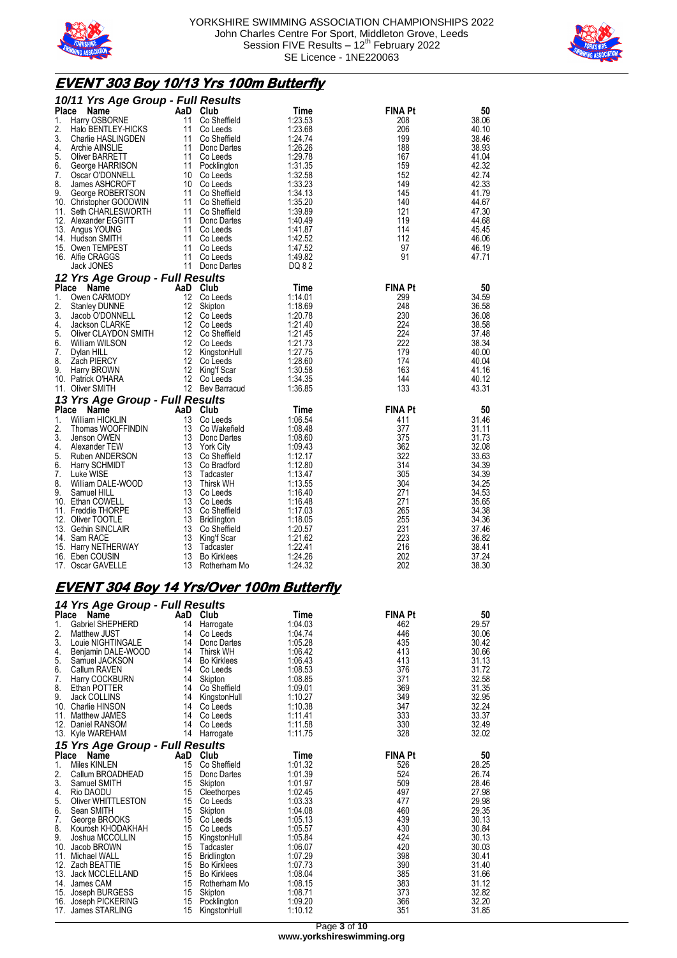



## **EVENT 303 Boy 10/13 Yrs 100m Butterfly**

|          | 10/11 Yrs Age Group - Full Results   |          |                                 |                    |                |                |
|----------|--------------------------------------|----------|---------------------------------|--------------------|----------------|----------------|
| Place    | Name                                 | AaD      | Club                            | Time               | <b>FINA Pt</b> | 50             |
| 1.       | Harry OSBORNE                        | 11       | Co Sheffield                    | 1:23.53            | 208            | 38.06          |
| 2.       | Halo BENTLEY-HICKS                   | 11       | Co Leeds                        | 1:23.68            | 206            | 40.10          |
| 3.       | Charlie HASLINGDEN                   | 11       | Co Sheffield                    | 1:24.74            | 199            | 38.46          |
| 4.       | Archie AINSLIE                       | 11       | Donc Dartes                     | 1:26.26            | 188            | 38.93          |
| 5.       | Oliver BARRETT                       | 11       | Co Leeds                        | 1:29.78            | 167            | 41.04          |
| 6.       | George HARRISON                      | 11       | Pocklington                     | 1:31.35            | 159            | 42.32          |
| 7.       | Oscar O'DONNELL                      |          | 10 Co Leeds                     | 1:32.58            | 152            | 42.74          |
| 8.       | James ASHCROFT                       |          | 10 Co Leeds                     | 1:33.23            | 149            | 42.33          |
| 9.       | George ROBERTSON                     | 11       | Co Sheffield                    | 1:34.13            | 145            | 41.79          |
|          | 10. Christopher GOODWIN              |          | 11 Co Sheffield                 | 1:35.20            | 140            | 44.67          |
|          | 11. Seth CHARLESWORTH                |          | 11 Co Sheffield                 | 1:39.89            | 121            | 47.30          |
|          | 12. Alexander EGGITT                 | 11       | Donc Dartes                     | 1:40.49            | 119<br>114     | 44.68          |
|          | 13. Angus YOUNG<br>14. Hudson SMITH  | 11<br>11 | Co Leeds<br>Co Leeds            | 1:41.87<br>1:42.52 | 112            | 45.45<br>46.06 |
|          | 15. Owen TEMPEST                     | 11       | Co Leeds                        | 1:47.52            | 97             | 46.19          |
|          | 16. Alfie CRAGGS                     | 11       | Co Leeds                        | 1:49.82            | 91             | 47.71          |
|          | Jack JONES                           | 11       | Donc Dartes                     | DQ 82              |                |                |
|          |                                      |          |                                 |                    |                |                |
|          | 12 Yrs Age Group - Full Results      |          |                                 |                    |                |                |
| Place    | Name                                 | AaD      | Club                            | Time               | <b>FINA Pt</b> | 50             |
| 1.<br>2. | Owen CARMODY                         | 12<br>12 | Co Leeds                        | 1:14.01            | 299<br>248     | 34.59          |
| 3.       | <b>Stanley DUNNE</b>                 | 12       | Skipton                         | 1:18.69            | 230            | 36.58<br>36.08 |
| 4.       | Jacob O'DONNELL<br>Jackson CLARKE    |          | Co Leeds<br>12 Co Leeds         | 1:20.78<br>1:21.40 | 224            | 38.58          |
| 5.       | Oliver CLAYDON SMITH                 |          | 12 Co Sheffield                 | 1:21.45            | 224            | 37.48          |
| 6.       | William WILSON                       |          | 12 Co Leeds                     | 1:21.73            | 222            | 38.34          |
| 7.       | Dylan HILL                           | 12       | KingstonHull                    | 1:27.75            | 179            | 40.00          |
| 8.       | Zach PIERCY                          |          | 12 Co Leeds                     | 1:28.60            | 174            | 40.04          |
| 9.       | Harry BROWN                          | 12       | King'f Scar                     | 1:30.58            | 163            | 41.16          |
|          | 10. Patrick O'HARA                   | 12       | Co Leeds                        | 1:34.35            | 144            | 40.12          |
|          | 11. Oliver SMITH                     |          | 12 Bev Barracud                 | 1:36.85            | 133            | 43.31          |
|          | 13 Yrs Age Group - Full Results      |          |                                 |                    |                |                |
|          | Place<br><b>Name</b>                 |          | AaD Club                        | Time               | <b>FINA Pt</b> | 50             |
| 1.       | William HICKLIN                      | 13       | Co Leeds                        | 1:06.54            | 411            | 31.46          |
| 2.       | Thomas WOOFFINDIN                    | 13       | Co Wakefield                    | 1:08.48            | 377            | 31.11          |
| 3.       | Jenson OWEN                          | 13       | Donc Dartes                     | 1:08.60            | 375            | 31.73          |
| 4.       | Alexander TEW                        |          | 13 York City                    | 1:09.43            | 362            | 32.08          |
| 5.       | Ruben ANDERSON                       |          | 13 Co Sheffield                 | 1:12.17            | 322            | 33.63          |
| 6.       | Harry SCHMIDT                        | 13       | Co Bradford                     | 1:12.80            | 314            | 34.39          |
| 7.       | Luke WISE                            | 13       | Tadcaster                       | 1:13.47            | 305            | 34.39          |
| 8.       | William DALE-WOOD                    | 13       | <b>Thirsk WH</b>                | 1:13.55            | 304            | 34.25          |
| 9.       | Samuel HILL                          | 13       | Co Leeds                        | 1:16.40            | 271            | 34.53          |
| 10.      | Ethan COWELL                         | 13       | Co Leeds                        | 1:16.48            | 271            | 35.65          |
|          | 11. Freddie THORPE                   |          | 13 Co Sheffield                 | 1:17.03            | 265            | 34.38          |
|          | 12. Oliver TOOTLE                    | 13       | Bridlington                     | 1:18.05            | 255            | 34.36          |
|          | 13. Gethin SINCLAIR                  | 13       | Co Sheffield                    | 1:20.57            | 231            | 37.46          |
|          | 14. Sam RACE                         | 13       | King'f Scar                     | 1:21.62            | 223            | 36.82          |
|          | 15. Harry NETHERWAY                  | 13<br>13 | Tadcaster<br><b>Bo Kirklees</b> | 1:22.41<br>1:24.26 | 216<br>202     | 38.41<br>37.24 |
|          | 16. Eben COUSIN<br>17. Oscar GAVELLE | 13       | Rotherham Mo                    | 1:24.32            | 202            | 38.30          |
|          |                                      |          |                                 |                    |                |                |

## **EVENT 304 Boy 14 Yrs/Over 100m Butterfly**

|     | 14 Yrs Age Group - Full Results |    |                    |         |                |       |  |  |  |
|-----|---------------------------------|----|--------------------|---------|----------------|-------|--|--|--|
|     | Place<br>Name                   |    | AaD Club           | Time    | <b>FINA Pt</b> | 50    |  |  |  |
| 1.  | Gabriel SHEPHERD                | 14 | Harrogate          | 1:04.03 | 462            | 29.57 |  |  |  |
| 2.  | <b>Matthew JUST</b>             | 14 | Co Leeds           | 1:04.74 | 446            | 30.06 |  |  |  |
| 3.  | Louie NIGHTINGALE               | 14 | Donc Dartes        | 1:05.28 | 435            | 30.42 |  |  |  |
| 4.  | Benjamin DALE-WOOD              | 14 | <b>Thirsk WH</b>   | 1:06.42 | 413            | 30.66 |  |  |  |
| 5.  | Samuel JACKSON                  | 14 | <b>Bo Kirklees</b> | 1:06.43 | 413            | 31.13 |  |  |  |
| 6.  | <b>Callum RAVEN</b>             | 14 | Co Leeds           | 1:08.53 | 376            | 31.72 |  |  |  |
| 7.  | Harry COCKBURN                  | 14 | Skipton            | 1:08.85 | 371            | 32.58 |  |  |  |
| 8.  | Ethan POTTER                    | 14 | Co Sheffield       | 1:09.01 | 369            | 31.35 |  |  |  |
| 9.  | Jack COLLINS                    | 14 | KingstonHull       | 1:10.27 | 349            | 32.95 |  |  |  |
| 10. | Charlie HINSON                  | 14 | Co Leeds           | 1:10.38 | 347            | 32.24 |  |  |  |
| 11. | <b>Matthew JAMES</b>            | 14 | Co Leeds           | 1:11.41 | 333            | 33.37 |  |  |  |
| 12. | Daniel RANSOM                   | 14 | Co Leeds           | 1:11.58 | 330            | 32.49 |  |  |  |
| 13. | Kyle WAREHAM                    | 14 | Harrogate          | 1:11.75 | 328            | 32.02 |  |  |  |
|     | 15 Yrs Age Group - Full Results |    |                    |         |                |       |  |  |  |
|     | Place<br>Name                   |    | AaD Club           | Time    | <b>FINA Pt</b> | 50    |  |  |  |
| 1.  | <b>Miles KINLEN</b>             | 15 | Co Sheffield       | 1:01.32 | 526            | 28.25 |  |  |  |
| 2.  | Callum BROADHEAD                | 15 | Donc Dartes        | 1:01.39 | 524            | 26.74 |  |  |  |
| 3.  | Samuel SMITH                    | 15 | Skipton            | 1:01.97 | 509            | 28.46 |  |  |  |
| 4.  | Rio DAODU                       | 15 | Cleethorpes        | 1:02.45 | 497            | 27.98 |  |  |  |
| 5.  | Oliver WHITTLESTON              | 15 | Co Leeds           | 1:03.33 | 477            | 29.98 |  |  |  |
| 6.  | Sean SMITH                      | 15 | Skipton            | 1:04.08 | 460            | 29.35 |  |  |  |
| 7.  | George BROOKS                   | 15 | Co Leeds           | 1:05.13 | 439            | 30.13 |  |  |  |
| 8.  | Kourosh KHODAKHAH               | 15 | Co Leeds           | 1:05.57 | 430            | 30.84 |  |  |  |
| 9.  | Joshua MCCOLLIN                 | 15 | KingstonHull       | 1:05.84 | 424            | 30.13 |  |  |  |
| 10. | Jacob BROWN                     | 15 | Tadcaster          | 1:06.07 | 420            | 30.03 |  |  |  |
| 11. | Michael WALL                    | 15 | Bridlington        | 1:07.29 | 398            | 30.41 |  |  |  |
| 12. | Zach BEATTIE                    | 15 | <b>Bo Kirklees</b> | 1:07.73 | 390            | 31.40 |  |  |  |
| 13. | <b>Jack MCCLELLAND</b>          | 15 | <b>Bo Kirklees</b> | 1:08.04 | 385            | 31.66 |  |  |  |
| 14. | James CAM                       | 15 | Rotherham Mo       | 1:08.15 | 383            | 31.12 |  |  |  |
| 15. | Joseph BURGESS                  | 15 | Skipton            | 1:08.71 | 373            | 32.82 |  |  |  |
| 16. | Joseph PICKERING                | 15 | Pocklington        | 1:09.20 | 366            | 32.20 |  |  |  |
| 17. | James STARLING                  | 15 | KingstonHull       | 1:10.12 | 351            | 31.85 |  |  |  |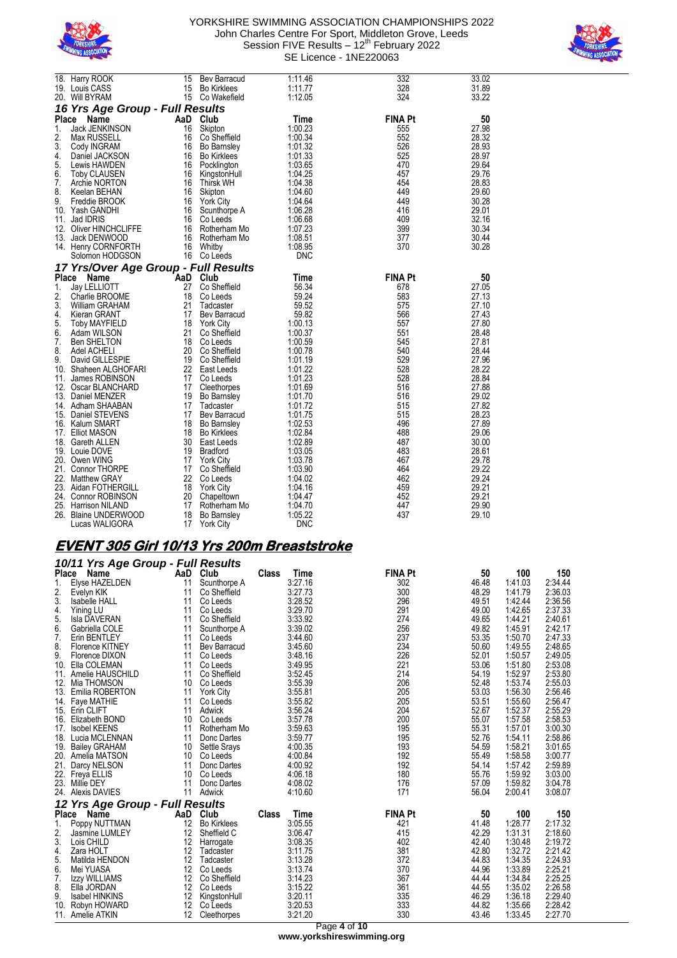



|              | 18. Harry ROOK                       | 15  | Bev Barracud       | 1:11.46    | 332            | 33.02 |
|--------------|--------------------------------------|-----|--------------------|------------|----------------|-------|
|              | 19. Louis CASS                       | 15  | <b>Bo Kirklees</b> | 1:11.77    | 328            | 31.89 |
|              | 20. Will BYRAM                       | 15  | Co Wakefield       | 1:12.05    | 324            | 33.22 |
|              |                                      |     |                    |            |                |       |
|              | 16 Yrs Age Group - Full Results      |     |                    |            |                |       |
| Place        | Name                                 | AaD | Club               | Time       | <b>FINA Pt</b> | 50    |
| 1.           | Jack JENKINSON                       | 16  | Skipton            | 1:00.23    | 555            | 27.98 |
| 2.           | Max RUSSELL                          | 16  | Co Sheffield       | 1:00.34    | 552            | 28.32 |
| 3.           | Cody INGRAM                          | 16  | Bo Barnsley        | 1:01.32    | 526            | 28.93 |
| 4.           | Daniel JACKSON                       | 16  | <b>Bo Kirklees</b> | 1:01.33    | 525            | 28.97 |
| 5.           | Lewis HAWDEN                         | 16  | Pocklington        | 1:03.65    | 470            | 29.64 |
| 6.           | <b>Toby CLAUSEN</b>                  | 16  | KingstonHull       | 1:04.25    | 457            | 29.76 |
| 7.           | Archie NORTON                        | 16  | <b>Thirsk WH</b>   | 1:04.38    | 454            | 28.83 |
| 8.           | Keelan BEHAN                         | 16  | Skipton            | 1:04.60    | 449            | 29.60 |
| 9.           | Freddie BROOK                        | 16  | <b>York City</b>   | 1:04.64    | 449            | 30.28 |
| 10.          | Yash GANDHI                          | 16  | Scunthorpe A       | 1:06.28    | 416            | 29.01 |
| 11.          | Jad IDRIS                            | 16  | Co Leeds           | 1:06.68    | 409            | 32.16 |
|              |                                      |     |                    |            |                |       |
| 12.          | <b>Oliver HINCHCLIFFE</b>            | 16  | Rotherham Mo       | 1:07.23    | 399            | 30.34 |
| 13.          | Jack DENWOOD                         | 16  | Rotherham Mo       | 1:08.51    | 377            | 30.44 |
|              | 14. Henry CORNFORTH                  | 16  | Whitby             | 1:08.95    | 370            | 30.28 |
|              | Solomon HODGSON                      | 16  | Co Leeds           | <b>DNC</b> |                |       |
|              | 17 Yrs/Over Age Group - Full Results |     |                    |            |                |       |
| <b>Place</b> | Name                                 | AaD | Club               | Time       | <b>FINA Pt</b> | 50    |
| 1.           | Jay LELLIOTT                         | 27  | Co Sheffield       | 56.34      | 678            | 27.05 |
| 2.           | Charlie BROOME                       | 18  | Co Leeds           | 59.24      | 583            | 27.13 |
| 3.           | William GRAHAM                       | 21  | Tadcaster          | 59.52      | 575            | 27.10 |
| 4.           | Kieran GRANT                         | 17  | Bev Barracud       | 59.82      | 566            | 27.43 |
| 5.           |                                      |     |                    |            |                | 27.80 |
|              | <b>Toby MAYFIELD</b>                 | 18  | <b>York City</b>   | 1:00.13    | 557            |       |
| 6.           | Adam WILSON                          | 21  | Co Sheffield       | 1:00.37    | 551            | 28.48 |
| 7.           | <b>Ben SHELTON</b>                   | 18  | Co Leeds           | 1:00.59    | 545            | 27.81 |
| 8.           | Adel ACHELI                          | 20  | Co Sheffield       | 1:00.78    | 540            | 28.44 |
| 9.           | David GILLESPIE                      | 19  | Co Sheffield       | 1:01.19    | 529            | 27.96 |
| 10.          | Shaheen ALGHOFARI                    | 22  | East Leeds         | 1:01.22    | 528            | 28.22 |
| 11.          | James ROBINSON                       | 17  | Co Leeds           | 1:01.23    | 528            | 28.84 |
| 12.          | Oscar BLANCHARD                      | 17  | Cleethorpes        | 1:01.69    | 516            | 27.88 |
|              | 13. Daniel MENZER                    | 19  | <b>Bo Barnsley</b> | 1:01.70    | 516            | 29.02 |
|              | 14. Adham SHAABAN                    | 17  | Tadcaster          | 1:01.72    | 515            | 27.82 |
|              | 15. Daniel STEVENS                   | 17  | Bev Barracud       | 1:01.75    | 515            | 28.23 |
|              | 16. Kalum SMART                      | 18  | <b>Bo Barnsley</b> | 1:02.53    | 496            | 27.89 |
|              | 17. Elliot MASON                     | 18  | <b>Bo Kirklees</b> | 1:02.84    | 488            | 29.06 |
|              | 18. Gareth ALLEN                     | 30  | East Leeds         | 1:02.89    | 487            | 30.00 |
|              | 19. Louie DOVE                       | 19  | <b>Bradford</b>    | 1:03.05    | 483            | 28.61 |
|              | 20. Owen WING                        | 17  | <b>York City</b>   | 1:03.78    | 467            | 29.78 |
|              | 21. Connor THORPE                    | 17  | Co Sheffield       | 1:03.90    | 464            | 29.22 |
|              |                                      | 22  |                    |            | 462            | 29.24 |
|              | 22. Matthew GRAY                     |     | Co Leeds           | 1:04.02    |                |       |
|              | 23. Aidan FOTHERGILL                 | 18  | <b>York City</b>   | 1:04.16    | 459            | 29.21 |
|              | 24. Connor ROBINSON                  | 20  | Chapeltown         | 1:04.47    | 452            | 29.21 |
|              | 25. Harrison NILAND                  | 17  | Rotherham Mo       | 1:04.70    | 447            | 29.90 |
|              | 26. Blaine UNDERWOOD                 | 18  | <b>Bo Barnsley</b> | 1:05.22    | 437            | 29.10 |
|              | Lucas WALIGORA                       | 17  | <b>York City</b>   | <b>DNC</b> |                |       |

## **EVENT 305 Girl 10/13 Yrs 200m Breaststroke**

|       | 10/11 Yrs Age Group - Full Results |                   |                    |              |         |                |       |         |         |  |
|-------|------------------------------------|-------------------|--------------------|--------------|---------|----------------|-------|---------|---------|--|
| Place | Name                               | AaD               | Club               | <b>Class</b> | Time    | <b>FINA Pt</b> | 50    | 100     | 150     |  |
| 1.    | Elyse HAZELDEN                     | 11                | Scunthorpe A       |              | 3:27.16 | 302            | 46.48 | 1:41.03 | 2:34.44 |  |
| 2.    | Evelyn KIK                         | 11                | Co Sheffield       |              | 3:27.73 | 300            | 48.29 | 1:41.79 | 2:36.03 |  |
| 3.    | <b>Isabelle HALL</b>               | 11                | Co Leeds           |              | 3:28.52 | 296            | 49.51 | 1:42.44 | 2:36.56 |  |
| 4.    | Yining LU                          | 11                | Co Leeds           |              | 3:29.70 | 291            | 49.00 | 1:42.65 | 2:37.33 |  |
| 5.    | Isla DAVERAN                       | 11                | Co Sheffield       |              | 3:33.92 | 274            | 49.65 | 1:44.21 | 2:40.61 |  |
| 6.    | Gabriella COLE                     | 11                | Scunthorpe A       |              | 3:39.02 | 256            | 49.82 | 1:45.91 | 2:42.17 |  |
| 7.    | Erin BENTLEY                       | 11                | Co Leeds           |              | 3:44.60 | 237            | 53.35 | 1:50.70 | 2:47.33 |  |
| 8.    | Florence KITNEY                    | 11                | Bev Barracud       |              | 3:45.60 | 234            | 50.60 | 1:49.55 | 2:48.65 |  |
| 9.    | Florence DIXON                     | 11                | Co Leeds           |              | 3:48.16 | 226            | 52.01 | 1:50.57 | 2:49.05 |  |
| 10.   | Ella COLEMAN                       | 11                | Co Leeds           |              | 3:49.95 | 221            | 53.06 | 1:51.80 | 2:53.08 |  |
|       | 11. Amelie HAUSCHILD               | 11                | Co Sheffield       |              | 3:52.45 | 214            | 54.19 | 1:52.97 | 2:53.80 |  |
| 12.   | Mia THOMSON                        | 10                | Co Leeds           |              | 3:55.39 | 206            | 52.48 | 1:53.74 | 2:55.03 |  |
| 13.   | Emilia ROBERTON                    | 11                | <b>York City</b>   |              | 3:55.81 | 205            | 53.03 | 1:56.30 | 2:56.46 |  |
| 14.   | Faye MATHIE                        | 11                | Co Leeds           |              | 3:55.82 | 205            | 53.51 | 1:55.60 | 2:56.47 |  |
|       | 15. Erin CLIFT                     | 11                | Adwick             |              | 3:56.24 | 204            | 52.67 | 1:52.37 | 2:55.29 |  |
| 16.   | Elizabeth BOND                     | 10                | Co Leeds           |              | 3:57.78 | 200            | 55.07 | 1:57.58 | 2:58.53 |  |
| 17.   | <b>Isobel KEENS</b>                | 11                | Rotherham Mo       |              | 3:59.63 | 195            | 55.31 | 1:57.01 | 3:00.30 |  |
|       | 18. Lucia MCLENNAN                 | 11                | Donc Dartes        |              | 3:59.77 | 195            | 52.76 | 1:54.11 | 2:58.86 |  |
|       | 19. Bailey GRAHAM                  | 10                | Settle Srays       |              | 4:00.35 | 193            | 54.59 | 1:58.21 | 3:01.65 |  |
|       | 20. Amelia MATSON                  | 10                | Co Leeds           |              | 4:00.84 | 192            | 55.49 | 1:58.58 | 3:00.77 |  |
| 21.   | Darcy NELSON                       | 11                | Donc Dartes        |              | 4:00.92 | 192            | 54.14 | 1:57.42 | 2:59.89 |  |
| 22.   | Freya ELLIS                        | 10                | Co Leeds           |              | 4:06.18 | 180            | 55.76 | 1:59.92 | 3:03.00 |  |
| 23.   | Millie DEY                         | 11                | Donc Dartes        |              | 4:08.02 | 176            | 57.09 | 1:59.82 | 3:04.78 |  |
| 24.   | <b>Alexis DAVIES</b>               | 11                | Adwick             |              | 4:10.60 | 171            | 56.04 | 2:00.41 | 3:08.07 |  |
|       | 12 Yrs Age Group - Full Results    |                   |                    |              |         |                |       |         |         |  |
| Place | Name                               | AaD               | Club               | <b>Class</b> | Time    | <b>FINA Pt</b> | 50    | 100     | 150     |  |
| 1.    | Poppy NUTTMAN                      | 12                | <b>Bo Kirklees</b> |              | 3:05.55 | 421            | 41.48 | 1:28.77 | 2:17.32 |  |
| 2.    | Jasmine LUMLEY                     | $12 \overline{ }$ | Sheffield C        |              | 3:06.47 | 415            | 42.29 | 1:31.31 | 2:18.60 |  |
| 3.    | Lois CHILD                         | 12                | Harrogate          |              | 3:08.35 | 402            | 42.40 | 1:30.48 | 2:19.72 |  |
| 4.    | Zara HOLT                          | 12                | Tadcaster          |              | 3:11.75 | 381            | 42.80 | 1:32.72 | 2:21.42 |  |
| 5.    | Matilda HENDON                     | 12                | Tadcaster          |              | 3:13.28 | 372            | 44.83 | 1:34.35 | 2:24.93 |  |
| 6.    | Mei YUASA                          | 12                | Co Leeds           |              | 3:13.74 | 370            | 44.96 | 1:33.89 | 2:25.21 |  |
| 7.    | Izzy WILLIAMS                      | 12                | Co Sheffield       |              | 3:14.23 | 367            | 44.44 | 1:34.84 | 2:25.25 |  |
| 8.    | Ella JORDAN                        | $12 \overline{ }$ | Co Leeds           |              | 3:15.22 | 361            | 44.55 | 1:35.02 | 2:26.58 |  |
| 9.    | <b>Isabel HINKINS</b>              | 12                | KingstonHull       |              | 3:20.11 | 335            | 46.29 | 1:36.18 | 2:29.40 |  |
| 10.   | Robyn HOWARD                       | 12                | Co Leeds           |              | 3:20.53 | 333            | 44.82 | 1:35.66 | 2:28.42 |  |
|       | 11. Amelie ATKIN                   | $12 \overline{ }$ | Cleethorpes        |              | 3:21.20 | 330            | 43.46 | 1:33.45 | 2:27.70 |  |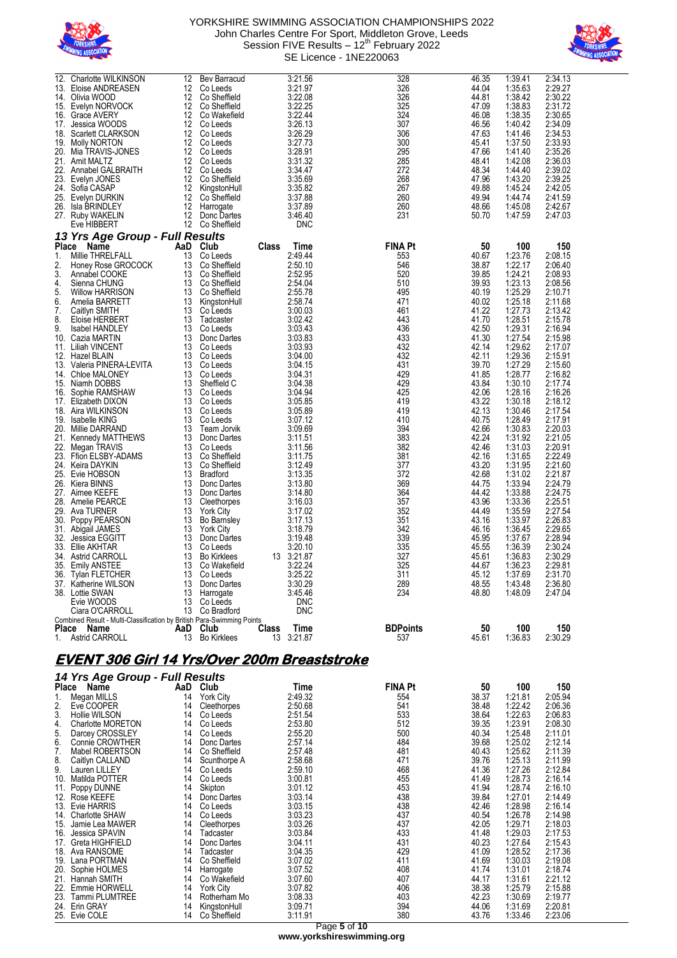



| 12.<br>26.                                         | Charlotte WILKINSON<br>13. Eloise ANDREASEN<br>14. Olivia WOOD<br>15. Evelyn NORVOCK<br>16. Grace AVERY<br>17. Jessica WOODS<br>18. Scarlett CLARKSON<br>19. Molly NORTON<br>20. Mia TRAVIS-JONES<br>21. Amit MALTZ<br>22. Annabel GALBRAITH<br>23. Evelyn JONES<br>24. Sofia CASAP<br>25. Evelyn DURKIN<br>Isla BRINDLEY                                                                                                                                                                                                                                                                                                                                                                                                                                                                                                                         | 12<br>12<br>12<br>12<br>12<br>12<br>12<br>12<br>12<br>12<br>12<br>12<br>12<br>12<br>12                                                                                                                                     | Bev Barracud<br>Co Leeds<br>Co Sheffield<br>Co Sheffield<br>Co Wakefield<br>Co Leeds<br>Co Leeds<br>Co Leeds<br>Co Leeds<br>Co Leeds<br>Co Leeds<br>Co Sheffield<br>KingstonHull<br>Co Sheffield<br>Harrogate                                                                                                                                                                                                                                                                                                                                                                                                    |              | 3:21.56<br>3:21.97<br>3:22.08<br>3:22.25<br>3:22.44<br>3:26.13<br>3:26.29<br>3:27.73<br>3:28.91<br>3:31.32<br>3:34.47<br>3:35.69<br>3:35.82<br>3:37.88<br>3:37.89                                                                                                                                                                                                                                                                               | 328<br>326<br>326<br>325<br>324<br>307<br>306<br>300<br>295<br>285<br>272<br>268<br>267<br>260<br>260                                                                                                                                                                  | 46.35<br>44.04<br>44.81<br>47.09<br>46.08<br>46.56<br>47.63<br>45.41<br>47.66<br>48.41<br>48.34<br>47.96<br>49.88<br>49.94<br>48.66                                                                                                                                                                                                                | 1:39.41<br>1:35.63<br>1:38.42<br>1:38.83<br>1:38.35<br>1:40.42<br>1:41.46<br>1:37.50<br>1:41.40<br>1:42.08<br>1:44.40<br>1:43.20<br>1:45.24<br>1:44.74<br>1:45.08                                                                                                                                                                                                                                                              | 2:34.13<br>2:29.27<br>2:30.22<br>2:31.72<br>2:30.65<br>2:34.09<br>2:34.53<br>2:33.93<br>2:35.26<br>2:36.03<br>2:39.02<br>2:39.25<br>2:42.05<br>2:41.59<br>2:42.67                                                                                                                                                                                                                                                              |
|----------------------------------------------------|---------------------------------------------------------------------------------------------------------------------------------------------------------------------------------------------------------------------------------------------------------------------------------------------------------------------------------------------------------------------------------------------------------------------------------------------------------------------------------------------------------------------------------------------------------------------------------------------------------------------------------------------------------------------------------------------------------------------------------------------------------------------------------------------------------------------------------------------------|----------------------------------------------------------------------------------------------------------------------------------------------------------------------------------------------------------------------------|------------------------------------------------------------------------------------------------------------------------------------------------------------------------------------------------------------------------------------------------------------------------------------------------------------------------------------------------------------------------------------------------------------------------------------------------------------------------------------------------------------------------------------------------------------------------------------------------------------------|--------------|-------------------------------------------------------------------------------------------------------------------------------------------------------------------------------------------------------------------------------------------------------------------------------------------------------------------------------------------------------------------------------------------------------------------------------------------------|------------------------------------------------------------------------------------------------------------------------------------------------------------------------------------------------------------------------------------------------------------------------|----------------------------------------------------------------------------------------------------------------------------------------------------------------------------------------------------------------------------------------------------------------------------------------------------------------------------------------------------|--------------------------------------------------------------------------------------------------------------------------------------------------------------------------------------------------------------------------------------------------------------------------------------------------------------------------------------------------------------------------------------------------------------------------------|--------------------------------------------------------------------------------------------------------------------------------------------------------------------------------------------------------------------------------------------------------------------------------------------------------------------------------------------------------------------------------------------------------------------------------|
|                                                    | 27. Ruby WAKELIN                                                                                                                                                                                                                                                                                                                                                                                                                                                                                                                                                                                                                                                                                                                                                                                                                                  | 12                                                                                                                                                                                                                         | Donc Dartes                                                                                                                                                                                                                                                                                                                                                                                                                                                                                                                                                                                                      |              | 3:46.40<br>DNC                                                                                                                                                                                                                                                                                                                                                                                                                                  | 231                                                                                                                                                                                                                                                                    | 50.70                                                                                                                                                                                                                                                                                                                                              | 1:47.59                                                                                                                                                                                                                                                                                                                                                                                                                        | 2:47.03                                                                                                                                                                                                                                                                                                                                                                                                                        |
|                                                    | Eve HIBBERT<br>13 Yrs Age Group - Full Results                                                                                                                                                                                                                                                                                                                                                                                                                                                                                                                                                                                                                                                                                                                                                                                                    |                                                                                                                                                                                                                            | 12 Co Sheffield                                                                                                                                                                                                                                                                                                                                                                                                                                                                                                                                                                                                  |              |                                                                                                                                                                                                                                                                                                                                                                                                                                                 |                                                                                                                                                                                                                                                                        |                                                                                                                                                                                                                                                                                                                                                    |                                                                                                                                                                                                                                                                                                                                                                                                                                |                                                                                                                                                                                                                                                                                                                                                                                                                                |
| 1.<br>2.<br>3.<br>4.<br>5.<br>6.<br>7.<br>8.<br>9. | Millie THRELFALL<br>Honey Rose GROCOCK<br>Annabel COOKE<br>Sienna CHUNG<br><b>Willow HARRISON</b><br>Amelia BARRETT<br>Caitlyn SMITH<br>Eloise HERBERT<br>Isabel HANDLEY<br>10. Cazia MARTIN<br>11. Liliah VINCENT<br>12. Hazel BLAIN<br>13. Valeria PINERA-LEVITA<br>14. Chloe MALONEY<br>15. Niamh DOBBS<br>16. Sophie RAMSHAW<br>17. Elizabeth DIXON<br>18. Aira WILKINSON<br>19. Isabelle KING<br>20. Millie DARRAND<br>21. Kennedy MATTHEWS<br>22. Megan TRAVIS<br>23. Ffion ELSBY-ADAMS<br>24. Keira DAYKIN<br>25. Evie HOBSON<br>26. Kiera BINNS<br>27. Aimee KEEFE<br>28. Amelie PEARCE<br>29. Ava TURNER<br>30. Poppy PEARSON<br>31. Abigail JAMES<br>32. Jessica EGGITT<br>33. Ellie AKHTAR<br>34. Astrid CARROLL<br>35. Emily ANSTEE<br>36. Tylan FLETCHER<br>37. Katherine WILSON<br>38. Lottie SWAN<br>Evie WOODS<br>Ciara O'CARROLL | 13<br>13<br>13<br>13<br>13<br>13<br>13<br>13<br>13<br>13<br>13<br>13<br>13<br>13<br>13<br>13<br>13<br>13<br>13<br>13<br>13<br>13<br>13<br>13<br>13<br>13<br>13<br>13<br>13<br>13<br>13<br>13<br>13<br>13<br>13<br>13<br>13 | Co Leeds<br>Co Sheffield<br>Co Sheffield<br>Co Sheffield<br>Co Sheffield<br>KingstonHull<br>Co Leeds<br>Tadcaster<br>Co Leeds<br>Donc Dartes<br>Co Leeds<br>Co Leeds<br>Co Leeds<br>Co Leeds<br>Sheffield C<br>Co Leeds<br>Co Leeds<br>Co Leeds<br>Co Leeds<br>Team Jorvik<br>Donc Dartes<br>Co Leeds<br>Co Sheffield<br>Co Sheffield<br><b>Bradford</b><br>Donc Dartes<br>Donc Dartes<br>Cleethorpes<br><b>York City</b><br><b>Bo Barnsley</b><br><b>York City</b><br>Donc Dartes<br>Co Leeds<br><b>Bo Kirklees</b><br>Co Wakefield<br>Co Leeds<br>13 Donc Dartes<br>13 Harrogate<br>Co Leeds<br>13 Co Bradford | <b>Class</b> | 2:49.44<br>2:50.10<br>2:52.95<br>2:54.04<br>2:55.78<br>2:58.74<br>3:00.03<br>3:02.42<br>3:03.43<br>3:03.83<br>3:03.93<br>3:04.00<br>3:04.15<br>3:04.31<br>3:04.38<br>3:04.94<br>3:05.85<br>3:05.89<br>3:07.12<br>3:09.69<br>3:11.51<br>3:11.56<br>3:11.75<br>3:12.49<br>3:13.35<br>3:13.80<br>3:14.80<br>3:16.03<br>3:17.02<br>3:17.13<br>3:18.79<br>3:19.48<br>3:20.10<br>13 3:21.87<br>3:22.24<br>3:25.22<br>3:30.29<br>3:45.46<br>DNC<br>DNC | 553<br>546<br>520<br>510<br>495<br>471<br>461<br>443<br>436<br>433<br>432<br>432<br>431<br>429<br>429<br>425<br>419<br>419<br>410<br>394<br>383<br>382<br>381<br>377<br>372<br>369<br>364<br>357<br>352<br>351<br>342<br>339<br>335<br>327<br>325<br>311<br>289<br>234 | 40.67<br>38.87<br>39.85<br>39.93<br>40.19<br>40.02<br>41.22<br>41.70<br>42.50<br>41.30<br>42.14<br>42.11<br>39.70<br>41.85<br>43.84<br>42.06<br>43.22<br>42.13<br>40.75<br>42.66<br>42.24<br>42.46<br>42.16<br>43.20<br>42.68<br>44.75<br>44.42<br>43.96<br>44.49<br>43.16<br>46.16<br>45.95<br>45.55<br>45.61<br>44.67<br>45.12<br>48.55<br>48.80 | 1:23.76<br>1:22.17<br>1:24.21<br>1:23.13<br>1:25.29<br>1:25.18<br>1:27.73<br>1:28.51<br>1:29.31<br>1:27.54<br>1:29.62<br>1:29.36<br>1:27.29<br>1:28.77<br>1:30.10<br>1:28.16<br>1:30.18<br>1:30.46<br>1:28.49<br>1:30.83<br>1:31.92<br>1:31.03<br>1:31.65<br>1:31.95<br>1:31.02<br>1:33.94<br>1:33.88<br>1:33.36<br>1:35.59<br>1:33.97<br>1:36.45<br>1:37.67<br>1:36.39<br>1:36.83<br>1:36.23<br>1:37.69<br>1:43.48<br>1:48.09 | 2:08.15<br>2:06.40<br>2:08.93<br>2:08.56<br>2:10.71<br>2:11.68<br>2:13.42<br>2:15.78<br>2:16.94<br>2:15.98<br>2:17.07<br>2:15.91<br>2:15.60<br>2:16.82<br>2:17.74<br>2:16.26<br>2:18.12<br>2:17.54<br>2:17.91<br>2:20.03<br>2:21.05<br>2:20.91<br>2:22.49<br>2:21.60<br>2:21.87<br>2:24.79<br>2:24.75<br>2:25.51<br>2:27.54<br>2:26.83<br>2:29.65<br>2:28.94<br>2:30.24<br>2:30.29<br>2:29.81<br>2:31.70<br>2:36.80<br>2:47.04 |
|                                                    | Combined Result - Multi-Classification by British Para-Swimming Points<br>Place Name<br>1. Astrid CARROLL                                                                                                                                                                                                                                                                                                                                                                                                                                                                                                                                                                                                                                                                                                                                         |                                                                                                                                                                                                                            | AaD Club<br>13 Bo Kirklees                                                                                                                                                                                                                                                                                                                                                                                                                                                                                                                                                                                       | <b>Class</b> | Time<br>13 3:21.87                                                                                                                                                                                                                                                                                                                                                                                                                              | <b>BDPoints</b><br>537                                                                                                                                                                                                                                                 | 50<br>45.61                                                                                                                                                                                                                                                                                                                                        | 100<br>1:36.83                                                                                                                                                                                                                                                                                                                                                                                                                 | 150<br>2:30.29                                                                                                                                                                                                                                                                                                                                                                                                                 |
|                                                    | EVENT 306 Girl 14 Yrs/Over 200m Breaststroke                                                                                                                                                                                                                                                                                                                                                                                                                                                                                                                                                                                                                                                                                                                                                                                                      |                                                                                                                                                                                                                            |                                                                                                                                                                                                                                                                                                                                                                                                                                                                                                                                                                                                                  |              |                                                                                                                                                                                                                                                                                                                                                                                                                                                 |                                                                                                                                                                                                                                                                        |                                                                                                                                                                                                                                                                                                                                                    |                                                                                                                                                                                                                                                                                                                                                                                                                                |                                                                                                                                                                                                                                                                                                                                                                                                                                |
|                                                    | 14 Yrs Age Group - Full Results                                                                                                                                                                                                                                                                                                                                                                                                                                                                                                                                                                                                                                                                                                                                                                                                                   |                                                                                                                                                                                                                            |                                                                                                                                                                                                                                                                                                                                                                                                                                                                                                                                                                                                                  |              |                                                                                                                                                                                                                                                                                                                                                                                                                                                 |                                                                                                                                                                                                                                                                        |                                                                                                                                                                                                                                                                                                                                                    |                                                                                                                                                                                                                                                                                                                                                                                                                                |                                                                                                                                                                                                                                                                                                                                                                                                                                |

| Name              | AaD                                                                                                                                                                                                                                                               |                  | Time                                                           | <b>FINA Pt</b>     | 50         | 100     | 150     |
|-------------------|-------------------------------------------------------------------------------------------------------------------------------------------------------------------------------------------------------------------------------------------------------------------|------------------|----------------------------------------------------------------|--------------------|------------|---------|---------|
|                   | 14                                                                                                                                                                                                                                                                | <b>York City</b> | 2:49.32                                                        | 554                | 38.37      | 1:21.81 | 2:05.94 |
| Eve COOPER        | 14                                                                                                                                                                                                                                                                | Cleethorpes      | 2:50.68                                                        | 541                | 38.48      | 1:22.42 | 2:06.36 |
| Hollie WILSON     | 14                                                                                                                                                                                                                                                                | Co Leeds         | 2:51.54                                                        | 533                | 38.64      | 1:22.63 | 2:06.83 |
| Charlotte MORETON | 14                                                                                                                                                                                                                                                                | Co Leeds         | 2:53.80                                                        |                    | 39.35      | 1:23.91 | 2:08.30 |
| Darcey CROSSLEY   | 14                                                                                                                                                                                                                                                                | Co Leeds         | 2:55.20                                                        | 500                | 40.34      | 1:25.48 | 2:11.01 |
| Connie CROWTHER   | 14                                                                                                                                                                                                                                                                | Donc Dartes      | 2:57.14                                                        | 484                | 39.68      | 1:25.02 | 2:12.14 |
|                   | 14                                                                                                                                                                                                                                                                | Co Sheffield     | 2:57.48                                                        | 481                | 40.43      | 1:25.62 | 2:11.39 |
| Caitlyn CALLAND   | 14                                                                                                                                                                                                                                                                | Scunthorpe A     | 2:58.68                                                        | 471                | 39.76      | 1:25.13 | 2:11.99 |
| Lauren LILLEY     | 14                                                                                                                                                                                                                                                                | Co Leeds         | 2:59.10                                                        | 468                | 41.36      | 1:27.26 | 2:12.84 |
| Matilda POTTER    | 14                                                                                                                                                                                                                                                                | Co Leeds         |                                                                | 455                | 41.49      | 1:28.73 | 2:16.14 |
|                   | 14                                                                                                                                                                                                                                                                | Skipton          | 3:01.12                                                        | 453                | 41.94      | 1:28.74 | 2:16.10 |
|                   | 14                                                                                                                                                                                                                                                                | Donc Dartes      |                                                                | 438                | 39.84      |         | 2:14.49 |
|                   | 14                                                                                                                                                                                                                                                                | Co Leeds         | 3:03.15                                                        | 438                | 42.46      | 1:28.98 | 2:16.14 |
|                   | 14                                                                                                                                                                                                                                                                | Co Leeds         | 3:03.23                                                        | 437                | 40.54      | 1:26.78 | 2:14.98 |
| Jamie Lea MAWER   | 14                                                                                                                                                                                                                                                                | Cleethorpes      | 3:03.26                                                        | 437                | 42.05      | 1:29.71 | 2:18.03 |
| Jessica SPAVIN    | 14                                                                                                                                                                                                                                                                | Tadcaster        | 3:03.84                                                        | 433                | 41.48      | 1:29.03 | 2:17.53 |
|                   | 14                                                                                                                                                                                                                                                                |                  | 3:04.11                                                        | 431                | 40.23      | 1:27.64 | 2:15.43 |
|                   | 14                                                                                                                                                                                                                                                                | Tadcaster        | 3:04.35                                                        | 429                | 41.09      | 1:28.52 | 2:17.36 |
|                   | 14                                                                                                                                                                                                                                                                | Co Sheffield     | 3:07.02                                                        |                    | 41.69      | 1:30.03 | 2:19.08 |
|                   | 14                                                                                                                                                                                                                                                                | Harrogate        | 3:07.52                                                        | 408                | 41.74      | 1:31.01 | 2:18.74 |
| Hannah SMITH      | 14                                                                                                                                                                                                                                                                | Co Wakefield     | 3:07.60                                                        | 407                | 44.17      | 1:31.61 | 2:21.12 |
|                   | 14                                                                                                                                                                                                                                                                | York City        | 3:07.82                                                        | 406                | 38.38      | 1:25.79 | 2:15.88 |
| Tammi PLUMTREE    | 14                                                                                                                                                                                                                                                                | Rotherham Mo     | 3:08.33                                                        | 403                | 42.23      | 1:30.69 | 2:19.77 |
|                   | 14                                                                                                                                                                                                                                                                | KingstonHull     | 3:09.71                                                        | 394                | 44.06      | 1:31.69 | 2:20.81 |
|                   | 14                                                                                                                                                                                                                                                                | Co Sheffield     | 3:11.91                                                        | 380                | 43.76      | 1:33.46 | 2:23.06 |
|                   | Place<br>Megan MILLS<br>Mabel ROBERTSON<br>Poppy DUNNE<br>12. Rose KEEFE<br>13. Evie HARRIS<br>14. Charlotte SHAW<br>15.<br>17. Greta HIGHFIELD<br>18. Ava RANSOME<br>19.<br>Lana PORTMAN<br>20. Sophie HOLMES<br>Emmie HORWELL<br>24. Erin GRAY<br>25. Evie COLE |                  | $17.13$ $Aye$ or $up$ - $1$ an $Reynls$<br>Club<br>Donc Dartes | 3:00.81<br>3:03.14 | 512<br>411 |         | 1:27.01 |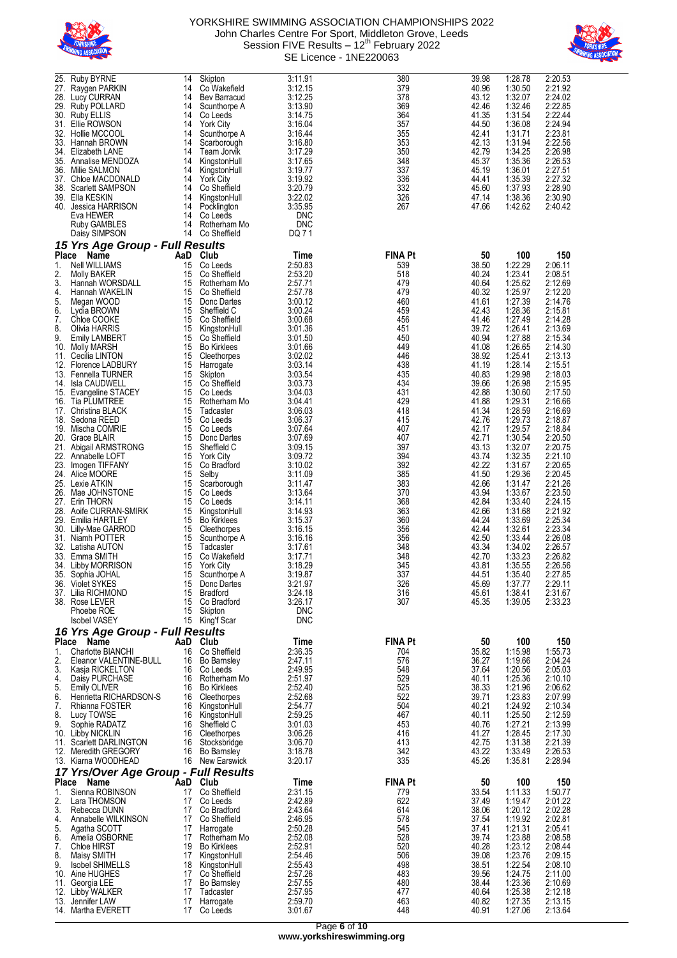



| 25.          | <b>Ruby BYRNE</b>                               | 14             | Skipton                            | 3:11.91            | 380                   | 39.98          | 1:28.78            | 2:20.53            |
|--------------|-------------------------------------------------|----------------|------------------------------------|--------------------|-----------------------|----------------|--------------------|--------------------|
| 27.          | Raygen PARKIN                                   | 14             | Co Wakefield                       | 3:12.15            | 379                   | 40.96          | 1:30.50            | 2:21.92            |
|              | 28. Lucy CURRAN                                 | 14<br>14       | Bev Barracud                       | 3:12.25            | 378<br>369            | 43.12          | 1:32.07<br>1:32.46 | 2:24.02<br>2:22.85 |
| 30.          | 29. Ruby POLLARD<br><b>Ruby ELLIS</b>           | 14             | Scunthorpe A<br>Co Leeds           | 3:13.90<br>3:14.75 | 364                   | 42.46<br>41.35 | 1:31.54            | 2:22.44            |
|              | 31. Ellie ROWSON                                | 14             | <b>York City</b>                   | 3:16.04            | 357                   | 44.50          | 1:36.08            | 2:24.94            |
| 32.          | Hollie MCCOOL                                   | 14             | Scunthorpe A                       | 3:16.44            | 355                   | 42.41          | 1:31.71            | 2:23.81            |
| 33.          | Hannah BROWN                                    | 14             | Scarborough                        | 3:16.80            | 353                   | 42.13          | 1:31.94            | 2:22.56            |
| 35.          | 34. Elizabeth LANE<br>Annalise MENDOZA          | 14<br>14       | Team Jorvik<br>KingstonHull        | 3:17.29<br>3:17.65 | 350<br>348            | 42.79<br>45.37 | 1:34.25<br>1:35.36 | 2:26.98<br>2:26.53 |
| 36.          | Milie SALMON                                    | 14             | KingstonHull                       | 3:19.77            | 337                   | 45.19          | 1:36.01            | 2:27.51            |
|              | 37. Chloe MACDONALD                             | 14             | <b>York City</b>                   | 3:19.92            | 336                   | 44.41          | 1:35.39            | 2:27.32            |
| 38.          | <b>Scarlett SAMPSON</b>                         | 14             | Co Sheffield                       | 3:20.79            | 332                   | 45.60          | 1:37.93            | 2:28.90            |
|              | 39. Ella KESKIN<br>40. Jessica HARRISON         | 14<br>14       | KingstonHull<br>Pocklington        | 3:22.02<br>3:35.95 | 326<br>267            | 47.14<br>47.66 | 1:38.36<br>1:42.62 | 2:30.90<br>2:40.42 |
|              | Eva HEWER                                       | 14             | Co Leeds                           | <b>DNC</b>         |                       |                |                    |                    |
|              | Ruby GAMBLES                                    | 14             | Rotherham Mo                       | DNC                |                       |                |                    |                    |
|              | Daisy SIMPSON                                   | 14             | Co Sheffield                       | DQ 7 1             |                       |                |                    |                    |
|              | 15 Yrs Age Group - Full Results                 |                |                                    |                    |                       |                |                    |                    |
| <b>Place</b> | Name                                            | AaD            | Club                               | Time               | <b>FINA Pt</b>        | 50<br>38.50    | 100<br>1:22.29     | 150                |
| 1.<br>2.     | Nell WILLIAMS<br>Molly BAKER                    | 15<br>15       | Co Leeds<br>Co Sheffield           | 2:50.83<br>2:53.20 | 539<br>518            | 40.24          | 1:23.41            | 2:06.11<br>2:08.51 |
| 3.           | Hannah WORSDALL                                 | 15             | Rotherham Mo                       | 2:57.71            | 479                   | 40.64          | 1:25.62            | 2:12.69            |
| 4.           | Hannah WAKELIN                                  | 15             | Co Sheffield                       | 2:57.78            | 479                   | 40.32          | 1:25.97            | 2:12.20            |
| 5.           | Megan WOOD                                      | 15             | Donc Dartes                        | 3:00.12            | 460                   | 41.61          | 1:27.39            | 2:14.76            |
| 6.<br>7.     | Lydia BROWN<br>Chloe COOKE                      | 15<br>15       | Sheffield C<br>Co Sheffield        | 3:00.24<br>3:00.68 | 459<br>456            | 42.43<br>41.46 | 1:28.36<br>1:27.49 | 2:15.81<br>2:14.28 |
| 8.           | Olivia HARRIS                                   | 15             | KingstonHull                       | 3:01.36            | 451                   | 39.72          | 1:26.41            | 2:13.69            |
| 9.           | <b>Emily LAMBERT</b>                            | 15             | Co Sheffield                       | 3:01.50            | 450                   | 40.94          | 1:27.88            | 2:15.34            |
| 10.          | Molly MARSH                                     | 15             | <b>Bo Kirklees</b>                 | 3:01.66            | 449                   | 41.08          | 1:26.65            | 2:14.30            |
|              | 11. Cecilia LINTON                              | 15             | Cleethorpes                        | 3:02.02            | 446                   | 38.92          | 1:25.41            | 2:13.13            |
| 13.          | 12. Florence LADBURY<br>Fennella TURNER         | 15<br>15       | Harrogate<br>Skipton               | 3:03.14<br>3:03.54 | 438<br>435            | 41.19<br>40.83 | 1:28.14<br>1:29.98 | 2:15.51<br>2:18.03 |
| 14.          | Isla CAUDWELL                                   | 15             | Co Sheffield                       | 3:03.73            | 434                   | 39.66          | 1:26.98            | 2:15.95            |
|              | 15. Evangeline STACEY                           | 15             | Co Leeds                           | 3:04.03            | 431                   | 42.88          | 1:30.60            | 2:17.50            |
| 16.          | Tia PLUMTREE                                    | 15             | Rotherham Mo                       | 3:04.41            | 429                   | 41.88          | 1:29.31            | 2:16.66            |
|              | 17. Christina BLACK<br>18. Sedona REED          | 15<br>15       | Tadcaster                          | 3:06.03<br>3:06.37 | 418<br>415            | 41.34<br>42.76 | 1:28.59<br>1:29.73 | 2:16.69<br>2:18.87 |
| 19.          | Mischa COMRIE                                   | 15             | Co Leeds<br>Co Leeds               | 3:07.64            | 407                   | 42.17          | 1:29.57            | 2:18.84            |
|              | 20. Grace BLAIR                                 | 15             | Donc Dartes                        | 3:07.69            | 407                   | 42.71          | 1:30.54            | 2:20.50            |
|              | 21. Abigail ARMSTRONG                           | 15             | Sheffield C                        | 3:09.15            | 397                   | 43.13          | 1:32.07            | 2:20.75            |
| 22.          | Annabelle LOFT                                  | 15             | <b>York City</b>                   | 3:09.72            | 394                   | 43.74          | 1:32.35            | 2:21.10            |
|              | 23. Imogen TIFFANY<br>24. Alice MOORE           | 15<br>15       | Co Bradford<br>Selby               | 3:10.02<br>3:11.09 | 392<br>385            | 42.22<br>41.50 | 1:31.67<br>1:29.36 | 2:20.65<br>2:20.45 |
|              | 25. Lexie ATKIN                                 | 15             | Scarborough                        | 3:11.47            | 383                   | 42.66          | 1:31.47            | 2:21.26            |
|              | 26. Mae JOHNSTONE                               | 15             | Co Leeds                           | 3:13.64            | 370                   | 43.94          | 1:33.67            | 2:23.50            |
| 27.          | <b>Erin THORN</b>                               | 15             | Co Leeds                           | 3:14.11            | 368                   | 42.84          | 1:33.40            | 2:24.15            |
|              | 28. Aoife CURRAN-SMIRK                          | 15             | KingstonHull                       | 3:14.93            | 363                   | 42.66          | 1:31.68            | 2:21.92            |
| 29.<br>30.   | Emilia HARTLEY<br>Lilly-Mae GARROD              | 15<br>15       | <b>Bo Kirklees</b><br>Cleethorpes  | 3:15.37<br>3:16.15 | 360<br>356            | 44.24<br>42.44 | 1:33.69<br>1:32.61 | 2:25.34<br>2:23.34 |
| 31.          | Niamh POTTER                                    | 15             | Scunthorpe A                       | 3:16.16            | 356                   | 42.50          | 1:33.44            | 2:26.08            |
|              | 32. Latisha AUTON                               | 15             | Tadcaster                          | 3:17.61            | 348                   | 43.34          | 1:34.02            | 2:26.57            |
|              | 33. Emma SMITH                                  | 15             | Co Wakefield                       | 3:17.71            | 348                   | 42.70          | 1:33.23            | 2:26.82            |
|              | 34. Libby MORRISON                              | 15<br>15       | <b>York City</b><br>Scunthorpe A   | 3:18.29<br>3:19.87 | 345<br>337            | 43.81<br>44.51 | 1:35.55<br>1:35.40 | 2:26.56<br>2:27.85 |
|              | 35.   Sophia JOHAL<br>36. Violet SYKES          | 15             | Donc Dartes                        | 3:21.97            | 326                   | 45.69          | 1:37.77            | 2:29.11            |
|              | 37. Lilia RICHMOND                              | 15             | <b>Bradford</b>                    | 3:24.18            | 316                   | 45.61          | 1:38.41            | 2:31.67            |
|              | 38. Rose LEVER                                  | 15             | Co Bradford                        | 3:26.17            | 307                   | 45.35          | 1:39.05            | 2:33.23            |
|              | Phoebe ROE                                      | 15             | Skipton                            | <b>DNC</b>         |                       |                |                    |                    |
|              | Isobel VASEY<br>16 Yrs Age Group - Full Results |                | 15 King'f Scar                     | <b>DNC</b>         |                       |                |                    |                    |
|              | Place Name                                      | AaD Club       |                                    | Time               | <b>FINA Pt</b>        | 50             | 100                | 150                |
| 1.           | Charlotte BIANCHI                               | 16             | Co Sheffield                       | 2:36.35            | 704                   | 35.82          | 1:15.98            | 1:55.73            |
| 2.           | Eleanor VALENTINE-BULL                          | 16             | <b>Bo Barnsley</b>                 | 2:47.11            | 576                   | 36.27          | 1:19.66            | 2:04.24            |
| 3.           | Kasja RICKELTON                                 |                | 16 Co Leeds                        | 2:49.95            | 548                   | 37.64          | 1:20.56            | 2:05.03            |
| 4.<br>5.     | Daisy PURCHASE<br><b>Emily OLIVER</b>           | 16<br>16       | Rotherham Mo<br><b>Bo Kirklees</b> | 2:51.97<br>2:52.40 | 529<br>525            | 40.11<br>38.33 | 1:25.36<br>1:21.96 | 2:10.10<br>2:06.62 |
| 6.           | Henrietta RICHARDSON-S                          |                | 16 Cleethorpes                     | 2:52.68            | 522                   | 39.71          | 1:23.83            | 2:07.99            |
| 7.           | Rhianna FOSTER                                  | 16             | KingstonHull                       | 2:54.77            | 504                   | 40.21          | 1:24.92            | 2:10.34            |
| 8.           | Lucy TOWSE                                      | 16             | KingstonHull                       | 2:59.25            | 467                   | 40.11          | 1:25.50            | 2:12.59            |
| 9.           | Sophie RADATZ                                   |                | 16 Sheffield C                     | 3:01.03            | 453                   | 40.76          | 1:27.21            | 2:13.99            |
|              | 10. Libby NICKLIN<br>11. Scarlett DARLINGTON    | 16             | 16 Cleethorpes<br>Stocksbridge     | 3:06.26<br>3:06.70 | 416<br>413            | 41.27<br>42.75 | 1:28.45<br>1:31.38 | 2:17.30<br>2:21.39 |
|              | 12. Meredith GREGORY                            | 16             | <b>Bo Barnsley</b>                 | 3:18.78            | 342                   | 43.22          | 1:33.49            | 2:26.53            |
|              | 13. Kiarna WOODHEAD                             |                | 16 New Earswick                    | 3:20.17            | 335                   | 45.26          | 1:35.81            | 2:28.94            |
|              | 17 Yrs/Over Age Group - Full Results            |                |                                    |                    |                       |                |                    |                    |
| 1.           | Place Name<br>Sienna ROBINSON                   | AaD Club<br>17 | Co Sheffield                       | Time<br>2:31.15    | <b>FINA Pt</b><br>779 | 50<br>33.54    | 100<br>1:11.33     | 150<br>1:50.77     |
| 2.           | Lara THOMSON                                    | 17             | Co Leeds                           | 2:42.89            | 622                   | 37.49          | 1:19.47            | 2:01.22            |
| 3.           | Rebecca DUNN                                    | 17             | Co Bradford                        | 2:43.64            | 614                   | 38.06          | 1:20.12            | 2:02.28            |
| 4.           | Annabelle WILKINSON                             |                | 17 Co Sheffield                    | 2:46.95            | 578                   | 37.54          | 1:19.92            | 2:02.81            |
| 5.           | Agatha SCOTT                                    | 17             | Harrogate                          | 2:50.28            | 545                   | 37.41          | 1:21.31            | 2:05.41            |
| 6.<br>7.     | Amelia OSBORNE<br><b>Chloe HIRST</b>            | 17<br>19       | Rotherham Mo<br><b>Bo Kirklees</b> | 2:52.08<br>2:52.91 | 528<br>520            | 39.74<br>40.28 | 1:23.88<br>1:23.12 | 2:08.58<br>2:08.44 |
| 8.           | Maisy SMITH                                     | 17             | KingstonHull                       | 2:54.46            | 506                   | 39.08          | 1:23.76            | 2:09.15            |
| 9.           | <b>Isobel SHIMELLS</b>                          | 18             | KingstonHull                       | 2:55.43            | 498                   | 38.51          | 1:22.54            | 2:08.10            |
|              | 10. Aine HUGHES                                 | 17             | Co Sheffield                       | 2:57.26            | 483                   | 39.56          | 1:24.75            | 2:11.00            |
|              | 11. Georgia LEE<br>12. Libby WALKER             | 17<br>17       | <b>Bo Barnsley</b><br>Tadcaster    | 2:57.55<br>2:57.95 | 480<br>477            | 38.44<br>40.64 | 1:23.36<br>1:25.38 | 2:10.69<br>2:12.18 |
|              | 13. Jennifer LAW                                | 17             | Harrogate                          | 2:59.70            | 463                   | 40.82          | 1:27.35            | 2:13.15            |
|              | 14. Martha EVERETT                              | 17             | Co Leeds                           | 3:01.67            | 448                   | 40.91          | 1:27.06            | 2:13.64            |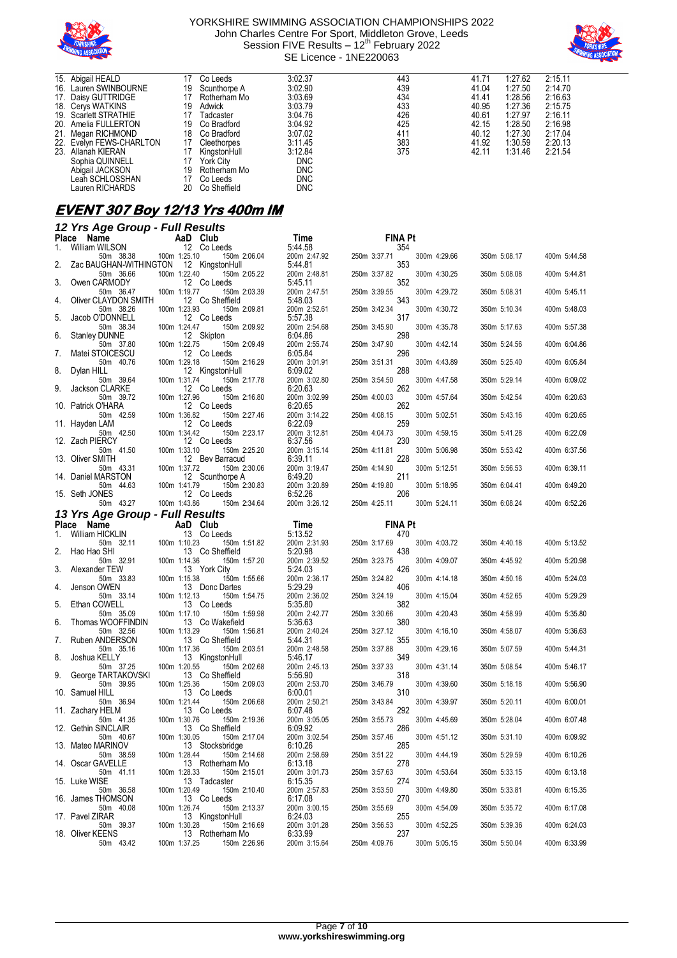



| 15. Abigail HEALD        | 17 | Co Leeds     | 3:02.37    | 443 | 41.71 | 1:27.62 | 2:15.11 |  |
|--------------------------|----|--------------|------------|-----|-------|---------|---------|--|
| 16. Lauren SWINBOURNE    | 19 | Scunthorpe A | 3:02.90    | 439 | 41.04 | 1:27.50 | 2:14.70 |  |
| 17. Daisy GUTTRIDGE      | 17 | Rotherham Mo | 3:03.69    | 434 | 41.41 | 1:28.56 | 2:16.63 |  |
| 18. Cerys WATKINS        | 19 | Adwick       | 3:03.79    | 433 | 40.95 | 1:27.36 | 2:15.75 |  |
| 19. Scarlett STRATHIE    | 17 | Tadcaster    | 3:04.76    | 426 | 40.61 | 1:27.97 | 2:16.11 |  |
| 20. Amelia FULLERTON     | 19 | Co Bradford  | 3:04.92    | 425 | 42.15 | 1:28.50 | 2:16.98 |  |
| 21. Megan RICHMOND       | 18 | Co Bradford  | 3:07.02    | 411 | 40.12 | 1:27.30 | 2:17.04 |  |
| 22. Evelyn FEWS-CHARLTON | 17 | Cleethorpes  | 3:11.45    | 383 | 41.92 | 1:30.59 | 2:20.13 |  |
| 23. Allanah KIERAN       | 17 | KingstonHull | 3:12.84    | 375 | 42.11 | 1:31.46 | 2:21.54 |  |
| Sophia QUINNELL          | 17 | York City    | <b>DNC</b> |     |       |         |         |  |
| Abigail JACKSON          | 19 | Rotherham Mo | <b>DNC</b> |     |       |         |         |  |
| Leah SCHLOSSHAN          | 17 | Co Leeds     | <b>DNC</b> |     |       |         |         |  |
| Lauren RICHARDS          | 20 | Co Sheffield | <b>DNC</b> |     |       |         |         |  |

## **EVENT 307 Boy 12/13 Yrs 400m IM**

|       | 12 Yrs Age Group - Full Results               |              |                                 |                         |              |                |              |              |              |
|-------|-----------------------------------------------|--------------|---------------------------------|-------------------------|--------------|----------------|--------------|--------------|--------------|
| Place | Name                                          |              | AaD Club                        | Time                    |              | <b>FINA Pt</b> |              |              |              |
| 1.    | William WILSON<br>50m 38.38                   | 100m 1:25.10 | 12 Co Leeds<br>150m 2:06.04     | 5:44.58<br>200m 2:47.92 | 250m 3:37.71 | 354            | 300m 4:29.66 | 350m 5:08.17 | 400m 5:44.58 |
| 2.    | Zac BAUGHAN-WITHINGTON<br>50m 36.66           | 100m 1:22.40 | 12 KingstonHull<br>150m 2:05.22 | 5:44.81<br>200m 2:48.81 | 250m 3:37.82 | 353            | 300m 4:30.25 | 350m 5:08.08 | 400m 5:44.81 |
| 3.    | Owen CARMODY<br>50m 36.47                     | 100m 1:19.77 | 12 Co Leeds<br>150m 2:03.39     | 5:45.11<br>200m 2:47.51 | 250m 3:39.55 | 352            | 300m 4:29.72 | 350m 5:08.31 | 400m 5:45.11 |
| 4.    | Oliver CLAYDON SMITH<br>50m 38.26             | 100m 1:23.93 | 12 Co Sheffield<br>150m 2:09.81 | 5:48.03<br>200m 2:52.61 | 250m 3:42.34 | 343            | 300m 4:30.72 | 350m 5:10.34 | 400m 5:48.03 |
| 5.    | Jacob O'DONNELL<br>50m 38.34                  | 100m 1:24.47 | 12 Co Leeds<br>150m 2:09.92     | 5:57.38<br>200m 2:54.68 | 250m 3:45.90 | 317            | 300m 4:35.78 | 350m 5:17.63 | 400m 5:57.38 |
| 6.    | <b>Stanley DUNNE</b><br>50m 37.80             | 100m 1:22.75 | 12 Skipton<br>150m 2:09.49      | 6:04.86<br>200m 2:55.74 | 250m 3:47.90 | 298            | 300m 4:42.14 | 350m 5:24.56 | 400m 6:04.86 |
| 7.    | Matei STOICESCU<br>50m 40.76                  | 100m 1:29.18 | 12 Co Leeds<br>150m 2:16.29     | 6:05.84<br>200m 3:01.91 | 250m 3:51.31 | 296            | 300m 4:43.89 | 350m 5:25.40 | 400m 6:05.84 |
| 8.    | Dylan HILL<br>50m 39.64                       | 100m 1:31.74 | 12 KingstonHull<br>150m 2:17.78 | 6:09.02<br>200m 3:02.80 | 250m 3:54.50 | 288            | 300m 4:47.58 | 350m 5:29.14 | 400m 6:09.02 |
| 9.    | Jackson CLARKE<br>50m 39.72                   | 100m 1:27.96 | 12 Co Leeds<br>150m 2:16.80     | 6:20.63<br>200m 3:02.99 | 250m 4:00.03 | 262            | 300m 4:57.64 | 350m 5:42.54 | 400m 6:20.63 |
|       | 10. Patrick O'HARA                            |              | 12 Co Leeds                     | 6:20.65                 | 250m 4:08.15 | 262            |              |              |              |
|       | 50m 42.59<br>11. Hayden LAM                   | 100m 1:36.82 | 150m 2:27.46<br>12 Co Leeds     | 200m 3:14.22<br>6:22.09 |              | 259            | 300m 5:02.51 | 350m 5:43.16 | 400m 6:20.65 |
|       | 50m 42.50<br>12. Zach PIERCY                  | 100m 1:34.42 | 150m 2:23.17<br>12 Co Leeds     | 200m 3:12.81<br>6:37.56 | 250m 4:04.73 | 230            | 300m 4:59.15 | 350m 5:41.28 | 400m 6:22.09 |
|       | 50m 41.50<br>13. Oliver SMITH                 | 100m 1:33.10 | 150m 2:25.20<br>12 Bev Barracud | 200m 3:15.14<br>6:39.11 | 250m 4:11.81 | 228            | 300m 5:06.98 | 350m 5:53.42 | 400m 6:37.56 |
|       | 50m 43.31<br>14. Daniel MARSTON               | 100m 1:37.72 | 150m 2:30.06<br>12 Scunthorpe A | 200m 3:19.47<br>6:49.20 | 250m 4:14.90 | 211            | 300m 5:12.51 | 350m 5:56.53 | 400m 6:39.11 |
|       | 50m 44.63<br>15. Seth JONES                   | 100m 1:41.79 | 150m 2:30.83<br>12 Co Leeds     | 200m 3:20.89<br>6:52.26 | 250m 4:19.80 | 206            | 300m 5:18.95 | 350m 6:04.41 | 400m 6:49.20 |
|       | 50m 43.27                                     | 100m 1:43.86 | 150m 2:34.64                    | 200m 3:26.12            | 250m 4:25.11 |                | 300m 5:24.11 | 350m 6:08.24 | 400m 6:52.26 |
|       | 13 Yrs Age Group - Full Results<br>Place Name |              | AaD Club                        | Time                    |              | <b>FINA Pt</b> |              |              |              |
| 1.    | William HICKLIN                               |              | 13 Co Leeds                     | 5:13.52                 |              | 470            |              |              |              |
| 2.    | 50m 32.11<br>Hao Hao SHI                      | 100m 1:10.23 | 150m 1:51.82<br>13 Co Sheffield | 200m 2:31.93<br>5:20.98 | 250m 3:17.69 | 438            | 300m 4:03.72 | 350m 4:40.18 | 400m 5:13.52 |
| 3.    | 50m 32.91<br>Alexander TEW                    | 100m 1:14.36 | 150m 1:57.20<br>13 York City    | 200m 2:39.52<br>5:24.03 | 250m 3:23.75 | 426            | 300m 4:09.07 | 350m 4:45.92 | 400m 5:20.98 |
| 4.    | 50m 33.83<br>Jenson OWEN                      | 100m 1:15.38 | 150m 1:55.66<br>13 Donc Dartes  | 200m 2:36.17<br>5:29.29 | 250m 3:24.82 | 406            | 300m 4:14.18 | 350m 4:50.16 | 400m 5:24.03 |
| 5.    | 50m 33.14<br>Ethan COWELL                     | 100m 1:12.13 | 150m 1:54.75<br>13 Co Leeds     | 200m 2:36.02<br>5:35.80 | 250m 3:24.19 | 382            | 300m 4:15.04 | 350m 4:52.65 | 400m 5:29.29 |
| 6.    | 50m 35.09<br>Thomas WOOFFINDIN                | 100m 1:17.10 | 150m 1:59.98<br>13 Co Wakefield | 200m 2:42.77<br>5:36.63 | 250m 3:30.66 | 380            | 300m 4:20.43 | 350m 4:58.99 | 400m 5:35.80 |
| 7.    | 50m 32.56<br>Ruben ANDERSON                   | 100m 1:13.29 | 150m 1:56.81                    | 200m 2:40.24<br>5:44.31 | 250m 3:27.12 | 355            | 300m 4:16.10 | 350m 4:58.07 | 400m 5:36.63 |
|       | 50m 35.16                                     | 100m 1:17.36 | 13 Co Sheffield<br>150m 2:03.51 | 200m 2:48.58            | 250m 3:37.88 |                | 300m 4:29.16 | 350m 5:07.59 | 400m 5:44.31 |
| 8.    | Joshua KELLY<br>50m 37.25                     | 100m 1:20.55 | 13 KingstonHull<br>150m 2:02.68 | 5:46.17<br>200m 2:45.13 | 250m 3:37.33 | 349            | 300m 4:31.14 | 350m 5:08.54 | 400m 5:46.17 |
| 9.    | George TARTAKOVSKI<br>50m 39.95               | 100m 1:25.36 | 13 Co Sheffield<br>150m 2:09.03 | 5:56.90<br>200m 2:53.70 | 250m 3:46.79 | 318            | 300m 4:39.60 | 350m 5:18.18 | 400m 5:56.90 |
|       | 10. Samuel HILL<br>50m 36.94                  | 100m 1:21.44 | 13 Co Leeds<br>150m 2:06.68     | 6:00.01<br>200m 2:50.21 | 250m 3:43.84 | 310            | 300m 4:39.97 | 350m 5:20.11 | 400m 6:00.01 |
|       | 11. Zachary HELM<br>50m 41.35                 | 100m 1:30.76 | 13 Co Leeds<br>150m 2:19.36     | 6:07.48<br>200m 3:05.05 | 250m 3:55.73 | 292            | 300m 4:45.69 | 350m 5:28.04 | 400m 6:07.48 |
|       | 12. Gethin SINCLAIR<br>50m 40.67              | 100m 1:30.05 | 13 Co Sheffield<br>150m 2:17.04 | 6:09.92<br>200m 3:02.54 | 250m 3:57.46 | 286            | 300m 4:51.12 | 350m 5:31.10 | 400m 6:09.92 |
|       | 13. Mateo MARINOV<br>50m 38.59                | 100m 1:28.44 | 13 Stocksbridge<br>150m 2:14.68 | 6:10.26<br>200m 2:58.69 | 250m 3:51.22 | 285            | 300m 4:44.19 | 350m 5:29.59 | 400m 6:10.26 |
|       | 14. Oscar GAVELLE<br>50m 41.11                | 100m 1:28.33 | 13 Rotherham Mo<br>150m 2:15.01 | 6:13.18<br>200m 3:01.73 | 250m 3:57.63 | 278            | 300m 4:53.64 | 350m 5:33.15 | 400m 6:13.18 |
|       | 15. Luke WISE<br>50m 36.58                    | 100m 1:20.49 | 13 Tadcaster<br>150m 2:10.40    | 6:15.35<br>200m 2:57.83 | 250m 3:53.50 | 274            | 300m 4:49.80 | 350m 5:33.81 | 400m 6:15.35 |
|       | 16. James THOMSON                             |              | 13 Co Leeds                     | 6:17.08                 |              | 270            |              |              |              |
|       | 50m 40.08<br>17. Pavel ZIRAR                  | 100m 1:26.74 | 150m 2:13.37<br>13 KingstonHull | 200m 3:00.15<br>6:24.03 | 250m 3:55.69 | 255            | 300m 4:54.09 | 350m 5:35.72 | 400m 6:17.08 |
|       | 50m 39.37<br>18. Oliver KEENS                 | 100m 1:30.28 | 150m 2:16.69<br>13 Rotherham Mo | 200m 3:01.28<br>6:33.99 | 250m 3:56.53 | 237            | 300m 4:52.25 | 350m 5:39.36 | 400m 6:24.03 |
|       | 50m 43.42                                     | 100m 1:37.25 | 150m 2:26.96                    | 200m 3:15.64            | 250m 4:09.76 |                | 300m 5:05.15 | 350m 5:50.04 | 400m 6:33.99 |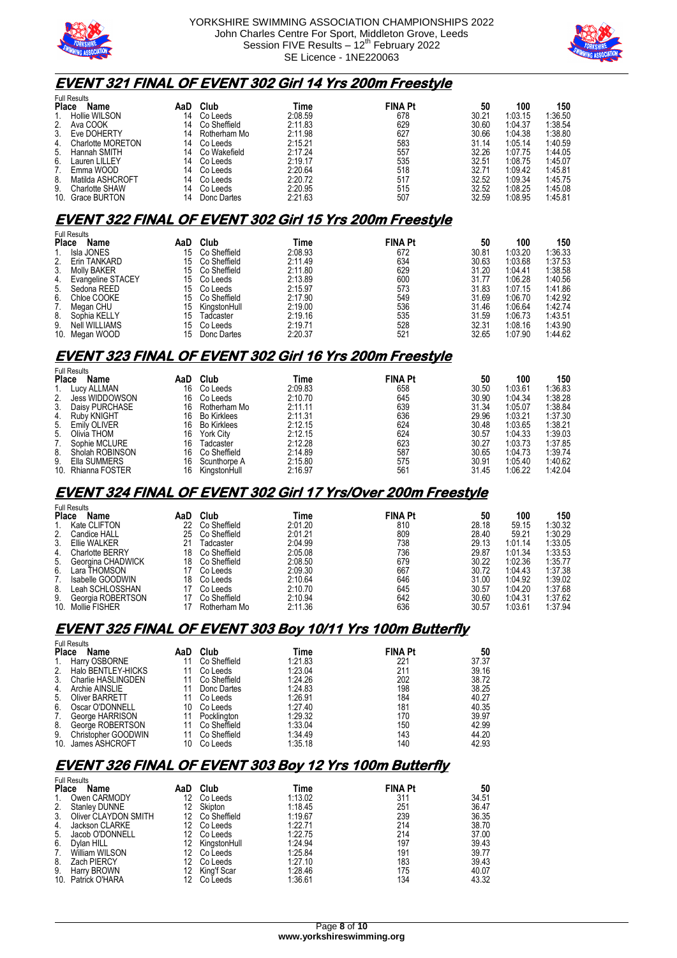



### **EVENT 321 FINAL OF EVENT 302 Girl 14 Yrs 200m Freestyle**

| <b>Name</b>           | AaD                                       | Club                | Time    |     | 50             | 100     | 150     |
|-----------------------|-------------------------------------------|---------------------|---------|-----|----------------|---------|---------|
| Hollie WILSON         | 14                                        | Co Leeds            | 2:08.59 | 678 | 30.21          | 1:03.15 | 1:36.50 |
| Ava COOK              | 14                                        | Co Sheffield        | 2:11.83 | 629 | 30.60          | 1:04.37 | 1:38.54 |
| Eve DOHERTY           | 14                                        | Rotherham Mo        | 2:11.98 | 627 | 30.66          | 1:04.38 | 1:38.80 |
| Charlotte MORETON     | 14                                        | Co Leeds            | 2:15.21 | 583 | 31.14          | 1:05.14 | 1:40.59 |
| Hannah SMITH          | 14                                        | Co Wakefield        | 2:17.24 | 557 | 32.26          | 1:07.75 | 1:44.05 |
| Lauren LILLEY         | 14                                        | Co Leeds            | 2:19.17 | 535 | 32.51          | 1:08.75 | 1:45.07 |
| Emma WOOD             | 14                                        | Co Leeds            | 2:20.64 | 518 | 32.71          | 1:09.42 | 1:45.81 |
| Matilda ASHCROFT      | 14                                        | Co Leeds            | 2:20.72 | 517 | 32.52          | 1:09.34 | 1:45.75 |
| <b>Charlotte SHAW</b> | 14                                        | Co Leeds            | 2:20.95 | 515 | 32.52          | 1:08.25 | 1:45.08 |
|                       | 14                                        | Donc Dartes         | 2:21.63 | 507 | 32.59          | 1:08.95 | 1:45.81 |
| 2 <sub>1</sub>        | <b>Place</b><br>9.<br>10.<br>Grace BURTON | <b>Full Results</b> |         |     | <b>FINA Pt</b> |         |         |

#### **EVENT 322 FINAL OF EVENT 302 Girl 15 Yrs 200m Freestyle**

|              | <b>Full Results</b>      |     |              |         |                |       |         |         |
|--------------|--------------------------|-----|--------------|---------|----------------|-------|---------|---------|
| <b>Place</b> | Name                     | AaD | Club         | Time    | <b>FINA Pt</b> | 50    | 100     | 150     |
|              | Isla JONES               | 15  | Co Sheffield | 2:08.93 | 672            | 30.81 | 1:03.20 | 1:36.33 |
| 2.           | Erin TANKARD             | 15  | Co Sheffield | 2:11.49 | 634            | 30.63 | 1:03.68 | 1:37.53 |
| 3.           | Molly BAKER              | 15  | Co Sheffield | 2:11.80 | 629            | 31.20 | 1:04.41 | 1:38.58 |
| 4.           | <b>Evangeline STACEY</b> | 15  | Co Leeds     | 2:13.89 | 600            | 31.77 | 1:06.28 | 1:40.56 |
| 5.           | Sedona REED              | 15  | Co Leeds     | 2:15.97 | 573            | 31.83 | 1:07.15 | 1:41.86 |
| 6.           | Chloe COOKE              | 15  | Co Sheffield | 2:17.90 | 549            | 31.69 | 1:06.70 | 1:42.92 |
|              | Megan CHU                | 15  | KingstonHull | 2:19.00 | 536            | 31.46 | 1:06.64 | 1:42.74 |
| 8.           | Sophia KELLY             | 15  | Tadcaster    | 2:19.16 | 535            | 31.59 | 1:06.73 | 1:43.51 |
| 9.           | Nell WILLIAMS            | 15  | Co Leeds     | 2:19.71 | 528            | 32.31 | 1:08.16 | 1:43.90 |
|              | 10. Megan WOOD           | 15  | Donc Dartes  | 2:20.37 | 521            | 32.65 | 1:07.90 | 1:44.62 |

## **EVENT 323 FINAL OF EVENT 302 Girl 16 Yrs 200m Freestyle**

|              | <b>Full Results</b> |     |                    |         |                |       |         |         |
|--------------|---------------------|-----|--------------------|---------|----------------|-------|---------|---------|
| <b>Place</b> | Name                | AaD | Club               | Time    | <b>FINA Pt</b> | 50    | 100     | 150     |
|              | Lucy ALLMAN         | 16  | Co Leeds           | 2:09.83 | 658            | 30.50 | 1:03.61 | 1:36.83 |
| 2.           | Jess WIDDOWSON      | 16  | Co Leeds           | 2:10.70 | 645            | 30.90 | 1:04.34 | 1:38.28 |
| 3.           | Daisy PURCHASE      | 16  | Rotherham Mo       | 2:11.11 | 639            | 31.34 | 1:05.07 | 1:38.84 |
| 4.           | <b>Ruby KNIGHT</b>  | 16  | <b>Bo Kirklees</b> | 2:11.31 | 636            | 29.96 | 1:03.21 | 1:37.30 |
| 5.           | <b>Emily OLIVER</b> | 16  | <b>Bo Kirklees</b> | 2:12.15 | 624            | 30.48 | 1:03.65 | 1:38.21 |
| 5.           | Olivia THOM         | 16  | <b>York City</b>   | 2:12.15 | 624            | 30.57 | 1:04.33 | 1:39.03 |
|              | Sophie MCLURE       | 16  | Tadcaster          | 2:12.28 | 623            | 30.27 | 1:03.73 | 1:37.85 |
| 8.           | Sholah ROBINSON     | 16  | Co Sheffield       | 2:14.89 | 587            | 30.65 | 1:04.73 | 1:39.74 |
| 9.           | Ella SUMMERS        | 16  | Scunthorpe A       | 2:15.80 | 575            | 30.91 | 1:05.40 | 1:40.62 |
|              | 10. Rhianna FOSTER  | 16  | KingstonHull       | 2:16.97 | 561            | 31.45 | 1:06.22 | 1:42.04 |

### **EVENT 324 FINAL OF EVENT 302 Girl 17 Yrs/Over 200m Freestyle**

|              | <b>Full Results</b>    |     |              |         |                |       |         |         |
|--------------|------------------------|-----|--------------|---------|----------------|-------|---------|---------|
| <b>Place</b> | Name                   | AaD | Club         | Time    | <b>FINA Pt</b> | 50    | 100     | 150     |
|              | Kate CLIFTON           |     | Co Sheffield | 2:01.20 | 810            | 28.18 | 59.15   | 1:30.32 |
| 2.           | Candice HALL           | 25  | Co Sheffield | 2:01.21 | 809            | 28.40 | 59.21   | 1:30.29 |
| 3.           | Ellie WALKER           |     | Tadcaster    | 2:04.99 | 738            | 29.13 | 1:01.14 | 1:33.05 |
| 4.           | <b>Charlotte BERRY</b> | 18  | Co Sheffield | 2:05.08 | 736            | 29.87 | 1:01.34 | 1:33.53 |
| 5.           | Georgina CHADWICK      | 18  | Co Sheffield | 2:08.50 | 679            | 30.22 | 1:02.36 | 1:35.77 |
| 6.           | Lara THOMSON           |     | Co Leeds     | 2:09.30 | 667            | 30.72 | 1:04.43 | 1:37.38 |
| 7.           | Isabelle GOODWIN       | 18  | Co Leeds     | 2:10.64 | 646            | 31.00 | 1:04.92 | 1:39.02 |
| 8.           | Leah SCHLOSSHAN        |     | Co Leeds     | 2:10.70 | 645            | 30.57 | 1:04.20 | 1:37.68 |
| 9.           | Georgia ROBERTSON      |     | Co Sheffield | 2:10.94 | 642            | 30.60 | 1:04.31 | 1:37.62 |
| 10.          | Mollie FISHER          |     | Rotherham Mo | 2:11.36 | 636            | 30.57 | 1:03.61 | 1:37.94 |

### **EVENT 325 FINAL OF EVENT 303 Boy 10/11 Yrs 100m Butterfly**

|              | <b>Full Results</b> |     |              |         |                |       |  |  |  |
|--------------|---------------------|-----|--------------|---------|----------------|-------|--|--|--|
| <b>Place</b> | Name                | AaD | Club         | Time    | <b>FINA Pt</b> | 50    |  |  |  |
| 1.           | Harry OSBORNE       |     | Co Sheffield | 1:21.83 | 221            | 37.37 |  |  |  |
| 2.           | Halo BENTLEY-HICKS  | 11  | Co Leeds     | 1:23.04 | 211            | 39.16 |  |  |  |
| 3.           | Charlie HASLINGDEN  | 11  | Co Sheffield | 1:24.26 | 202            | 38.72 |  |  |  |
| 4.           | Archie AINSLIE      | 11  | Donc Dartes  | 1:24.83 | 198            | 38.25 |  |  |  |
| 5.           | Oliver BARRETT      | 11  | Co Leeds     | 1:26.91 | 184            | 40.27 |  |  |  |
| 6.           | Oscar O'DONNELL     | 10  | Co Leeds     | 1:27.40 | 181            | 40.35 |  |  |  |
| 7.           | George HARRISON     | 11  | Pocklington  | 1:29.32 | 170            | 39.97 |  |  |  |
| 8.           | George ROBERTSON    | 11  | Co Sheffield | 1:33.04 | 150            | 42.99 |  |  |  |
| 9.           | Christopher GOODWIN | 11  | Co Sheffield | 1:34.49 | 143            | 44.20 |  |  |  |
| 10.          | James ASHCROFT      | 10  | Co Leeds     | 1:35.18 | 140            | 42.93 |  |  |  |

## **EVENT 326 FINAL OF EVENT 303 Boy 12 Yrs 100m Butterfly**

|              | <b>Full Results</b>  |     |              |         |                |       |  |  |  |
|--------------|----------------------|-----|--------------|---------|----------------|-------|--|--|--|
| <b>Place</b> | Name                 | AaD | Club         | Time    | <b>FINA Pt</b> | 50    |  |  |  |
| 1.           | Owen CARMODY         | 12  | Co Leeds     | 1:13.02 | 311            | 34.51 |  |  |  |
| 2.           | <b>Stanley DUNNE</b> | 12  | Skipton      | 1:18.45 | 251            | 36.47 |  |  |  |
| 3.           | Oliver CLAYDON SMITH | 12  | Co Sheffield | 1:19.67 | 239            | 36.35 |  |  |  |
| 4.           | Jackson CLARKE       | 12  | Co Leeds     | 1:22.71 | 214            | 38.70 |  |  |  |
| 5.           | Jacob O'DONNELL      | 12  | Co Leeds     | 1:22.75 | 214            | 37.00 |  |  |  |
| 6.           | Dylan HILL           | 12  | KingstonHull | 1:24.94 | 197            | 39.43 |  |  |  |
| 7.           | William WILSON       |     | Co Leeds     | 1:25.84 | 191            | 39.77 |  |  |  |
| 8.           | Zach PIERCY          | 12  | Co Leeds     | 1:27.10 | 183            | 39.43 |  |  |  |
| 9.           | Harry BROWN          | 12  | King'f Scar  | 1:28.46 | 175            | 40.07 |  |  |  |
|              | 10. Patrick O'HARA   |     | Co Leeds     | 1:36.61 | 134            | 43.32 |  |  |  |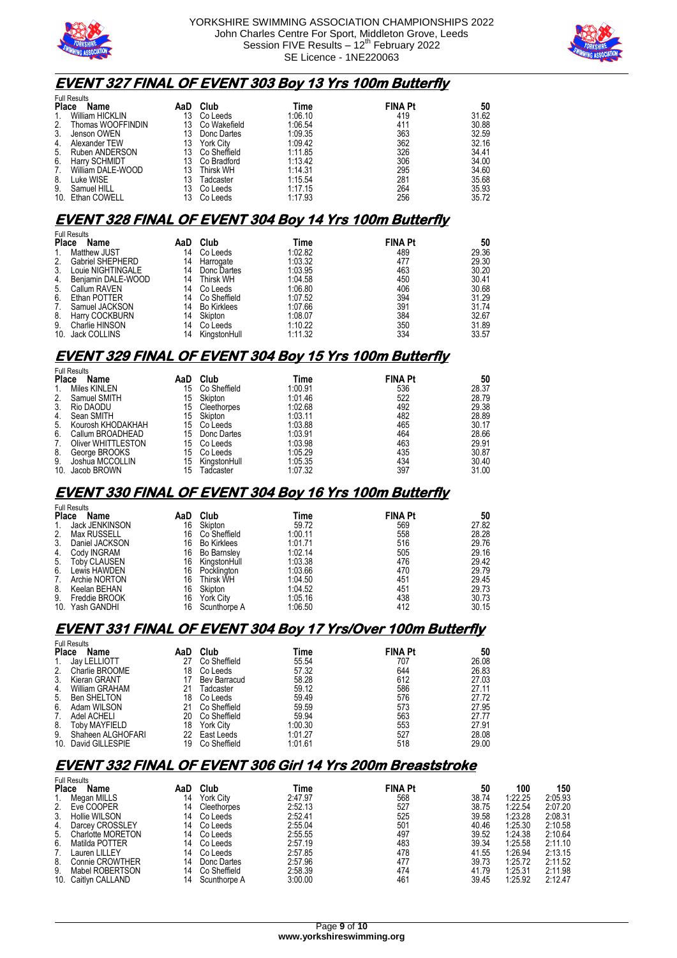

Full Results



### **EVENT 327 FINAL OF EVENT 303 Boy 13 Yrs 100m Butterfly**

|              | <b>Full Results</b> |     |                  |         |                |       |  |  |  |
|--------------|---------------------|-----|------------------|---------|----------------|-------|--|--|--|
| <b>Place</b> | Name                | AaD | Club             | Time    | <b>FINA Pt</b> | 50    |  |  |  |
| 1.           | William HICKLIN     | 13  | Co Leeds         | 1:06.10 | 419            | 31.62 |  |  |  |
| 2.           | Thomas WOOFFINDIN   | 13  | Co Wakefield     | 1:06.54 | 411            | 30.88 |  |  |  |
| 3.           | Jenson OWEN         | 13  | Donc Dartes      | 1:09.35 | 363            | 32.59 |  |  |  |
| 4.           | Alexander TEW       | 13  | York City        | 1:09.42 | 362            | 32.16 |  |  |  |
| 5.           | Ruben ANDERSON      | 13  | Co Sheffield     | 1:11.85 | 326            | 34.41 |  |  |  |
| 6.           | Harry SCHMIDT       | 13  | Co Bradford      | 1:13.42 | 306            | 34.00 |  |  |  |
| 7.           | William DALE-WOOD   | 13  | <b>Thirsk WH</b> | 1:14.31 | 295            | 34.60 |  |  |  |
| 8.           | Luke WISE           | 13  | Tadcaster        | 1:15.54 | 281            | 35.68 |  |  |  |
| 9.           | Samuel HILL         | 13  | Co Leeds         | 1:17.15 | 264            | 35.93 |  |  |  |
|              | 10. Ethan COWELL    |     | Co Leeds         | 1:17.93 | 256            | 35.72 |  |  |  |

#### **EVENT 328 FINAL OF EVENT 304 Boy 14 Yrs 100m Butterfly**

|              | <b>Full Results</b>     |     |              |         |                |       |  |  |  |
|--------------|-------------------------|-----|--------------|---------|----------------|-------|--|--|--|
| <b>Place</b> | Name                    | AaD | Club         | Time    | <b>FINA Pt</b> | 50    |  |  |  |
| 1.           | <b>Matthew JUST</b>     | 14  | Co Leeds     | 1:02.82 | 489            | 29.36 |  |  |  |
| 2.           | <b>Gabriel SHEPHERD</b> | 14  | Harrogate    | 1:03.32 | 477            | 29.30 |  |  |  |
| 3.           | Louie NIGHTINGALE       | 14  | Donc Dartes  | 1:03.95 | 463            | 30.20 |  |  |  |
| 4.           | Beniamin DALE-WOOD      | 14  | Thirsk WH    | 1:04.58 | 450            | 30.41 |  |  |  |
| 5.           | Callum RAVEN            | 14  | Co Leeds     | 1:06.80 | 406            | 30.68 |  |  |  |
| 6.           | Ethan POTTER            | 14  | Co Sheffield | 1:07.52 | 394            | 31.29 |  |  |  |
| 7.           | Samuel JACKSON          | 14  | Bo Kirklees  | 1:07.66 | 391            | 31.74 |  |  |  |
| 8.           | Harry COCKBURN          | 14  | Skipton      | 1:08.07 | 384            | 32.67 |  |  |  |
| 9.           | Charlie HINSON          | 14  | Co Leeds     | 1:10.22 | 350            | 31.89 |  |  |  |
|              | 10. Jack COLLINS        | 14  | KingstonHull | 1:11.32 | 334            | 33.57 |  |  |  |

### **EVENT 329 FINAL OF EVENT 304 Boy 15 Yrs 100m Butterfly**

| <b>Full Results</b> |                           |     |              |         |                |       |  |
|---------------------|---------------------------|-----|--------------|---------|----------------|-------|--|
| <b>Place</b>        | Name                      | AaD | Club         | Time    | <b>FINA Pt</b> | 50    |  |
| 1.                  | Miles KINLEN              | 15  | Co Sheffield | 1:00.91 | 536            | 28.37 |  |
| 2.                  | Samuel SMITH              | 15  | Skipton      | 1:01.46 | 522            | 28.79 |  |
| 3.                  | Rio DAODU                 | 15  | Cleethorpes  | 1:02.68 | 492            | 29.38 |  |
| 4.                  | Sean SMITH                | 15  | Skipton      | 1:03.11 | 482            | 28.89 |  |
| 5.                  | Kourosh KHODAKHAH         | 15  | Co Leeds     | 1:03.88 | 465            | 30.17 |  |
| 6.                  | Callum BROADHEAD          | 15  | Donc Dartes  | 1:03.91 | 464            | 28.66 |  |
| 7.                  | <b>Oliver WHITTLESTON</b> | 15  | Co Leeds     | 1:03.98 | 463            | 29.91 |  |
| 8.                  | George BROOKS             | 15  | Co Leeds     | 1:05.29 | 435            | 30.87 |  |
| 9.                  | Joshua MCCOLLIN           | 15  | KingstonHull | 1:05.35 | 434            | 30.40 |  |
| 10.                 | Jacob BROWN               | 15  | Tadcaster    | 1:07.32 | 397            | 31.00 |  |

### **EVENT 330 FINAL OF EVENT 304 Boy 16 Yrs 100m Butterfly**

|              | ı uli i wuulu       |     |                    |         |                |       |
|--------------|---------------------|-----|--------------------|---------|----------------|-------|
| <b>Place</b> | Name                | AaD | Club               | Time    | <b>FINA Pt</b> | 50    |
| 1.           | Jack JENKINSON      | 16  | Skipton            | 59.72   | 569            | 27.82 |
| 2.           | <b>Max RUSSELL</b>  | 16  | Co Sheffield       | 1:00.11 | 558            | 28.28 |
| 3.           | Daniel JACKSON      | 16  | <b>Bo Kirklees</b> | 1:01.71 | 516            | 29.76 |
| 4.           | Cody INGRAM         | 16  | <b>Bo Barnslev</b> | 1:02.14 | 505            | 29.16 |
| 5.           | <b>Toby CLAUSEN</b> | 16  | KingstonHull       | 1:03.38 | 476            | 29.42 |
| 6.           | Lewis HAWDEN        | 16  | Pocklington        | 1:03.66 | 470            | 29.79 |
| 7.           | Archie NORTON       | 16  | Thirsk WH          | 1:04.50 | 451            | 29.45 |
| 8.           | Keelan BEHAN        | 16  | Skipton            | 1:04.52 | 451            | 29.73 |
| 9.           | Freddie BROOK       | 16  | <b>York City</b>   | 1:05.16 | 438            | 30.73 |
|              | 10. Yash GANDHI     | 16  | Scunthorpe A       | 1:06.50 | 412            | 30.15 |

### **EVENT 331 FINAL OF EVENT 304 Boy 17 Yrs/Over 100m Butterfly**

|                 | <b>Full Results</b> |     |                  |         |                |       |  |  |
|-----------------|---------------------|-----|------------------|---------|----------------|-------|--|--|
| <b>Place</b>    | <b>Name</b>         | AaD | Club             | Time    | <b>FINA Pt</b> | 50    |  |  |
| 1.              | Jay LELLIOTT        | 27  | Co Sheffield     | 55.54   | 707            | 26.08 |  |  |
| 2.              | Charlie BROOME      | 18  | Co Leeds         | 57.32   | 644            | 26.83 |  |  |
| 3.              | Kieran GRANT        |     | Bev Barracud     | 58.28   | 612            | 27.03 |  |  |
| 4.              | William GRAHAM      |     | Tadcaster        | 59.12   | 586            | 27.11 |  |  |
| 5.              | <b>Ben SHELTON</b>  | 18  | Co Leeds         | 59.49   | 576            | 27.72 |  |  |
| 6.              | Adam WILSON         | 21  | Co Sheffield     | 59.59   | 573            | 27.95 |  |  |
| 7.              | Adel ACHELI         | 20  | Co Sheffield     | 59.94   | 563            | 27.77 |  |  |
| 8.              | Toby MAYFIELD       | 18  | <b>York City</b> | 1:00.30 | 553            | 27.91 |  |  |
| 9.              | Shaheen ALGHOFARI   | 22  | East Leeds       | 1:01.27 | 527            | 28.08 |  |  |
| 10 <sub>1</sub> | David GILLESPIE     | 19  | Co Sheffield     | 1:01.61 | 518            | 29.00 |  |  |

## **EVENT 332 FINAL OF EVENT 306 Girl 14 Yrs 200m Breaststroke**

|              | <b>Full Results</b> |     |                  |         |                |       |         |         |
|--------------|---------------------|-----|------------------|---------|----------------|-------|---------|---------|
| <b>Place</b> | Name                | AaD | Club             | Time    | <b>FINA Pt</b> | 50    | 100     | 150     |
|              | Megan MILLS         | 14  | <b>York City</b> | 2:47.97 | 568            | 38.74 | 1:22.25 | 2:05.93 |
| 2.           | Eve COOPER          | 14  | Cleethorpes      | 2:52.13 | 527            | 38.75 | 1:22.54 | 2:07.20 |
| 3.           | Hollie WILSON       | 14  | Co Leeds         | 2:52.41 | 525            | 39.58 | 1:23.28 | 2:08.31 |
| 4.           | Darcey CROSSLEY     | 14  | Co Leeds         | 2:55.04 | 501            | 40.46 | 1:25.30 | 2:10.58 |
| 5.           | Charlotte MORETON   | 14  | Co Leeds         | 2:55.55 | 497            | 39.52 | 1:24.38 | 2:10.64 |
| 6.           | Matilda POTTER      | 14  | Co Leeds         | 2:57.19 | 483            | 39.34 | 1:25.58 | 2:11.10 |
|              | Lauren LILLEY       | 14  | Co Leeds         | 2:57.85 | 478            | 41.55 | 1:26.94 | 2:13.15 |
| 8.           | Connie CROWTHER     | 14  | Donc Dartes      | 2:57.96 | 477            | 39.73 | 1:25.72 | 2:11.52 |
| 9.           | Mabel ROBERTSON     | 14  | Co Sheffield     | 2:58.39 | 474            | 41.79 | 1:25.31 | 2:11.98 |
|              | 10. Caitlyn CALLAND | 14  | Scunthorpe A     | 3:00.00 | 461            | 39.45 | 1:25.92 | 2:12.47 |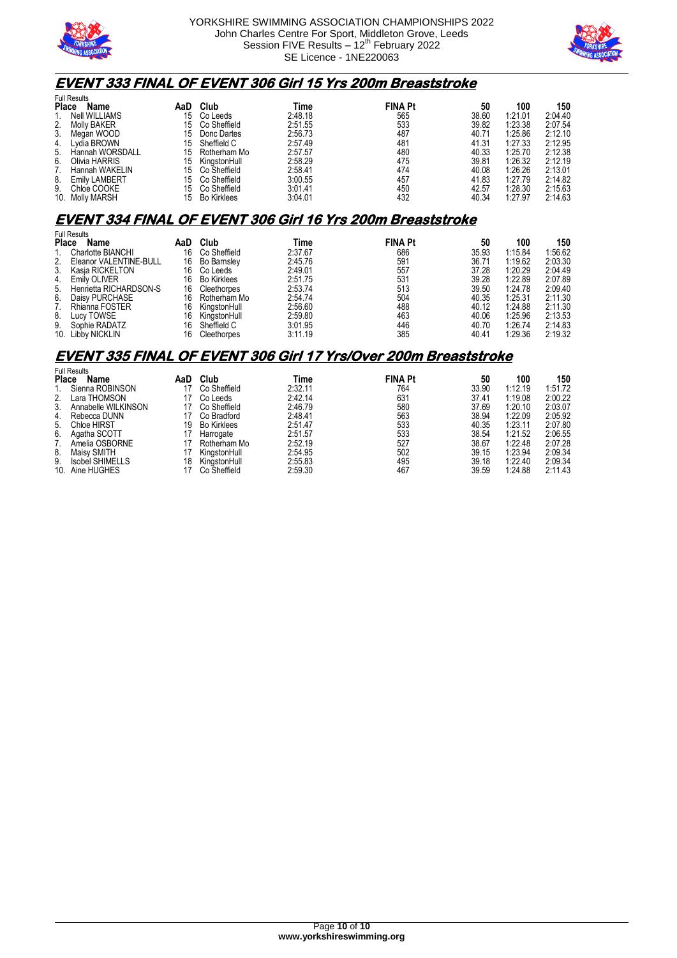



### **EVENT 333 FINAL OF EVENT 306 Girl 15 Yrs 200m Breaststroke**

| <b>Name</b>          | AaD                                                        | Club                | Time    |     | 50             | 100     | 150     |
|----------------------|------------------------------------------------------------|---------------------|---------|-----|----------------|---------|---------|
| Nell WILLIAMS        | 15                                                         | Co Leeds            | 2:48.18 | 565 | 38.60          | 1:21.01 | 2:04.40 |
| Molly BAKER          | 15                                                         | Co Sheffield        | 2:51.55 | 533 | 39.82          | 1:23.38 | 2:07.54 |
| Megan WOOD           | 15                                                         | Donc Dartes         | 2:56.73 | 487 | 40.71          | 1:25.86 | 2:12.10 |
| Lydia BROWN          | 15                                                         | Sheffield C         | 2:57.49 | 481 | 41.31          | 1:27.33 | 2:12.95 |
| Hannah WORSDALL      | 15                                                         | Rotherham Mo        | 2:57.57 | 480 | 40.33          | 1:25.70 | 2:12.38 |
| Olivia HARRIS        | 15                                                         | KingstonHull        | 2:58.29 | 475 | 39.81          | 1:26.32 | 2:12.19 |
| Hannah WAKELIN       | 15                                                         | Co Sheffield        | 2:58.41 | 474 | 40.08          | 1:26.26 | 2:13.01 |
| <b>Emily LAMBERT</b> | 15                                                         | Co Sheffield        | 3:00.55 | 457 | 41.83          | 1:27.79 | 2:14.82 |
|                      | 15                                                         | Co Sheffield        | 3:01.41 | 450 | 42.57          | 1:28.30 | 2:15.63 |
|                      | 15                                                         | <b>Bo Kirklees</b>  | 3:04.01 | 432 | 40.34          | 1:27.97 | 2:14.63 |
|                      | <b>Place</b><br>2.<br>9.<br>Chloe COOKE<br>10. Molly MARSH | <b>Full Results</b> |         |     | <b>FINA Pt</b> |         |         |

### **EVENT 334 FINAL OF EVENT 306 Girl 16 Yrs 200m Breaststroke**

| <b>Full Results</b> |                           |     |                    |         |                |       |         |         |
|---------------------|---------------------------|-----|--------------------|---------|----------------|-------|---------|---------|
| <b>Place</b>        | Name                      | AaD | Club               | Time    | <b>FINA Pt</b> | 50    | 100     | 150     |
|                     | Charlotte BIANCHI         | 16  | Co Sheffield       | 2:37.67 | 686            | 35.93 | 1:15.84 | 1:56.62 |
|                     | 2. Eleanor VALENTINE-BULL | 16  | <b>Bo Barnsley</b> | 2:45.76 | 591            | 36.71 | 1:19.62 | 2:03.30 |
| 3.                  | Kasia RICKELTON           | 16  | Co Leeds           | 2:49.01 | 557            | 37.28 | 1:20.29 | 2:04.49 |
| 4.                  | Emily OLIVER              | 16  | <b>Bo Kirklees</b> | 2:51.75 | 531            | 39.28 | 1:22.89 | 2:07.89 |
| 5.                  | Henrietta RICHARDSON-S    | 16  | Cleethorpes        | 2:53.74 | 513            | 39.50 | 1:24.78 | 2:09.40 |
| 6.                  | Daisy PURCHASE            | 16  | Rotherham Mo       | 2:54.74 | 504            | 40.35 | 1:25.31 | 2:11.30 |
| 7.                  | Rhianna FOSTER            | 16  | KingstonHull       | 2:56.60 | 488            | 40.12 | 1:24.88 | 2:11.30 |
| 8.                  | Lucy TOWSE                | 16  | KingstonHull       | 2:59.80 | 463            | 40.06 | 1:25.96 | 2:13.53 |
| 9.                  | Sophie RADATZ             | 16  | Sheffield C        | 3:01.95 | 446            | 40.70 | 1:26.74 | 2:14.83 |
|                     | 10. Libby NICKLIN         | 16  | Cleethorpes        | 3:11.19 | 385            | 40.41 | 1:29.36 | 2:19.32 |

#### **EVENT 335 FINAL OF EVENT 306 Girl 17 Yrs/Over 200m Breaststroke**

| <b>Place</b> | <b>Full Results</b> |     | Club               | Time    | <b>FINA Pt</b> | 50    | 100     | 150     |
|--------------|---------------------|-----|--------------------|---------|----------------|-------|---------|---------|
|              | Name                | AaD |                    |         |                |       |         |         |
|              | Sienna ROBINSON     |     | Co Sheffield       | 2:32.11 | 764            | 33.90 | 1:12.19 | 1:51.72 |
| 2.           | Lara THOMSON        |     | Co Leeds           | 2:42.14 | 631            | 37.41 | 1:19.08 | 2:00.22 |
| 3.           | Annabelle WILKINSON |     | Co Sheffield       | 2:46.79 | 580            | 37.69 | 1:20.10 | 2:03.07 |
| 4.           | Rebecca DUNN        |     | Co Bradford        | 2:48.41 | 563            | 38.94 | 1:22.09 | 2:05.92 |
| 5.           | <b>Chloe HIRST</b>  | 19  | <b>Bo Kirklees</b> | 2:51.47 | 533            | 40.35 | 1:23.11 | 2:07.80 |
| 6.           | Agatha SCOTT        |     | Harrogate          | 2:51.57 | 533            | 38.54 | 1:21.52 | 2:06.55 |
|              | Amelia OSBORNE      |     | Rotherham Mo       | 2:52.19 | 527            | 38.67 | 1:22.48 | 2:07.28 |
| 8.           | Maisy SMITH         |     | KingstonHull       | 2:54.95 | 502            | 39.15 | 1:23.94 | 2:09.34 |
| 9.           | Isobel SHIMELLS     | 18  | KingstonHull       | 2:55.83 | 495            | 39.18 | 1:22.40 | 2:09.34 |
| 10.          | Aine HUGHES         |     | Co Sheffield       | 2:59.30 | 467            | 39.59 | 1:24.88 | 2:11.43 |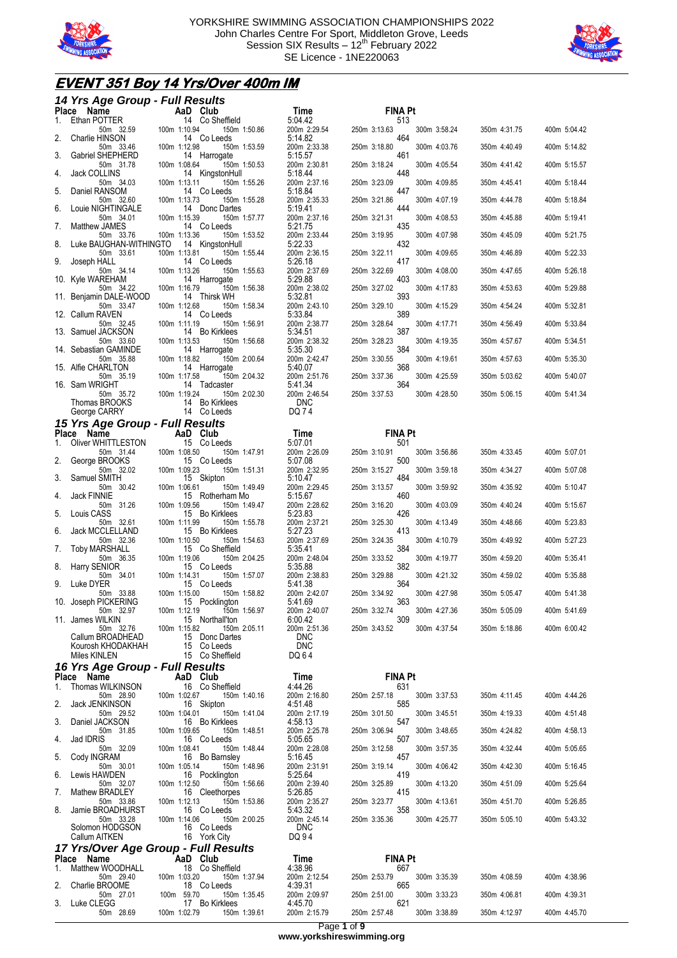



## **EVENT 351 Boy 14 Yrs/Over 400m IM**

| 14 Yrs Age Group - Full Results                 |                                                 |                            |                                     |              |              |
|-------------------------------------------------|-------------------------------------------------|----------------------------|-------------------------------------|--------------|--------------|
| Place Name<br>Ethan POTTER<br>1.                | AaD Club<br>14 Co Sheffield                     | Time<br>5:04.42            | <b>FINA Pt</b><br>513               |              |              |
| 50m 32.59<br>2.<br>Charlie HINSON               | 100m 1:10.94<br>150m 1:50.86<br>14 Co Leeds     | 200m 2:29.54<br>5:14.82    | 250m 3:13.63<br>300m 3:58.24<br>464 | 350m 4:31.75 | 400m 5:04.42 |
| 50m 33.46                                       | 100m 1:12.98<br>150m 1:53.59                    | 200m 2:33.38<br>5:15.57    | 250m 3:18.80<br>300m 4:03.76        | 350m 4:40.49 | 400m 5:14.82 |
| Gabriel SHEPHERD<br>3.<br>50m 31.78             | 14 Harrogate<br>100m 1:08.64<br>150m 1:50.53    | 200m 2:30.81               | 461<br>250m 3:18.24<br>300m 4:05.54 | 350m 4:41.42 | 400m 5:15.57 |
| <b>Jack COLLINS</b><br>4.<br>50m 34.03          | 14 KingstonHull<br>100m 1:13.11<br>150m 1:55.26 | 5:18.44<br>200m 2:37.16    | 448<br>250m 3:23.09<br>300m 4:09.85 | 350m 4:45.41 | 400m 5:18.44 |
| 5.<br>Daniel RANSOM<br>50m 32.60                | 14 Co Leeds<br>100m 1:13.73<br>150m 1:55.28     | 5:18.84<br>200m 2:35.33    | 447<br>250m 3:21.86<br>300m 4:07.19 | 350m 4:44.78 | 400m 5:18.84 |
| Louie NIGHTINGALE<br>6.<br>50m 34.01            | 14 Donc Dartes<br>100m 1:15.39                  | 5:19.41                    | 444<br>250m 3:21.31<br>300m 4:08.53 | 350m 4:45.88 | 400m 5:19.41 |
| Matthew JAMES<br>7.                             | 150m 1:57.77<br>14 Co Leeds                     | 200m 2:37.16<br>5:21.75    | 435                                 |              |              |
| 50m 33.76<br>Luke BAUGHAN-WITHINGTO<br>8.       | 100m 1:13.36<br>150m 1:53.52<br>14 KingstonHull | 200m 2:33.44<br>5:22.33    | 300m 4:07.98<br>250m 3:19.95<br>432 | 350m 4:45.09 | 400m 5:21.75 |
| 50m 33.61<br>9.<br>Joseph HALL                  | 100m 1:13.81<br>150m 1:55.44<br>14 Co Leeds     | 200m 2:36.15<br>5:26.18    | 250m 3:22.11<br>300m 4:09.65<br>417 | 350m 4:46.89 | 400m 5:22.33 |
| 50m 34.14<br>10. Kyle WAREHAM                   | 100m 1:13.26<br>150m 1:55.63<br>14 Harrogate    | 200m 2:37.69<br>5:29.88    | 250m 3:22.69<br>300m 4:08.00<br>403 | 350m 4:47.65 | 400m 5:26.18 |
| 50m 34.22<br>11. Benjamin DALE-WOOD             | 100m 1:16.79<br>150m 1:56.38<br>14 Thirsk WH    | 200m 2:38.02<br>5:32.81    | 300m 4:17.83<br>250m 3:27.02<br>393 | 350m 4:53.63 | 400m 5:29.88 |
| 50m 33.47                                       | 100m 1:12.68<br>150m 1:58.34                    | 200m 2:43.10               | 250m 3:29.10<br>300m 4:15.29<br>389 | 350m 4:54.24 | 400m 5:32.81 |
| 12. Callum RAVEN<br>50m 32.45                   | 14 Co Leeds<br>100m 1:11.19<br>150m 1:56.91     | 5:33.84<br>200m 2:38.77    | 250m 3:28.64<br>300m 4:17.71        | 350m 4:56.49 | 400m 5:33.84 |
| 13. Samuel JACKSON<br>50m 33.60                 | 14 Bo Kirklees<br>100m 1:13.53<br>150m 1:56.68  | 5:34.51<br>200m 2:38.32    | 387<br>250m 3:28.23<br>300m 4:19.35 | 350m 4:57.67 | 400m 5:34.51 |
| 14. Sebastian GAMINDE<br>50m 35.88              | 14 Harrogate<br>100m 1:18.82<br>150m 2:00.64    | 5:35.30<br>200m 2:42.47    | 384<br>250m 3:30.55<br>300m 4:19.61 | 350m 4:57.63 | 400m 5:35.30 |
| 15. Alfie CHARLTON<br>50m 35.19                 | 14 Harrogate<br>150m 2:04.32<br>100m 1:17.58    | 5:40.07<br>200m 2:51.76    | 368<br>250m 3:37.36<br>300m 4:25.59 | 350m 5:03.62 | 400m 5:40.07 |
| 16. Sam WRIGHT                                  | 14 Tadcaster                                    | 5:41.34                    | 364                                 |              |              |
| 50m 35.72<br>Thomas BROOKS                      | 100m 1:19.24<br>150m 2:02.30<br>14 Bo Kirklees  | 200m 2:46.54<br><b>DNC</b> | 250m 3:37.53<br>300m 4:28.50        | 350m 5:06.15 | 400m 5:41.34 |
| George CARRY<br>15 Yrs Age Group - Full Results | 14 Co Leeds                                     | DQ 74                      |                                     |              |              |
| Place Name                                      | AaD Club                                        | Time                       | <b>FINA Pt</b>                      |              |              |
| Oliver WHITTLESTON<br>1.<br>50m 31.44           | 15 Co Leeds<br>100m 1:08.50<br>150m 1:47.91     | 5:07.01<br>200m 2:26.09    | 501<br>300m 3:56.86<br>250m 3:10.91 | 350m 4:33.45 | 400m 5:07.01 |
| 2.<br>George BROOKS<br>50m 32.02                | 15 Co Leeds<br>100m 1:09.23<br>150m 1:51.31     | 5:07.08<br>200m 2:32.95    | 500<br>250m 3:15.27<br>300m 3:59.18 | 350m 4:34.27 | 400m 5:07.08 |
| Samuel SMITH<br>3.<br>50m 30.42                 | 15 Skipton<br>100m 1:06.61<br>150m 1:49.49      | 5:10.47<br>200m 2:29.45    | 484<br>300m 3:59.92<br>250m 3:13.57 | 350m 4:35.92 | 400m 5:10.47 |
| Jack FINNIE<br>4.                               | 15 Rotherham Mo                                 | 5:15.67                    | 460                                 |              |              |
| 50m 31.26<br>5.<br>Louis CASS                   | 100m 1:09.56<br>150m 1:49.47<br>15 Bo Kirklees  | 200m 2:28.62<br>5:23.83    | 250m 3:16.20<br>300m 4:03.09<br>426 | 350m 4:40.24 | 400m 5:15.67 |
| 50m 32.61<br>Jack MCCLELLAND<br>6.              | 100m 1:11.99<br>150m 1:55.78<br>15 Bo Kirklees  | 200m 2:37.21<br>5:27.23    | 250m 3:25.30<br>300m 4:13.49<br>413 | 350m 4:48.66 | 400m 5:23.83 |
| 50m 32.36<br>7.<br>Toby MARSHALL                | 100m 1:10.50<br>150m 1:54.63<br>15 Co Sheffield | 200m 2:37.69<br>5:35.41    | 250m 3:24.35<br>300m 4:10.79<br>384 | 350m 4:49.92 | 400m 5:27.23 |
| 50m 36.35<br>Harry SENIOR<br>8.                 | 100m 1:19.06<br>150m 2:04.25<br>15 Co Leeds     | 200m 2:48.04<br>5:35.88    | 250m 3:33.52<br>300m 4:19.77<br>382 | 350m 4:59.20 | 400m 5:35.41 |
| 50m 34.01                                       | 100m 1:14.31<br>150m 1:57.07                    | 200m 2:38.83               | 250m 3:29.88<br>300m 4:21.32        | 350m 4:59.02 | 400m 5:35.88 |
| 9.<br>Luke DYER<br>50m 33.88                    | 15 Co Leeds<br>100m 1:15.00<br>150m 1:58.82     | 5:41.38<br>200m 2:42.07    | 364<br>250m 3:34.92<br>300m 4:27.98 | 350m 5:05.47 | 400m 5:41.38 |
| 10. Joseph PICKERING<br>50m 32.97               | 15 Pocklington<br>100m 1:12.19<br>150m 1:56.97  | 5:41.69<br>200m 2:40.07    | 363<br>300m 4:27.36<br>250m 3:32.74 | 350m 5:05.09 | 400m 5:41.69 |
| 11. James WILKIN<br>50m 32.76                   | 15 Northall'ton<br>100m 1:15.82<br>150m 2:05.11 | 6:00.42<br>200m 2:51.36    | 309<br>250m 3:43.52<br>300m 4:37.54 | 350m 5:18.86 | 400m 6:00.42 |
| Callum BROADHEAD<br>Kourosh KHODAKHAH           | 15 Donc Dartes<br>15 Co Leeds                   | <b>DNC</b><br><b>DNC</b>   |                                     |              |              |
| Miles KINLEN                                    | 15 Co Sheffield                                 | DQ 64                      |                                     |              |              |
| 16 Yrs Age Group - Full Results<br>Place Name   | AaD Club                                        | Time                       | <b>FINA Pt</b>                      |              |              |
| Thomas WILKINSON<br>1.                          | 16 Co Sheffield                                 | 4:44.26                    | 631                                 |              |              |
| 50m 28.90<br>2.<br>Jack JENKINSON               | 100m 1:02.67<br>150m 1:40.16<br>16 Skipton      | 200m 2:16.80<br>4:51.48    | 250m 2:57.18<br>300m 3:37.53<br>585 | 350m 4:11.45 | 400m 4:44.26 |
| 50m 29.52<br>3.<br>Daniel JACKSON               | 100m 1:04.01<br>150m 1:41.04<br>16 Bo Kirklees  | 200m 2:17.19<br>4:58.13    | 300m 3:45.51<br>250m 3:01.50<br>547 | 350m 4:19.33 | 400m 4:51.48 |
| 50m 31.85<br>Jad IDRIS<br>4.                    | 100m 1:09.65<br>150m 1:48.51<br>16 Co Leeds     | 200m 2:25.78<br>5:05.65    | 250m 3:06.94<br>300m 3:48.65<br>507 | 350m 4:24.82 | 400m 4:58.13 |
| 50m 32.09<br>5.<br>Cody INGRAM                  | 150m 1:48.44<br>100m 1:08.41<br>16 Bo Barnsley  | 200m 2:28.08<br>5:16.45    | 250m 3:12.58<br>300m 3:57.35<br>457 | 350m 4:32.44 | 400m 5:05.65 |
| 50m 30.01<br>6.<br>Lewis HAWDEN                 | 100m 1:05.14<br>150m 1:48.96                    | 200m 2:31.91<br>5:25.64    | 300m 4:06.42<br>250m 3:19.14        | 350m 4:42.30 | 400m 5:16.45 |
| 50m 32.07                                       | 16 Pocklington<br>100m 1:12.50<br>150m 1:56.66  | 200m 2:39.40               | 419<br>250m 3:25.89<br>300m 4:13.20 | 350m 4:51.09 | 400m 5:25.64 |
| Mathew BRADLEY<br>7.<br>50m 33.86               | 16 Cleethorpes<br>100m 1:12.13<br>150m 1:53.86  | 5:26.85<br>200m 2:35.27    | 415<br>300m 4:13.61<br>250m 3:23.77 | 350m 4:51.70 | 400m 5:26.85 |
| 8.<br>Jamie BROADHURST<br>50m 33.28             | 16 Co Leeds<br>100m 1:14.06<br>150m 2:00.25     | 5:43.32<br>200m 2:45.14    | 358<br>250m 3:35.36<br>300m 4:25.77 | 350m 5:05.10 | 400m 5:43.32 |
| Solomon HODGSON<br>Callum AITKEN                | 16 Co Leeds<br>16 York City                     | <b>DNC</b><br>DQ 94        |                                     |              |              |
|                                                 | 17 Yrs/Over Age Group - Full Results            |                            |                                     |              |              |
| Place Name<br>Matthew WOODHALL<br>1.            | AaD Club<br>18 Co Sheffield                     | Time<br>4:38.96            | <b>FINA Pt</b><br>667               |              |              |
| 50m 29.40                                       | 100m 1:03.20<br>150m 1:37.94                    | 200m 2:12.54               | 300m 3:35.39<br>250m 2:53.79        | 350m 4:08.59 | 400m 4:38.96 |
| 2.<br>Charlie BROOME<br>50m 27.01               | 18 Co Leeds<br>100m 59.70<br>150m 1:35.45       | 4:39.31<br>200m 2:09.97    | 665<br>250m 2:51.00<br>300m 3:33.23 | 350m 4:06.81 | 400m 4:39.31 |
| Luke CLEGG<br>3.<br>50m 28.69                   | 17 Bo Kirklees<br>100m 1:02.79<br>150m 1:39.61  | 4:45.70<br>200m 2:15.79    | 621<br>250m 2:57.48<br>300m 3:38.89 | 350m 4:12.97 | 400m 4:45.70 |
|                                                 |                                                 |                            | Page 1 of 9                         |              |              |

**www.yorkshireswimming.org**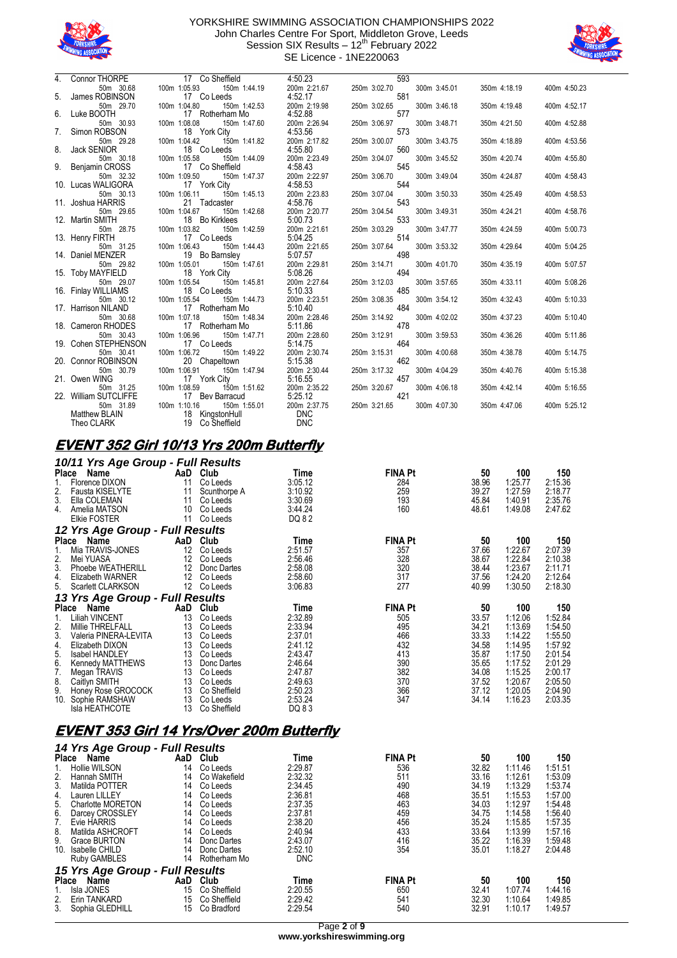



|    | Connor THORPE                     | 17 Co Sheffield                              | 4:50.23                 | 593                 |              |              |              |
|----|-----------------------------------|----------------------------------------------|-------------------------|---------------------|--------------|--------------|--------------|
|    | 50m 30.68                         | 100m 1:05.93<br>150m 1:44.19                 | 200m 2:21.67            | 250m 3:02.70        | 300m 3:45.01 | 350m 4:18.19 | 400m 4:50.23 |
| 5. | James ROBINSON                    | 17 Co Leeds                                  | 4:52.17                 | 581                 |              |              |              |
|    | 50m 29.70                         | 100m 1:04.80<br>150m 1:42.53                 | 200m 2:19.98            | 250m 3:02.65        | 300m 3:46.18 | 350m 4:19.48 | 400m 4:52.17 |
| 6. | Luke BOOTH                        | 17 Rotherham Mo                              | 4:52.88                 | 577                 |              |              |              |
|    | 50m 30.93                         | 100m 1:08.08<br>150m 1:47.60                 | 200m 2:26.94            | 250m 3:06.97        | 300m 3:48.71 | 350m 4:21.50 | 400m 4:52.88 |
| 7. | Simon ROBSON                      | 18 York City                                 | 4:53.56                 | 573                 |              |              |              |
|    | 50m 29.28                         | 100m 1:04.42<br>150m 1:41.82                 | 200m 2:17.82            | 250m 3:00.07        | 300m 3:43.75 | 350m 4:18.89 | 400m 4:53.56 |
| 8. | <b>Jack SENIOR</b>                | 18 Co Leeds                                  | 4:55.80                 | 560                 |              |              |              |
|    | 50m 30.18                         | 100m 1:05.58<br>150m 1:44.09                 | 200m 2:23.49            | 250m 3:04.07        | 300m 3:45.52 | 350m 4:20.74 | 400m 4:55.80 |
| 9. | Benjamin CROSS                    | 17 Co Sheffield                              | 4:58.43                 | 545                 |              |              |              |
|    | 50m 32.32<br>10. Lucas WALIGORA   | 150m 1:47.37<br>100m 1:09.50<br>17 York City | 200m 2:22.97<br>4:58.53 | 250m 3:06.70<br>544 | 300m 3:49.04 | 350m 4:24.87 | 400m 4:58.43 |
|    | 50m 30.13                         | 100m 1:06.11<br>150m 1:45.13                 | 200m 2:23.83            | 250m 3:07.04        | 300m 3:50.33 | 350m 4:25.49 | 400m 4:58.53 |
|    | 11. Joshua HARRIS                 | 21 Tadcaster                                 | 4:58.76                 | 543                 |              |              |              |
|    | 50m 29.65                         | 100m 1:04.67<br>150m 1:42.68                 | 200m 2:20.77            | 250m 3:04.54        | 300m 3:49.31 | 350m 4:24.21 | 400m 4:58.76 |
|    | 12. Martin SMITH                  | 18 Bo Kirklees                               | 5:00.73                 | 533                 |              |              |              |
|    | 50m 28.75                         | 100m 1:03.82<br>150m 1:42.59                 | 200m 2:21.61            | 250m 3:03.29        | 300m 3:47.77 | 350m 4:24.59 | 400m 5:00.73 |
|    | 13. Henry FIRTH                   | 17 Co Leeds                                  | 5:04.25                 | 514                 |              |              |              |
|    | 50m 31.25                         | 100m 1:06.43<br>150m 1:44.43                 | 200m 2:21.65            | 250m 3:07.64        | 300m 3:53.32 | 350m 4:29.64 | 400m 5:04.25 |
|    | 14. Daniel MENZER                 | 19 Bo Barnsley                               | 5:07.57                 | 498                 |              |              |              |
|    | 50m 29.82                         | 100m 1:05.01<br>150m 1:47.61                 | 200m 2:29.81            | 250m 3:14.71        | 300m 4:01.70 | 350m 4:35.19 | 400m 5:07.57 |
|    | 15. Toby MAYFIELD                 | 18 York City                                 | 5:08.26                 | 494                 |              |              |              |
|    | 50m 29.07                         | 150m 1:45.81<br>100m 1:05.54                 | 200m 2:27.64            | 250m 3:12.03        | 300m 3:57.65 | 350m 4:33.11 | 400m 5:08.26 |
|    | 16. Finlay WILLIAMS               | 18 Co Leeds                                  | 5:10.33                 | 485                 |              |              |              |
|    | 50m 30.12                         | 100m 1:05.54<br>150m 1:44.73                 | 200m 2:23.51            | 250m 3:08.35        | 300m 3:54.12 | 350m 4:32.43 | 400m 5:10.33 |
|    | 17. Harrison NILAND               | 17 Rotherham Mo                              | 5:10.40                 | 484                 |              |              |              |
|    | 50m 30.68                         | 100m 1:07.18<br>150m 1:48.34                 | 200m 2:28.46            | 250m 3:14.92        | 300m 4:02.02 | 350m 4:37.23 | 400m 5:10.40 |
|    | 18. Cameron RHODES                | 17 Rotherham Mo                              | 5:11.86                 | 478                 |              |              |              |
|    | 50m 30.43<br>19. Cohen STEPHENSON | 100m 1:06.96<br>150m 1:47.71                 | 200m 2:28.60<br>5:14.75 | 250m 3:12.91<br>464 | 300m 3:59.53 | 350m 4:36.26 | 400m 5:11.86 |
|    | 50m 30.41                         | 17 Co Leeds<br>100m 1:06.72<br>150m 1:49.22  | 200m 2:30.74            | 250m 3:15.31        | 300m 4:00.68 | 350m 4:38.78 | 400m 5:14.75 |
|    | 20. Connor ROBINSON               | 20 Chapeltown                                | 5:15.38                 | 462                 |              |              |              |
|    | 50m 30.79                         | 100m 1:06.91<br>150m 1:47.94                 | 200m 2:30.44            | 250m 3:17.32        | 300m 4:04.29 | 350m 4:40.76 | 400m 5:15.38 |
|    | 21. Owen WING                     | 17 York City                                 | 5:16.55                 | 457                 |              |              |              |
|    | 50m 31.25                         | 100m 1:08.59<br>150m 1:51.62                 | 200m 2:35.22            | 250m 3:20.67        | 300m 4:06.18 | 350m 4:42.14 | 400m 5:16.55 |
|    | 22. William SUTCLIFFE             | 17 Bev Barracud                              | 5:25.12                 | 421                 |              |              |              |
|    | 50m 31.89                         | 100m 1:10.16<br>150m 1:55.01                 | 200m 2:37.75            | 250m 3:21.65        | 300m 4:07.30 | 350m 4:47.06 | 400m 5:25.12 |
|    | Matthew BLAIN                     | 18 KingstonHull                              | <b>DNC</b>              |                     |              |              |              |
|    | Theo CLARK                        | 19 Co Sheffield                              | <b>DNC</b>              |                     |              |              |              |

#### **EVENT 352 Girl 10/13 Yrs 200m Butterfly**

|              | 10/11 Yrs Age Group - Full Results |                   |              |         |                |       |         |         |
|--------------|------------------------------------|-------------------|--------------|---------|----------------|-------|---------|---------|
| <b>Place</b> | Name                               | AaD               | Club         | Time    | <b>FINA Pt</b> | 50    | 100     | 150     |
|              | Florence DIXON                     | 11                | Co Leeds     | 3:05.12 | 284            | 38.96 | 1:25.77 | 2:15.36 |
| 2.           | Fausta KISELYTE                    | 11                | Scunthorpe A | 3:10.92 | 259            | 39.27 | 1:27.59 | 2:18.77 |
| 3.           | Ella COLEMAN                       | 11                | Co Leeds     | 3:30.69 | 193            | 45.84 | 1:40.91 | 2:35.76 |
| 4.           | Amelia MATSON                      | 10                | Co Leeds     | 3:44.24 | 160            | 48.61 | 1:49.08 | 2:47.62 |
|              | <b>Elkie FOSTER</b>                | 11                | Co Leeds     | DQ 82   |                |       |         |         |
|              | 12 Yrs Age Group - Full Results    |                   |              |         |                |       |         |         |
| <b>Place</b> | Name                               | AaD               | Club         | Time    | <b>FINA Pt</b> | 50    | 100     | 150     |
| 1.           | Mia TRAVIS-JONES                   | 12                | Co Leeds     | 2:51.57 | 357            | 37.66 | 1:22.67 | 2:07.39 |
| 2.           | Mei YUASA                          | 12                | Co Leeds     | 2:56.46 | 328            | 38.67 | 1:22.84 | 2:10.38 |
| 3.           | Phoebe WEATHERILL                  | 12                | Donc Dartes  | 2:58.08 | 320            | 38.44 | 1:23.67 | 2:11.71 |
| 4.           | Elizabeth WARNER                   | $12 \overline{ }$ | Co Leeds     | 2:58.60 | 317            | 37.56 | 1:24.20 | 2:12.64 |
| 5.           | Scarlett CLARKSON                  | $12 \overline{ }$ | Co Leeds     | 3:06.83 | 277            | 40.99 | 1:30.50 | 2:18.30 |
|              | 13 Yrs Age Group - Full Results    |                   |              |         |                |       |         |         |
| Place        | Name                               | AaD               | Club         | Time    | <b>FINA Pt</b> | 50    | 100     | 150     |
| 1.           | Liliah VINCENT                     | 13                | Co Leeds     | 2:32.89 | 505            | 33.57 | 1:12.06 | 1:52.84 |
| 2.           | Millie THRELFALL                   | 13                | Co Leeds     | 2:33.94 | 495            | 34.21 | 1:13.69 | 1:54.50 |
| 3.           | Valeria PINERA-LEVITA              | 13                | Co Leeds     | 2:37.01 | 466            | 33.33 | 1:14.22 | 1:55.50 |
| 4.           | Elizabeth DIXON                    | 13                | Co Leeds     | 2:41.12 | 432            | 34.58 | 1:14.95 | 1:57.92 |
| 5.           | <b>Isabel HANDLEY</b>              | 13                | Co Leeds     | 2:43.47 | 413            | 35.87 | 1:17.50 | 2:01.54 |
| 6.           | Kennedy MATTHEWS                   | 13                | Donc Dartes  | 2:46.64 | 390            | 35.65 | 1:17.52 | 2:01.29 |
| 7.           | Megan TRAVIS                       | 13                | Co Leeds     | 2:47.87 | 382            | 34.08 | 1:15.25 | 2:00.17 |
| 8.           | Caitlyn SMITH                      | 13                | Co Leeds     | 2:49.63 | 370            | 37.52 | 1:20.67 | 2:05.50 |
| 9.           | Honey Rose GROCOCK                 | 13                | Co Sheffield | 2:50.23 | 366            | 37.12 | 1:20.05 | 2:04.90 |
| 10.          | Sophie RAMSHAW                     | 13                | Co Leeds     | 2:53.24 | 347            | 34.14 | 1:16.23 | 2:03.35 |
|              | Isla HEATHCOTE                     | 13                | Co Sheffield | DQ 83   |                |       |         |         |

## **EVENT 353 Girl 14 Yrs/Over 200m Butterfly**

|              | 14 Yrs Age Group - Full Results |     |              |            |                |       |         |         |  |  |  |
|--------------|---------------------------------|-----|--------------|------------|----------------|-------|---------|---------|--|--|--|
|              | Place<br>Name                   | AaD | Club         | Time       | <b>FINA Pt</b> | 50    | 100     | 150     |  |  |  |
|              | Hollie WILSON                   | 14  | Co Leeds     | 2:29.87    | 536            | 32.82 | 1:11.46 | 1:51.51 |  |  |  |
| 2.           | Hannah SMITH                    | 14  | Co Wakefield | 2:32.32    | 511            | 33.16 | 1:12.61 | 1:53.09 |  |  |  |
| 3.           | Matilda POTTER                  | 14  | Co Leeds     | 2:34.45    | 490            | 34.19 | 1:13.29 | 1:53.74 |  |  |  |
| 4.           | Lauren LILLEY                   | 14  | Co Leeds     | 2:36.81    | 468            | 35.51 | 1:15.53 | 1:57.00 |  |  |  |
| 5.           | Charlotte MORETON               | 14  | Co Leeds     | 2:37.35    | 463            | 34.03 | 1:12.97 | 1:54.48 |  |  |  |
| 6.           | Darcey CROSSLEY                 | 14  | Co Leeds     | 2:37.81    | 459            | 34.75 | 1:14.58 | 1:56.40 |  |  |  |
| 7.           | Evie HARRIS                     | 14  | Co Leeds     | 2:38.20    | 456            | 35.24 | 1:15.85 | 1:57.35 |  |  |  |
| 8.           | Matilda ASHCROFT                | 14  | Co Leeds     | 2:40.94    | 433            | 33.64 | 1:13.99 | 1:57.16 |  |  |  |
| 9.           | Grace BURTON                    | 14  | Donc Dartes  | 2:43.07    | 416            | 35.22 | 1:16.39 | 1:59.48 |  |  |  |
| 10.          | Isabelle CHILD                  | 14  | Donc Dartes  | 2:52.10    | 354            | 35.01 | 1:18.27 | 2:04.48 |  |  |  |
|              | Ruby GAMBLES                    | 14  | Rotherham Mo | <b>DNC</b> |                |       |         |         |  |  |  |
|              | 15 Yrs Age Group - Full Results |     |              |            |                |       |         |         |  |  |  |
| <b>Place</b> | <b>Name</b>                     | AaD | Club         | Time       | <b>FINA Pt</b> | 50    | 100     | 150     |  |  |  |
|              | Isla JONES                      | 15  | Co Sheffield | 2:20.55    | 650            | 32.41 | 1:07.74 | 1:44.16 |  |  |  |
| 2.           | Erin TANKARD                    | 15  | Co Sheffield | 2:29.42    | 541            | 32.30 | 1:10.64 | 1:49.85 |  |  |  |
| 3.           | Sophia GLEDHILL                 | 15  | Co Bradford  | 2:29.54    | 540            | 32.91 | 1:10.17 | 1:49.57 |  |  |  |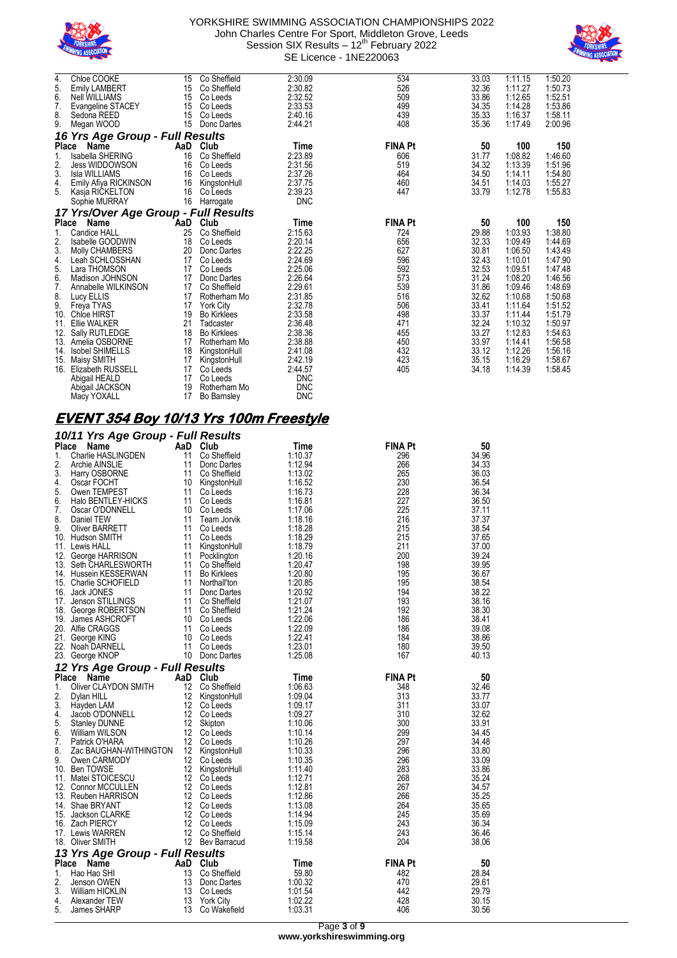



| 4.           | Chloe COOKE                          | 15  | Co Sheffield       | 2:30.09    | 534            | 33.03 | 1:11.15 | 1:50.20 |
|--------------|--------------------------------------|-----|--------------------|------------|----------------|-------|---------|---------|
| 5.           | <b>Emily LAMBERT</b>                 | 15  | Co Sheffield       | 2:30.82    | 526            | 32.36 | 1:11.27 | 1:50.73 |
| 6.           | <b>Nell WILLIAMS</b>                 | 15  | Co Leeds           | 2:32.52    | 509            | 33.86 | 1:12.65 | 1:52.51 |
| 7.           | Evangeline STACEY                    | 15  | Co Leeds           | 2:33.53    | 499            | 34.35 | 1:14.28 | 1:53.86 |
| 8.           | Sedona REED                          | 15  | Co Leeds           | 2:40.16    | 439            | 35.33 | 1:16.37 | 1:58.11 |
| 9.           | Megan WOOD                           | 15  | Donc Dartes        | 2:44.21    | 408            | 35.36 | 1:17.49 | 2:00.96 |
|              | 16 Yrs Age Group - Full Results      |     |                    |            |                |       |         |         |
|              | Place<br>Name                        | AaD | Club               | Time       | <b>FINA Pt</b> | 50    | 100     | 150     |
| 1.           | Isabella SHERING                     | 16  | Co Sheffield       | 2:23.89    | 606            | 31.77 | 1:08.82 | 1:46.60 |
| 2.           | <b>Jess WIDDOWSON</b>                | 16  | Co Leeds           | 2:31.56    | 519            | 34.32 | 1:13.39 | 1:51.96 |
| 3.           | <b>Isla WILLIAMS</b>                 | 16  | Co Leeds           | 2:37.26    | 464            | 34.50 | 1:14.11 | 1:54.80 |
| 4.           | Emily Afiya RICKINSON                | 16  | KingstonHull       | 2:37.75    | 460            | 34.51 | 1:14.03 | 1:55.27 |
| 5.           | Kasja RICKELTON                      | 16  | Co Leeds           | 2:39.23    | 447            | 33.79 | 1:12.78 | 1:55.83 |
|              | Sophie MURRAY                        | 16  | Harrogate          | <b>DNC</b> |                |       |         |         |
|              | 17 Yrs/Over Age Group - Full Results |     |                    |            |                |       |         |         |
| <b>Place</b> | Name                                 | AaD | Club               | Time       | <b>FINA Pt</b> | 50    | 100     | 150     |
| 1.           | <b>Candice HALL</b>                  | 25  | Co Sheffield       | 2:15.63    | 724            | 29.88 | 1:03.93 | 1:38.80 |
| 2.           | Isabelle GOODWIN                     | 18  | Co Leeds           | 2:20.14    | 656            | 32.33 | 1:09.49 | 1:44.69 |
| 3.           | Molly CHAMBERS                       | 20  | Donc Dartes        | 2:22.25    | 627            | 30.81 | 1:06.50 | 1:43.49 |
| 4.           | Leah SCHLOSSHAN                      | 17  | Co Leeds           | 2:24.69    | 596            | 32.43 | 1:10.01 | 1:47.90 |
| 5.           | Lara THOMSON                         | 17  | Co Leeds           | 2:25.06    | 592            | 32.53 | 1:09.51 | 1:47.48 |
| 6.           | Madison JOHNSON                      | 17  | Donc Dartes        | 2:26.64    | 573            | 31.24 | 1:08.20 | 1:46.56 |
| 7.           | Annabelle WILKINSON                  | 17  | Co Sheffield       | 2:29.61    | 539            | 31.86 | 1:09.46 | 1:48.69 |
| 8.           | Lucy ELLIS                           | 17  | Rotherham Mo       | 2:31.85    | 516            | 32.62 | 1:10.68 | 1:50.68 |
| 9.           | Freya TYAS                           | 17  | <b>York City</b>   | 2:32.78    | 506            | 33.41 | 1:11.64 | 1:51.52 |
| 10.          | Chloe HIRST                          | 19  | <b>Bo Kirklees</b> | 2:33.58    | 498            | 33.37 | 1:11.44 | 1:51.79 |
| 11.          | <b>Ellie WALKER</b>                  | 21  | Tadcaster          | 2:36.48    | 471            | 32.24 | 1:10.32 | 1:50.97 |
| 12.          | Sally RUTLEDGE                       | 18  | <b>Bo Kirklees</b> | 2:38.36    | 455            | 33.27 | 1:12.83 | 1:54.63 |
| 13.          | Amelia OSBORNE                       | 17  | Rotherham Mo       | 2:38.88    | 450            | 33.97 | 1:14.41 | 1:56.58 |
| 14.          | <b>Isobel SHIMELLS</b>               | 18  | KingstonHull       | 2:41.08    | 432            | 33.12 | 1:12.26 | 1:56.16 |
| 15.          | Maisy SMITH                          | 17  | KingstonHull       | 2:42.19    | 423            | 35.15 | 1:16.29 | 1:58.67 |
| 16.          | Elizabeth RUSSELL                    | 17  | Co Leeds           | 2:44.57    | 405            | 34.18 | 1:14.39 | 1:58.45 |
|              | Abigail HEALD                        | 17  | Co Leeds           | <b>DNC</b> |                |       |         |         |
|              | Abigail JACKSON                      | 19  | Rotherham Mo       | <b>DNC</b> |                |       |         |         |

# Macy YOXALL 17 Bo Barnsley DNC **EVENT 354 Boy 10/13 Yrs 100m Freestyle**

|              | 10/11 Yrs Age Group - Full Results |          |                              |                    |                |                |
|--------------|------------------------------------|----------|------------------------------|--------------------|----------------|----------------|
| <b>Place</b> | Name                               | AaD      | Club                         | Time               | <b>FINA Pt</b> | 50             |
| 1.           | Charlie HASLINGDEN                 | 11       | Co Sheffield                 | 1:10.37            | 296            | 34.96          |
| 2.           | Archie AINSLIE                     | 11       | Donc Dartes                  | 1:12.94            | 266            | 34.33          |
| 3.           | Harry OSBORNE                      |          | 11 Co Sheffield              | 1:13.02            | 265            | 36.03          |
| 4.           | Oscar FOCHT                        |          | 10 KingstonHull              | 1:16.52            | 230            | 36.54          |
| 5.           | Owen TEMPEST                       | 11       | Co Leeds                     | 1:16.73            | 228            | 36.34          |
| 6.           | Halo BENTLEY-HICKS                 | 11       | Co Leeds                     | 1:16.81            | 227            | 36.50          |
| 7.           | Oscar O'DONNELL                    | 10       | Co Leeds                     | 1:17.06            | 225            | 37.11          |
| 8.           | Daniel TEW                         | 11       | Team Jorvik                  | 1:18.16            | 216            | 37.37          |
| 9.           | Oliver BARRETT                     | 11       | Co Leeds                     | 1:18.28            | 215            | 38.54          |
|              | 10. Hudson SMITH                   | 11       | Co Leeds                     | 1:18.29            | 215            | 37.65          |
|              | 11. Lewis HALL                     | 11       | KingstonHull                 | 1:18.79            | 211            | 37.00          |
|              | 12. George HARRISON                | 11       | Pocklington                  | 1:20.16            | 200            | 39.24          |
|              | 13. Seth CHARLESWORTH              | 11       | Co Sheffield                 | 1:20.47            | 198            | 39.95          |
|              | 14. Hussein KESSERWAN              |          | 11 Bo Kirklees               | 1:20.80            | 195            | 36.67          |
| 15.          | Charlie SCHOFIELD                  | 11       | Northall'ton                 | 1:20.85            | 195            | 38.54          |
|              | 16. Jack JONES                     |          | 11 Donc Dartes               | 1:20.92            | 194            | 38.22          |
| 17.          | Jenson STILLINGS                   |          | 11 Co Sheffield              | 1:21.07            | 193            | 38.16          |
|              | 18. George ROBERTSON               |          | 11 Co Sheffield              | 1:21.24            | 192            | 38.30          |
|              | 19. James ASHCROFT                 |          | 10 Co Leeds                  | 1:22.06            | 186            | 38.41          |
|              | 20. Alfie CRAGGS                   | 11       | Co Leeds                     | 1:22.09            | 186            | 39.08          |
|              | 21. George KING                    |          | 10 Co Leeds                  | 1:22.41            | 184            | 38.86          |
|              | 22. Noah DARNELL                   |          | 11 Co Leeds                  | 1:23.01            | 180            | 39.50          |
|              | 23. George KNOP                    |          | 10 Donc Dartes               | 1:25.08            | 167            | 40.13          |
|              | 12 Yrs Age Group - Full Results    |          |                              |                    |                |                |
|              |                                    |          |                              |                    |                |                |
|              |                                    |          |                              |                    |                |                |
| Place        | Name                               |          | AaD Club                     | Time               | <b>FINA Pt</b> | 50             |
| 1.           | Oliver CLAYDON SMITH               | 12       | Co Sheffield                 | 1:06.63            | 348            | 32.46          |
| 2.           | Dylan HILL                         | 12       | KingstonHull                 | 1:09.04            | 313            | 33.77          |
| 3.           | Hayden LAM                         |          | 12 Co Leeds                  | 1:09.17            | 311            | 33.07          |
| 4.           | Jacob O'DONNELL                    |          | 12 Co Leeds                  | 1:09.27            | 310            | 32.62          |
| 5.           | <b>Stanley DUNNE</b>               | 12       | Skipton                      | 1:10.06            | 300            | 33.91          |
|              | William WILSON                     | 12       | Co Leeds                     | 1:10.14            | 299            | 34.45          |
| 6.<br>7.     | Patrick O'HARA                     |          | 12 Co Leeds                  | 1:10.26            | 297            | 34.48          |
| 8.           | Zac BAUGHAN-WITHINGTON             |          | 12 KingstonHull              | 1:10.33            | 296            | 33.80          |
| 9.           | Owen CARMODY                       | 12       | Co Leeds                     | 1:10.35            | 296            | 33.09          |
|              | 10. Ben TOWSE                      | 12       | KingstonHull                 | 1:11.40            | 283            | 33.86          |
| 11.          | Matei STOICESCU                    | 12       | Co Leeds                     | 1:12.71            | 268            | 35.24          |
|              | 12. Connor MCCULLEN                |          | 12 Co Leeds                  | 1:12.81            | 267            | 34.57          |
|              | 13. Reuben HARRISON                |          | 12 Co Leeds                  | 1:12.86            | 266            | 35.25          |
| 14.          | Shae BRYANT                        | 12       | Co Leeds                     | 1:13.08            | 264            | 35.65          |
|              | 15. Jackson CLARKE                 | 12       | Co Leeds                     | 1:14.94            | 245            | 35.69          |
|              | 16. Zach PIERCY                    | 12       | Co Leeds                     | 1:15.09            | 243            | 36.34          |
|              | 17. Lewis WARREN                   |          | 12 Co Sheffield              | 1:15.14            | 243            | 36.46          |
|              | 18. Oliver SMITH                   |          | 12 Bev Barracud              | 1:19.58            | 204            | 38.06          |
|              | 13 Yrs Age Group - Full Results    |          |                              |                    |                |                |
| Place        | Name                               | AaD      | Club                         | Time               | <b>FINA Pt</b> | 50             |
| 1.           | Hao Hao SHI                        | 13       | Co Sheffield                 | 59.80              | 482            | 28.84          |
| 2.           | Jenson OWEN                        | 13       | Donc Dartes                  | 1:00.32            | 470            | 29.61          |
| 3.<br>4.     | William HICKLIN<br>Alexander TEW   | 13<br>13 | Co Leeds<br><b>York City</b> | 1:01.54<br>1:02.22 | 442<br>428     | 29.79<br>30.15 |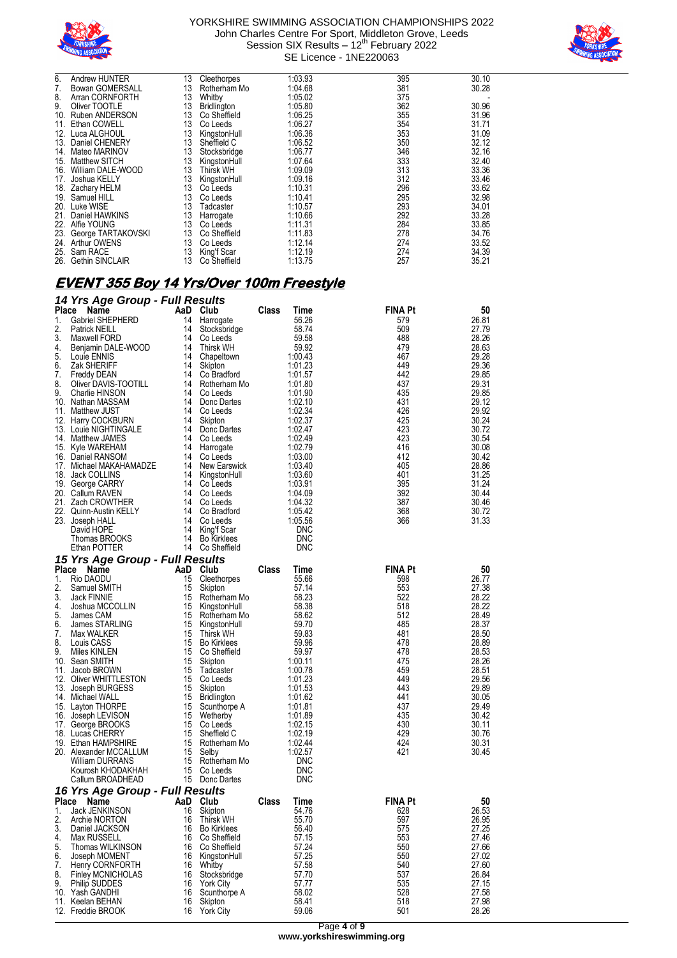



| 6.  | Andrew HUNTER          | 13 | Cleethorpes      | 1:03.93 | 395 | 30.10 |
|-----|------------------------|----|------------------|---------|-----|-------|
| 7.  | <b>Bowan GOMERSALL</b> | 13 | Rotherham Mo     | 1:04.68 | 381 | 30.28 |
| 8.  | Arran CORNFORTH        | 13 | Whitby           | 1:05.02 | 375 |       |
| 9.  | Oliver TOOTLE          | 13 | Bridlington      | 1:05.80 | 362 | 30.96 |
| 10. | <b>Ruben ANDERSON</b>  | 13 | Co Sheffield     | 1:06.25 | 355 | 31.96 |
| 11. | Ethan COWELL           | 13 | Co Leeds         | 1:06.27 | 354 | 31.71 |
| 12. | Luca ALGHOUL           | 13 | KingstonHull     | 1:06.36 | 353 | 31.09 |
| 13. | Daniel CHENERY         | 13 | Sheffield C      | 1:06.52 | 350 | 32.12 |
| 14. | Mateo MARINOV          | 13 | Stocksbridge     | 1:06.77 | 346 | 32.16 |
| 15. | <b>Matthew SITCH</b>   | 13 | KingstonHull     | 1:07.64 | 333 | 32.40 |
| 16. | William DALE-WOOD      | 13 | <b>Thirsk WH</b> | 1:09.09 | 313 | 33.36 |
| 17. | Joshua KELLY           | 13 | KingstonHull     | 1:09.16 | 312 | 33.46 |
| 18. | Zachary HELM           | 13 | Co Leeds         | 1:10.31 | 296 | 33.62 |
| 19. | Samuel HILL            | 13 | Co Leeds         | 1:10.41 | 295 | 32.98 |
|     | 20. Luke WISE          | 13 | Tadcaster        | 1:10.57 | 293 | 34.01 |
| 21. | Daniel HAWKINS         | 13 | Harrogate        | 1:10.66 | 292 | 33.28 |
| 22. | Alfie YOUNG            | 13 | Co Leeds         | 1:11.31 | 284 | 33.85 |
| 23. | George TARTAKOVSKI     | 13 | Co Sheffield     | 1:11.83 | 278 | 34.76 |
| 24. | Arthur OWENS           | 13 | Co Leeds         | 1:12.14 | 274 | 33.52 |
| 25. | Sam RACE               | 13 | King'f Scar      | 1:12.19 | 274 | 34.39 |
| 26. | <b>Gethin SINCLAIR</b> | 13 | Co Sheffield     | 1:13.75 | 257 | 35.21 |

# **EVENT 355 Boy 14 Yrs/Over 100m Freestyle**

|          | 14 Yrs Age Group - Full Results               |          |                                |       |                    |                |                |
|----------|-----------------------------------------------|----------|--------------------------------|-------|--------------------|----------------|----------------|
| Place    | Name                                          |          | AaD Club                       | Class | Time               | FINA Pt        | 50             |
| 1.       | Gabriel SHEPHERD                              |          | 14 Harrogate                   |       | 56.26              | 579            | 26.81          |
| 2.       | <b>Patrick NEILL</b>                          | 14       | Stocksbridge                   |       | 58.74              | 509            | 27.79          |
| 3.       | Maxwell FORD                                  |          | 14 Co Leeds<br>14 Thirsk WH    |       | 59.58<br>59.92     | 488<br>479     | 28.26          |
| 4.<br>5. | Benjamin DALE-WOOD<br>Louie ENNIS             |          | 14 Chapeltown                  |       | 1:00.43            | 467            | 28.63<br>29.28 |
| 6.       | Zak SHERIFF                                   | 14       | Skipton                        |       | 1:01.23            | 449            | 29.36          |
| 7.       | <b>Freddy DEAN</b>                            |          | 14 Co Bradford                 |       | 1:01.57            | 442            | 29.85          |
| 8.       | Oliver DAVIS-TOOTILL                          |          | 14 Rotherham Mo                |       | 1:01.80            | 437            | 29.31          |
| 9.       | Charlie HINSON                                |          | 14 Co Leeds                    |       | 1:01.90            | 435            | 29.85          |
|          | 10. Nathan MASSAM                             |          | 14 Donc Dartes                 |       | 1:02.10            | 431            | 29.12          |
|          | 11. Matthew JUST                              |          | 14 Co Leeds                    |       | 1:02.34            | 426            | 29.92          |
|          | 12. Harry COCKBURN                            |          | 14 Skipton                     |       | 1:02.37            | 425            | 30.24          |
|          | 13. Louie NIGHTINGALE                         |          | 14 Donc Dartes                 |       | 1:02.47            | 423            | 30.72          |
|          | 14. Matthew JAMES                             |          | 14 Co Leeds                    |       | 1:02.49            | 423            | 30.54          |
|          | 15. Kyle WAREHAM                              |          | 14 Harrogate                   |       | 1:02.79            | 416            | 30.08          |
|          | 16. Daniel RANSOM                             |          | 14 Co Leeds                    |       | 1:03.00            | 412            | 30.42          |
|          | 17. Michael MAKAHAMADZE                       |          | 14 New Earswick                |       | 1:03.40            | 405            | 28.86          |
|          | 18. Jack COLLINS<br>19. George CARRY          |          | 14 KingstonHull<br>14 Co Leeds |       | 1:03.60<br>1:03.91 | 401<br>395     | 31.25<br>31.24 |
|          | 20.   Callum RAVEN                            |          | 14 Co Leeds                    |       | 1:04.09            | 392            | 30.44          |
|          | 21. Zach CROWTHER                             |          | 14 Co Leeds                    |       | 1:04.32            | 387            | 30.46          |
|          | 22. Quinn-Austin KELLY                        |          | 14 Co Bradford                 |       | 1:05.42            | 368            | 30.72          |
|          | 23. Joseph HALL                               |          | 14 Co Leeds                    |       | 1:05.56            | 366            | 31.33          |
|          | David HOPE                                    |          | 14 King'f Scar                 |       | <b>DNC</b>         |                |                |
|          | Thomas BROOKS                                 |          | 14 Bo Kirklees                 |       | <b>DNC</b>         |                |                |
|          | Ethan POTTER                                  |          | 14 Co Sheffield                |       | <b>DNC</b>         |                |                |
|          | 15 Yrs Age Group - Full Results               |          |                                |       |                    |                |                |
| Place    | Name                                          |          | AaD Club                       | Class | Time               | <b>FINA Pt</b> | 50             |
| 1.       | Rio DAODU                                     | 15       | Cleethorpes                    |       | 55.66              | 598            | 26.77          |
| 2.       | Samuel SMITH                                  | 15       | Skipton                        |       | 57.14              | 553            | 27.38          |
| 3.       | Jack FINNIE                                   | 15       | Rotherham Mo                   |       | 58.23              | 522            | 28.22          |
| 4.       | Joshua MCCOLLIN                               | 15       | KingstonHull                   |       | 58.38              | 518            | 28.22          |
| 5.       | James CAM                                     | 15       | Rotherham Mo                   |       | 58.62              | 512            | 28.49          |
| 6.       | James STARLING                                | 15<br>15 | KingstonHull                   |       | 59.70              | 485            | 28.37          |
| 7.<br>8. | Max WALKER<br>Louis CASS                      |          | Thirsk WH<br>15 Bo Kirklees    |       | 59.83<br>59.96     | 481<br>478     | 28.50<br>28.89 |
| 9.       | Miles KINLEN                                  | 15       | Co Sheffield                   |       | 59.97              | 478            | 28.53          |
|          | 10. Sean SMITH                                | 15       | Skipton                        |       | 1:00.11            | 475            | 28.26          |
|          | 11. Jacob BROWN                               | 15       | Tadcaster                      |       | 1:00.78            | 459            | 28.51          |
|          | 12. Oliver WHITTLESTON                        |          | 15 Co Leeds                    |       | 1:01.23            | 449            | 29.56          |
|          | 13. Joseph BURGESS                            | 15       | Skipton                        |       | 1:01.53            | 443            | 29.89          |
|          | 14. Michael WALL                              |          | 15 Bridlington                 |       | 1:01.62            | 441            | 30.05          |
|          | 15. Layton THORPE                             | 15       | Scunthorpe A                   |       | 1:01.81            | 437            | 29.49          |
|          | 16. Joseph LEVISON                            |          | 15 Wetherby                    |       | 1:01.89            | 435            | 30.42          |
|          | 17. George BROOKS                             |          | 15 Co Leeds                    |       | 1:02.15            | 430            | 30.11          |
|          | 18. Lucas CHERRY                              | 15       | Sheffield C                    |       | 1:02.19            | 429            | 30.76          |
|          | 19. Ethan HAMPSHIRE<br>20. Alexander MCCALLUM | 15<br>15 | Rotherham Mo                   |       | 1:02.44<br>1:02.57 | 424<br>421     | 30.31<br>30.45 |
|          | <b>William DURRANS</b>                        | 15       | Selby<br>Rotherham Mo          |       | <b>DNC</b>         |                |                |
|          | Kourosh KHODAKHAH                             | 15       | Co Leeds                       |       | <b>DNC</b>         |                |                |
|          | Callum BROADHEAD                              |          | 15 Donc Dartes                 |       | <b>DNC</b>         |                |                |
|          | 16 Yrs Age Group - Full Results               |          |                                |       |                    |                |                |
| Place    | Name                                          | AaD      | Club                           | Class | Time               | <b>FINA Pt</b> | 50             |
| 1.       | Jack JENKINSON                                | 16       | Skipton                        |       | 54.76              | 628            | 26.53          |
| 2.       | Archie NORTON                                 | 16       | Thirsk WH                      |       | 55.70              | 597            | 26.95          |
| 3.       | Daniel JACKSON                                | 16       | <b>Bo Kirklees</b>             |       | 56.40              | 575            | 27.25          |
| 4.       | Max RUSSELL                                   | 16       | Co Sheffield                   |       | 57.15              | 553            | 27.46          |
| 5.       | Thomas WILKINSON                              | 16       | Co Sheffield                   |       | 57.24              | 550            | 27.66          |
| 6.       | Joseph MOMENT                                 | 16       | KingstonHull                   |       | 57.25              | 550            | 27.02          |
| 7.       | Henry CORNFORTH                               | 16       | Whitby                         |       | 57.58              | 540            | 27.60          |
| 8.       | <b>Finley MCNICHOLAS</b>                      | 16       | Stocksbridge                   |       | 57.70              | 537            | 26.84          |
| 9.       | <b>Philip SUDDES</b>                          | 16       | <b>York City</b>               |       | 57.77              | 535            | 27.15          |
|          | 10. Yash GANDHI                               | 16       | Scunthorpe A                   |       | 58.02              | 528            | 27.58          |
|          | 11. Keelan BEHAN<br>12. Freddie BROOK         | 16<br>16 | Skipton<br><b>York City</b>    |       | 58.41<br>59.06     | 518<br>501     | 27.98<br>28.26 |
|          |                                               |          |                                |       |                    |                |                |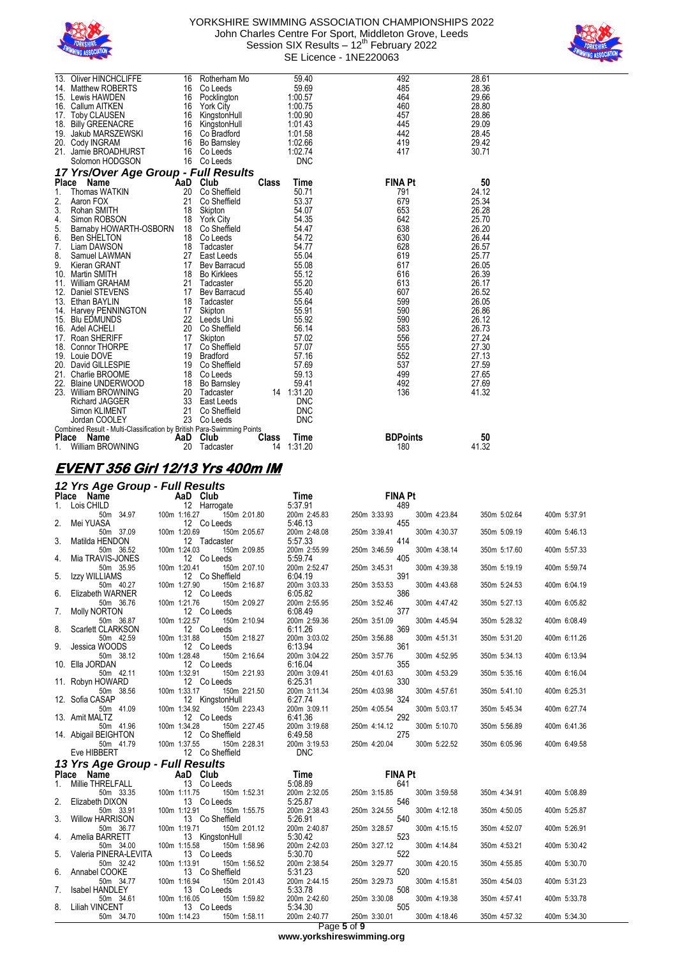



| 13.              | <b>Oliver HINCHCLIFFE</b>                                              | 16  | Rotherham Mo        |              | 59.40       | 492             | 28.61 |
|------------------|------------------------------------------------------------------------|-----|---------------------|--------------|-------------|-----------------|-------|
|                  | 14. Matthew ROBERTS                                                    | 16  | Co Leeds            |              | 59.69       | 485             | 28.36 |
|                  | 15. Lewis HAWDEN                                                       | 16  | Pocklington         |              | 1:00.57     | 464             | 29.66 |
|                  | 16. Callum AITKEN                                                      | 16  | <b>York City</b>    |              | 1:00.75     | 460             | 28.80 |
|                  | 17. Toby CLAUSEN                                                       | 16  | KingstonHull        |              | 1:00.90     | 457             | 28.86 |
| 18.              | <b>Billy GREENACRE</b>                                                 | 16  | KingstonHull        |              | 1:01.43     | 445             | 29.09 |
|                  | 19. Jakub MARSZEWSKI                                                   | 16  | Co Bradford         |              | 1:01.58     | 442             | 28.45 |
|                  | 20. Cody INGRAM                                                        | 16  | <b>Bo Barnsley</b>  |              | 1:02.66     | 419             | 29.42 |
|                  | 21. Jamie BROADHURST                                                   | 16  | Co Leeds            |              | 1:02.74     | 417             | 30.71 |
|                  | Solomon HODGSON                                                        | 16  | Co Leeds            |              | <b>DNC</b>  |                 |       |
|                  | 17 Yrs/Over Age Group - Full Results                                   |     |                     |              |             |                 |       |
| <b>Place</b>     | Name                                                                   | AaD | Club                | <b>Class</b> | <b>Time</b> | <b>FINA Pt</b>  | 50    |
| 1.               | Thomas WATKIN                                                          | 20  | Co Sheffield        |              | 50.71       | 791             | 24.12 |
| $\overline{2}$ . | Aaron FOX                                                              | 21  | Co Sheffield        |              | 53.37       | 679             | 25.34 |
| 3.               | Rohan SMITH                                                            | 18  | Skipton             |              | 54.07       | 653             | 26.28 |
| 4.               | Simon ROBSON                                                           | 18  | <b>York City</b>    |              | 54.35       | 642             | 25.70 |
| 5.               | Barnaby HOWARTH-OSBORN                                                 | 18  | Co Sheffield        |              | 54.47       | 638             | 26.20 |
| 6.               | <b>Ben SHELTON</b>                                                     | 18  | Co Leeds            |              | 54.72       | 630             | 26.44 |
| 7.               | Liam DAWSON                                                            | 18  | Tadcaster           |              | 54.77       | 628             | 26.57 |
| 8.               | Samuel LAWMAN                                                          | 27  | East Leeds          |              | 55.04       | 619             | 25.77 |
| 9.               | Kieran GRANT                                                           | 17  | <b>Bev Barracud</b> |              | 55.08       | 617             | 26.05 |
|                  | 10. Martin SMITH                                                       | 18  | <b>Bo Kirklees</b>  |              | 55.12       | 616             | 26.39 |
|                  | 11. William GRAHAM                                                     | 21  | Tadcaster           |              | 55.20       | 613             | 26.17 |
|                  | 12. Daniel STEVENS                                                     | 17  | <b>Bev Barracud</b> |              | 55.40       | 607             | 26.52 |
|                  | 13. Ethan BAYLIN                                                       | 18  | Tadcaster           |              | 55.64       | 599             | 26.05 |
|                  | 14. Harvey PENNINGTON                                                  | 17  | Skipton             |              | 55.91       | 590             | 26.86 |
|                  | 15. Blu EDMUNDS                                                        | 22  | Leeds Uni           |              | 55.92       | 590             | 26.12 |
|                  | 16. Adel ACHELI                                                        | 20  | Co Sheffield        |              | 56.14       | 583             | 26.73 |
|                  | 17. Roan SHERIFF                                                       | 17  | Skipton             |              | 57.02       | 556             | 27.24 |
| 18.              | Connor THORPE                                                          | 17  | Co Sheffield        |              | 57.07       | 555             | 27.30 |
|                  | 19. Louie DOVE                                                         | 19  | <b>Bradford</b>     |              | 57.16       | 552             | 27.13 |
|                  | 20. David GILLESPIE                                                    | 19  | Co Sheffield        |              | 57.69       | 537             | 27.59 |
|                  | 21. Charlie BROOME                                                     | 18  | Co Leeds            |              | 59.13       | 499             | 27.65 |
| 22.              | Blaine UNDERWOOD                                                       | 18  | Bo Barnsley         |              | 59.41       | 492             | 27.69 |
|                  | 23. William BROWNING                                                   | 20  | Tadcaster           |              | 14 1:31.20  | 136             | 41.32 |
|                  | <b>Richard JAGGER</b>                                                  | 33  | East Leeds          |              | <b>DNC</b>  |                 |       |
|                  | Simon KLIMENT                                                          | 21  | Co Sheffield        |              | <b>DNC</b>  |                 |       |
|                  | Jordan COOLEY                                                          | 23  | Co Leeds            |              | <b>DNC</b>  |                 |       |
|                  | Combined Result - Multi-Classification by British Para-Swimming Points |     |                     |              |             |                 |       |
| <b>Place</b>     | <b>Name</b>                                                            | AaD | Club                | Class        | Time        | <b>BDPoints</b> | 50    |
|                  | William BROWNING                                                       | 20  | Tadcaster           | 14           | 1:31.20     | 180             | 41.32 |

#### **EVENT 356 Girl 12/13 Yrs 400m IM**

#### *12 Yrs Age Group - Full Results*

|    | $\mu$ is $\mu$ ge oroup - i un results |                              |              |                              |              |              |
|----|----------------------------------------|------------------------------|--------------|------------------------------|--------------|--------------|
|    | Place Name                             | AaD Club                     | Time         | <b>FINA Pt</b>               |              |              |
| 1. | Lois CHILD                             | 12 Harrogate                 | 5:37.91      | 489                          |              |              |
|    | 50m 34.97                              | 100m 1:16.27<br>150m 2:01.80 | 200m 2:45.83 | 250m 3:33.93<br>300m 4:23.84 | 350m 5:02.64 | 400m 5:37.91 |
| 2. | Mei YUASA                              | 12 Co Leeds                  | 5:46.13      | 455                          |              |              |
|    | 50m 37.09                              | 100m 1:20.69<br>150m 2:05.67 | 200m 2:48.08 | 250m 3:39.41<br>300m 4:30.37 | 350m 5:09.19 | 400m 5:46.13 |
| 3. | Matilda HENDON                         | 12 Tadcaster                 | 5:57.33      | 414                          |              |              |
|    | 50m 36.52                              | 150m 2:09.85<br>100m 1:24.03 | 200m 2:55.99 | 250m 3:46.59<br>300m 4:38.14 | 350m 5:17.60 | 400m 5:57.33 |
| 4. | Mia TRAVIS-JONES                       | 12 Co Leeds                  | 5:59.74      | 405                          |              |              |
|    | 50m 35.95                              | 150m 2:07.10<br>100m 1:20.41 | 200m 2:52.47 | 250m 3:45.31<br>300m 4:39.38 | 350m 5:19.19 | 400m 5:59.74 |
| 5. | <b>Izzy WILLIAMS</b>                   | 12 Co Sheffield              | 6:04.19      | 391                          |              |              |
|    | 50m 40.27                              | 100m 1:27.90<br>150m 2:16.87 | 200m 3:03.33 | 250m 3:53.53<br>300m 4:43.68 | 350m 5:24.53 | 400m 6:04.19 |
| 6. | Elizabeth WARNER                       | 12 Co Leeds                  | 6:05.82      | 386                          |              |              |
|    | 50m 36.76                              | 100m 1:21.76<br>150m 2:09.27 | 200m 2:55.95 | 250m 3:52.46<br>300m 4:47.42 |              |              |
| 7. |                                        |                              |              | 377                          | 350m 5:27.13 | 400m 6:05.82 |
|    | <b>Molly NORTON</b>                    | 12 Co Leeds                  | 6:08.49      |                              |              |              |
|    | 50m 36.87                              | 100m 1:22.57<br>150m 2:10.94 | 200m 2:59.36 | 250m 3:51.09<br>300m 4:45.94 | 350m 5:28.32 | 400m 6:08.49 |
| 8. | Scarlett CLARKSON                      | 12 Co Leeds                  | 6:11.26      | 369                          |              |              |
|    | 50m 42.59                              | 150m 2:18.27<br>100m 1:31.88 | 200m 3:03.02 | 250m 3:56.88<br>300m 4:51.31 | 350m 5:31.20 | 400m 6:11.26 |
| 9. | Jessica WOODS                          | 12 Co Leeds                  | 6:13.94      | 361                          |              |              |
|    | 50m 38.12                              | 100m 1:28.48<br>150m 2:16.64 | 200m 3:04.22 | 250m 3:57.76<br>300m 4:52.95 | 350m 5:34.13 | 400m 6:13.94 |
|    | 10. Ella JORDAN                        | 12 Co Leeds                  | 6:16.04      | 355                          |              |              |
|    | 50m 42.11                              | 100m 1:32.91<br>150m 2:21.93 | 200m 3:09.41 | 250m 4:01.63<br>300m 4:53.29 | 350m 5:35.16 | 400m 6:16.04 |
|    | 11. Robyn HOWARD                       | 12 Co Leeds                  | 6:25.31      | 330                          |              |              |
|    | 50m 38.56                              | 150m 2:21.50<br>100m 1:33.17 | 200m 3:11.34 | 250m 4:03.98<br>300m 4:57.61 | 350m 5:41.10 | 400m 6:25.31 |
|    | 12. Sofia CASAP                        | 12 KingstonHull              | 6:27.74      | 324                          |              |              |
|    | 50m 41.09                              | 150m 2:23.43<br>100m 1:34.92 | 200m 3:09.11 | 250m 4:05.54<br>300m 5:03.17 | 350m 5:45.34 | 400m 6:27.74 |
|    | 13. Amit MALTZ                         | 12 Co Leeds                  | 6:41.36      | 292                          |              |              |
|    | 50m 41.96                              | 100m 1:34.28<br>150m 2:27.45 | 200m 3:19.68 | 250m 4:14.12<br>300m 5:10.70 | 350m 5:56.89 | 400m 6:41.36 |
|    | 14. Abigail BEIGHTON                   | 12 Co Sheffield              | 6:49.58      | 275                          |              |              |
|    | 50m 41.79                              | 100m 1:37.55<br>150m 2:28.31 | 200m 3:19.53 | 250m 4:20.04<br>300m 5:22.52 | 350m 6:05.96 | 400m 6:49.58 |
|    | Eve HIBBERT                            | 12 Co Sheffield              | <b>DNC</b>   |                              |              |              |
|    |                                        |                              |              |                              |              |              |
|    | 13 Yrs Age Group - Full Results        |                              |              |                              |              |              |
|    | Place Name                             | AaD Club                     | Time         | <b>FINA Pt</b>               |              |              |
| 1. | Millie THRELFALL                       | 13 Co Leeds                  | 5:08.89      | 641                          |              |              |
|    | 50m 33.35                              | 100m 1:11.75<br>150m 1:52.31 | 200m 2:32.05 | 250m 3:15.85<br>300m 3:59.58 | 350m 4:34.91 | 400m 5:08.89 |
| 2. | Elizabeth DIXON                        | 13 Co Leeds                  | 5:25.87      | 546                          |              |              |
|    | 50m 33.91                              | 100m 1:12.91<br>150m 1:55.75 | 200m 2:38.43 | 250m 3:24.55<br>300m 4:12.18 | 350m 4:50.05 | 400m 5:25.87 |
| 3. | <b>Willow HARRISON</b>                 | 13 Co Sheffield              | 5:26.91      | 540                          |              |              |
|    | 50m 36.77                              | 100m 1:19.71<br>150m 2:01.12 | 200m 2:40.87 | 250m 3:28.57<br>300m 4:15.15 | 350m 4:52.07 | 400m 5:26.91 |
| 4. | Amelia BARRETT                         | 13 KingstonHull              | 5:30.42      | 523                          |              |              |
|    | 50m 34.00                              | 100m 1:15.58<br>150m 1:58.96 | 200m 2:42.03 | 250m 3:27.12<br>300m 4:14.84 | 350m 4:53.21 | 400m 5:30.42 |
| 5. | Valeria PINERA-LEVITA                  | 13 Co Leeds                  | 5:30.70      | 522                          |              |              |
|    | 50m 32.42                              | 100m 1:13.91<br>150m 1:56.52 | 200m 2:38.54 | 250m 3:29.77<br>300m 4:20.15 | 350m 4:55.85 | 400m 5:30.70 |
| 6. | Annabel COOKE                          | 13 Co Sheffield              | 5:31.23      | 520                          |              |              |
|    | 50m 34.77                              | 100m 1:16.94<br>150m 2:01.43 | 200m 2:44.15 | 250m 3:29.73<br>300m 4:15.81 | 350m 4:54.03 | 400m 5:31.23 |
| 7. | Isabel HANDLEY                         | 13 Co Leeds                  | 5:33.78      | 508                          |              |              |
|    | 50m 34.61                              | 150m 1:59.82<br>100m 1:16.05 | 200m 2:42.60 | 250m 3:30.08<br>300m 4:19.38 | 350m 4:57.41 | 400m 5:33.78 |
| 8. | <b>Liliah VINCENT</b>                  | 13 Co Leeds                  | 5:34.30      | 505                          |              |              |
|    | 50m 34.70                              | 100m 1:14.23<br>150m 1:58.11 | 200m 2:40.77 | 250m 3:30.01<br>300m 4:18.46 | 350m 4:57.32 | 400m 5:34.30 |
|    |                                        |                              |              |                              |              |              |

Page **5** of **9**

**www.yorkshireswimming.org**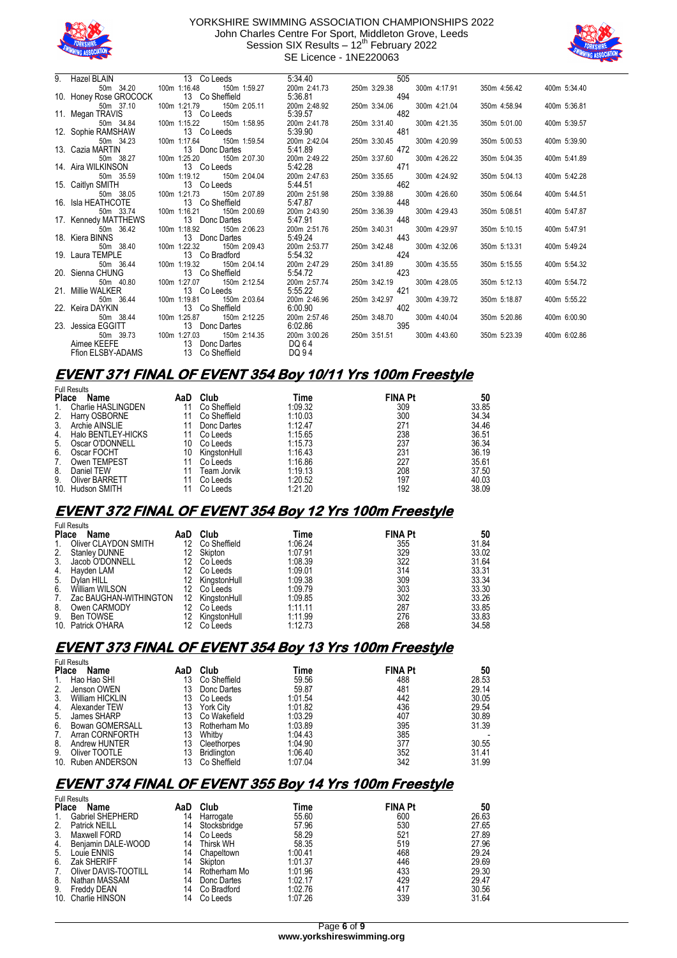



| 9. Hazel BLAIN                                      | 13 Co Leeds                              | 5:34.40      | 505                       |              |              |              |
|-----------------------------------------------------|------------------------------------------|--------------|---------------------------|--------------|--------------|--------------|
| 50m 34.20                                           | 100m 1:16.48<br>150m 1:59.27             | 200m 2:41.73 | 250m 3:29.38              | 300m 4:17.91 | 350m 4:56.42 | 400m 5:34.40 |
| 10. Honey Rose GROCOCK                              | 13 Co Sheffield                          | 5:36.81      | 494                       |              |              |              |
| 50m 37.10                                           | 100m 1:21.79<br>150m 2:05.11             | 200m 2:48.92 | 250m 3:34.06              | 300m 4:21.04 | 350m 4:58.94 | 400m 5:36.81 |
| 13 C 13 Megan TRAVIS 100m 1:15.22                   | 13 Co Leeds                              | 5:39.57      | 482                       |              |              |              |
|                                                     | 150m 1:58.95                             | 200m 2:41.78 | 250m 3:31.40              | 300m 4:21.35 | 350m 5:01.00 | 400m 5:39.57 |
| 12. Sophie RAMSHAW                                  | 13 Co Leeds                              | 5:39.90      | 481                       |              |              |              |
| 50m 34.23                                           | 100m 1:17.64<br>150m 1:59.54             | 200m 2:42.04 | 250m 3:30.45              | 300m 4:20.99 | 350m 5:00.53 | 400m 5:39.90 |
| 13.   Cazia MARTIN                                  | 13 Donc Dartes                           | 5:41.89      | 472                       |              |              |              |
| 50m 38.27                                           | 100m 1:25.20<br>150m 2:07.30             | 200m 2:49.22 | 250m 3:37.60              | 300m 4:26.22 | 350m 5:04.35 | 400m 5:41.89 |
| 14. Aira WILKINSON                                  | 13 Co Leeds                              | 5:42.28      | 471                       |              |              |              |
| 50m 35.59                                           | 100m 1:19.12<br>150m 2:04.04             | 200m 2:47.63 | 250m 3:35.65              | 300m 4:24.92 | 350m 5:04.13 | 400m 5:42.28 |
| 15. Caitlyn SMITH                                   | 13 Co Leeds<br>100m 1:21.73 150m 2:07.89 | 5:44.51      | 462                       |              |              |              |
| 50m 38.05                                           |                                          | 200m 2:51.98 | 250m 3:39.88              | 300m 4:26.60 | 350m 5:06.64 | 400m 5:44.51 |
| 16. Isla HEATHCOTE                                  | 13 Co Sheffield                          | 5:47.87      | 448                       |              |              |              |
| 50m 33.74                                           | 100m 1:16.21<br>150m 2:00.69             | 200m 2:43.90 | 250m 3:36.39              | 300m 4:29.43 | 350m 5:08.51 | 400m 5:47.87 |
| 17. Kennedy MATTHEWS                                | 13 Donc Dartes                           | 5:47.91      | 448                       |              |              |              |
| 50m 36.42                                           | 100m 1:18.92<br>150m 2:06.23             | 200m 2:51.76 | 250m 3:40.31              | 300m 4:29.97 | 350m 5:10.15 | 400m 5:47.91 |
| 18. Kiera BINNS 13 Donc I<br>50m 38.40 100m 1:22.32 | 13 Donc Dartes                           | 5:49.24      | 443                       |              |              |              |
|                                                     | 150m 2:09.43                             | 200m 2:53.77 | 250m 3:42.48              | 300m 4:32.06 | 350m 5:13.31 | 400m 5:49.24 |
| 19. Laura TEMPLE                                    | 13 Co Bradford                           | 5:54.32      | 424                       |              |              |              |
| 50m 36.44                                           | 100m 1:19.32<br>150m 2:04.14             | 200m 2:47.29 | 250m 3:41.89              | 300m 4:35.55 | 350m 5:15.55 | 400m 5:54.32 |
| 20. Sienna CHUNG                                    | 13 Co Sheffield                          | 5:54.72      | 423                       |              |              |              |
| 50m 40.80                                           | 150m 2:12.54<br>100m 1:27.07             | 200m 2:57.74 | 250m 3:42.19              | 300m 4:28.05 | 350m 5:12.13 | 400m 5:54.72 |
| 21. Millie WALKER                                   | 13 Co Leeds                              | 5:55.22      | 421                       |              |              |              |
| 50m 36.44                                           | 100m 1:19.81<br>150m 2:03.64             | 200m 2:46.96 | 250m 3:42.97              | 300m 4:39.72 | 350m 5:18.87 | 400m 5:55.22 |
| 22. Keira DAYKIN                                    | 13 Co Sheffield                          | 6:00.90      | 402                       |              |              |              |
| 50m 38.44                                           | 150m 2:12.25<br>100m 1:25.87             | 200m 2:57.46 | 250m 3:48.70              | 300m 4:40.04 | 350m 5:20.86 | 400m 6:00.90 |
|                                                     | 13 Donc Dartes                           | 6:02.86      | 395                       |              |              |              |
| 23. Jessica EGGITT 13 [<br>50m 39.73 100m 1:27.03   | 150m 2:14.35                             | 200m 3:00.26 | 250m 3:51.51 300m 4:43.60 |              | 350m 5:23.39 | 400m 6:02.86 |
| Aimee KEEFE                                         | 13 Donc Dartes                           | DQ 64        |                           |              |              |              |
|                                                     | Ffion ELSBY-ADAMS 13 Co Sheffield        | DQ 94        |                           |              |              |              |

### **EVENT 371 FINAL OF EVENT 354 Boy 10/11 Yrs 100m Freestyle**

|              | <b>Full Results</b>   |     |              |         |                |       |
|--------------|-----------------------|-----|--------------|---------|----------------|-------|
| <b>Place</b> | Name                  | AaD | Club         | Time    | <b>FINA Pt</b> | 50    |
| 1.           | Charlie HASLINGDEN    |     | Co Sheffield | 1:09.32 | 309            | 33.85 |
| 2.           | Harry OSBORNE         |     | Co Sheffield | 1:10.03 | 300            | 34.34 |
| 3.           | Archie AINSLIE        |     | Donc Dartes  | 1:12.47 | 271            | 34.46 |
| 4.           | Halo BENTLEY-HICKS    |     | Co Leeds     | 1:15.65 | 238            | 36.51 |
| 5.           | Oscar O'DONNELL       | 10  | Co Leeds     | 1:15.73 | 237            | 36.34 |
| 6.           | Oscar FOCHT           | 10  | KinastonHull | 1:16.43 | 231            | 36.19 |
| 7.           | Owen TEMPEST          |     | Co Leeds     | 1:16.86 | 227            | 35.61 |
| 8.           | Daniel TEW            |     | Team Jorvik  | 1:19.13 | 208            | 37.50 |
| 9.           | <b>Oliver BARRETT</b> |     | Co Leeds     | 1:20.52 | 197            | 40.03 |
|              | 10. Hudson SMITH      |     | Co Leeds     | 1:21.20 | 192            | 38.09 |

### **EVENT 372 FINAL OF EVENT 354 Boy 12 Yrs 100m Freestyle**

|              | <b>Full Results</b>    |     |              |         |                |       |  |  |  |
|--------------|------------------------|-----|--------------|---------|----------------|-------|--|--|--|
| <b>Place</b> | Name                   | AaD | Club         | Time    | <b>FINA Pt</b> | 50    |  |  |  |
| 1.           | Oliver CLAYDON SMITH   | 12  | Co Sheffield | 1:06.24 | 355            | 31.84 |  |  |  |
| 2.           | <b>Stanley DUNNE</b>   | 12  | Skipton      | 1:07.91 | 329            | 33.02 |  |  |  |
| 3.           | Jacob O'DONNELL        | 12  | Co Leeds     | 1:08.39 | 322            | 31.64 |  |  |  |
| 4.           | Havden LAM             | 12  | Co Leeds     | 1:09.01 | 314            | 33.31 |  |  |  |
| 5.           | Dylan HILL             | 12  | KinastonHull | 1:09.38 | 309            | 33.34 |  |  |  |
| 6.           | William WILSON         |     | Co Leeds     | 1:09.79 | 303            | 33.30 |  |  |  |
| 7.           | Zac BAUGHAN-WITHINGTON | 12  | KingstonHull | 1:09.85 | 302            | 33.26 |  |  |  |
| 8.           | Owen CARMODY           |     | Co Leeds     | 1:11.11 | 287            | 33.85 |  |  |  |
| 9.           | Ben TOWSE              | 12  | KingstonHull | 1:11.99 | 276            | 33.83 |  |  |  |
|              | 10. Patrick O'HARA     |     | Co Leeds     | 1:12.73 | 268            | 34.58 |  |  |  |

## **EVENT 373 FINAL OF EVENT 354 Boy 13 Yrs 100m Freestyle**

|              | <b>Full Results</b>    |     |                  |         |                |       |
|--------------|------------------------|-----|------------------|---------|----------------|-------|
| <b>Place</b> | Name                   | AaD | Club             | Time    | <b>FINA Pt</b> | 50    |
| 1.           | Hao Hao SHI            | 13  | Co Sheffield     | 59.56   | 488            | 28.53 |
| 2.           | Jenson OWEN            | 13  | Donc Dartes      | 59.87   | 481            | 29.14 |
| 3.           | <b>William HICKLIN</b> | 13  | Co Leeds         | 1:01.54 | 442            | 30.05 |
| 4.           | Alexander TEW          | 13  | <b>York City</b> | 1:01.82 | 436            | 29.54 |
| 5.           | James SHARP            | 13  | Co Wakefield     | 1:03.29 | 407            | 30.89 |
| 6.           | <b>Bowan GOMERSALL</b> | 13  | Rotherham Mo     | 1:03.89 | 395            | 31.39 |
| 7.           | Arran CORNFORTH        | 13  | Whitby           | 1:04.43 | 385            |       |
| 8.           | Andrew HUNTER          | 13  | Cleethorpes      | 1:04.90 | 377            | 30.55 |
| 9.           | Oliver TOOTLE          | 13  | Bridlington      | 1:06.40 | 352            | 31.41 |
|              | 10. Ruben ANDERSON     | 13  | Co Sheffield     | 1:07.04 | 342            | 31.99 |

### **EVENT 374 FINAL OF EVENT 355 Boy 14 Yrs 100m Freestyle**

| <b>Full Results</b>  |                                       |                  |         |                |       |  |  |  |
|----------------------|---------------------------------------|------------------|---------|----------------|-------|--|--|--|
| Name                 | AaD                                   | Club             | Time    | <b>FINA Pt</b> | 50    |  |  |  |
| Gabriel SHEPHERD     | 14                                    | Harrogate        | 55.60   | 600            | 26.63 |  |  |  |
| <b>Patrick NEILL</b> | 14                                    | Stocksbridge     | 57.96   | 530            | 27.65 |  |  |  |
| Maxwell FORD         | 14                                    | Co Leeds         | 58.29   | 521            | 27.89 |  |  |  |
| Benjamin DALE-WOOD   | 14                                    | <b>Thirsk WH</b> | 58.35   | 519            | 27.96 |  |  |  |
| Louie ENNIS          | 14                                    | Chapeltown       | 1:00.41 | 468            | 29.24 |  |  |  |
| Zak SHERIFF          | 14                                    | Skipton          | 1:01.37 | 446            | 29.69 |  |  |  |
| Oliver DAVIS-TOOTILL | 14                                    | Rotherham Mo     | 1:01.96 | 433            | 29.30 |  |  |  |
| Nathan MASSAM        | 14                                    | Donc Dartes      | 1:02.17 | 429            | 29.47 |  |  |  |
| Freddy DEAN          | 14                                    | Co Bradford      | 1:02.76 | 417            | 30.56 |  |  |  |
|                      | 14                                    | Co Leeds         | 1:07.26 | 339            | 31.64 |  |  |  |
|                      | <b>Place</b><br>Charlie HINSON<br>10. |                  |         |                |       |  |  |  |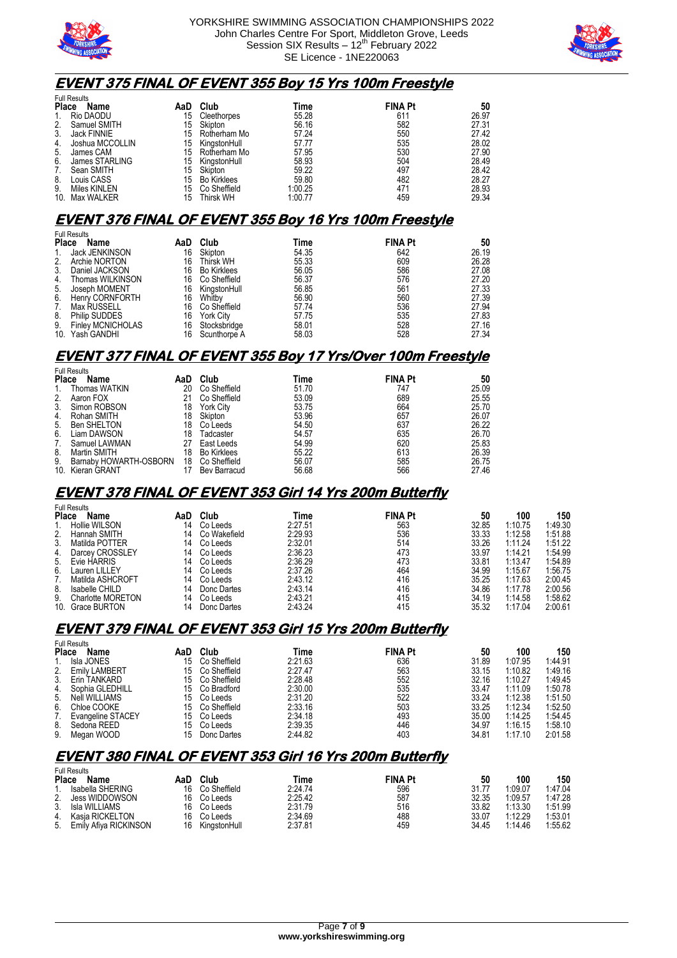



### **EVENT 375 FINAL OF EVENT 355 Boy 15 Yrs 100m Freestyle**

| <b>Full Results</b> |                 |     |                    |         |                |       |  |
|---------------------|-----------------|-----|--------------------|---------|----------------|-------|--|
| <b>Place</b>        | Name            | AaD | Club               | Time    | <b>FINA Pt</b> | 50    |  |
| 1.                  | Rio DAODU       | 15  | Cleethorpes        | 55.28   | 611            | 26.97 |  |
| 2.                  | Samuel SMITH    | 15  | Skipton            | 56.16   | 582            | 27.31 |  |
| 3.                  | Jack FINNIE     | 15  | Rotherham Mo       | 57.24   | 550            | 27.42 |  |
| 4.                  | Joshua MCCOLLIN | 15  | KinastonHull       | 57.77   | 535            | 28.02 |  |
| 5.                  | James CAM       | 15  | Rotherham Mo       | 57.95   | 530            | 27.90 |  |
| 6.                  | James STARLING  | 15  | KingstonHull       | 58.93   | 504            | 28.49 |  |
| 7.                  | Sean SMITH      | 15  | Skipton            | 59.22   | 497            | 28.42 |  |
| 8.                  | Louis CASS      | 15  | <b>Bo Kirklees</b> | 59.80   | 482            | 28.27 |  |
| 9.                  | Miles KINLEN    | 15  | Co Sheffield       | 1:00.25 | 471            | 28.93 |  |
| 10 <sub>1</sub>     | Max WALKER      | 15  | Thirsk WH          | 1:00.77 | 459            | 29.34 |  |

#### **EVENT 376 FINAL OF EVENT 355 Boy 16 Yrs 100m Freestyle**

|              | <b>Full Results</b>      |     |                    |       |                |       |
|--------------|--------------------------|-----|--------------------|-------|----------------|-------|
| <b>Place</b> | Name                     | AaD | Club               | Time  | <b>FINA Pt</b> | 50    |
| 1.           | Jack JENKINSON           | 16  | Skipton            | 54.35 | 642            | 26.19 |
| 2.           | Archie NORTON            | 16  | <b>Thirsk WH</b>   | 55.33 | 609            | 26.28 |
| 3.           | Daniel JACKSON           | 16  | <b>Bo Kirklees</b> | 56.05 | 586            | 27.08 |
| 4.           | Thomas WILKINSON         | 16  | Co Sheffield       | 56.37 | 576            | 27.20 |
| 5.           | Joseph MOMENT            | 16  | KinastonHull       | 56.85 | 561            | 27.33 |
| 6.           | <b>Henry CORNFORTH</b>   | 16  | Whitby             | 56.90 | 560            | 27.39 |
| 7.           | Max RUSSELL              | 16  | Co Sheffield       | 57.74 | 536            | 27.94 |
| 8.           | Philip SUDDES            | 16  | <b>York City</b>   | 57.75 | 535            | 27.83 |
| 9.           | <b>Finley MCNICHOLAS</b> | 16  | Stocksbridge       | 58.01 | 528            | 27.16 |
|              | 10. Yash GANDHI          | 16  | Scunthorpe A       | 58.03 | 528            | 27.34 |

### **EVENT 377 FINAL OF EVENT 355 Boy 17 Yrs/Over 100m Freestyle**

|              | <b>Full Results</b>    |     |                    |       |                |       |  |  |  |
|--------------|------------------------|-----|--------------------|-------|----------------|-------|--|--|--|
| <b>Place</b> | Name                   | AaD | Club               | Time  | <b>FINA Pt</b> | 50    |  |  |  |
| 1.           | Thomas WATKIN          | 20  | Co Sheffield       | 51.70 | 747            | 25.09 |  |  |  |
| 2.           | Aaron FOX              | 21  | Co Sheffield       | 53.09 | 689            | 25.55 |  |  |  |
| 3.           | Simon ROBSON           | 18  | <b>York City</b>   | 53.75 | 664            | 25.70 |  |  |  |
| 4.           | Rohan SMITH            | 18  | Skipton            | 53.96 | 657            | 26.07 |  |  |  |
| 5.           | <b>Ben SHELTON</b>     | 18  | Co Leeds           | 54.50 | 637            | 26.22 |  |  |  |
| 6.           | Liam DAWSON            | 18  | Tadcaster          | 54.57 | 635            | 26.70 |  |  |  |
| 7.           | Samuel LAWMAN          | 27  | East Leeds         | 54.99 | 620            | 25.83 |  |  |  |
| 8.           | Martin SMITH           | 18  | <b>Bo Kirklees</b> | 55.22 | 613            | 26.39 |  |  |  |
| 9.           | Barnaby HOWARTH-OSBORN | 18  | Co Sheffield       | 56.07 | 585            | 26.75 |  |  |  |
|              | 10. Kieran GRANT       |     | Bev Barracud       | 56.68 | 566            | 27.46 |  |  |  |

### **EVENT 378 FINAL OF EVENT 353 Girl 14 Yrs 200m Butterfly**

|              | <b>Full Results</b> |     |              |         |                |       |         |         |  |  |
|--------------|---------------------|-----|--------------|---------|----------------|-------|---------|---------|--|--|
| <b>Place</b> | Name                | AaD | Club         | Time    | <b>FINA Pt</b> | 50    | 100     | 150     |  |  |
|              | Hollie WILSON       | 14  | Co Leeds     | 2:27.51 | 563            | 32.85 | 1:10.75 | 1:49.30 |  |  |
| 2.           | Hannah SMITH        | 14  | Co Wakefield | 2:29.93 | 536            | 33.33 | 1:12.58 | 1:51.88 |  |  |
| 3.           | Matilda POTTER      | 14  | Co Leeds     | 2:32.01 | 514            | 33.26 | 1:11.24 | 1:51.22 |  |  |
| 4.           | Darcey CROSSLEY     | 14  | Co Leeds     | 2:36.23 | 473            | 33.97 | 1:14.21 | 1:54.99 |  |  |
|              | 5. Evie HARRIS      | 14  | Co Leeds     | 2:36.29 | 473            | 33.81 | 1:13.47 | 1:54.89 |  |  |
| 6.           | Lauren LILLEY       | 14  | Co Leeds     | 2:37.26 | 464            | 34.99 | 1:15.67 | 1:56.75 |  |  |
| 7.           | Matilda ASHCROFT    | 14  | Co Leeds     | 2:43.12 | 416            | 35.25 | 1:17.63 | 2:00.45 |  |  |
| 8.           | Isabelle CHILD      | 14  | Donc Dartes  | 2:43.14 | 416            | 34.86 | 1:17.78 | 2:00.56 |  |  |
| 9.           | Charlotte MORETON   | 14  | Co Leeds     | 2:43.21 | 415            | 34.19 | 1:14.58 | 1:58.62 |  |  |
|              | 10. Grace BURTON    | 14  | Donc Dartes  | 2:43.24 | 415            | 35.32 | 1:17.04 | 2:00.61 |  |  |

## **EVENT 379 FINAL OF EVENT 353 Girl 15 Yrs 200m Butterfly**

| Name                 | AaD                      | Club                | Time                                        |     | 50             | 100     | 150     |
|----------------------|--------------------------|---------------------|---------------------------------------------|-----|----------------|---------|---------|
| Isla JONES           | 15                       | Co Sheffield        | 2:21.63                                     | 636 | 31.89          | 1:07.95 | 1:44.91 |
| <b>Emily LAMBERT</b> | 15                       | Co Sheffield        | 2:27.47                                     | 563 | 33.15          | 1:10.82 | 1:49.16 |
| Erin TANKARD         | 15                       |                     | 2:28.48                                     | 552 | 32.16          | 1:10.27 | 1:49.45 |
| Sophia GLEDHILL      | 15                       |                     | 2:30.00                                     | 535 | 33.47          | 1:11.09 | 1:50.78 |
| Nell WILLIAMS        | 15                       | Co Leeds            | 2:31.20                                     | 522 | 33.24          | 1:12.38 | 1:51.50 |
| Chloe COOKE          | 15                       |                     | 2:33.16                                     | 503 | 33.25          | 1:12.34 | 1:52.50 |
| Evangeline STACEY    | 15                       | Co Leeds            | 2:34.18                                     | 493 | 35.00          | 1:14.25 | 1:54.45 |
| Sedona REED          | 15                       | Co Leeds            | 2:39.35                                     | 446 | 34.97          | 1:16.15 | 1:58.10 |
| Megan WOOD           | 15                       | Donc Dartes         | 2:44.82                                     | 403 | 34.81          | 1:17.10 | 2:01.58 |
| 3.<br>6.<br>8.<br>9. | <b>Place</b><br>2.<br>5. | <b>Full Results</b> | Co Sheffield<br>Co Bradford<br>Co Sheffield |     | <b>FINA Pt</b> |         |         |

## **EVENT 380 FINAL OF EVENT 353 Girl 16 Yrs 200m Butterfly**

|                | <b>Full Results</b>   |     |              |         |                |       |         |         |  |
|----------------|-----------------------|-----|--------------|---------|----------------|-------|---------|---------|--|
| <b>Place</b>   | <b>Name</b>           | AaD | Club         | Time    | <b>FINA Pt</b> | 50    | 100     | 150     |  |
| $\overline{1}$ | Isabella SHERING      | 16  | Co Sheffield | 2:24.74 | 596            | 31.77 | 1:09.07 | 1:47.04 |  |
|                | 2. Jess WIDDOWSON     | 16  | Co Leeds     | 2:25.42 | 587            | 32.35 | 1:09.57 | 1:47.28 |  |
| 3 <sub>1</sub> | Isla WILLIAMS         | 16  | Co Leeds     | 2:31.79 | 516            | 33.82 | 1:13.30 | 1:51.99 |  |
| 4.             | Kasia RICKELTON       | 16  | Co Leeds     | 2:34.69 | 488            | 33.07 | 1:12.29 | 1:53.01 |  |
| 5.             | Emily Afiya RICKINSON | 16  | KinastonHull | 2:37.81 | 459            | 34.45 | 1:14.46 | 1:55.62 |  |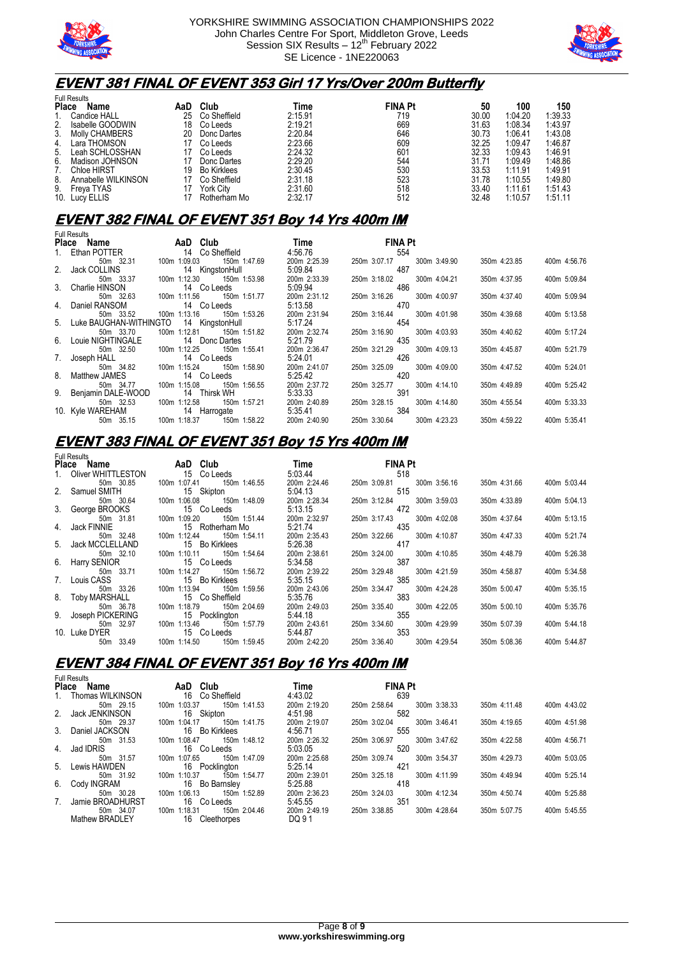



### **EVENT 381 FINAL OF EVENT 353 Girl 17 Yrs/Over 200m Butterfly**

|              | <b>Full Results</b>   |     |                    |         |                |       |         |         |
|--------------|-----------------------|-----|--------------------|---------|----------------|-------|---------|---------|
| <b>Place</b> | Name                  | AaD | Club               | Time    | <b>FINA Pt</b> | 50    | 100     | 150     |
|              | Candice HALL          | 25  | Co Sheffield       | 2:15.91 | 719            | 30.00 | 1:04.20 | 1:39.33 |
| 2.           | Isabelle GOODWIN      | 18  | Co Leeds           | 2:19.21 | 669            | 31.63 | 1:08.34 | 1:43.97 |
| 3.           | <b>Molly CHAMBERS</b> | 20  | Donc Dartes        | 2:20.84 | 646            | 30.73 | 1:06.41 | 1:43.08 |
| 4.           | Lara THOMSON          |     | Co Leeds           | 2:23.66 | 609            | 32.25 | 1:09.47 | 1:46.87 |
| 5.           | Leah SCHLOSSHAN       |     | Co Leeds           | 2:24.32 | 601            | 32.33 | 1:09.43 | 1:46.91 |
| 6.           | Madison JOHNSON       |     | Donc Dartes        | 2:29.20 | 544            | 31.71 | 1:09.49 | 1:48.86 |
|              | <b>Chloe HIRST</b>    | 19  | <b>Bo Kirklees</b> | 2:30.45 | 530            | 33.53 | 1:11.91 | 1:49.91 |
| 8.           | Annabelle WILKINSON   |     | Co Sheffield       | 2:31.18 | 523            | 31.78 | 1:10.55 | 1:49.80 |
| 9.           | Freva TYAS            |     | York City          | 2:31.60 | 518            | 33.40 | 1:11.61 | 1:51.43 |
| 10.          | Lucy ELLIS            |     | Rotherham Mo       | 2:32.17 | 512            | 32.48 | 1:10.57 | 1:51.11 |

#### **EVENT 382 FINAL OF EVENT 351 Boy 14 Yrs 400m IM**

| <b>Full Results</b>       |              |                     |              |                |              |              |              |
|---------------------------|--------------|---------------------|--------------|----------------|--------------|--------------|--------------|
| Place Name                |              | AaD Club <b>AaD</b> | <b>Time</b>  | <b>FINA Pt</b> |              |              |              |
| 1. Ethan POTTER           |              | 14 Co Sheffield     | 4:56.76      | 554            |              |              |              |
| 50m 32.31                 | 100m 1:09.03 | 150m 1:47.69        | 200m 2:25.39 | 250m 3:07.17   | 300m 3:49.90 | 350m 4:23.85 | 400m 4:56.76 |
| 2. Jack COLLINS           |              | 14 KingstonHull     | 5:09.84      | 487            |              |              |              |
| 50m 33.37                 | 100m 1:12.30 | 150m 1:53.98        | 200m 2:33.39 | 250m 3:18.02   | 300m 4:04.21 | 350m 4:37.95 | 400m 5:09.84 |
| 3. Charlie HINSON         |              | 14 Co Leeds         | 5:09.94      | 486            |              |              |              |
| 50m 32.63                 | 100m 1:11.56 | 150m 1:51.77        | 200m 2:31.12 | 250m 3:16.26   | 300m 4:00.97 | 350m 4:37.40 | 400m 5:09.94 |
| 4. Daniel RANSOM          |              | 14 Co Leeds         | 5:13.58      | 470            |              |              |              |
| 50m 33.52                 | 100m 1:13.16 | 150m 1:53.26        | 200m 2:31.94 | 250m 3:16.44   | 300m 4:01.98 | 350m 4:39.68 | 400m 5:13.58 |
| 5. Luke BAUGHAN-WITHINGTO |              | 14 KingstonHull     | 5:17.24      | 454            |              |              |              |
| 50m 33.70                 | 100m 1:12.81 | 150m 1:51.82        | 200m 2:32.74 | 250m 3:16.90   | 300m 4:03.93 | 350m 4:40.62 | 400m 5:17.24 |
| 6. Louie NIGHTINGALE      |              | 14 Donc Dartes      | 5:21.79      | 435            |              |              |              |
| 50m 32.50                 | 100m 1:12.25 | 150m 1:55.41        | 200m 2:36.47 | 250m 3:21.29   | 300m 4:09.13 | 350m 4:45.87 | 400m 5:21.79 |
| 7. Joseph HALL            |              | 14 Co Leeds         | 5:24.01      | 426            |              |              |              |
| 50m 34.82                 | 100m 1:15.24 | 150m 1:58.90        | 200m 2:41.07 | 250m 3:25.09   | 300m 4:09.00 | 350m 4:47.52 | 400m 5:24.01 |
| 8. Matthew JAMES          |              | 14 Co Leeds         | 5:25.42      | 420            |              |              |              |
| 50m 34.77                 | 100m 1:15.08 | 150m 1:56.55        | 200m 2:37.72 | 250m 3:25.77   | 300m 4:14.10 | 350m 4:49.89 | 400m 5:25.42 |
| 9. Benjamin DALE-WOOD     |              | 14 Thirsk WH        | 5:33.33      | 391            |              |              |              |
| 50m 32.53                 | 100m 1:12.58 | 150m 1:57.21        | 200m 2:40.89 | 250m 3:28.15   | 300m 4:14.80 | 350m 4:55.54 | 400m 5:33.33 |
| 10. Kyle WAREHAM          |              | 14 Harrogate        | 5:35.41      | 384            |              |              |              |
| 50m 35.15                 | 100m 1:18.37 | 150m 1:58.22        | 200m 2:40.90 | 250m 3:30.64   | 300m 4:23.23 | 350m 4:59.22 | 400m 5:35.41 |

#### **EVENT 383 FINAL OF EVENT 351 Boy 15 Yrs 400m IM**

|       | Full Results |     |
|-------|--------------|-----|
| Place |              | Nam |

| Place Name            | AaD Club                     | Time         | <b>FINA Pt</b>               |              |              |
|-----------------------|------------------------------|--------------|------------------------------|--------------|--------------|
| 1. Oliver WHITTLESTON | 15 Co Leeds                  | 5:03.44      | 518                          |              |              |
| 50m 30.85             | 150m 1:46.55<br>100m 1:07.41 | 200m 2:24.46 | 300m 3:56.16<br>250m 3:09.81 | 350m 4:31.66 | 400m 5:03.44 |
| 2. Samuel SMITH       | 15 Skipton                   | 5:04.13      | 515                          |              |              |
| 50m 30.64             | 100m 1:06.08<br>150m 1:48.09 | 200m 2:28.34 | 300m 3:59.03<br>250m 3:12.84 | 350m 4:33.89 | 400m 5:04.13 |
| 3. George BROOKS      | 15 Co Leeds                  | 5:13.15      | 472                          |              |              |
| 50m 31.81             | 100m 1:09.20<br>150m 1:51.44 | 200m 2:32.97 | 250m 3:17.43<br>300m 4:02.08 | 350m 4:37.64 | 400m 5:13.15 |
| 4. Jack FINNIE        | 15 Rotherham Mo              | 5:21.74      | 435                          |              |              |
| 50m 32.48             | 100m 1:12.44<br>150m 1:54.11 | 200m 2:35.43 | 300m 4:10.87<br>250m 3:22.66 | 350m 4:47.33 | 400m 5:21.74 |
| 5. Jack MCCLELLAND    | 15 Bo Kirklees               | 5:26.38      | 417                          |              |              |
| 50m 32.10             | 100m 1:10.11 150m 1:54.64    | 200m 2:38.61 | 300m 4:10.85<br>250m 3:24.00 | 350m 4:48.79 | 400m 5:26.38 |
| 6. Harry SENIOR       | 15 Co Leeds                  | 5:34.58      | 387                          |              |              |
| 50m 33.71             | 150m 1:56.72<br>100m 1:14.27 | 200m 2:39.22 | 250m 3:29.48<br>300m 4:21.59 | 350m 4:58.87 | 400m 5:34.58 |
| 7. Louis CASS         | 15 Bo Kirklees               | 5:35.15      | 385                          |              |              |
| 50m 33.26             | 150m 1:59.56<br>100m 1:13.94 | 200m 2:43.06 | 250m 3:34.47<br>300m 4:24.28 | 350m 5:00.47 | 400m 5:35.15 |
| 8. Toby MARSHALL      | 15 Co Sheffield              | 5:35.76      | 383                          |              |              |
| 50m 36.78             | 100m 1:18.79<br>150m 2:04.69 | 200m 2:49.03 | 250m 3:35.40<br>300m 4:22.05 | 350m 5:00.10 | 400m 5:35.76 |
| 9. Joseph PICKERING   | 15 Pocklington               | 5:44.18      | 355                          |              |              |
| 50m 32.97             | 100m 1:13.46<br>150m 1:57.79 | 200m 2:43.61 | 300m 4:29.99<br>250m 3:34.60 | 350m 5:07.39 | 400m 5:44.18 |
| 10. Luke DYER         | 15 Co Leeds                  | 5:44.87      | 353                          |              |              |
| 50m 33.49             | 150m 1:59.45<br>100m 1:14.50 | 200m 2:42.20 | 250m 3:36.40<br>300m 4:29.54 | 350m 5:08.36 | 400m 5:44.87 |

### **EVENT 384 FINAL OF EVENT 351 Boy 16 Yrs 400m IM**

|    | <b>Full Results</b> |                              |              |                              |              |              |
|----|---------------------|------------------------------|--------------|------------------------------|--------------|--------------|
|    | Place<br>Name       | AaD Club                     | Time         | <b>FINA Pt</b>               |              |              |
| 1. | Thomas WILKINSON    | 16 Co Sheffield              | 4:43.02      | 639                          |              |              |
|    | 50m 29.15           | 100m 1:03.37<br>150m 1:41.53 | 200m 2:19.20 | 300m 3:38.33<br>250m 2:58.64 | 350m 4:11.48 | 400m 4:43.02 |
|    | 2. Jack JENKINSON   | 16 Skipton                   | 4:51.98      | 582                          |              |              |
|    | 50m 29.37           | 150m 1:41.75<br>100m 1:04.17 | 200m 2:19.07 | 300m 3:46.41<br>250m 3:02.04 | 350m 4:19.65 | 400m 4:51.98 |
|    | 3. Daniel JACKSON   | 16 Bo Kirklees               | 4:56.71      | 555                          |              |              |
|    | 50m 31.53           | 100m 1:08.47<br>150m 1:48.12 | 200m 2:26.32 | 250m 3:06.97<br>300m 3:47.62 | 350m 4:22.58 | 400m 4:56.71 |
| 4. | Jad IDRIS           | 16 Co Leeds                  | 5:03.05      | 520                          |              |              |
|    | 50m 31.57           | 100m 1:07.65<br>150m 1:47.09 | 200m 2:25.68 | 250m 3:09.74<br>300m 3:54.37 | 350m 4:29.73 | 400m 5:03.05 |
|    | 5. Lewis HAWDEN     | 16 Pocklington               | 5:25.14      | 421                          |              |              |
|    | 50m 31.92           | 100m 1:10.37<br>150m 1:54.77 | 200m 2:39.01 | 250m 3:25.18<br>300m 4:11.99 | 350m 4:49.94 | 400m 5:25.14 |
| 6. | Cody INGRAM         | 16 Bo Barnsley               | 5:25.88      | 418                          |              |              |
|    | 50m 30.28           | 100m 1:06.13<br>150m 1:52.89 | 200m 2:36.23 | 300m 4:12.34<br>250m 3:24.03 | 350m 4:50.74 | 400m 5:25.88 |
| 7. | Jamie BROADHURST    | 16 Co Leeds                  | 5:45.55      | 351                          |              |              |
|    | 50m 34.07           | 150m 2:04.46<br>100m 1:18.31 | 200m 2:49.19 | 250m 3:38.85<br>300m 4:28.64 | 350m 5:07.75 | 400m 5:45.55 |
|    | Mathew BRADLEY      | 16 Cleethorpes               | DQ 91        |                              |              |              |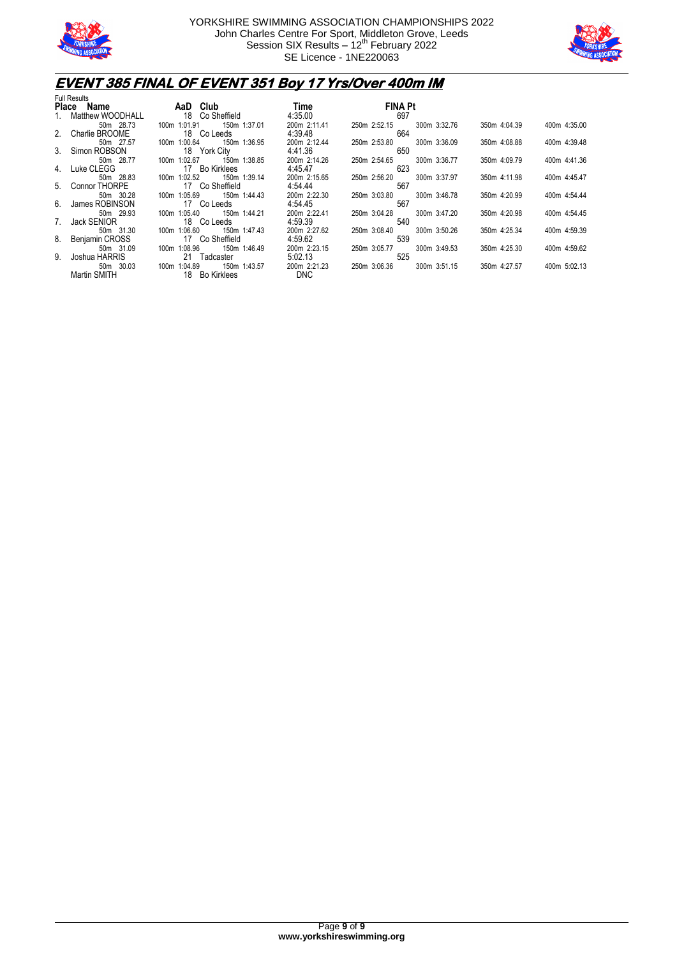



### **EVENT 385 FINAL OF EVENT 351 Boy 17 Yrs/Over 400m IM**

| <b>Full Results</b>            |                                                 |                         |                                     |              |              |
|--------------------------------|-------------------------------------------------|-------------------------|-------------------------------------|--------------|--------------|
| Place Name                     | AaD Club                                        | Time                    | <b>FINA Pt</b>                      |              |              |
| 1. Matthew WOODHALL            | 18 Co Sheffield                                 | 4:35.00                 | 697                                 |              |              |
| 50m 28.73<br>2. Charlie BROOME | 150m 1:37.01<br>100m 1:01.91<br>18 Co Leeds     | 200m 2:11.41<br>4:39.48 | 300m 3:32.76<br>250m 2:52.15<br>664 | 350m 4:04.39 | 400m 4:35.00 |
| 50m 27.57<br>3. Simon ROBSON   | 100m 1:00.64<br>150m 1:36.95<br>18 York City    | 200m 2:12.44<br>4:41.36 | 300m 3:36.09<br>250m 2:53.80<br>650 | 350m 4:08.88 | 400m 4:39.48 |
| 50m 28.77<br>4. Luke CLEGG     | 100m 1:02.67<br>150m 1:38.85<br>17 Bo Kirklees  | 200m 2:14.26<br>4:45.47 | 300m 3:36.77<br>250m 2:54.65<br>623 | 350m 4:09.79 | 400m 4:41.36 |
| 50m 28.83<br>5. Connor THORPE  | 150m 1:39.14<br>100m 1:02.52<br>17 Co Sheffield | 200m 2:15.65<br>4:54.44 | 300m 3:37.97<br>250m 2:56.20<br>567 | 350m 4:11.98 | 400m 4:45.47 |
| 50m 30.28<br>6. James ROBINSON | 100m 1:05.69<br>150m 1:44.43<br>17 Co Leeds     | 200m 2:22.30<br>4:54.45 | 250m 3:03.80<br>300m 3:46.78<br>567 | 350m 4:20.99 | 400m 4:54.44 |
| 50m 29.93<br>7. Jack SENIOR    | 100m 1:05.40<br>150m 1:44.21<br>18 Co Leeds     | 200m 2:22.41<br>4:59.39 | 300m 3:47.20<br>250m 3:04.28<br>540 | 350m 4:20.98 | 400m 4:54.45 |
| 50m 31.30<br>8. Benjamin CROSS | 100m 1:06.60<br>150m 1:47.43<br>17 Co Sheffield | 200m 2:27.62<br>4:59.62 | 300m 3:50.26<br>250m 3:08.40<br>539 | 350m 4:25.34 | 400m 4:59.39 |
| 50m 31.09<br>9. Joshua HARRIS  | 100m 1:08.96<br>150m 1:46.49<br>21 Tadcaster    | 200m 2:23.15<br>5:02.13 | 300m 3:49.53<br>250m 3:05.77<br>525 | 350m 4:25.30 | 400m 4:59.62 |
| 50m 30.03                      | 100m 1:04.89<br>150m 1:43.57                    | 200m 2:21.23            | 250m 3:06.36<br>300m 3:51.15        | 350m 4:27.57 | 400m 5:02.13 |
| Martin SMITH                   | 18 Bo Kirklees                                  | DNC.                    |                                     |              |              |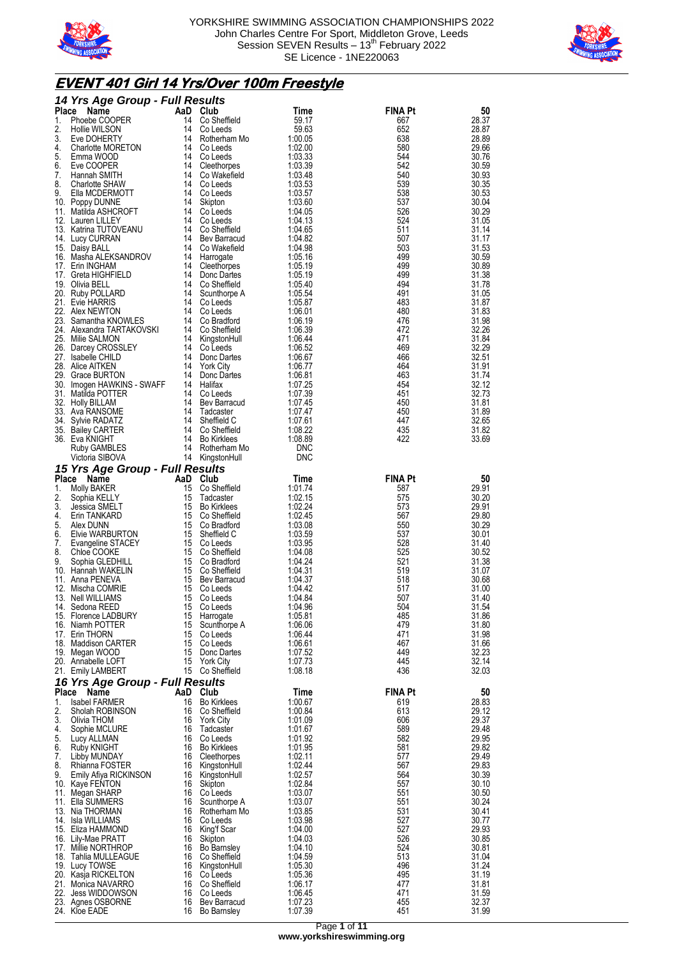



## **EVENT 401 Girl 14 Yrs/Over 100m Freestyle**

|                    | 14 Yrs Age Group - Full Results                   |           |                                 |                          |                |                |
|--------------------|---------------------------------------------------|-----------|---------------------------------|--------------------------|----------------|----------------|
| <b>Place</b><br>1. | Name<br>Phoebe COOPER                             | AaD<br>14 | Club<br>Co Sheffield            | Time<br>59.17            | <b>FINA Pt</b> | 50<br>28.37    |
| 2.                 | Hollie WILSON                                     | 14        | Co Leeds                        | 59.63                    | 667<br>652     | 28.87          |
| 3.                 | Eve DOHERTY                                       | 14        | Rotherham Mo                    | 1:00.05                  | 638            | 28.89          |
| 4.                 | Charlotte MORETON                                 | 14        | Co Leeds                        | 1:02.00                  | 580            | 29.66          |
| 5.<br>6.           | Emma WOOD<br>Eve COOPER                           | 14<br>14  | Co Leeds<br>Cleethorpes         | 1:03.33<br>1:03.39       | 544<br>542     | 30.76<br>30.59 |
| 7.                 | Hannah SMITH                                      | 14        | Co Wakefield                    | 1:03.48                  | 540            | 30.93          |
| 8.                 | Charlotte SHAW                                    | 14        | Co Leeds                        | 1:03.53                  | 539            | 30.35          |
| 9.                 | Ella MCDERMOTT                                    | 14<br>14  | Co Leeds                        | 1:03.57<br>1:03.60       | 538<br>537     | 30.53<br>30.04 |
|                    | 10. Poppy DUNNE<br>11. Matilda ASHCROFT           | 14        | Skipton<br>Co Leeds             | 1:04.05                  | 526            | 30.29          |
|                    | 12. Lauren LILLEY                                 | 14        | Co Leeds                        | 1:04.13                  | 524            | 31.05          |
|                    | 13. Katrina TUTOVEANU                             | 14        | Co Sheffield                    | 1:04.65                  | 511            | 31.14          |
|                    | 14. Lucy CURRAN<br>15. Daisy BALL                 | 14<br>14  | Bev Barracud<br>Co Wakefield    | 1:04.82<br>1:04.98       | 507<br>503     | 31.17<br>31.53 |
|                    | 16. Masha ALEKSANDROV                             | 14        | Harrogate                       | 1:05.16                  | 499            | 30.59          |
|                    | 17. Erin INGHAM                                   | 14        | Cleethorpes                     | 1:05.19                  | 499            | 30.89          |
|                    | 17. Greta HIGHFIELD<br>19. Olivia BELL            | 14<br>14  | Donc Dartes<br>Co Sheffield     | 1:05.19<br>1:05.40       | 499<br>494     | 31.38<br>31.78 |
|                    | 20. Ruby POLLARD                                  | 14        | Scunthorpe A                    | 1:05.54                  | 491            | 31.05          |
|                    | 21. Evie HARRIS                                   | 14        | Co Leeds                        | 1:05.87                  | 483            | 31.87          |
|                    | 22. Alex NEWTON                                   | 14        | Co Leeds                        | 1:06.01                  | 480            | 31.83          |
|                    | 23. Samantha KNOWLES<br>24. Alexandra TARTAKOVSKI | 14<br>14  | Co Bradford<br>Co Sheffield     | 1:06.19<br>1:06.39       | 476<br>472     | 31.98<br>32.26 |
|                    | 25. Milie SALMON                                  | 14        | KingstonHull                    | 1:06.44                  | 471            | 31.84          |
|                    | 26. Darcey CROSSLEY                               |           | 14 Co Leeds                     | 1:06.52                  | 469            | 32.29          |
| 27.                | Isabelle CHILD<br>28. Alice AITKEN                | 14<br>14  | Donc Dartes                     | 1:06.67<br>1:06.77       | 466<br>464     | 32.51<br>31.91 |
|                    | 29. Grace BURTON                                  | 14        | <b>York City</b><br>Donc Dartes | 1:06.81                  | 463            | 31.74          |
|                    | 30. Imogen HAWKINS - SWAFF                        | 14        | Halifax                         | 1:07.25                  | 454            | 32.12          |
|                    | 31. Matilda POTTER                                | 14        | Co Leeds                        | 1:07.39                  | 451            | 32.73          |
|                    | 32. Holly BILLAM<br>33. Ava RANSOME               | 14<br>14  | Bev Barracud<br>Tadcaster       | 1:07.45<br>1:07.47       | 450<br>450     | 31.81<br>31.89 |
|                    | 34. Sylvie RADATZ                                 | 14        | Sheffield C                     | 1:07.61                  | 447            | 32.65          |
|                    | 35. Bailey CARTER                                 | 14        | Co Sheffield                    | 1:08.22                  | 435            | 31.82          |
|                    | 36.   Eva KNIGHT                                  | 14<br>14  | <b>Bo Kirklees</b>              | 1:08.89                  | 422            | 33.69          |
|                    | Ruby GAMBLES<br>Victoria SIBOVA                   |           | Rotherham Mo<br>14 KingstonHull | <b>DNC</b><br><b>DNC</b> |                |                |
|                    | 15 Yrs Age Group - Full Results                   |           |                                 |                          |                |                |
| <b>Place</b>       | AaD<br>Name                                       |           | Club                            | Time                     | <b>FINA Pt</b> | 50             |
| 1.                 | Molly BAKER                                       | 15        | Co Sheffield                    | 1:01.74                  | 587            | 29.91          |
| 2.<br>3.           | Sophia KELLY<br>Jessica SMELT                     | 15<br>15  | Tadcaster<br><b>Bo Kirklees</b> | 1:02.15<br>1:02.24       | 575<br>573     | 30.20<br>29.91 |
| 4.                 | Erin TANKARD                                      | 15        | Co Sheffield                    | 1:02.45                  | 567            | 29.80          |
| 5.                 | Alex DUNN                                         | 15        | Co Bradford                     | 1:03.08                  | 550            | 30.29          |
| 6.<br>7.           | Elvie WARBURTON<br>Evangeline STACEY              | 15<br>15  | Sheffield C<br>Co Leeds         | 1:03.59<br>1:03.95       | 537<br>528     | 30.01<br>31.40 |
| 8.                 | Chloe COOKE                                       | 15        | Co Sheffield                    | 1:04.08                  | 525            | 30.52          |
| 9.                 | Sophia GLEDHILL                                   | 15        | Co Bradford                     | 1:04.24                  | 521            | 31.38          |
|                    | 10. Hannah WAKELIN                                | 15        | Co Sheffield                    | 1:04.31<br>1:04.37       | 519            | 31.07<br>30.68 |
|                    | 11. Anna PENEVA<br>12. Mischa COMRIE              | 15        | 15 Bev Barracud<br>Co Leeds     | 1:04.42                  | 518<br>517     | 31.00          |
|                    | 13. Nell WILLIAMS                                 | 15        | Co Leeds                        | 1:04.84                  | 507            | 31.40          |
|                    | 14. Sedona REED                                   |           |                                 |                          |                |                |
|                    |                                                   |           | 15 Co Leeds                     | 1:04.96                  | 504            | 31.54          |
|                    | 15. Florence LADBURY                              | 15        | Harrogate                       | 1:05.81                  | 485            | 31.86          |
|                    | 16. Niamh POTTER<br>17. Erin THORN                | 15<br>15  | Scunthorpe A<br>Co Leeds        | 1:06.06<br>1:06.44       | 479<br>471     | 31.80          |
|                    | 18. Maddison CARTER                               |           | 15 Co Leeds                     | 1:06.61                  | 467            | 31.98<br>31.66 |
|                    | 19. Megan WOOD                                    | 15        | Donc Dartes                     | 1:07.52                  | 449            | 32.23          |
|                    | 20. Annabelle LOFT                                | 15        | York City                       | 1:07.73                  | 445            | 32.14          |
|                    | 21. Emily LAMBERT                                 |           | 15 Co Sheffield                 | 1:08.18                  | 436            | 32.03          |
| Place              | 16 Yrs Age Group - Full Results<br>Name           | AaD       | Club                            | Time                     | <b>FINA Pt</b> | 50             |
| 1.                 | <b>Isabel FARMER</b>                              | 16        | <b>Bo Kirklees</b>              | 1:00.67                  | 619            | 28.83          |
| 2.                 | Sholah ROBINSON                                   | 16        | Co Sheffield                    | 1:00.84                  | 613            | 29.12          |
| 3.<br>4.           | Olivia THOM<br>Sophie MCLURE                      | 16<br>16  | York City<br>Tadcaster          | 1:01.09<br>1:01.67       | 606<br>589     | 29.37<br>29.48 |
| 5.                 | Lucy ALLMAN                                       | 16        | Co Leeds                        | 1:01.92                  | 582            | 29.95          |
| 6.                 | Ruby KNIGHT                                       | 16        | Bo Kirklees                     | 1:01.95                  | 581            | 29.82          |
| 7.                 | Libby MUNDAY                                      | 16        | Cleethorpes                     | 1:02.11                  | 577            | 29.49          |
| 8.<br>9.           | Rhianna FOSTER<br>Emily Afiya RICKINSON           | 16        | KingstonHull<br>16 KingstonHull | 1:02.44<br>1:02.57       | 567<br>564     | 29.83<br>30.39 |
|                    | 10. Kaye FENTON                                   |           | 16 Skipton                      | 1:02.84                  | 557            | 30.10          |
|                    | 11. Megan SHARP                                   | 16        | Co Leeds                        | 1:03.07                  | 551            | 30.50          |
|                    | 11. Ella SUMMERS<br>13. Nia THORMAN               | 16        | Scunthorpe A<br>16 Rotherham Mo | 1:03.07<br>1:03.85       | 551<br>531     | 30.24<br>30.41 |
|                    | 14. Isla WILLIAMS                                 | 16        | Co Leeds                        | 1:03.98                  | 527            | 30.77          |
|                    | 15. Eliza HAMMOND                                 | 16        | King'f Scar                     | 1:04.00                  | 527            | 29.93          |
|                    | 16. Lily-Mae PRATT<br>17. Millie NORTHROP         | 16        | 16 Skipton<br>Bo Barnsley       | 1:04.03<br>1:04.10       | 526<br>524     | 30.85<br>30.81 |
|                    | 18. Tahlia MULLEAGUE                              | 16        | Co Sheffield                    | 1:04.59                  | 513            | 31.04          |
|                    | 19. Lucy TOWSE                                    |           | 16 KingstonHull                 | 1:05.30                  | 496            | 31.24          |
|                    | 20. Kasja RICKELTON<br>21. Monica NAVARRO         | 16        | Co Leeds<br>16 Co Sheffield     | 1:05.36<br>1:06.17       | 495<br>477     | 31.19<br>31.81 |
|                    | 22. Jess WIDDOWSON                                |           | 16 Co Leeds                     | 1:06.45                  | 471            | 31.59          |
|                    | 23. Agnes OSBORNE<br>24. Kloe EADE                | 16        | Bev Barracud<br>16 Bo Barnsley  | 1:07.23<br>1:07.39       | 455<br>451     | 32.37<br>31.99 |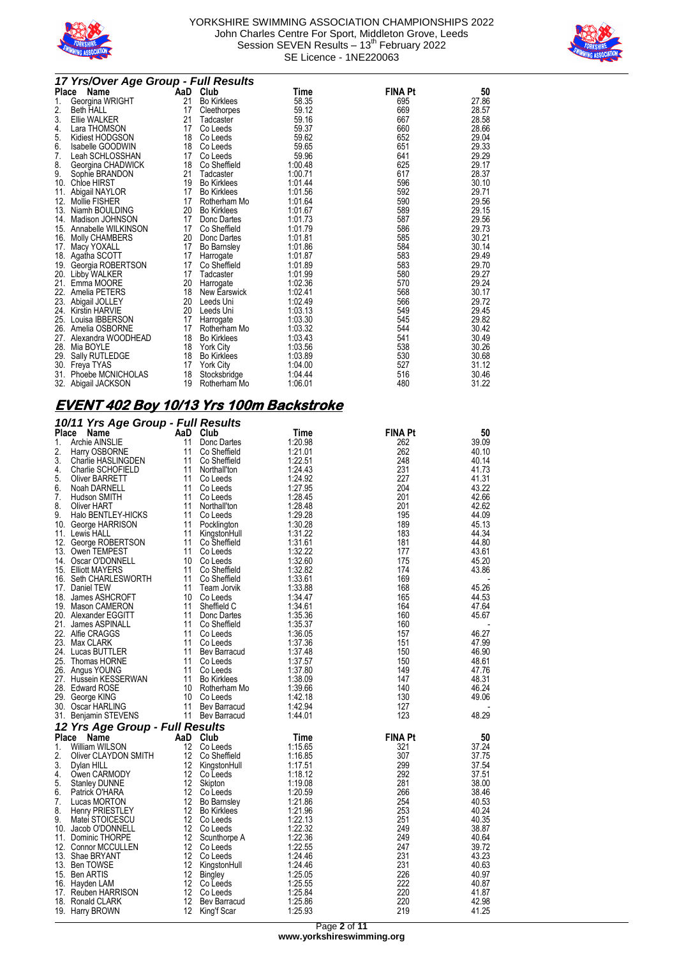



|     | 17 Yrs/Over Age Group - Full Results |    |                    |                    |                |       |  |
|-----|--------------------------------------|----|--------------------|--------------------|----------------|-------|--|
|     | Place Name                           |    | AaD Club           | Time               | <b>FINA Pt</b> | 50    |  |
| 1.  | Georgina WRIGHT                      | 21 | <b>Bo Kirklees</b> | 58.35              | 695            | 27.86 |  |
| 2.  | <b>Beth HALL</b>                     | 17 | Cleethorpes        | 59.12              | 669            | 28.57 |  |
| 3.  | <b>Ellie WALKER</b>                  | 21 | Tadcaster          | 59.16              | 667            | 28.58 |  |
| 4.  | Lara THOMSON                         | 17 | Co Leeds           | 59.37              | 660            | 28.66 |  |
| 5.  | Kidiest HODGSON                      | 18 | Co Leeds           | 59.62              | 652            | 29.04 |  |
| 6.  | Isabelle GOODWIN                     | 18 | Co Leeds           | 59.65              | 651            | 29.33 |  |
| 7.  | Leah SCHLOSSHAN                      | 17 | Co Leeds           | 59.96              | 641            | 29.29 |  |
| 8.  | Georgina CHADWICK                    | 18 | Co Sheffield       | 1:00.48            | 625            | 29.17 |  |
| 9.  | Sophie BRANDON                       | 21 | Tadcaster          | 1:00.71            | 617            | 28.37 |  |
| 10. | <b>Chloe HIRST</b>                   | 19 | <b>Bo Kirklees</b> | 1:01.44            | 596            | 30.10 |  |
| 11. | Abigail NAYLOR                       | 17 | <b>Bo Kirklees</b> | 1:01.56            | 592            | 29.71 |  |
| 12. | <b>Mollie FISHER</b>                 | 17 | Rotherham Mo       | 1:01.64            | 590            | 29.56 |  |
| 13. | Niamh BOULDING                       | 20 | <b>Bo Kirklees</b> | 1:01.67            | 589            | 29.15 |  |
| 14. | Madison JOHNSON                      | 17 | Donc Dartes        | 1:01.73            | 587            | 29.56 |  |
| 15. | Annabelle WILKINSON                  | 17 | Co Sheffield       | 1:01.79            | 586            | 29.73 |  |
| 16. | Molly CHAMBERS                       | 20 | Donc Dartes        | 1:01.81            | 585            | 30.21 |  |
| 17. | Macy YOXALL                          | 17 | <b>Bo Barnsley</b> | 1:01.86            | 584            | 30.14 |  |
| 18. | Agatha SCOTT                         | 17 | Harrogate          | 1:01.87            | 583            | 29.49 |  |
| 19. | Georgia ROBERTSON                    | 17 | Co Sheffield       | 1:01.89            | 583            | 29.70 |  |
| 20. | Libby WALKER                         | 17 | Tadcaster          | 1:01.99            | 580            | 29.27 |  |
| 21. | Emma MOORE                           | 20 | Harrogate          | 1:02.36            | 570            | 29.24 |  |
|     | 22. Amelia PETERS                    | 18 | New Earswick       | 1:02.41            | 568            | 30.17 |  |
| 23. | Abigail JOLLEY                       | 20 | Leeds Uni          | 1:02.49            | 566            | 29.72 |  |
| 24. | <b>Kirstin HARVIE</b>                | 20 | Leeds Uni          | 1:03.13            | 549            | 29.45 |  |
| 25. | Louisa IBBERSON                      | 17 | Harrogate          | 1:03.30            | 545            | 29.82 |  |
| 26. | Amelia OSBORNE                       | 17 | Rotherham Mo       | 1:03.32            | 544            | 30.42 |  |
|     | 27. Alexandra WOODHEAD               | 18 | <b>Bo Kirklees</b> | 1:03.43            | 541            | 30.49 |  |
|     | 28. Mia BOYLE                        | 18 | <b>York City</b>   | 1:03.56            | 538            | 30.26 |  |
| 29. | Sally RUTLEDGE                       | 18 | <b>Bo Kirklees</b> | 1:03.89            | 530            | 30.68 |  |
| 30. | Freya TYAS                           | 17 | <b>York City</b>   | 1:04.00            | 527            | 31.12 |  |
| 31. | Phoebe MCNICHOLAS                    | 18 | Stocksbridge       | 1:04.44<br>1:06.01 | 516<br>480     | 30.46 |  |
| 32. | Abigail JACKSON                      | 19 | Rotherham Mo       |                    |                | 31.22 |  |

## **EVENT 402 Boy 10/13 Yrs 100m Backstroke**

|       | 10/11 Yrs Age Group - Full Results  |                  |                          |                    |                |                |
|-------|-------------------------------------|------------------|--------------------------|--------------------|----------------|----------------|
| Place | Name                                | AaD              | Club                     | Time               | <b>FINA Pt</b> | 50             |
| 1.    | Archie AINSLIE                      | 11               | Donc Dartes              | 1:20.98            | 262            | 39.09          |
| 2.    | Harry OSBORNE                       | 11               | Co Sheffield             | 1:21.01            | 262            | 40.10          |
| 3.    | Charlie HASLINGDEN                  | 11               | Co Sheffield             | 1:22.51            | 248            | 40.14          |
| 4.    | Charlie SCHOFIELD                   | 11               | Northall'ton             | 1:24.43            | 231            | 41.73          |
| 5.    | Oliver BARRETT                      | 11               | Co Leeds                 | 1:24.92            | 227            | 41.31          |
| 6.    | Noah DARNELL                        | 11               | Co Leeds                 | 1:27.95            | 204            | 43.22          |
| 7.    | Hudson SMITH                        |                  | 11 Co Leeds              | 1:28.45            | 201            | 42.66          |
| 8.    | Oliver HART                         | 11               | Northall'ton             | 1:28.48            | 201            | 42.62          |
| 9.    | Halo BENTLEY-HICKS                  | 11               | Co Leeds                 | 1:29.28            | 195            | 44.09          |
|       | 10. George HARRISON                 | 11               | Pocklington              | 1:30.28            | 189            | 45.13          |
|       | 11. Lewis HALL                      | 11               | KingstonHull             | 1:31.22            | 183            | 44.34          |
|       | 12. George ROBERTSON                | 11               | Co Sheffield             | 1:31.61            | 181            | 44.80          |
|       | 13. Owen TEMPEST                    | 11               | Co Leeds                 | 1:32.22            | 177            | 43.61          |
|       | 14. Oscar O'DONNELL                 |                  | 10 Co Leeds              | 1:32.60            | 175            | 45.20          |
|       | 15. Elliott MAYERS                  | 11               | Co Sheffield             | 1:32.82            | 174            | 43.86          |
|       | 16. Seth CHARLESWORTH               | 11               | Co Sheffield             | 1:33.61            | 169            |                |
|       | 17. Daniel TEW                      | 11               | Team Jorvik              | 1:33.88            | 168            | 45.26          |
|       | 18. James ASHCROFT                  | 10               | Co Leeds                 | 1:34.47            | 165            | 44.53          |
|       | 19. Mason CAMERON                   | 11               | Sheffield C              | 1:34.61            | 164            | 47.64          |
|       | 20. Alexander EGGITT                | 11               | Donc Dartes              | 1:35.36            | 160            | 45.67          |
| 21.   | James ASPINALL                      | 11               | Co Sheffield             | 1:35.37            | 160            |                |
|       | 22. Alfie CRAGGS                    | 11               | Co Leeds                 | 1:36.05            | 157            | 46.27          |
|       | 23. Max CLARK                       | 11               | Co Leeds                 | 1:37.36            | 151            | 47.99          |
|       | 24. Lucas BUTTLER                   | 11               | Bev Barracud             | 1:37.48            | 150            | 46.90          |
|       | 25. Thomas HORNE                    |                  | 11 Co Leeds              | 1:37.57            | 150            | 48.61          |
|       | 26. Angus YOUNG                     |                  | 11 Co Leeds              | 1:37.80            | 149            | 47.76          |
|       | 27. Hussein KESSERWAN               | 11               | <b>Bo Kirklees</b>       | 1:38.09            | 147            | 48.31          |
|       | 28. Edward ROSE                     |                  | 10 Rotherham Mo          | 1:39.66            | 140            | 46.24          |
|       | 29. George KING                     | 10               | Co Leeds                 | 1:42.18            | 130            | 49.06          |
|       | 30. Oscar HARLING                   | 11               | Bev Barracud             | 1:42.94            | 127            |                |
|       | 31. Benjamin STEVENS                | 11               | Bev Barracud             | 1:44.01            | 123            | 48.29          |
|       | 12 Yrs Age Group - Full Results     |                  |                          |                    |                |                |
|       | Place Name                          | AaD              | Club                     | Time               | <b>FINA Pt</b> | 50             |
| 1.    | William WILSON                      | 12               | Co Leeds                 | 1:15.65            | 321            | 37.24          |
| 2.    | Oliver CLAYDON SMITH                | 12               | Co Sheffield             | 1:16.85            | 307            | 37.75          |
| 3.    | Dylan HILL                          | 12               | KingstonHull             | 1:17.51            | 299            | 37.54          |
| 4.    | Owen CARMODY                        |                  | 12 Co Leeds              | 1:18.12            | 292            | 37.51          |
| 5.    | Stanley DUNNE                       | 12 <sup>12</sup> | Skipton                  | 1:19.08            | 281            | 38.00          |
| 6.    | Patrick O'HARA                      | 12 <sup>12</sup> | Co Leeds                 | 1:20.59            | 266            | 38.46          |
| 7.    | Lucas MORTON                        | 12               | Bo Barnsley              | 1:21.86            | 254            | 40.53          |
| 8.    | Henry PRIESTLEY                     | 12 <sup>2</sup>  | <b>Bo Kirklees</b>       | 1:21.96            | 253            | 40.24          |
| 9.    | Matei STOICESCU                     | 12               | Co Leeds                 | 1:22.13            | 251            | 40.35          |
|       | 10. Jacob O'DONNELL                 | 12               | Co Leeds                 | 1:22.32            | 249            | 38.87          |
|       | 11. Dominic THORPE                  | 12               | Scunthorpe A             | 1:22.36            | 249            | 40.64          |
|       | 12. Connor MCCULLEN                 |                  | 12 Co Leeds              | 1:22.55            | 247            | 39.72          |
|       | 13. Shae BRYANT                     | 12               | Co Leeds                 | 1:24.46            | 231            | 43.23          |
|       | 13. Ben TOWSE                       | 12               | KingstonHull             | 1:24.46            | 231            | 40.63          |
|       | 15. Ben ARTIS                       | 12               | Bingley                  | 1:25.05            | 226            | 40.97          |
|       | 16. Hayden LAM                      | 12<br>12         | Co Leeds                 | 1:25.55<br>1:25.84 | 222<br>220     | 40.87<br>41.87 |
| 17.   | Reuben HARRISON<br>18. Ronald CLARK | 12               | Co Leeds<br>Bev Barracud | 1:25.86            | 220            | 42.98          |
|       | 19. Harry BROWN                     | 12               | King'f Scar              | 1:25.93            | 219            | 41.25          |
|       |                                     |                  |                          |                    |                |                |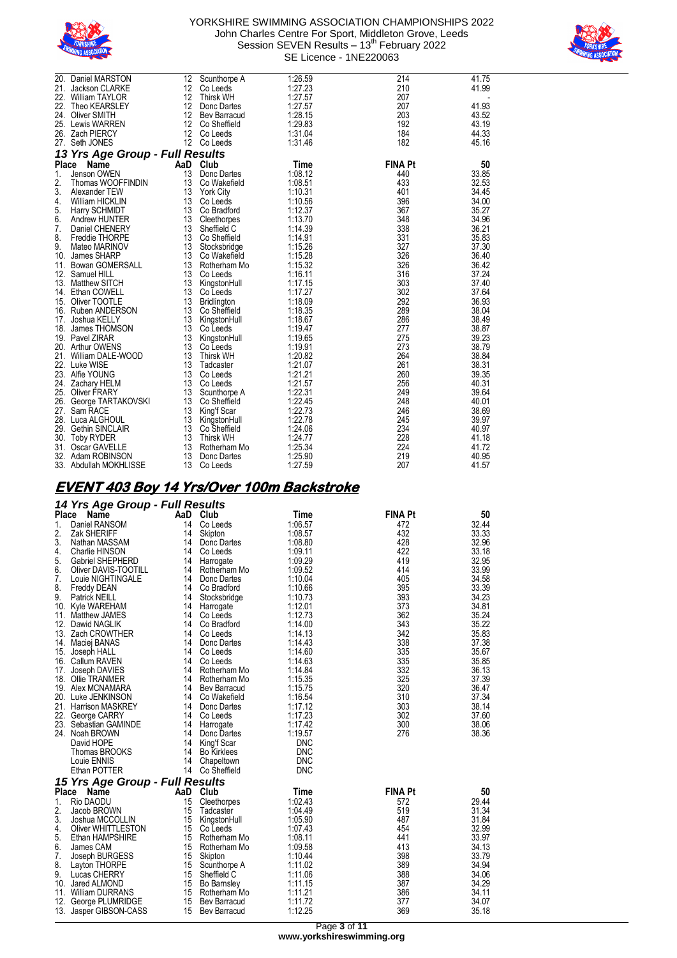



|              | 20. Daniel MARSTON                 | 12 | Scunthorpe A                    | 1:26.59            | 214            | 41.75          |
|--------------|------------------------------------|----|---------------------------------|--------------------|----------------|----------------|
|              | 21. Jackson CLARKE                 | 12 | Co Leeds                        | 1:27.23            | 210            | 41.99          |
| 22.          | <b>William TAYLOR</b>              |    | 12 Thirsk WH                    | 1:27.57            | 207            |                |
|              | 22. Theo KEARSLEY                  | 12 | Donc Dartes                     | 1:27.57            | 207            | 41.93          |
|              | 24. Oliver SMITH                   |    | 12 Bev Barracud                 | 1:28.15            | 203            | 43.52          |
|              | 25. Lewis WARREN                   |    | 12 Co Sheffield                 | 1:29.83            | 192            | 43.19          |
|              | 26. Zach PIERCY                    | 12 | Co Leeds                        | 1:31.04            | 184            | 44.33          |
|              | 27. Seth JONES                     |    | 12 Co Leeds                     | 1:31.46            | 182            | 45.16          |
|              | 13 Yrs Age Group - Full Results    |    |                                 |                    |                |                |
| <b>Place</b> | Name                               |    | AaD Club                        | Time               | <b>FINA Pt</b> | 50             |
| 1.           | Jenson OWEN                        | 13 | Donc Dartes                     | 1:08.12            | 440            | 33.85          |
| 2.           | Thomas WOOFFINDIN                  |    | 13 Co Wakefield                 | 1:08.51            | 433            | 32.53          |
| 3.           | Alexander TEW                      |    | 13 York City                    | 1:10.31            | 401            | 34.45          |
| 4.           | William HICKLIN                    |    | 13 Co Leeds                     | 1:10.56            | 396            | 34.00          |
| 5.           | Harry SCHMIDT                      |    | 13 Co Bradford                  | 1:12.37            | 367            | 35.27          |
| 6.           | Andrew HUNTER                      |    | 13 Cleethorpes                  | 1:13.70            | 348            | 34.96          |
| 7.           | Daniel CHENERY                     | 13 | Sheffield C                     | 1:14.39            | 338            | 36.21          |
| 8.           | Freddie THORPE                     |    | 13 Co Sheffield                 | 1:14.91            | 331            | 35.83          |
| 9.           | Mateo MARINOV                      |    | 13 Stocksbridge                 | 1:15.26            | 327            | 37.30          |
|              | 10. James SHARP                    | 13 | Co Wakefield                    | 1:15.28            | 326            | 36.40          |
| 11.          | <b>Bowan GOMERSALL</b>             |    | 13 Rotherham Mo                 | 1:15.32            | 326            | 36.42          |
|              | 12. Samuel HILL                    |    | 13 Co Leeds                     | 1:16.11            | 316            | 37.24          |
|              | 13. Matthew SITCH                  |    | 13 KingstonHull                 | 1:17.15            | 303            | 37.40          |
|              | 14. Ethan COWELL                   | 13 | Co Leeds                        | 1:17.27            | 302            | 37.64          |
|              | 15. Oliver TOOTLE                  |    | 13 Bridlington                  | 1:18.09            | 292            | 36.93          |
|              | 16. Ruben ANDERSON                 | 13 | Co Sheffield                    | 1:18.35            | 289            | 38.04          |
| 17.          | Joshua KELLY                       | 13 | KingstonHull                    | 1:18.67            | 286            | 38.49          |
|              | 18. James THOMSON                  |    | 13 Co Leeds                     | 1:19.47            | 277            | 38.87          |
|              | 19. Pavel ZIRAR                    |    | 13 KingstonHull                 | 1:19.65            | 275            | 39.23          |
|              | 20. Arthur OWENS                   | 13 | Co Leeds                        | 1:19.91            | 273            | 38.79          |
| 21.          | William DALE-WOOD                  | 13 | <b>Thirsk WH</b>                | 1:20.82            | 264            | 38.84          |
|              | 22. Luke WISE                      | 13 | Tadcaster                       | 1:21.07            | 261            | 38.31          |
|              | 23. Alfie YOUNG                    |    | 13 Co Leeds                     | 1:21.21            | 260            | 39.35          |
| 24.          | Zachary HELM                       |    | 13 Co Leeds                     | 1:21.57            | 256            | 40.31          |
|              | 25. Oliver FRARY                   | 13 | Scunthorpe A                    | 1:22.31            | 249            | 39.64          |
| 27.          | 26. George TARTAKOVSKI<br>Sam RACE | 13 | 13 Co Sheffield                 | 1:22.45<br>1:22.73 | 248<br>246     | 40.01<br>38.69 |
|              | 28. Luca ALGHOUL                   | 13 | King'f Scar                     | 1:22.78            | 245            | 39.97          |
|              | 29. Gethin SINCLAIR                |    | KingstonHull<br>13 Co Sheffield | 1:24.06            | 234            | 40.97          |
|              | 30. Toby RYDER                     |    | 13 Thirsk WH                    | 1:24.77            | 228            | 41.18          |
|              | 31. Oscar GAVELLE                  | 13 | Rotherham Mo                    | 1:25.34            | 224            | 41.72          |
|              | 32. Adam ROBINSON                  | 13 | Donc Dartes                     | 1:25.90            | 219            | 40.95          |
|              | 33. Abdullah MOKHLISSE             | 13 | Co Leeds                        | 1:27.59            | 207            | 41.57          |
|              |                                    |    |                                 |                    |                |                |

## **EVENT 403 Boy 14 Yrs/Over 100m Backstroke**

#### *14 Yrs Age Group - Full Results*

| <b>Place</b> | ັ<br>Name                       | AaD | Club               | <b>Time</b> | <b>FINA Pt</b> | 50    |
|--------------|---------------------------------|-----|--------------------|-------------|----------------|-------|
| 1.           | Daniel RANSOM                   | 14  | Co Leeds           | 1:06.57     | 472            | 32.44 |
| 2.           | Zak SHERIFF                     | 14  | Skipton            | 1:08.57     | 432            | 33.33 |
| 3.           | Nathan MASSAM                   | 14  | Donc Dartes        | 1:08.80     | 428            | 32.96 |
| 4.           | <b>Charlie HINSON</b>           | 14  | Co Leeds           | 1:09.11     | 422            | 33.18 |
| 5.           | <b>Gabriel SHEPHERD</b>         | 14  | Harrogate          | 1:09.29     | 419            | 32.95 |
| 6.           | Oliver DAVIS-TOOTILL            | 14  | Rotherham Mo       | 1:09.52     | 414            | 33.99 |
| 7.           | Louie NIGHTINGALE               | 14  | Donc Dartes        | 1:10.04     | 405            | 34.58 |
| 8.           | <b>Freddy DEAN</b>              |     | 14 Co Bradford     | 1:10.66     | 395            | 33.39 |
| 9.           | <b>Patrick NEILL</b>            | 14  | Stocksbridge       | 1:10.73     | 393            | 34.23 |
|              | 10. Kyle WAREHAM                | 14  | Harrogate          | 1:12.01     | 373            | 34.81 |
| 11.          | Matthew JAMES                   |     | 14 Co Leeds        | 1:12.73     | 362            | 35.24 |
| 12.          | Dawid NAGLIK                    | 14  | Co Bradford        | 1:14.00     | 343            | 35.22 |
|              | 13. Zach CROWTHER               | 14  | Co Leeds           | 1:14.13     | 342            | 35.83 |
|              | 14. Maciej BANAS                | 14  | Donc Dartes        | 1:14.43     | 338            | 37.38 |
|              | 15. Joseph HALL                 | 14  | Co Leeds           | 1:14.60     | 335            | 35.67 |
|              | 16. Callum RAVEN                | 14  | Co Leeds           | 1:14.63     | 335            | 35.85 |
| 17.          | Joseph DAVIES                   | 14  | Rotherham Mo       | 1:14.84     | 332            | 36.13 |
|              | 18. Ollie TRANMER               | 14  | Rotherham Mo       | 1:15.35     | 325            | 37.39 |
|              | 19. Alex MCNAMARA               | 14  | Bev Barracud       | 1:15.75     | 320            | 36.47 |
|              | 20. Luke JENKINSON              |     | 14 Co Wakefield    | 1:16.54     | 310            | 37.34 |
|              | 21. Harrison MASKREY            | 14  | Donc Dartes        | 1:17.12     | 303            | 38.14 |
|              | 22. George CARRY                |     | 14 Co Leeds        | 1:17.23     | 302            | 37.60 |
| 23.          | Sebastian GAMINDE               |     | 14 Harrogate       | 1:17.42     | 300            | 38.06 |
| 24.          | Noah BROWN                      | 14  | Donc Dartes        | 1:19.57     | 276            | 38.36 |
|              | David HOPE                      | 14  | King'f Scar        | <b>DNC</b>  |                |       |
|              | Thomas BROOKS                   | 14  | <b>Bo Kirklees</b> | <b>DNC</b>  |                |       |
|              | Louie ENNIS                     | 14  | Chapeltown         | <b>DNC</b>  |                |       |
|              | Ethan POTTER                    | 14  | Co Sheffield       | <b>DNC</b>  |                |       |
|              | 15 Yrs Age Group - Full Results |     |                    |             |                |       |
| Place        | Name                            | AaD | Club               | Time        | <b>FINA Pt</b> | 50    |
| 1.           | Rio DAODU                       | 15  | Cleethorpes        | 1:02.43     | 572            | 29.44 |
| 2.           | Jacob BROWN                     | 15  | Tadcaster          | 1:04.49     | 519            | 31.34 |
| 3.           | Joshua MCCOLLIN                 | 15  | KingstonHull       | 1:05.90     | 487            | 31.84 |
| 4.           | Oliver WHITTLESTON              | 15  | Co Leeds           | 1:07.43     | 454            | 32.99 |
| 5.           | Ethan HAMPSHIRE                 |     | 15 Rotherham Mo    | 1:08.11     | 441            | 33.97 |
| 6.           | James CAM                       | 15  | Rotherham Mo       | 1:09.58     | 413            | 34.13 |
| 7.           | Joseph BURGESS                  | 15  | Skipton            | 1:10.44     | 398            | 33.79 |
| 8.           | Layton THORPE                   |     | 15 Scunthorpe A    | 1:11.02     | 389            | 34.94 |
| 9.           | Lucas CHERRY                    | 15  | Sheffield C        | 1:11.06     | 388            | 34.06 |
|              | 10. Jared ALMOND                | 15  | <b>Bo Barnsley</b> | 1:11.15     | 387            | 34.29 |
|              | 11. William DURRANS             | 15  | Rotherham Mo       | 1:11.21     | 386            | 34.11 |
| 12.          | George PLUMRIDGE                | 15  | Bev Barracud       | 1:11.72     | 377            | 34.07 |
| 13.          | Jasper GIBSON-CASS              | 15  | Bev Barracud       | 1:12.25     | 369            | 35.18 |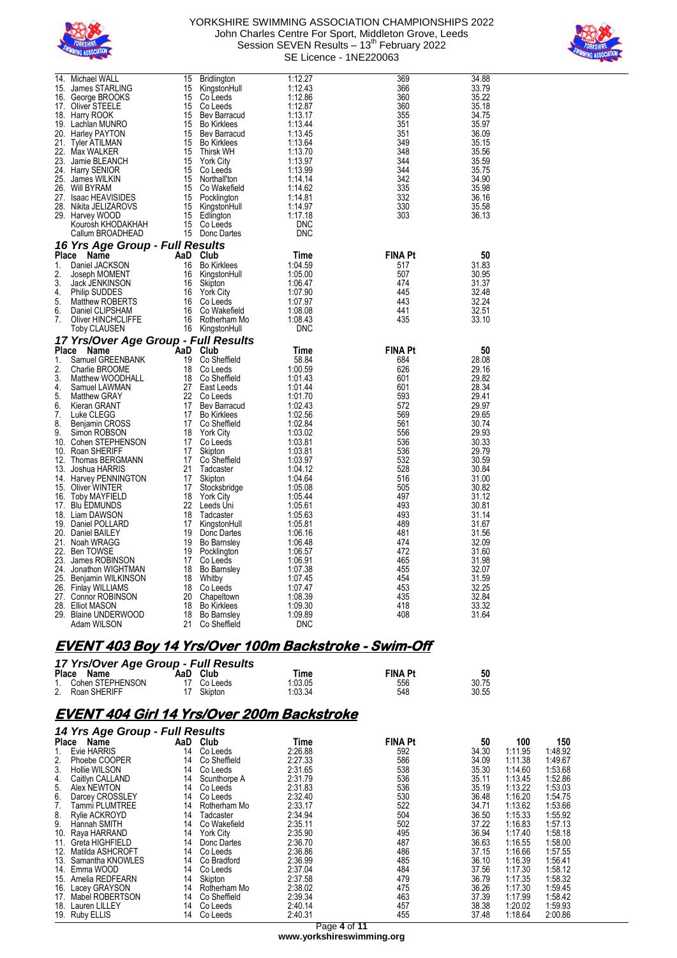



| Michael WALL<br>14.<br>James STARLING<br>15.<br>16.<br>George BROOKS<br>Oliver STEELE<br>17.<br>18.<br>Harry ROOK<br>19. Lachlan MUNRO<br>20. Harley PAYTON<br>21.<br>Tyler ATILMAN<br>22. Max WALKER<br>23.<br>Jamie BLEANCH<br>24.<br><b>Harry SENIOR</b><br>25.<br>James WILKIN<br>26.<br><b>Will BYRAM</b><br>27.<br><b>Isaac HEAVISIDES</b><br>28.<br>Nikita JELIZAROVS<br>29. Harvey WOOD<br>Kourosh KHODAKHAH<br>Callum BROADHEAD                                                                                                                                                                                                                                                                                                                   | 15<br><b>Bridlington</b><br>15<br>KingstonHull<br>15<br>Co Leeds<br>15<br>Co Leeds<br>15<br>Bev Barracud<br>15<br><b>Bo Kirklees</b><br>15<br>Bev Barracud<br>15<br><b>Bo Kirklees</b><br>15<br>Thirsk WH<br>15<br><b>York City</b><br>15<br>Co Leeds<br>15<br>Northall'ton<br>15<br>Co Wakefield<br>15<br>Pocklington<br>15<br>KingstonHull<br>15<br>Edlington<br>15<br>Co Leeds<br>15<br>Donc Dartes                                                                                                                                                                                                                                                              | 1:12.27<br>1:12.43<br>1:12.86<br>1:12.87<br>1:13.17<br>1:13.44<br>1:13.45<br>1:13.64<br>1:13.70<br>1:13.97<br>1:13.99<br>1:14.14<br>1:14.62<br>1:14.81<br>1:14.97<br>1:17.18<br><b>DNC</b><br>DNC                                                                                                                                | 369<br>366<br>360<br>360<br>355<br>351<br>351<br>349<br>348<br>344<br>344<br>342<br>335<br>332<br>330<br>303                                                                                            | 34.88<br>33.79<br>35.22<br>35.18<br>34.75<br>35.97<br>36.09<br>35.15<br>35.56<br>35.59<br>35.75<br>34.90<br>35.98<br>36.16<br>35.58<br>36.13                                                                                                                      |
|------------------------------------------------------------------------------------------------------------------------------------------------------------------------------------------------------------------------------------------------------------------------------------------------------------------------------------------------------------------------------------------------------------------------------------------------------------------------------------------------------------------------------------------------------------------------------------------------------------------------------------------------------------------------------------------------------------------------------------------------------------|---------------------------------------------------------------------------------------------------------------------------------------------------------------------------------------------------------------------------------------------------------------------------------------------------------------------------------------------------------------------------------------------------------------------------------------------------------------------------------------------------------------------------------------------------------------------------------------------------------------------------------------------------------------------|----------------------------------------------------------------------------------------------------------------------------------------------------------------------------------------------------------------------------------------------------------------------------------------------------------------------------------|---------------------------------------------------------------------------------------------------------------------------------------------------------------------------------------------------------|-------------------------------------------------------------------------------------------------------------------------------------------------------------------------------------------------------------------------------------------------------------------|
| 16 Yrs Age Group - Full Results                                                                                                                                                                                                                                                                                                                                                                                                                                                                                                                                                                                                                                                                                                                            |                                                                                                                                                                                                                                                                                                                                                                                                                                                                                                                                                                                                                                                                     |                                                                                                                                                                                                                                                                                                                                  |                                                                                                                                                                                                         |                                                                                                                                                                                                                                                                   |
| <b>Place</b><br>Name<br>1.<br>Daniel JACKSON<br>2.<br>Joseph MOMENT<br>3.<br>Jack JENKINSON<br>4.<br><b>Philip SUDDES</b><br>5.<br>Matthew ROBERTS<br>6.<br>Daniel CLIPSHAM<br>7.<br>Oliver HINCHCLIFFE<br>Toby CLAUSEN                                                                                                                                                                                                                                                                                                                                                                                                                                                                                                                                    | AaD<br>Club<br>16<br><b>Bo Kirklees</b><br>16<br>KingstonHull<br>16<br>Skipton<br>16<br><b>York City</b><br>16<br>Co Leeds<br>16<br>Co Wakefield<br>16<br>Rotherham Mo<br>16<br>KingstonHull                                                                                                                                                                                                                                                                                                                                                                                                                                                                        | Time<br>1:04.59<br>1:05.00<br>1:06.47<br>1:07.90<br>1:07.97<br>1:08.08<br>1:08.43<br><b>DNC</b>                                                                                                                                                                                                                                  | FINA Pt<br>517<br>507<br>474<br>445<br>443<br>441<br>435                                                                                                                                                | 50<br>31.83<br>30.95<br>31.37<br>32.48<br>32.24<br>32.51<br>33.10                                                                                                                                                                                                 |
| 17 Yrs/Over Age Group - Full Results<br>Place<br>Name                                                                                                                                                                                                                                                                                                                                                                                                                                                                                                                                                                                                                                                                                                      | AaD<br>Club                                                                                                                                                                                                                                                                                                                                                                                                                                                                                                                                                                                                                                                         | Time                                                                                                                                                                                                                                                                                                                             | <b>FINA Pt</b>                                                                                                                                                                                          | 50                                                                                                                                                                                                                                                                |
| Samuel GREENBANK<br>1.<br>2.<br>Charlie BROOME<br>3.<br>Matthew WOODHALL<br>4.<br>Samuel LAWMAN<br>5.<br><b>Matthew GRAY</b><br>6.<br>Kieran GRANT<br>7.<br>Luke CLEGG<br>8.<br>Benjamin CROSS<br>9.<br>Simon ROBSON<br>10.<br>Cohen STEPHENSON<br>Roan SHERIFF<br>10.<br>12.<br>Thomas BERGMANN<br>13.<br>Joshua HARRIS<br>Harvey PENNINGTON<br>14.<br>15.<br>Oliver WINTER<br>16.<br>Toby MAYFIELD<br><b>Blu EDMUNDS</b><br>17.<br>18. Liam DAWSON<br>19. Daniel POLLARD<br>20. Daniel BAILEY<br>21.<br>Noah WRAGG<br>22.<br>Ben TOWSE<br>23.<br>James ROBINSON<br>24.<br>Jonathon WIGHTMAN<br>25.<br>Benjamin WILKINSON<br><b>Finlay WILLIAMS</b><br>26.<br>27.<br><b>Connor ROBINSON</b><br>28.<br>Elliot MASON<br>29. Blaine UNDERWOOD<br>Adam WILSON | 19<br>Co Sheffield<br>18<br>Co Leeds<br>18<br>Co Sheffield<br>27<br>East Leeds<br>22<br>Co Leeds<br>17<br>Bev Barracud<br>17<br><b>Bo Kirklees</b><br>17<br>Co Sheffield<br>18<br><b>York City</b><br>17<br>Co Leeds<br>17<br>Skipton<br>17<br>Co Sheffield<br>21<br>Tadcaster<br>17<br>Skipton<br>17<br>Stocksbridge<br>18<br><b>York City</b><br>22<br>Leeds Uni<br>18<br>Tadcaster<br>17<br>KingstonHull<br>19<br>Donc Dartes<br>19<br><b>Bo Barnsley</b><br>19<br>Pocklington<br>17<br>Co Leeds<br>18<br><b>Bo Barnsley</b><br>18<br>Whitby<br>18<br>Co Leeds<br>20<br>Chapeltown<br>18<br><b>Bo Kirklees</b><br>18<br><b>Bo Barnsley</b><br>21<br>Co Sheffield | 58.84<br>1:00.59<br>1:01.43<br>1:01.44<br>1:01.70<br>1:02.43<br>1:02.56<br>1:02.84<br>1:03.02<br>1:03.81<br>1:03.81<br>1:03.97<br>1:04.12<br>1:04.64<br>1:05.08<br>1:05.44<br>1:05.61<br>1:05.63<br>1:05.81<br>1:06.16<br>1:06.48<br>1:06.57<br>1:06.91<br>1:07.38<br>1:07.45<br>1:07.47<br>1:08.39<br>1:09.30<br>1:09.89<br>DNC | 684<br>626<br>601<br>601<br>593<br>572<br>569<br>561<br>556<br>536<br>536<br>532<br>528<br>516<br>505<br>497<br>493<br>493<br>489<br>481<br>474<br>472<br>465<br>455<br>454<br>453<br>435<br>418<br>408 | 28.08<br>29.16<br>29.82<br>28.34<br>29.41<br>29.97<br>29.65<br>30.74<br>29.93<br>30.33<br>29.79<br>30.59<br>30.84<br>31.00<br>30.82<br>31.12<br>30.81<br>31.14<br>31.67<br>31.56<br>32.09<br>31.60<br>31.98<br>32.07<br>31.59<br>32.25<br>32.84<br>33.32<br>31.64 |

## **EVENT 403 Boy 14 Yrs/Over 100m Backstroke - Swim-Off**

| 17 Yrs/Over Age Group - Full Results |  |             |         |                |       |  |  |  |  |  |  |
|--------------------------------------|--|-------------|---------|----------------|-------|--|--|--|--|--|--|
| Place Name                           |  | AaD Club    | Time    | <b>FINA Pt</b> | 50    |  |  |  |  |  |  |
| Cohen STEPHENSON                     |  | 17 Co Leeds | 1:03.05 | 556            | 30.75 |  |  |  |  |  |  |
| 2. Roan SHERIFF                      |  | Skipton     | 1:03.34 | 548            | 30.55 |  |  |  |  |  |  |

### **EVENT 404 Girl 14 Yrs/Over 200m Backstroke**

### *14 Yrs Age Group - Full Results*

|       | i4 113 Age Group - Fuil Results |     |                  |         |                |       |         |         |  |  |  |
|-------|---------------------------------|-----|------------------|---------|----------------|-------|---------|---------|--|--|--|
| Place | Name                            | AaD | Club             | Time    | <b>FINA Pt</b> | 50    | 100     | 150     |  |  |  |
|       | Evie HARRIS                     | 14  | Co Leeds         | 2:26.88 | 592            | 34.30 | 1:11.95 | 1:48.92 |  |  |  |
| 2.    | Phoebe COOPER                   | 14  | Co Sheffield     | 2:27.33 | 586            | 34.09 | 1:11.38 | 1:49.67 |  |  |  |
| 3.    | Hollie WILSON                   | 14  | Co Leeds         | 2:31.65 | 538            | 35.30 | 1:14.60 | 1:53.68 |  |  |  |
| 4.    | Caitlyn CALLAND                 | 14  | Scunthorpe A     | 2:31.79 | 536            | 35.11 | 1:13.45 | 1:52.86 |  |  |  |
| 5.    | Alex NEWTON                     | 14  | Co Leeds         | 2:31.83 | 536            | 35.19 | 1:13.22 | 1:53.03 |  |  |  |
| 6.    | Darcey CROSSLEY                 | 14  | Co Leeds         | 2:32.40 | 530            | 36.48 | 1:16.20 | 1:54.75 |  |  |  |
| 7.    | Tammi PLUMTREE                  | 14  | Rotherham Mo     | 2:33.17 | 522            | 34.71 | 1:13.62 | 1:53.66 |  |  |  |
| 8.    | <b>Rylie ACKROYD</b>            | 14  | Tadcaster        | 2:34.94 | 504            | 36.50 | 1:15.33 | 1:55.92 |  |  |  |
| 9.    | Hannah SMITH                    | 14  | Co Wakefield     | 2:35.11 | 502            | 37.22 | 1:16.83 | 1:57.13 |  |  |  |
| 10.   | Raya HARRAND                    | 14  | <b>York City</b> | 2:35.90 | 495            | 36.94 | 1:17.40 | 1:58.18 |  |  |  |
|       | 11. Greta HIGHFIELD             | 14  | Donc Dartes      | 2:36.70 | 487            | 36.63 | 1:16.55 | 1:58.00 |  |  |  |
| 12.   | Matilda ASHCROFT                | 14  | Co Leeds         | 2:36.86 | 486            | 37.15 | 1:16.66 | 1:57.55 |  |  |  |
|       | 13. Samantha KNOWLES            | 14  | Co Bradford      | 2:36.99 | 485            | 36.10 | 1:16.39 | 1:56.41 |  |  |  |
|       | 14. Emma WOOD                   | 14  | Co Leeds         | 2:37.04 | 484            | 37.56 | 1:17.30 | 1:58.12 |  |  |  |
| 15.   | Amelia REDFEARN                 | 14  | Skipton          | 2:37.58 | 479            | 36.79 | 1:17.35 | 1:58.32 |  |  |  |
|       | 16. Lacey GRAYSON               | 14  | Rotherham Mo     | 2:38.02 | 475            | 36.26 | 1:17.30 | 1:59.45 |  |  |  |
| 17.   | Mabel ROBERTSON                 | 14  | Co Sheffield     | 2:39.34 | 463            | 37.39 | 1:17.99 | 1:58.42 |  |  |  |
| 18.   | Lauren LILLEY                   | 14  | Co Leeds         | 2:40.14 | 457            | 38.38 | 1:20.02 | 1:59.93 |  |  |  |
|       | 19. Ruby ELLIS                  | 14  | Co Leeds         | 2:40.31 | 455            | 37.48 | 1:18.64 | 2:00.86 |  |  |  |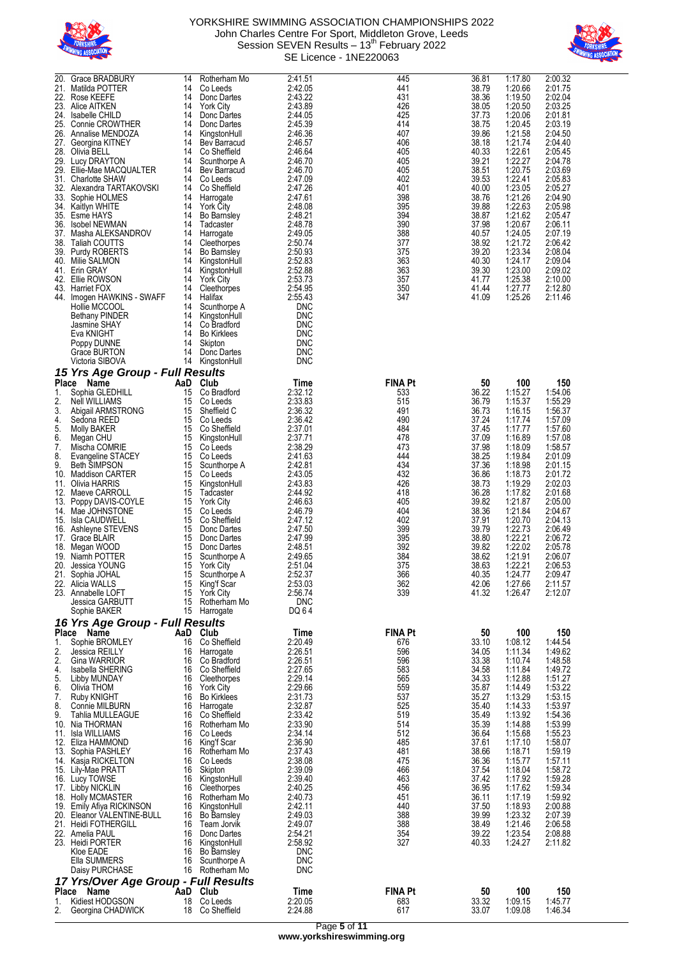



| 20.<br>21. | Grace BRADBURY<br>Matilda POTTER                        | 14<br>14 | Rotherham Mo<br>Co Leeds               | 2:41.51<br>2:42.05       | 445<br>441     | 36.81<br>38.79 | 1:17.80<br>1:20.66 | 2:00.32<br>2:01.75 |
|------------|---------------------------------------------------------|----------|----------------------------------------|--------------------------|----------------|----------------|--------------------|--------------------|
| 22.        | Rose KEEFE                                              | 14       | Donc Dartes                            | 2:43.22                  | 431            | 38.36          | 1:19.50            | 2:02.04            |
| 23.<br>24. | Alice AITKEN<br>Isabelle CHILD                          | 14<br>14 | <b>York City</b><br>Donc Dartes        | 2:43.89<br>2:44.05       | 426<br>425     | 38.05<br>37.73 | 1:20.50<br>1:20.06 | 2:03.25<br>2:01.81 |
| 26.        | 25. Connie CROWTHER<br>Annalise MENDOZA                 | 14<br>14 | Donc Dartes<br>KingstonHull            | 2:45.39<br>2:46.36       | 414<br>407     | 38.75<br>39.86 | 1:20.45<br>1:21.58 | 2:03.19<br>2:04.50 |
|            | 27. Georgina KITNEY                                     | 14       | Bev Barracud                           | 2:46.57                  | 406            | 38.18          | 1:21.74            | 2:04.40            |
|            | 28. Olivia BELL<br>29. Lucy DRAYTON                     | 14<br>14 | Co Sheffield<br>Scunthorpe A           | 2:46.64<br>2:46.70       | 405<br>405     | 40.33<br>39.21 | 1:22.61<br>1:22.27 | 2:05.45<br>2:04.78 |
| 29.        | Ellie-Mae MACQUALTER<br>31. Charlotte SHAW              | 14<br>14 | Bev Barracud<br>Co Leeds               | 2:46.70<br>2:47.09       | 405<br>402     | 38.51<br>39.53 | 1:20.75<br>1:22.41 | 2:03.69<br>2:05.83 |
| 32.        | Alexandra TARTAKOVSKI                                   | 14       | Co Sheffield                           | 2:47.26                  | 401            | 40.00          | 1:23.05            | 2:05.27            |
| 33.        | Sophie HOLMES<br>34. Kaitlyn WHITE                      | 14<br>14 | Harrogate<br><b>York City</b>          | 2:47.61<br>2:48.08       | 398<br>395     | 38.76<br>39.88 | 1:21.26<br>1:22.63 | 2:04.90<br>2:05.98 |
| 36.        | 35. Esme HAYS<br>Isobel NEWMAN                          | 14<br>14 | <b>Bo Barnsley</b><br>Tadcaster        | 2:48.21<br>2:48.78       | 394<br>390     | 38.87<br>37.98 | 1:21.62<br>1:20.67 | 2:05.47<br>2:06.11 |
| 37.        | Masha ALEKSANDROV                                       | 14       | Harrogate                              | 2:49.05                  | 388            | 40.57          | 1:24.05            | 2:07.19            |
| 38.<br>39. | Taliah COUTTS<br>Purdy ROBERTS                          | 14<br>14 | Cleethorpes<br><b>Bo Barnsley</b>      | 2:50.74<br>2:50.93       | 377<br>375     | 38.92<br>39.20 | 1:21.72<br>1:23.34 | 2:06.42<br>2:08.04 |
|            | 40. Milie SALMON                                        | 14       | KingstonHull                           | 2:52.83                  | 363            | 40.30          | 1:24.17            | 2:09.04            |
| 41.        | Erin GRAY<br>42. Ellie ROWSON                           | 14<br>14 | KingstonHull<br><b>York City</b>       | 2:52.88<br>2:53.73       | 363<br>357     | 39.30<br>41.77 | 1:23.00<br>1:25.38 | 2:09.02<br>2:10.00 |
|            | 43. Harriet FOX<br>44. Imogen HAWKINS - SWAFF           | 14<br>14 | Cleethorpes<br>Halifax                 | 2:54.95<br>2:55.43       | 350<br>347     | 41.44<br>41.09 | 1:27.77<br>1:25.26 | 2:12.80<br>2:11.46 |
|            | Hollie MCCOOL                                           | 14       | Scunthorpe A                           | <b>DNC</b>               |                |                |                    |                    |
|            | <b>Bethany PINDER</b><br>Jasmine SHAY                   | 14<br>14 | KingstonHull<br>Co Bradford            | <b>DNC</b><br><b>DNC</b> |                |                |                    |                    |
|            | Eva KNIGHT                                              | 14<br>14 | <b>Bo Kirklees</b>                     | <b>DNC</b><br><b>DNC</b> |                |                |                    |                    |
|            | Poppy DUNNE<br>Grace BURTON                             | 14       | Skipton<br>Donc Dartes                 | <b>DNC</b>               |                |                |                    |                    |
|            | Victoria SIBOVA                                         | 14       | KingstonHull                           | <b>DNC</b>               |                |                |                    |                    |
| Place      | 15 Yrs Age Group - Full Results<br>AaD<br>Name          |          | Club                                   | Time                     | <b>FINA Pt</b> | 50             | 100                | 150                |
| 1.<br>2.   | Sophia GLEDHILL<br>Nell WILLIAMS                        | 15<br>15 | Co Bradford<br>Co Leeds                | 2:32.12<br>2:33.83       | 533<br>515     | 36.22<br>36.79 | 1:15.27<br>1:15.37 | 1:54.06<br>1:55.29 |
| 3.         | Abigail ARMSTRONG                                       | 15       | Sheffield C                            | 2:36.32                  | 491            | 36.73          | 1:16.15            | 1:56.37            |
| 4.<br>5.   | Sedona REED<br>Molly BAKER                              | 15<br>15 | Co Leeds<br>Co Sheffield               | 2:36.42<br>2:37.01       | 490<br>484     | 37.24<br>37.45 | 1:17.74<br>1:17.77 | 1:57.09<br>1:57.60 |
| 6.         | Megan CHU                                               | 15       | KingstonHull                           | 2:37.71                  | 478            | 37.09          | 1:16.89            | 1:57.08            |
| 7.<br>8.   | Mischa COMRIE<br>Evangeline STACEY                      | 15<br>15 | Co Leeds<br>Co Leeds                   | 2:38.29<br>2:41.63       | 473<br>444     | 37.98<br>38.25 | 1:18.09<br>1:19.84 | 1:58.57<br>2:01.09 |
| 9.<br>10.  | <b>Beth SIMPSON</b><br><b>Maddison CARTER</b>           | 15<br>15 | Scunthorpe A<br>Co Leeds               | 2:42.81<br>2:43.05       | 434<br>432     | 37.36<br>36.86 | 1:18.98<br>1:18.73 | 2:01.15<br>2:01.72 |
|            | 11. Olivia HARRIS                                       | 15       | KingstonHull                           | 2:43.83                  | 426            | 38.73          | 1:19.29            | 2:02.03            |
| 12.<br>13. | Maeve CARROLL<br>Poppy DAVIS-COYLE                      | 15<br>15 | Tadcaster<br><b>York City</b>          | 2:44.92<br>2:46.63       | 418<br>405     | 36.28<br>39.82 | 1:17.82<br>1:21.87 | 2:01.68<br>2:05.00 |
|            | 14. Mae JOHNSTONE<br>15. Isla CAUDWELL                  | 15<br>15 | Co Leeds<br>Co Sheffield               | 2:46.79<br>2:47.12       | 404<br>402     | 38.36<br>37.91 | 1:21.84<br>1:20.70 | 2:04.67<br>2:04.13 |
| 16.        | Ashleyne STEVENS                                        | 15       | Donc Dartes                            | 2:47.50                  | 399            | 39.79          | 1:22.73            | 2:06.49            |
| 18.        | 17. Grace BLAIR<br>Megan WOOD                           | 15<br>15 | Donc Dartes<br>Donc Dartes             | 2:47.99<br>2:48.51       | 395<br>392     | 38.80<br>39.82 | 1:22.21<br>1:22.02 | 2:06.72<br>2:05.78 |
| 19.        | Niamh POTTER                                            | 15       | Scunthorpe A                           | 2:49.65                  | 384            | 38.62          | 1:21.91            | 2:06.07            |
| 20.<br>21. | Jessica YOUNG<br>Sophia JOHAL                           | 15<br>15 | <b>York City</b><br>Scunthorpe A       | 2:51.04<br>2:52.37       | 375<br>366     | 38.63<br>40.35 | 1:22.21<br>1:24.77 | 2:06.53<br>2:09.47 |
|            | 22. Alicia WALLS<br>23. Annabelle LOFT                  | 15<br>15 | King't Scar<br><b>York City</b>        | 2:53.03<br>2:56.74       | 362<br>339     | 42.Ub<br>41.32 | 1:27.66<br>1:26.47 | 2:11.57<br>2:12.07 |
|            | Jessica GARBUTT                                         | 15       | Rotherham Mo                           | <b>DNC</b>               |                |                |                    |                    |
|            | Sophie BAKER<br>16 Yrs Age Group - Full Results         |          | 15 Harrogate                           | DQ 64                    |                |                |                    |                    |
|            | Place Name<br>AaD                                       |          | Club                                   | Time                     | <b>FINA Pt</b> | 50             | 100                | 150                |
| 1.<br>2.   | Sophie BROMLEY<br>Jessica REILLY                        | 16<br>16 | Co Sheffield<br>Harrogate              | 2:20.49<br>2:26.51       | 676<br>596     | 33.10<br>34.05 | 1:08.12<br>1:11.34 | 1:44.54<br>1:49.62 |
| 2.         | Gina WARRIOR                                            | 16       | Co Bradford                            | 2:26.51                  | 596            | 33.38          | 1:10.74            | 1:48.58            |
| 4.<br>5.   | Isabella SHERING<br>Libby MUNDAY                        | 16<br>16 | Co Sheffield<br>Cleethorpes            | 2:27.65<br>2:29.14       | 583<br>565     | 34.58<br>34.33 | 1:11.84<br>1:12.88 | 1:49.72<br>1:51.27 |
| 6.<br>7.   | Olivia THOM<br><b>Ruby KNIGHT</b>                       | 16<br>16 | <b>York City</b><br><b>Bo Kirklees</b> | 2:29.66<br>2:31.73       | 559<br>537     | 35.87<br>35.27 | 1:14.49<br>1:13.29 | 1:53.22<br>1:53.15 |
| 8.         | Connie MILBURN                                          | 16       | Harrogate                              | 2:32.87                  | 525            | 35.40          | 1:14.33            | 1:53.97            |
| 9.<br>10.  | Tahlia MULLEAGUE<br>Nia THORMAN                         | 16<br>16 | Co Sheffield<br>Rotherham Mo           | 2:33.42<br>2:33.90       | 519<br>514     | 35.49<br>35.39 | 1:13.92<br>1:14.88 | 1:54.36<br>1:53.99 |
|            | 11. Isla WILLIAMS<br>12. Eliza HAMMOND                  | 16<br>16 | Co Leeds<br>King'f Scar                | 2:34.14<br>2:36.90       | 512<br>485     | 36.64<br>37.61 | 1:15.68<br>1:17.10 | 1:55.23<br>1:58.07 |
|            | 13. Sophia PASHLEY                                      | 16       | Rotherham Mo                           | 2:37.43                  | 481            | 38.66          | 1:18.71            | 1:59.19            |
|            | 14. Kasja RICKELTON<br>15. Lily-Mae PRATT               | 16<br>16 | Co Leeds<br>Skipton                    | 2:38.08<br>2:39.09       | 475<br>466     | 36.36<br>37.54 | 1:15.77<br>1:18.04 | 1:57.11<br>1:58.72 |
|            | 16. Lucy TOWSE                                          | 16       | KingstonHull                           | 2:39.40                  | 463            | 37.42          | 1:17.92            | 1:59.28            |
|            | 17. Libby NICKLIN<br>18. Holly MCMASTER                 | 16<br>16 | Cleethorpes<br>Rotherham Mo            | 2:40.25<br>2:40.73       | 456<br>451     | 36.95<br>36.11 | 1:17.62<br>1:17.19 | 1:59.34<br>1:59.92 |
|            | 19. Emily Afiya RICKINSON<br>20. Eleanor VALENTINE-BULL | 16<br>16 | KingstonHull<br><b>Bo Barnsley</b>     | 2:42.11<br>2:49.03       | 440<br>388     | 37.50<br>39.99 | 1:18.93<br>1:23.32 | 2:00.88<br>2:07.39 |
|            | 21. Heidi FOTHERGILL                                    | 16       | Team Jorvik                            | 2:49.07                  | 388            | 38.49          | 1:21.46            | 2:06.58            |
|            | 22. Amelia PAUL<br>23. Heidi PORTER                     | 16<br>16 | Donc Dartes<br>KingstonHull            | 2:54.21<br>2:58.92       | 354<br>327     | 39.22<br>40.33 | 1:23.54<br>1:24.27 | 2:08.88<br>2:11.82 |
|            | Kloe EADE<br>Ella SUMMERS                               | 16<br>16 | Bo Barnsley<br>Scunthorpe A            | <b>DNC</b><br><b>DNC</b> |                |                |                    |                    |
|            | Daisy PURCHASE                                          | 16       | Rotherham Mo                           | <b>DNC</b>               |                |                |                    |                    |
|            | 17 Yrs/Over Age Group - Full Results<br>Place Name      |          | Club                                   |                          | <b>FINA Pt</b> | 50             | 100                | 150                |
| 1.         | AaD<br>Kidiest HODGSON                                  | 18       | Co Leeds                               | Time<br>2:20.05          | 683            | 33.32          | 1:09.15            | 1:45.77            |
| 2.         | Georgina CHADWICK                                       | 18       | Co Sheffield                           | 2:24.88                  | 617            | 33.07          | 1:09.08            | 1:46.34            |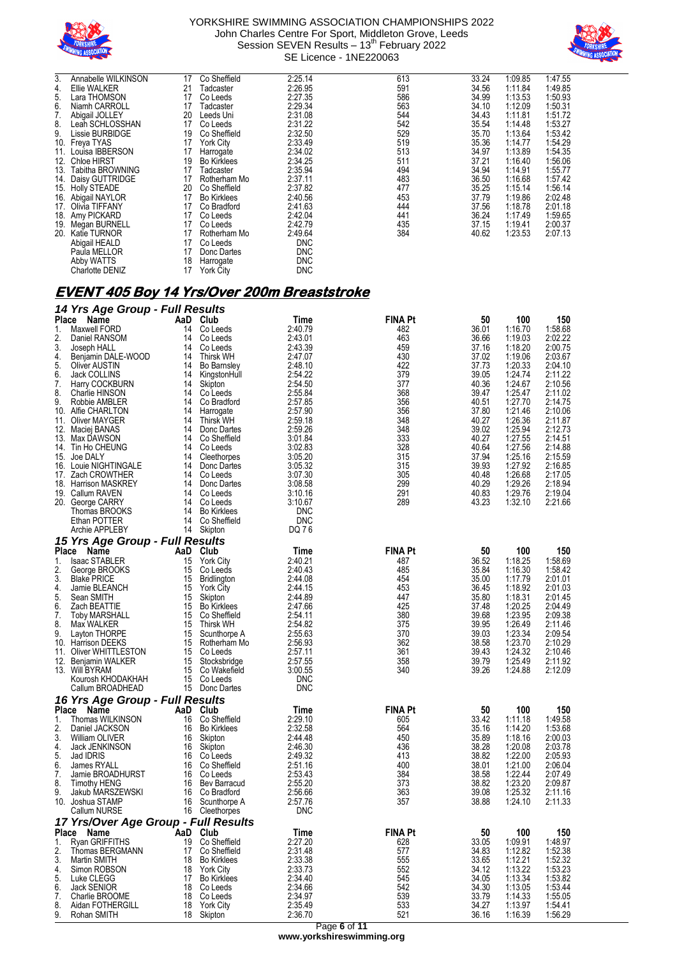



| 3.  | Annabelle WILKINSON    | 17 | Co Sheffield       | 2:25.14    | 613 | 33.24 | 1:09.85 | 1:47.55 |
|-----|------------------------|----|--------------------|------------|-----|-------|---------|---------|
| 4.  | Ellie WALKER           | 21 | Tadcaster          | 2:26.95    | 591 | 34.56 | 1:11.84 | 1:49.85 |
| 5.  | Lara THOMSON           | 17 | Co Leeds           | 2:27.35    | 586 | 34.99 | 1:13.53 | 1:50.93 |
| 6.  | Niamh CARROLL          | 17 | Tadcaster          | 2:29.34    | 563 | 34.10 | 1:12.09 | 1:50.31 |
| 7.  | Abigail JOLLEY         | 20 | Leeds Uni          | 2:31.08    | 544 | 34.43 | 1:11.81 | 1:51.72 |
| 8.  | Leah SCHLOSSHAN        | 17 | Co Leeds           | 2:31.22    | 542 | 35.54 | 1:14.48 | 1:53.27 |
| 9.  | Lissie BURBIDGE        | 19 | Co Sheffield       | 2:32.50    | 529 | 35.70 | 1:13.64 | 1:53.42 |
| 10. | Freya TYAS             | 17 | <b>York City</b>   | 2:33.49    | 519 | 35.36 | 1:14.77 | 1:54.29 |
| 11. | Louisa IBBERSON        | 17 | Harrogate          | 2:34.02    | 513 | 34.97 | 1:13.89 | 1:54.35 |
| 12. | <b>Chloe HIRST</b>     | 19 | <b>Bo Kirklees</b> | 2:34.25    | 511 | 37.21 | 1:16.40 | 1:56.06 |
| 13. | Tabitha BROWNING       | 17 | Tadcaster          | 2:35.94    | 494 | 34.94 | 1:14.91 | 1:55.77 |
|     | 14. Daisy GUTTRIDGE    | 17 | Rotherham Mo       | 2:37.11    | 483 | 36.50 | 1:16.68 | 1:57.42 |
|     | 15. Holly STEADE       | 20 | Co Sheffield       | 2:37.82    | 477 | 35.25 | 1:15.14 | 1:56.14 |
|     | 16. Abigail NAYLOR     | 17 | <b>Bo Kirklees</b> | 2:40.56    | 453 | 37.79 | 1:19.86 | 2:02.48 |
|     | 17. Olivia TIFFANY     | 17 | Co Bradford        | 2:41.63    | 444 | 37.56 | 1:18.78 | 2:01.18 |
|     | 18. Amy PICKARD        | 17 | Co Leeds           | 2:42.04    | 441 | 36.24 | 1:17.49 | 1:59.65 |
| 19. | Megan BURNELL          | 17 | Co Leeds           | 2:42.79    | 435 | 37.15 | 1:19.41 | 2:00.37 |
| 20. | Katie TURNOR           | 17 | Rotherham Mo       | 2:49.64    | 384 | 40.62 | 1:23.53 | 2:07.13 |
|     | Abigail HEALD          | 17 | Co Leeds           | <b>DNC</b> |     |       |         |         |
|     | Paula MELLOR           | 17 | Donc Dartes        | <b>DNC</b> |     |       |         |         |
|     | Abby WATTS             | 18 | Harrogate          | <b>DNC</b> |     |       |         |         |
|     | <b>Charlotte DENIZ</b> | 17 | <b>York City</b>   | <b>DNC</b> |     |       |         |         |

### **EVENT 405 Boy 14 Yrs/Over 200m Breaststroke**

| <b>Place</b><br>AaD<br>Name<br>Club<br>Time<br>FINA Pt<br>50<br>100<br>150<br>2:40.79<br>482<br>36.01<br>1:16.70<br>1:58.68<br>1.<br>Maxwell FORD<br>14<br>Co Leeds<br>463<br>2.<br>2:43.01<br>1:19.03<br>2:02.22<br>Daniel RANSOM<br>14<br>Co Leeds<br>36.66<br>459<br>3.<br>2:43.39<br>37.16<br>1:18.20<br>2:00.75<br>Joseph HALL<br>14<br>Co Leeds<br>430<br>Benjamin DALE-WOOD<br>37.02<br>1:19.06<br>2:03.67<br>4.<br>14<br><b>Thirsk WH</b><br>2:47.07<br>422<br>5.<br><b>Oliver AUSTIN</b><br>37.73<br>1:20.33<br>2:04.10<br>14<br><b>Bo Barnsley</b><br>2:48.10<br>379<br>1:24.74<br>Jack COLLINS<br>2:54.22<br>39.05<br>2:11.22<br>6.<br>14<br>KingstonHull<br>2:54.50<br>377<br>40.36<br>1:24.67<br>2:10.56<br>7.<br>Harry COCKBURN<br>14<br>Skipton<br>2:55.84<br>368<br>39.47<br>1:25.47<br>2:11.02<br>8.<br>Charlie HINSON<br>14<br>Co Leeds<br>356<br>9.<br>Robbie AMBLER<br>2:57.85<br>40.51<br>1:27.70<br>2:14.75<br>14<br>Co Bradford<br>356<br>37.80<br>1:21.46<br>2:10.06<br>10.<br>Alfie CHARLTON<br>14<br>Harrogate<br>2:57.90<br>348<br>2:59.18<br>40.27<br>1:26.36<br>2:11.87<br>11. Oliver MAYGER<br>14<br><b>Thirsk WH</b><br>348<br>1:25.94<br>2:59.26<br>39.02<br>2:12.73<br>12. Maciej BANAS<br>14<br>Donc Dartes<br>333<br>13. Max DAWSON<br>3:01.84<br>40.27<br>1:27.55<br>2:14.51<br>14<br>Co Sheffield<br>328<br>3:02.83<br>40.64<br>1:27.56<br>2:14.88<br>14. Tin Ho CHEUNG<br>14<br>Co Leeds<br>37.94<br>1:25.16<br>15. Joe DALY<br>3:05.20<br>315<br>2:15.59<br>14<br>Cleethorpes<br>3:05.32<br>315<br>39.93<br>1:27.92<br>2:16.85<br>16. Louie NIGHTINGALE<br>14<br>Donc Dartes<br>17. Zach CROWTHER<br>3:07.30<br>305<br>40.48<br>1:26.68<br>2:17.05<br>14<br>Co Leeds<br>299<br>1:29.26<br>18. Harrison MASKREY<br>3:08.58<br>40.29<br>2:18.94<br>14<br>Donc Dartes<br>19. Callum RAVEN<br>291<br>1:29.76<br>2:19.04<br>14<br>Co Leeds<br>3:10.16<br>40.83<br>289<br>43.23<br>1:32.10<br>2:21.66<br>20. George CARRY<br>14<br>Co Leeds<br>3:10.67<br><b>DNC</b><br>Thomas BROOKS<br>14<br><b>Bo Kirklees</b><br><b>DNC</b><br>Ethan POTTER<br>14<br>Co Sheffield<br>Archie APPLEBY<br>DQ 76<br>14<br>Skipton<br>15 Yrs Age Group - Full Results<br>Place<br>Club<br><b>FINA Pt</b><br>50<br>100<br>Name<br>AaD<br>Time<br>150<br>36.52<br>1:18.25<br><b>Isaac STABLER</b><br>2:40.21<br>487<br>1:58.69<br>1.<br>15<br><b>York City</b><br>2.<br>1:16.30<br>George BROOKS<br>2:40.43<br>485<br>35.84<br>1:58.42<br>15<br>Co Leeds<br>3.<br>454<br>35.00<br>1:17.79<br><b>Blake PRICE</b><br>15<br><b>Bridlington</b><br>2:44.08<br>2:01.01<br>453<br>Jamie BLEANCH<br>2:44.15<br>36.45<br>1:18.92<br>2:01.03<br>4.<br>15<br><b>York City</b><br>2:44.89<br>447<br>35.80<br>1:18.31<br>2:01.45<br>5.<br>Sean SMITH<br>15<br>Skipton<br>6.<br>15<br>425<br>37.48<br>1:20.25<br>2:04.49<br>Zach BEATTIE<br><b>Bo Kirklees</b><br>2:47.66<br>39.68<br>1:23.95<br>7.<br>Co Sheffield<br>2:54.11<br>380<br>2:09.38<br><b>Toby MARSHALL</b><br>15<br>1:26.49<br>8.<br>375<br>39.95<br>2:11.46<br>Max WALKER<br>15<br><b>Thirsk WH</b><br>2:54.82<br>9.<br>370<br>39.03<br>1:23.34<br>2:09.54<br>Layton THORPE<br>15<br>Scunthorpe A<br>2:55.63<br>362<br>38.58<br>1:23.70<br>15<br>2:56.93<br>2:10.29<br>10.<br><b>Harrison DEEKS</b><br>Rotherham Mo<br>11. Oliver WHITTLESTON<br>2:57.11<br>361<br>39.43<br>1:24.32<br>2:10.46<br>15<br>Co Leeds<br>358<br>39.79<br>1:25.49<br>2:11.92<br>12. Benjamin WALKER<br>15<br>Stocksbridge<br>2:57.55<br>13. Will BYRAM<br>15<br>3:00.55<br>340<br>39.26<br>1:24.88<br>2:12.09<br>Co Wakefield<br>Kourosh KHODAKHAH<br>15<br>Co Leeds<br><b>DNC</b><br><b>DNC</b><br>Callum BROADHEAD<br>15 Donc Dartes<br>16 Yrs Age Group - Full Results<br>Place<br>AaD<br>Club<br><b>FINA Pt</b><br>100<br>150<br>Name<br>Time<br>50<br>2:29.10<br>1.<br>Co Sheffield<br>605<br>33.42<br>1:11.18<br>1:49.58<br>Thomas WILKINSON<br>16<br>2.<br>2:32.58<br>564<br>35.16<br>1:14.20<br>1:53.68<br>Daniel JACKSON<br>16<br><b>Bo Kirklees</b><br>3.<br>William OLIVER<br>2:44.48<br>450<br>35.89<br>1:18.16<br>2:00.03<br>16<br>Skipton<br>38.28<br>2:46.30<br>436<br>1:20.08<br>2:03.78<br>Jack JENKINSON<br>Skipton<br>4.<br>16<br>413<br>1:22.00<br>2:05.93<br>5.<br>Jad IDRIS<br>16<br>Co Leeds<br>2:49.32<br>38.82<br>2:51.16<br>400<br>38.01<br>1:21.00<br>2:06.04<br>6.<br>James RYALL<br>16<br>Co Sheffield<br>384<br>1:22.44<br>Jamie BROADHURST<br>2:53.43<br>38.58<br>2:07.49<br>7.<br>Co Leeds<br>16<br>8.<br>2:55.20<br>373<br>38.82<br>1:23.20<br>2:09.87<br><b>Timothy HENG</b><br>16<br>Bev Barracud<br>9.<br>363<br>39.08<br>1:25.32<br>2:11.16<br>Jakub MARSZEWSKI<br>16<br>Co Bradford<br>2:56.66<br>Joshua STAMP<br>2:57.76<br>357<br>38.88<br>1:24.10<br>2:11.33<br>10.<br>Scunthorpe A<br>16<br>Callum NURSE<br>16 Cleethorpes<br><b>DNC</b><br>17 Yrs/Over Age Group - Full Results<br>Place Name<br>AaD Club<br><b>FINA Pt</b><br>50<br>100<br>150<br>Time<br>Ryan GRIFFITHS<br>2:27.20<br>33.05<br>1:48.97<br>1.<br>19 Co Sheffield<br>628<br>1:09.91<br>2.<br>2:31.48<br>577<br>1:12.82<br>1:52.38<br>17 Co Sheffield<br>34.83<br>Thomas BERGMANN<br>3.<br>555<br>2:33.38<br>33.65<br>1:12.21<br>1:52.32<br>Martin SMITH<br>18 Bo Kirklees<br>2:33.73<br>552<br>34.12<br>1:13.22<br>1:53.23<br>Simon ROBSON<br>18 York City<br>4.<br>545<br>2:34.40<br>34.05<br>1:13.34<br>1:53.82<br>5.<br>17 Bo Kirklees<br>Luke CLEGG<br>542<br>1:53.44<br>34.30<br>1:13.05<br>6.<br>2:34.66<br>Jack SENIOR<br>18 Co Leeds<br>2:34.97<br>539<br>1:55.05<br>7.<br>Charlie BROOME<br>18 Co Leeds<br>33.79<br>1:14.33<br>533<br>8.<br>2:35.49<br>1:13.97<br>1:54.41<br>Aidan FOTHERGILL<br>18 York City<br>34.27<br>521<br>9.<br>Rohan SMITH<br>2:36.70<br>36.16<br>1:16.39<br>1:56.29<br>18 Skipton | 14 Yrs Age Group - Full Results |  |  |  |  |
|--------------------------------------------------------------------------------------------------------------------------------------------------------------------------------------------------------------------------------------------------------------------------------------------------------------------------------------------------------------------------------------------------------------------------------------------------------------------------------------------------------------------------------------------------------------------------------------------------------------------------------------------------------------------------------------------------------------------------------------------------------------------------------------------------------------------------------------------------------------------------------------------------------------------------------------------------------------------------------------------------------------------------------------------------------------------------------------------------------------------------------------------------------------------------------------------------------------------------------------------------------------------------------------------------------------------------------------------------------------------------------------------------------------------------------------------------------------------------------------------------------------------------------------------------------------------------------------------------------------------------------------------------------------------------------------------------------------------------------------------------------------------------------------------------------------------------------------------------------------------------------------------------------------------------------------------------------------------------------------------------------------------------------------------------------------------------------------------------------------------------------------------------------------------------------------------------------------------------------------------------------------------------------------------------------------------------------------------------------------------------------------------------------------------------------------------------------------------------------------------------------------------------------------------------------------------------------------------------------------------------------------------------------------------------------------------------------------------------------------------------------------------------------------------------------------------------------------------------------------------------------------------------------------------------------------------------------------------------------------------------------------------------------------------------------------------------------------------------------------------------------------------------------------------------------------------------------------------------------------------------------------------------------------------------------------------------------------------------------------------------------------------------------------------------------------------------------------------------------------------------------------------------------------------------------------------------------------------------------------------------------------------------------------------------------------------------------------------------------------------------------------------------------------------------------------------------------------------------------------------------------------------------------------------------------------------------------------------------------------------------------------------------------------------------------------------------------------------------------------------------------------------------------------------------------------------------------------------------------------------------------------------------------------------------------------------------------------------------------------------------------------------------------------------------------------------------------------------------------------------------------------------------------------------------------------------------------------------------------------------------------------------------------------------------------------------------------------------------------------------------------------------------------------------------------------------------------------------------------------------------------------------------------------------------------------------------------------------------------------------------------------------------------------------------------------------------------------------------------------------------------------------------------------------------------------------------------------------------------------------------------------------------------------------------------------------------------------------------------------------------------------------------------------------------------------------------------------------------------------------------------------------------------------------------------------------------------------------------------------------------------------------------------------------------------------------------------------------------------------------------------------------------|---------------------------------|--|--|--|--|
|                                                                                                                                                                                                                                                                                                                                                                                                                                                                                                                                                                                                                                                                                                                                                                                                                                                                                                                                                                                                                                                                                                                                                                                                                                                                                                                                                                                                                                                                                                                                                                                                                                                                                                                                                                                                                                                                                                                                                                                                                                                                                                                                                                                                                                                                                                                                                                                                                                                                                                                                                                                                                                                                                                                                                                                                                                                                                                                                                                                                                                                                                                                                                                                                                                                                                                                                                                                                                                                                                                                                                                                                                                                                                                                                                                                                                                                                                                                                                                                                                                                                                                                                                                                                                                                                                                                                                                                                                                                                                                                                                                                                                                                                                                                                                                                                                                                                                                                                                                                                                                                                                                                                                                                                                                                                                                                                                                                                                                                                                                                                                                                                                                                                                                                                                                          |                                 |  |  |  |  |
|                                                                                                                                                                                                                                                                                                                                                                                                                                                                                                                                                                                                                                                                                                                                                                                                                                                                                                                                                                                                                                                                                                                                                                                                                                                                                                                                                                                                                                                                                                                                                                                                                                                                                                                                                                                                                                                                                                                                                                                                                                                                                                                                                                                                                                                                                                                                                                                                                                                                                                                                                                                                                                                                                                                                                                                                                                                                                                                                                                                                                                                                                                                                                                                                                                                                                                                                                                                                                                                                                                                                                                                                                                                                                                                                                                                                                                                                                                                                                                                                                                                                                                                                                                                                                                                                                                                                                                                                                                                                                                                                                                                                                                                                                                                                                                                                                                                                                                                                                                                                                                                                                                                                                                                                                                                                                                                                                                                                                                                                                                                                                                                                                                                                                                                                                                          |                                 |  |  |  |  |
|                                                                                                                                                                                                                                                                                                                                                                                                                                                                                                                                                                                                                                                                                                                                                                                                                                                                                                                                                                                                                                                                                                                                                                                                                                                                                                                                                                                                                                                                                                                                                                                                                                                                                                                                                                                                                                                                                                                                                                                                                                                                                                                                                                                                                                                                                                                                                                                                                                                                                                                                                                                                                                                                                                                                                                                                                                                                                                                                                                                                                                                                                                                                                                                                                                                                                                                                                                                                                                                                                                                                                                                                                                                                                                                                                                                                                                                                                                                                                                                                                                                                                                                                                                                                                                                                                                                                                                                                                                                                                                                                                                                                                                                                                                                                                                                                                                                                                                                                                                                                                                                                                                                                                                                                                                                                                                                                                                                                                                                                                                                                                                                                                                                                                                                                                                          |                                 |  |  |  |  |
|                                                                                                                                                                                                                                                                                                                                                                                                                                                                                                                                                                                                                                                                                                                                                                                                                                                                                                                                                                                                                                                                                                                                                                                                                                                                                                                                                                                                                                                                                                                                                                                                                                                                                                                                                                                                                                                                                                                                                                                                                                                                                                                                                                                                                                                                                                                                                                                                                                                                                                                                                                                                                                                                                                                                                                                                                                                                                                                                                                                                                                                                                                                                                                                                                                                                                                                                                                                                                                                                                                                                                                                                                                                                                                                                                                                                                                                                                                                                                                                                                                                                                                                                                                                                                                                                                                                                                                                                                                                                                                                                                                                                                                                                                                                                                                                                                                                                                                                                                                                                                                                                                                                                                                                                                                                                                                                                                                                                                                                                                                                                                                                                                                                                                                                                                                          |                                 |  |  |  |  |
|                                                                                                                                                                                                                                                                                                                                                                                                                                                                                                                                                                                                                                                                                                                                                                                                                                                                                                                                                                                                                                                                                                                                                                                                                                                                                                                                                                                                                                                                                                                                                                                                                                                                                                                                                                                                                                                                                                                                                                                                                                                                                                                                                                                                                                                                                                                                                                                                                                                                                                                                                                                                                                                                                                                                                                                                                                                                                                                                                                                                                                                                                                                                                                                                                                                                                                                                                                                                                                                                                                                                                                                                                                                                                                                                                                                                                                                                                                                                                                                                                                                                                                                                                                                                                                                                                                                                                                                                                                                                                                                                                                                                                                                                                                                                                                                                                                                                                                                                                                                                                                                                                                                                                                                                                                                                                                                                                                                                                                                                                                                                                                                                                                                                                                                                                                          |                                 |  |  |  |  |
|                                                                                                                                                                                                                                                                                                                                                                                                                                                                                                                                                                                                                                                                                                                                                                                                                                                                                                                                                                                                                                                                                                                                                                                                                                                                                                                                                                                                                                                                                                                                                                                                                                                                                                                                                                                                                                                                                                                                                                                                                                                                                                                                                                                                                                                                                                                                                                                                                                                                                                                                                                                                                                                                                                                                                                                                                                                                                                                                                                                                                                                                                                                                                                                                                                                                                                                                                                                                                                                                                                                                                                                                                                                                                                                                                                                                                                                                                                                                                                                                                                                                                                                                                                                                                                                                                                                                                                                                                                                                                                                                                                                                                                                                                                                                                                                                                                                                                                                                                                                                                                                                                                                                                                                                                                                                                                                                                                                                                                                                                                                                                                                                                                                                                                                                                                          |                                 |  |  |  |  |
|                                                                                                                                                                                                                                                                                                                                                                                                                                                                                                                                                                                                                                                                                                                                                                                                                                                                                                                                                                                                                                                                                                                                                                                                                                                                                                                                                                                                                                                                                                                                                                                                                                                                                                                                                                                                                                                                                                                                                                                                                                                                                                                                                                                                                                                                                                                                                                                                                                                                                                                                                                                                                                                                                                                                                                                                                                                                                                                                                                                                                                                                                                                                                                                                                                                                                                                                                                                                                                                                                                                                                                                                                                                                                                                                                                                                                                                                                                                                                                                                                                                                                                                                                                                                                                                                                                                                                                                                                                                                                                                                                                                                                                                                                                                                                                                                                                                                                                                                                                                                                                                                                                                                                                                                                                                                                                                                                                                                                                                                                                                                                                                                                                                                                                                                                                          |                                 |  |  |  |  |
|                                                                                                                                                                                                                                                                                                                                                                                                                                                                                                                                                                                                                                                                                                                                                                                                                                                                                                                                                                                                                                                                                                                                                                                                                                                                                                                                                                                                                                                                                                                                                                                                                                                                                                                                                                                                                                                                                                                                                                                                                                                                                                                                                                                                                                                                                                                                                                                                                                                                                                                                                                                                                                                                                                                                                                                                                                                                                                                                                                                                                                                                                                                                                                                                                                                                                                                                                                                                                                                                                                                                                                                                                                                                                                                                                                                                                                                                                                                                                                                                                                                                                                                                                                                                                                                                                                                                                                                                                                                                                                                                                                                                                                                                                                                                                                                                                                                                                                                                                                                                                                                                                                                                                                                                                                                                                                                                                                                                                                                                                                                                                                                                                                                                                                                                                                          |                                 |  |  |  |  |
|                                                                                                                                                                                                                                                                                                                                                                                                                                                                                                                                                                                                                                                                                                                                                                                                                                                                                                                                                                                                                                                                                                                                                                                                                                                                                                                                                                                                                                                                                                                                                                                                                                                                                                                                                                                                                                                                                                                                                                                                                                                                                                                                                                                                                                                                                                                                                                                                                                                                                                                                                                                                                                                                                                                                                                                                                                                                                                                                                                                                                                                                                                                                                                                                                                                                                                                                                                                                                                                                                                                                                                                                                                                                                                                                                                                                                                                                                                                                                                                                                                                                                                                                                                                                                                                                                                                                                                                                                                                                                                                                                                                                                                                                                                                                                                                                                                                                                                                                                                                                                                                                                                                                                                                                                                                                                                                                                                                                                                                                                                                                                                                                                                                                                                                                                                          |                                 |  |  |  |  |
|                                                                                                                                                                                                                                                                                                                                                                                                                                                                                                                                                                                                                                                                                                                                                                                                                                                                                                                                                                                                                                                                                                                                                                                                                                                                                                                                                                                                                                                                                                                                                                                                                                                                                                                                                                                                                                                                                                                                                                                                                                                                                                                                                                                                                                                                                                                                                                                                                                                                                                                                                                                                                                                                                                                                                                                                                                                                                                                                                                                                                                                                                                                                                                                                                                                                                                                                                                                                                                                                                                                                                                                                                                                                                                                                                                                                                                                                                                                                                                                                                                                                                                                                                                                                                                                                                                                                                                                                                                                                                                                                                                                                                                                                                                                                                                                                                                                                                                                                                                                                                                                                                                                                                                                                                                                                                                                                                                                                                                                                                                                                                                                                                                                                                                                                                                          |                                 |  |  |  |  |
|                                                                                                                                                                                                                                                                                                                                                                                                                                                                                                                                                                                                                                                                                                                                                                                                                                                                                                                                                                                                                                                                                                                                                                                                                                                                                                                                                                                                                                                                                                                                                                                                                                                                                                                                                                                                                                                                                                                                                                                                                                                                                                                                                                                                                                                                                                                                                                                                                                                                                                                                                                                                                                                                                                                                                                                                                                                                                                                                                                                                                                                                                                                                                                                                                                                                                                                                                                                                                                                                                                                                                                                                                                                                                                                                                                                                                                                                                                                                                                                                                                                                                                                                                                                                                                                                                                                                                                                                                                                                                                                                                                                                                                                                                                                                                                                                                                                                                                                                                                                                                                                                                                                                                                                                                                                                                                                                                                                                                                                                                                                                                                                                                                                                                                                                                                          |                                 |  |  |  |  |
|                                                                                                                                                                                                                                                                                                                                                                                                                                                                                                                                                                                                                                                                                                                                                                                                                                                                                                                                                                                                                                                                                                                                                                                                                                                                                                                                                                                                                                                                                                                                                                                                                                                                                                                                                                                                                                                                                                                                                                                                                                                                                                                                                                                                                                                                                                                                                                                                                                                                                                                                                                                                                                                                                                                                                                                                                                                                                                                                                                                                                                                                                                                                                                                                                                                                                                                                                                                                                                                                                                                                                                                                                                                                                                                                                                                                                                                                                                                                                                                                                                                                                                                                                                                                                                                                                                                                                                                                                                                                                                                                                                                                                                                                                                                                                                                                                                                                                                                                                                                                                                                                                                                                                                                                                                                                                                                                                                                                                                                                                                                                                                                                                                                                                                                                                                          |                                 |  |  |  |  |
|                                                                                                                                                                                                                                                                                                                                                                                                                                                                                                                                                                                                                                                                                                                                                                                                                                                                                                                                                                                                                                                                                                                                                                                                                                                                                                                                                                                                                                                                                                                                                                                                                                                                                                                                                                                                                                                                                                                                                                                                                                                                                                                                                                                                                                                                                                                                                                                                                                                                                                                                                                                                                                                                                                                                                                                                                                                                                                                                                                                                                                                                                                                                                                                                                                                                                                                                                                                                                                                                                                                                                                                                                                                                                                                                                                                                                                                                                                                                                                                                                                                                                                                                                                                                                                                                                                                                                                                                                                                                                                                                                                                                                                                                                                                                                                                                                                                                                                                                                                                                                                                                                                                                                                                                                                                                                                                                                                                                                                                                                                                                                                                                                                                                                                                                                                          |                                 |  |  |  |  |
|                                                                                                                                                                                                                                                                                                                                                                                                                                                                                                                                                                                                                                                                                                                                                                                                                                                                                                                                                                                                                                                                                                                                                                                                                                                                                                                                                                                                                                                                                                                                                                                                                                                                                                                                                                                                                                                                                                                                                                                                                                                                                                                                                                                                                                                                                                                                                                                                                                                                                                                                                                                                                                                                                                                                                                                                                                                                                                                                                                                                                                                                                                                                                                                                                                                                                                                                                                                                                                                                                                                                                                                                                                                                                                                                                                                                                                                                                                                                                                                                                                                                                                                                                                                                                                                                                                                                                                                                                                                                                                                                                                                                                                                                                                                                                                                                                                                                                                                                                                                                                                                                                                                                                                                                                                                                                                                                                                                                                                                                                                                                                                                                                                                                                                                                                                          |                                 |  |  |  |  |
|                                                                                                                                                                                                                                                                                                                                                                                                                                                                                                                                                                                                                                                                                                                                                                                                                                                                                                                                                                                                                                                                                                                                                                                                                                                                                                                                                                                                                                                                                                                                                                                                                                                                                                                                                                                                                                                                                                                                                                                                                                                                                                                                                                                                                                                                                                                                                                                                                                                                                                                                                                                                                                                                                                                                                                                                                                                                                                                                                                                                                                                                                                                                                                                                                                                                                                                                                                                                                                                                                                                                                                                                                                                                                                                                                                                                                                                                                                                                                                                                                                                                                                                                                                                                                                                                                                                                                                                                                                                                                                                                                                                                                                                                                                                                                                                                                                                                                                                                                                                                                                                                                                                                                                                                                                                                                                                                                                                                                                                                                                                                                                                                                                                                                                                                                                          |                                 |  |  |  |  |
|                                                                                                                                                                                                                                                                                                                                                                                                                                                                                                                                                                                                                                                                                                                                                                                                                                                                                                                                                                                                                                                                                                                                                                                                                                                                                                                                                                                                                                                                                                                                                                                                                                                                                                                                                                                                                                                                                                                                                                                                                                                                                                                                                                                                                                                                                                                                                                                                                                                                                                                                                                                                                                                                                                                                                                                                                                                                                                                                                                                                                                                                                                                                                                                                                                                                                                                                                                                                                                                                                                                                                                                                                                                                                                                                                                                                                                                                                                                                                                                                                                                                                                                                                                                                                                                                                                                                                                                                                                                                                                                                                                                                                                                                                                                                                                                                                                                                                                                                                                                                                                                                                                                                                                                                                                                                                                                                                                                                                                                                                                                                                                                                                                                                                                                                                                          |                                 |  |  |  |  |
|                                                                                                                                                                                                                                                                                                                                                                                                                                                                                                                                                                                                                                                                                                                                                                                                                                                                                                                                                                                                                                                                                                                                                                                                                                                                                                                                                                                                                                                                                                                                                                                                                                                                                                                                                                                                                                                                                                                                                                                                                                                                                                                                                                                                                                                                                                                                                                                                                                                                                                                                                                                                                                                                                                                                                                                                                                                                                                                                                                                                                                                                                                                                                                                                                                                                                                                                                                                                                                                                                                                                                                                                                                                                                                                                                                                                                                                                                                                                                                                                                                                                                                                                                                                                                                                                                                                                                                                                                                                                                                                                                                                                                                                                                                                                                                                                                                                                                                                                                                                                                                                                                                                                                                                                                                                                                                                                                                                                                                                                                                                                                                                                                                                                                                                                                                          |                                 |  |  |  |  |
|                                                                                                                                                                                                                                                                                                                                                                                                                                                                                                                                                                                                                                                                                                                                                                                                                                                                                                                                                                                                                                                                                                                                                                                                                                                                                                                                                                                                                                                                                                                                                                                                                                                                                                                                                                                                                                                                                                                                                                                                                                                                                                                                                                                                                                                                                                                                                                                                                                                                                                                                                                                                                                                                                                                                                                                                                                                                                                                                                                                                                                                                                                                                                                                                                                                                                                                                                                                                                                                                                                                                                                                                                                                                                                                                                                                                                                                                                                                                                                                                                                                                                                                                                                                                                                                                                                                                                                                                                                                                                                                                                                                                                                                                                                                                                                                                                                                                                                                                                                                                                                                                                                                                                                                                                                                                                                                                                                                                                                                                                                                                                                                                                                                                                                                                                                          |                                 |  |  |  |  |
|                                                                                                                                                                                                                                                                                                                                                                                                                                                                                                                                                                                                                                                                                                                                                                                                                                                                                                                                                                                                                                                                                                                                                                                                                                                                                                                                                                                                                                                                                                                                                                                                                                                                                                                                                                                                                                                                                                                                                                                                                                                                                                                                                                                                                                                                                                                                                                                                                                                                                                                                                                                                                                                                                                                                                                                                                                                                                                                                                                                                                                                                                                                                                                                                                                                                                                                                                                                                                                                                                                                                                                                                                                                                                                                                                                                                                                                                                                                                                                                                                                                                                                                                                                                                                                                                                                                                                                                                                                                                                                                                                                                                                                                                                                                                                                                                                                                                                                                                                                                                                                                                                                                                                                                                                                                                                                                                                                                                                                                                                                                                                                                                                                                                                                                                                                          |                                 |  |  |  |  |
|                                                                                                                                                                                                                                                                                                                                                                                                                                                                                                                                                                                                                                                                                                                                                                                                                                                                                                                                                                                                                                                                                                                                                                                                                                                                                                                                                                                                                                                                                                                                                                                                                                                                                                                                                                                                                                                                                                                                                                                                                                                                                                                                                                                                                                                                                                                                                                                                                                                                                                                                                                                                                                                                                                                                                                                                                                                                                                                                                                                                                                                                                                                                                                                                                                                                                                                                                                                                                                                                                                                                                                                                                                                                                                                                                                                                                                                                                                                                                                                                                                                                                                                                                                                                                                                                                                                                                                                                                                                                                                                                                                                                                                                                                                                                                                                                                                                                                                                                                                                                                                                                                                                                                                                                                                                                                                                                                                                                                                                                                                                                                                                                                                                                                                                                                                          |                                 |  |  |  |  |
|                                                                                                                                                                                                                                                                                                                                                                                                                                                                                                                                                                                                                                                                                                                                                                                                                                                                                                                                                                                                                                                                                                                                                                                                                                                                                                                                                                                                                                                                                                                                                                                                                                                                                                                                                                                                                                                                                                                                                                                                                                                                                                                                                                                                                                                                                                                                                                                                                                                                                                                                                                                                                                                                                                                                                                                                                                                                                                                                                                                                                                                                                                                                                                                                                                                                                                                                                                                                                                                                                                                                                                                                                                                                                                                                                                                                                                                                                                                                                                                                                                                                                                                                                                                                                                                                                                                                                                                                                                                                                                                                                                                                                                                                                                                                                                                                                                                                                                                                                                                                                                                                                                                                                                                                                                                                                                                                                                                                                                                                                                                                                                                                                                                                                                                                                                          |                                 |  |  |  |  |
|                                                                                                                                                                                                                                                                                                                                                                                                                                                                                                                                                                                                                                                                                                                                                                                                                                                                                                                                                                                                                                                                                                                                                                                                                                                                                                                                                                                                                                                                                                                                                                                                                                                                                                                                                                                                                                                                                                                                                                                                                                                                                                                                                                                                                                                                                                                                                                                                                                                                                                                                                                                                                                                                                                                                                                                                                                                                                                                                                                                                                                                                                                                                                                                                                                                                                                                                                                                                                                                                                                                                                                                                                                                                                                                                                                                                                                                                                                                                                                                                                                                                                                                                                                                                                                                                                                                                                                                                                                                                                                                                                                                                                                                                                                                                                                                                                                                                                                                                                                                                                                                                                                                                                                                                                                                                                                                                                                                                                                                                                                                                                                                                                                                                                                                                                                          |                                 |  |  |  |  |
|                                                                                                                                                                                                                                                                                                                                                                                                                                                                                                                                                                                                                                                                                                                                                                                                                                                                                                                                                                                                                                                                                                                                                                                                                                                                                                                                                                                                                                                                                                                                                                                                                                                                                                                                                                                                                                                                                                                                                                                                                                                                                                                                                                                                                                                                                                                                                                                                                                                                                                                                                                                                                                                                                                                                                                                                                                                                                                                                                                                                                                                                                                                                                                                                                                                                                                                                                                                                                                                                                                                                                                                                                                                                                                                                                                                                                                                                                                                                                                                                                                                                                                                                                                                                                                                                                                                                                                                                                                                                                                                                                                                                                                                                                                                                                                                                                                                                                                                                                                                                                                                                                                                                                                                                                                                                                                                                                                                                                                                                                                                                                                                                                                                                                                                                                                          |                                 |  |  |  |  |
|                                                                                                                                                                                                                                                                                                                                                                                                                                                                                                                                                                                                                                                                                                                                                                                                                                                                                                                                                                                                                                                                                                                                                                                                                                                                                                                                                                                                                                                                                                                                                                                                                                                                                                                                                                                                                                                                                                                                                                                                                                                                                                                                                                                                                                                                                                                                                                                                                                                                                                                                                                                                                                                                                                                                                                                                                                                                                                                                                                                                                                                                                                                                                                                                                                                                                                                                                                                                                                                                                                                                                                                                                                                                                                                                                                                                                                                                                                                                                                                                                                                                                                                                                                                                                                                                                                                                                                                                                                                                                                                                                                                                                                                                                                                                                                                                                                                                                                                                                                                                                                                                                                                                                                                                                                                                                                                                                                                                                                                                                                                                                                                                                                                                                                                                                                          |                                 |  |  |  |  |
|                                                                                                                                                                                                                                                                                                                                                                                                                                                                                                                                                                                                                                                                                                                                                                                                                                                                                                                                                                                                                                                                                                                                                                                                                                                                                                                                                                                                                                                                                                                                                                                                                                                                                                                                                                                                                                                                                                                                                                                                                                                                                                                                                                                                                                                                                                                                                                                                                                                                                                                                                                                                                                                                                                                                                                                                                                                                                                                                                                                                                                                                                                                                                                                                                                                                                                                                                                                                                                                                                                                                                                                                                                                                                                                                                                                                                                                                                                                                                                                                                                                                                                                                                                                                                                                                                                                                                                                                                                                                                                                                                                                                                                                                                                                                                                                                                                                                                                                                                                                                                                                                                                                                                                                                                                                                                                                                                                                                                                                                                                                                                                                                                                                                                                                                                                          |                                 |  |  |  |  |
|                                                                                                                                                                                                                                                                                                                                                                                                                                                                                                                                                                                                                                                                                                                                                                                                                                                                                                                                                                                                                                                                                                                                                                                                                                                                                                                                                                                                                                                                                                                                                                                                                                                                                                                                                                                                                                                                                                                                                                                                                                                                                                                                                                                                                                                                                                                                                                                                                                                                                                                                                                                                                                                                                                                                                                                                                                                                                                                                                                                                                                                                                                                                                                                                                                                                                                                                                                                                                                                                                                                                                                                                                                                                                                                                                                                                                                                                                                                                                                                                                                                                                                                                                                                                                                                                                                                                                                                                                                                                                                                                                                                                                                                                                                                                                                                                                                                                                                                                                                                                                                                                                                                                                                                                                                                                                                                                                                                                                                                                                                                                                                                                                                                                                                                                                                          |                                 |  |  |  |  |
|                                                                                                                                                                                                                                                                                                                                                                                                                                                                                                                                                                                                                                                                                                                                                                                                                                                                                                                                                                                                                                                                                                                                                                                                                                                                                                                                                                                                                                                                                                                                                                                                                                                                                                                                                                                                                                                                                                                                                                                                                                                                                                                                                                                                                                                                                                                                                                                                                                                                                                                                                                                                                                                                                                                                                                                                                                                                                                                                                                                                                                                                                                                                                                                                                                                                                                                                                                                                                                                                                                                                                                                                                                                                                                                                                                                                                                                                                                                                                                                                                                                                                                                                                                                                                                                                                                                                                                                                                                                                                                                                                                                                                                                                                                                                                                                                                                                                                                                                                                                                                                                                                                                                                                                                                                                                                                                                                                                                                                                                                                                                                                                                                                                                                                                                                                          |                                 |  |  |  |  |
|                                                                                                                                                                                                                                                                                                                                                                                                                                                                                                                                                                                                                                                                                                                                                                                                                                                                                                                                                                                                                                                                                                                                                                                                                                                                                                                                                                                                                                                                                                                                                                                                                                                                                                                                                                                                                                                                                                                                                                                                                                                                                                                                                                                                                                                                                                                                                                                                                                                                                                                                                                                                                                                                                                                                                                                                                                                                                                                                                                                                                                                                                                                                                                                                                                                                                                                                                                                                                                                                                                                                                                                                                                                                                                                                                                                                                                                                                                                                                                                                                                                                                                                                                                                                                                                                                                                                                                                                                                                                                                                                                                                                                                                                                                                                                                                                                                                                                                                                                                                                                                                                                                                                                                                                                                                                                                                                                                                                                                                                                                                                                                                                                                                                                                                                                                          |                                 |  |  |  |  |
|                                                                                                                                                                                                                                                                                                                                                                                                                                                                                                                                                                                                                                                                                                                                                                                                                                                                                                                                                                                                                                                                                                                                                                                                                                                                                                                                                                                                                                                                                                                                                                                                                                                                                                                                                                                                                                                                                                                                                                                                                                                                                                                                                                                                                                                                                                                                                                                                                                                                                                                                                                                                                                                                                                                                                                                                                                                                                                                                                                                                                                                                                                                                                                                                                                                                                                                                                                                                                                                                                                                                                                                                                                                                                                                                                                                                                                                                                                                                                                                                                                                                                                                                                                                                                                                                                                                                                                                                                                                                                                                                                                                                                                                                                                                                                                                                                                                                                                                                                                                                                                                                                                                                                                                                                                                                                                                                                                                                                                                                                                                                                                                                                                                                                                                                                                          |                                 |  |  |  |  |
|                                                                                                                                                                                                                                                                                                                                                                                                                                                                                                                                                                                                                                                                                                                                                                                                                                                                                                                                                                                                                                                                                                                                                                                                                                                                                                                                                                                                                                                                                                                                                                                                                                                                                                                                                                                                                                                                                                                                                                                                                                                                                                                                                                                                                                                                                                                                                                                                                                                                                                                                                                                                                                                                                                                                                                                                                                                                                                                                                                                                                                                                                                                                                                                                                                                                                                                                                                                                                                                                                                                                                                                                                                                                                                                                                                                                                                                                                                                                                                                                                                                                                                                                                                                                                                                                                                                                                                                                                                                                                                                                                                                                                                                                                                                                                                                                                                                                                                                                                                                                                                                                                                                                                                                                                                                                                                                                                                                                                                                                                                                                                                                                                                                                                                                                                                          |                                 |  |  |  |  |
|                                                                                                                                                                                                                                                                                                                                                                                                                                                                                                                                                                                                                                                                                                                                                                                                                                                                                                                                                                                                                                                                                                                                                                                                                                                                                                                                                                                                                                                                                                                                                                                                                                                                                                                                                                                                                                                                                                                                                                                                                                                                                                                                                                                                                                                                                                                                                                                                                                                                                                                                                                                                                                                                                                                                                                                                                                                                                                                                                                                                                                                                                                                                                                                                                                                                                                                                                                                                                                                                                                                                                                                                                                                                                                                                                                                                                                                                                                                                                                                                                                                                                                                                                                                                                                                                                                                                                                                                                                                                                                                                                                                                                                                                                                                                                                                                                                                                                                                                                                                                                                                                                                                                                                                                                                                                                                                                                                                                                                                                                                                                                                                                                                                                                                                                                                          |                                 |  |  |  |  |
|                                                                                                                                                                                                                                                                                                                                                                                                                                                                                                                                                                                                                                                                                                                                                                                                                                                                                                                                                                                                                                                                                                                                                                                                                                                                                                                                                                                                                                                                                                                                                                                                                                                                                                                                                                                                                                                                                                                                                                                                                                                                                                                                                                                                                                                                                                                                                                                                                                                                                                                                                                                                                                                                                                                                                                                                                                                                                                                                                                                                                                                                                                                                                                                                                                                                                                                                                                                                                                                                                                                                                                                                                                                                                                                                                                                                                                                                                                                                                                                                                                                                                                                                                                                                                                                                                                                                                                                                                                                                                                                                                                                                                                                                                                                                                                                                                                                                                                                                                                                                                                                                                                                                                                                                                                                                                                                                                                                                                                                                                                                                                                                                                                                                                                                                                                          |                                 |  |  |  |  |
|                                                                                                                                                                                                                                                                                                                                                                                                                                                                                                                                                                                                                                                                                                                                                                                                                                                                                                                                                                                                                                                                                                                                                                                                                                                                                                                                                                                                                                                                                                                                                                                                                                                                                                                                                                                                                                                                                                                                                                                                                                                                                                                                                                                                                                                                                                                                                                                                                                                                                                                                                                                                                                                                                                                                                                                                                                                                                                                                                                                                                                                                                                                                                                                                                                                                                                                                                                                                                                                                                                                                                                                                                                                                                                                                                                                                                                                                                                                                                                                                                                                                                                                                                                                                                                                                                                                                                                                                                                                                                                                                                                                                                                                                                                                                                                                                                                                                                                                                                                                                                                                                                                                                                                                                                                                                                                                                                                                                                                                                                                                                                                                                                                                                                                                                                                          |                                 |  |  |  |  |
|                                                                                                                                                                                                                                                                                                                                                                                                                                                                                                                                                                                                                                                                                                                                                                                                                                                                                                                                                                                                                                                                                                                                                                                                                                                                                                                                                                                                                                                                                                                                                                                                                                                                                                                                                                                                                                                                                                                                                                                                                                                                                                                                                                                                                                                                                                                                                                                                                                                                                                                                                                                                                                                                                                                                                                                                                                                                                                                                                                                                                                                                                                                                                                                                                                                                                                                                                                                                                                                                                                                                                                                                                                                                                                                                                                                                                                                                                                                                                                                                                                                                                                                                                                                                                                                                                                                                                                                                                                                                                                                                                                                                                                                                                                                                                                                                                                                                                                                                                                                                                                                                                                                                                                                                                                                                                                                                                                                                                                                                                                                                                                                                                                                                                                                                                                          |                                 |  |  |  |  |
|                                                                                                                                                                                                                                                                                                                                                                                                                                                                                                                                                                                                                                                                                                                                                                                                                                                                                                                                                                                                                                                                                                                                                                                                                                                                                                                                                                                                                                                                                                                                                                                                                                                                                                                                                                                                                                                                                                                                                                                                                                                                                                                                                                                                                                                                                                                                                                                                                                                                                                                                                                                                                                                                                                                                                                                                                                                                                                                                                                                                                                                                                                                                                                                                                                                                                                                                                                                                                                                                                                                                                                                                                                                                                                                                                                                                                                                                                                                                                                                                                                                                                                                                                                                                                                                                                                                                                                                                                                                                                                                                                                                                                                                                                                                                                                                                                                                                                                                                                                                                                                                                                                                                                                                                                                                                                                                                                                                                                                                                                                                                                                                                                                                                                                                                                                          |                                 |  |  |  |  |
|                                                                                                                                                                                                                                                                                                                                                                                                                                                                                                                                                                                                                                                                                                                                                                                                                                                                                                                                                                                                                                                                                                                                                                                                                                                                                                                                                                                                                                                                                                                                                                                                                                                                                                                                                                                                                                                                                                                                                                                                                                                                                                                                                                                                                                                                                                                                                                                                                                                                                                                                                                                                                                                                                                                                                                                                                                                                                                                                                                                                                                                                                                                                                                                                                                                                                                                                                                                                                                                                                                                                                                                                                                                                                                                                                                                                                                                                                                                                                                                                                                                                                                                                                                                                                                                                                                                                                                                                                                                                                                                                                                                                                                                                                                                                                                                                                                                                                                                                                                                                                                                                                                                                                                                                                                                                                                                                                                                                                                                                                                                                                                                                                                                                                                                                                                          |                                 |  |  |  |  |
|                                                                                                                                                                                                                                                                                                                                                                                                                                                                                                                                                                                                                                                                                                                                                                                                                                                                                                                                                                                                                                                                                                                                                                                                                                                                                                                                                                                                                                                                                                                                                                                                                                                                                                                                                                                                                                                                                                                                                                                                                                                                                                                                                                                                                                                                                                                                                                                                                                                                                                                                                                                                                                                                                                                                                                                                                                                                                                                                                                                                                                                                                                                                                                                                                                                                                                                                                                                                                                                                                                                                                                                                                                                                                                                                                                                                                                                                                                                                                                                                                                                                                                                                                                                                                                                                                                                                                                                                                                                                                                                                                                                                                                                                                                                                                                                                                                                                                                                                                                                                                                                                                                                                                                                                                                                                                                                                                                                                                                                                                                                                                                                                                                                                                                                                                                          |                                 |  |  |  |  |
|                                                                                                                                                                                                                                                                                                                                                                                                                                                                                                                                                                                                                                                                                                                                                                                                                                                                                                                                                                                                                                                                                                                                                                                                                                                                                                                                                                                                                                                                                                                                                                                                                                                                                                                                                                                                                                                                                                                                                                                                                                                                                                                                                                                                                                                                                                                                                                                                                                                                                                                                                                                                                                                                                                                                                                                                                                                                                                                                                                                                                                                                                                                                                                                                                                                                                                                                                                                                                                                                                                                                                                                                                                                                                                                                                                                                                                                                                                                                                                                                                                                                                                                                                                                                                                                                                                                                                                                                                                                                                                                                                                                                                                                                                                                                                                                                                                                                                                                                                                                                                                                                                                                                                                                                                                                                                                                                                                                                                                                                                                                                                                                                                                                                                                                                                                          |                                 |  |  |  |  |
|                                                                                                                                                                                                                                                                                                                                                                                                                                                                                                                                                                                                                                                                                                                                                                                                                                                                                                                                                                                                                                                                                                                                                                                                                                                                                                                                                                                                                                                                                                                                                                                                                                                                                                                                                                                                                                                                                                                                                                                                                                                                                                                                                                                                                                                                                                                                                                                                                                                                                                                                                                                                                                                                                                                                                                                                                                                                                                                                                                                                                                                                                                                                                                                                                                                                                                                                                                                                                                                                                                                                                                                                                                                                                                                                                                                                                                                                                                                                                                                                                                                                                                                                                                                                                                                                                                                                                                                                                                                                                                                                                                                                                                                                                                                                                                                                                                                                                                                                                                                                                                                                                                                                                                                                                                                                                                                                                                                                                                                                                                                                                                                                                                                                                                                                                                          |                                 |  |  |  |  |
|                                                                                                                                                                                                                                                                                                                                                                                                                                                                                                                                                                                                                                                                                                                                                                                                                                                                                                                                                                                                                                                                                                                                                                                                                                                                                                                                                                                                                                                                                                                                                                                                                                                                                                                                                                                                                                                                                                                                                                                                                                                                                                                                                                                                                                                                                                                                                                                                                                                                                                                                                                                                                                                                                                                                                                                                                                                                                                                                                                                                                                                                                                                                                                                                                                                                                                                                                                                                                                                                                                                                                                                                                                                                                                                                                                                                                                                                                                                                                                                                                                                                                                                                                                                                                                                                                                                                                                                                                                                                                                                                                                                                                                                                                                                                                                                                                                                                                                                                                                                                                                                                                                                                                                                                                                                                                                                                                                                                                                                                                                                                                                                                                                                                                                                                                                          |                                 |  |  |  |  |
|                                                                                                                                                                                                                                                                                                                                                                                                                                                                                                                                                                                                                                                                                                                                                                                                                                                                                                                                                                                                                                                                                                                                                                                                                                                                                                                                                                                                                                                                                                                                                                                                                                                                                                                                                                                                                                                                                                                                                                                                                                                                                                                                                                                                                                                                                                                                                                                                                                                                                                                                                                                                                                                                                                                                                                                                                                                                                                                                                                                                                                                                                                                                                                                                                                                                                                                                                                                                                                                                                                                                                                                                                                                                                                                                                                                                                                                                                                                                                                                                                                                                                                                                                                                                                                                                                                                                                                                                                                                                                                                                                                                                                                                                                                                                                                                                                                                                                                                                                                                                                                                                                                                                                                                                                                                                                                                                                                                                                                                                                                                                                                                                                                                                                                                                                                          |                                 |  |  |  |  |
|                                                                                                                                                                                                                                                                                                                                                                                                                                                                                                                                                                                                                                                                                                                                                                                                                                                                                                                                                                                                                                                                                                                                                                                                                                                                                                                                                                                                                                                                                                                                                                                                                                                                                                                                                                                                                                                                                                                                                                                                                                                                                                                                                                                                                                                                                                                                                                                                                                                                                                                                                                                                                                                                                                                                                                                                                                                                                                                                                                                                                                                                                                                                                                                                                                                                                                                                                                                                                                                                                                                                                                                                                                                                                                                                                                                                                                                                                                                                                                                                                                                                                                                                                                                                                                                                                                                                                                                                                                                                                                                                                                                                                                                                                                                                                                                                                                                                                                                                                                                                                                                                                                                                                                                                                                                                                                                                                                                                                                                                                                                                                                                                                                                                                                                                                                          |                                 |  |  |  |  |
|                                                                                                                                                                                                                                                                                                                                                                                                                                                                                                                                                                                                                                                                                                                                                                                                                                                                                                                                                                                                                                                                                                                                                                                                                                                                                                                                                                                                                                                                                                                                                                                                                                                                                                                                                                                                                                                                                                                                                                                                                                                                                                                                                                                                                                                                                                                                                                                                                                                                                                                                                                                                                                                                                                                                                                                                                                                                                                                                                                                                                                                                                                                                                                                                                                                                                                                                                                                                                                                                                                                                                                                                                                                                                                                                                                                                                                                                                                                                                                                                                                                                                                                                                                                                                                                                                                                                                                                                                                                                                                                                                                                                                                                                                                                                                                                                                                                                                                                                                                                                                                                                                                                                                                                                                                                                                                                                                                                                                                                                                                                                                                                                                                                                                                                                                                          |                                 |  |  |  |  |
|                                                                                                                                                                                                                                                                                                                                                                                                                                                                                                                                                                                                                                                                                                                                                                                                                                                                                                                                                                                                                                                                                                                                                                                                                                                                                                                                                                                                                                                                                                                                                                                                                                                                                                                                                                                                                                                                                                                                                                                                                                                                                                                                                                                                                                                                                                                                                                                                                                                                                                                                                                                                                                                                                                                                                                                                                                                                                                                                                                                                                                                                                                                                                                                                                                                                                                                                                                                                                                                                                                                                                                                                                                                                                                                                                                                                                                                                                                                                                                                                                                                                                                                                                                                                                                                                                                                                                                                                                                                                                                                                                                                                                                                                                                                                                                                                                                                                                                                                                                                                                                                                                                                                                                                                                                                                                                                                                                                                                                                                                                                                                                                                                                                                                                                                                                          |                                 |  |  |  |  |
|                                                                                                                                                                                                                                                                                                                                                                                                                                                                                                                                                                                                                                                                                                                                                                                                                                                                                                                                                                                                                                                                                                                                                                                                                                                                                                                                                                                                                                                                                                                                                                                                                                                                                                                                                                                                                                                                                                                                                                                                                                                                                                                                                                                                                                                                                                                                                                                                                                                                                                                                                                                                                                                                                                                                                                                                                                                                                                                                                                                                                                                                                                                                                                                                                                                                                                                                                                                                                                                                                                                                                                                                                                                                                                                                                                                                                                                                                                                                                                                                                                                                                                                                                                                                                                                                                                                                                                                                                                                                                                                                                                                                                                                                                                                                                                                                                                                                                                                                                                                                                                                                                                                                                                                                                                                                                                                                                                                                                                                                                                                                                                                                                                                                                                                                                                          |                                 |  |  |  |  |
|                                                                                                                                                                                                                                                                                                                                                                                                                                                                                                                                                                                                                                                                                                                                                                                                                                                                                                                                                                                                                                                                                                                                                                                                                                                                                                                                                                                                                                                                                                                                                                                                                                                                                                                                                                                                                                                                                                                                                                                                                                                                                                                                                                                                                                                                                                                                                                                                                                                                                                                                                                                                                                                                                                                                                                                                                                                                                                                                                                                                                                                                                                                                                                                                                                                                                                                                                                                                                                                                                                                                                                                                                                                                                                                                                                                                                                                                                                                                                                                                                                                                                                                                                                                                                                                                                                                                                                                                                                                                                                                                                                                                                                                                                                                                                                                                                                                                                                                                                                                                                                                                                                                                                                                                                                                                                                                                                                                                                                                                                                                                                                                                                                                                                                                                                                          |                                 |  |  |  |  |
|                                                                                                                                                                                                                                                                                                                                                                                                                                                                                                                                                                                                                                                                                                                                                                                                                                                                                                                                                                                                                                                                                                                                                                                                                                                                                                                                                                                                                                                                                                                                                                                                                                                                                                                                                                                                                                                                                                                                                                                                                                                                                                                                                                                                                                                                                                                                                                                                                                                                                                                                                                                                                                                                                                                                                                                                                                                                                                                                                                                                                                                                                                                                                                                                                                                                                                                                                                                                                                                                                                                                                                                                                                                                                                                                                                                                                                                                                                                                                                                                                                                                                                                                                                                                                                                                                                                                                                                                                                                                                                                                                                                                                                                                                                                                                                                                                                                                                                                                                                                                                                                                                                                                                                                                                                                                                                                                                                                                                                                                                                                                                                                                                                                                                                                                                                          |                                 |  |  |  |  |
|                                                                                                                                                                                                                                                                                                                                                                                                                                                                                                                                                                                                                                                                                                                                                                                                                                                                                                                                                                                                                                                                                                                                                                                                                                                                                                                                                                                                                                                                                                                                                                                                                                                                                                                                                                                                                                                                                                                                                                                                                                                                                                                                                                                                                                                                                                                                                                                                                                                                                                                                                                                                                                                                                                                                                                                                                                                                                                                                                                                                                                                                                                                                                                                                                                                                                                                                                                                                                                                                                                                                                                                                                                                                                                                                                                                                                                                                                                                                                                                                                                                                                                                                                                                                                                                                                                                                                                                                                                                                                                                                                                                                                                                                                                                                                                                                                                                                                                                                                                                                                                                                                                                                                                                                                                                                                                                                                                                                                                                                                                                                                                                                                                                                                                                                                                          |                                 |  |  |  |  |
|                                                                                                                                                                                                                                                                                                                                                                                                                                                                                                                                                                                                                                                                                                                                                                                                                                                                                                                                                                                                                                                                                                                                                                                                                                                                                                                                                                                                                                                                                                                                                                                                                                                                                                                                                                                                                                                                                                                                                                                                                                                                                                                                                                                                                                                                                                                                                                                                                                                                                                                                                                                                                                                                                                                                                                                                                                                                                                                                                                                                                                                                                                                                                                                                                                                                                                                                                                                                                                                                                                                                                                                                                                                                                                                                                                                                                                                                                                                                                                                                                                                                                                                                                                                                                                                                                                                                                                                                                                                                                                                                                                                                                                                                                                                                                                                                                                                                                                                                                                                                                                                                                                                                                                                                                                                                                                                                                                                                                                                                                                                                                                                                                                                                                                                                                                          |                                 |  |  |  |  |
|                                                                                                                                                                                                                                                                                                                                                                                                                                                                                                                                                                                                                                                                                                                                                                                                                                                                                                                                                                                                                                                                                                                                                                                                                                                                                                                                                                                                                                                                                                                                                                                                                                                                                                                                                                                                                                                                                                                                                                                                                                                                                                                                                                                                                                                                                                                                                                                                                                                                                                                                                                                                                                                                                                                                                                                                                                                                                                                                                                                                                                                                                                                                                                                                                                                                                                                                                                                                                                                                                                                                                                                                                                                                                                                                                                                                                                                                                                                                                                                                                                                                                                                                                                                                                                                                                                                                                                                                                                                                                                                                                                                                                                                                                                                                                                                                                                                                                                                                                                                                                                                                                                                                                                                                                                                                                                                                                                                                                                                                                                                                                                                                                                                                                                                                                                          |                                 |  |  |  |  |
|                                                                                                                                                                                                                                                                                                                                                                                                                                                                                                                                                                                                                                                                                                                                                                                                                                                                                                                                                                                                                                                                                                                                                                                                                                                                                                                                                                                                                                                                                                                                                                                                                                                                                                                                                                                                                                                                                                                                                                                                                                                                                                                                                                                                                                                                                                                                                                                                                                                                                                                                                                                                                                                                                                                                                                                                                                                                                                                                                                                                                                                                                                                                                                                                                                                                                                                                                                                                                                                                                                                                                                                                                                                                                                                                                                                                                                                                                                                                                                                                                                                                                                                                                                                                                                                                                                                                                                                                                                                                                                                                                                                                                                                                                                                                                                                                                                                                                                                                                                                                                                                                                                                                                                                                                                                                                                                                                                                                                                                                                                                                                                                                                                                                                                                                                                          |                                 |  |  |  |  |
|                                                                                                                                                                                                                                                                                                                                                                                                                                                                                                                                                                                                                                                                                                                                                                                                                                                                                                                                                                                                                                                                                                                                                                                                                                                                                                                                                                                                                                                                                                                                                                                                                                                                                                                                                                                                                                                                                                                                                                                                                                                                                                                                                                                                                                                                                                                                                                                                                                                                                                                                                                                                                                                                                                                                                                                                                                                                                                                                                                                                                                                                                                                                                                                                                                                                                                                                                                                                                                                                                                                                                                                                                                                                                                                                                                                                                                                                                                                                                                                                                                                                                                                                                                                                                                                                                                                                                                                                                                                                                                                                                                                                                                                                                                                                                                                                                                                                                                                                                                                                                                                                                                                                                                                                                                                                                                                                                                                                                                                                                                                                                                                                                                                                                                                                                                          |                                 |  |  |  |  |
|                                                                                                                                                                                                                                                                                                                                                                                                                                                                                                                                                                                                                                                                                                                                                                                                                                                                                                                                                                                                                                                                                                                                                                                                                                                                                                                                                                                                                                                                                                                                                                                                                                                                                                                                                                                                                                                                                                                                                                                                                                                                                                                                                                                                                                                                                                                                                                                                                                                                                                                                                                                                                                                                                                                                                                                                                                                                                                                                                                                                                                                                                                                                                                                                                                                                                                                                                                                                                                                                                                                                                                                                                                                                                                                                                                                                                                                                                                                                                                                                                                                                                                                                                                                                                                                                                                                                                                                                                                                                                                                                                                                                                                                                                                                                                                                                                                                                                                                                                                                                                                                                                                                                                                                                                                                                                                                                                                                                                                                                                                                                                                                                                                                                                                                                                                          |                                 |  |  |  |  |
|                                                                                                                                                                                                                                                                                                                                                                                                                                                                                                                                                                                                                                                                                                                                                                                                                                                                                                                                                                                                                                                                                                                                                                                                                                                                                                                                                                                                                                                                                                                                                                                                                                                                                                                                                                                                                                                                                                                                                                                                                                                                                                                                                                                                                                                                                                                                                                                                                                                                                                                                                                                                                                                                                                                                                                                                                                                                                                                                                                                                                                                                                                                                                                                                                                                                                                                                                                                                                                                                                                                                                                                                                                                                                                                                                                                                                                                                                                                                                                                                                                                                                                                                                                                                                                                                                                                                                                                                                                                                                                                                                                                                                                                                                                                                                                                                                                                                                                                                                                                                                                                                                                                                                                                                                                                                                                                                                                                                                                                                                                                                                                                                                                                                                                                                                                          |                                 |  |  |  |  |
|                                                                                                                                                                                                                                                                                                                                                                                                                                                                                                                                                                                                                                                                                                                                                                                                                                                                                                                                                                                                                                                                                                                                                                                                                                                                                                                                                                                                                                                                                                                                                                                                                                                                                                                                                                                                                                                                                                                                                                                                                                                                                                                                                                                                                                                                                                                                                                                                                                                                                                                                                                                                                                                                                                                                                                                                                                                                                                                                                                                                                                                                                                                                                                                                                                                                                                                                                                                                                                                                                                                                                                                                                                                                                                                                                                                                                                                                                                                                                                                                                                                                                                                                                                                                                                                                                                                                                                                                                                                                                                                                                                                                                                                                                                                                                                                                                                                                                                                                                                                                                                                                                                                                                                                                                                                                                                                                                                                                                                                                                                                                                                                                                                                                                                                                                                          |                                 |  |  |  |  |
|                                                                                                                                                                                                                                                                                                                                                                                                                                                                                                                                                                                                                                                                                                                                                                                                                                                                                                                                                                                                                                                                                                                                                                                                                                                                                                                                                                                                                                                                                                                                                                                                                                                                                                                                                                                                                                                                                                                                                                                                                                                                                                                                                                                                                                                                                                                                                                                                                                                                                                                                                                                                                                                                                                                                                                                                                                                                                                                                                                                                                                                                                                                                                                                                                                                                                                                                                                                                                                                                                                                                                                                                                                                                                                                                                                                                                                                                                                                                                                                                                                                                                                                                                                                                                                                                                                                                                                                                                                                                                                                                                                                                                                                                                                                                                                                                                                                                                                                                                                                                                                                                                                                                                                                                                                                                                                                                                                                                                                                                                                                                                                                                                                                                                                                                                                          |                                 |  |  |  |  |
|                                                                                                                                                                                                                                                                                                                                                                                                                                                                                                                                                                                                                                                                                                                                                                                                                                                                                                                                                                                                                                                                                                                                                                                                                                                                                                                                                                                                                                                                                                                                                                                                                                                                                                                                                                                                                                                                                                                                                                                                                                                                                                                                                                                                                                                                                                                                                                                                                                                                                                                                                                                                                                                                                                                                                                                                                                                                                                                                                                                                                                                                                                                                                                                                                                                                                                                                                                                                                                                                                                                                                                                                                                                                                                                                                                                                                                                                                                                                                                                                                                                                                                                                                                                                                                                                                                                                                                                                                                                                                                                                                                                                                                                                                                                                                                                                                                                                                                                                                                                                                                                                                                                                                                                                                                                                                                                                                                                                                                                                                                                                                                                                                                                                                                                                                                          |                                 |  |  |  |  |
|                                                                                                                                                                                                                                                                                                                                                                                                                                                                                                                                                                                                                                                                                                                                                                                                                                                                                                                                                                                                                                                                                                                                                                                                                                                                                                                                                                                                                                                                                                                                                                                                                                                                                                                                                                                                                                                                                                                                                                                                                                                                                                                                                                                                                                                                                                                                                                                                                                                                                                                                                                                                                                                                                                                                                                                                                                                                                                                                                                                                                                                                                                                                                                                                                                                                                                                                                                                                                                                                                                                                                                                                                                                                                                                                                                                                                                                                                                                                                                                                                                                                                                                                                                                                                                                                                                                                                                                                                                                                                                                                                                                                                                                                                                                                                                                                                                                                                                                                                                                                                                                                                                                                                                                                                                                                                                                                                                                                                                                                                                                                                                                                                                                                                                                                                                          |                                 |  |  |  |  |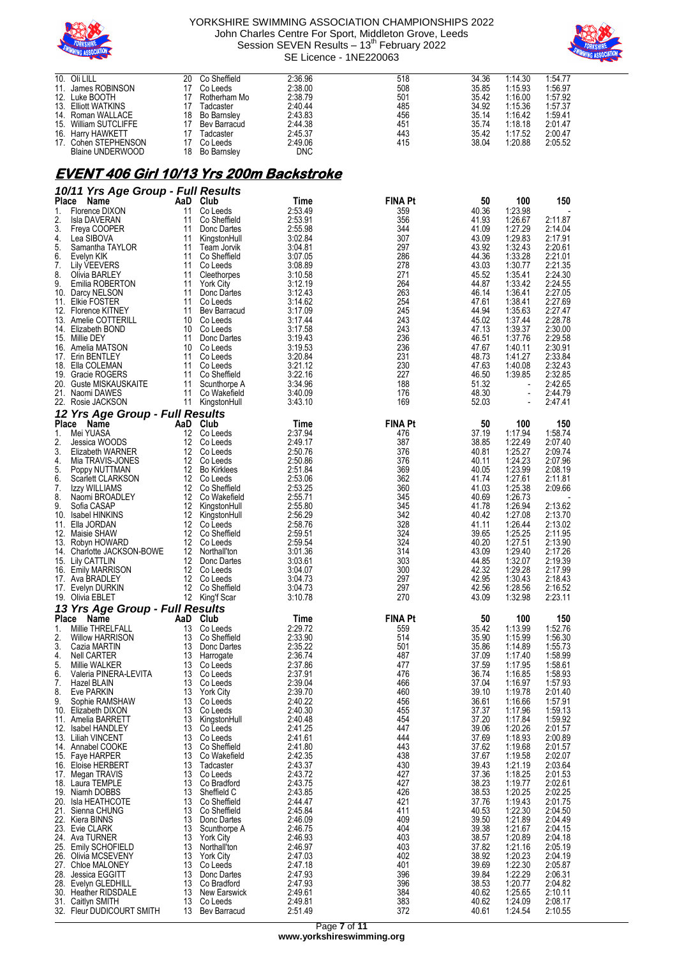



| 10. Oli LILL          | 20 | Co Sheffield       | 2:36.96    | 518 | 34.36 | 1:14.30 | 1:54.77 |
|-----------------------|----|--------------------|------------|-----|-------|---------|---------|
| 11. James ROBINSON    |    | Co Leeds           | 2:38.00    | 508 | 35.85 | 1:15.93 | 1:56.97 |
| 12. Luke BOOTH        |    | Rotherham Mo       | 2:38.79    | 501 | 35.42 | 1:16.00 | 1:57.92 |
| 13. Elliott WATKINS   |    | Tadcaster          | 2:40.44    | 485 | 34.92 | 1:15.36 | 1:57.37 |
| 14. Roman WALLACE     | 18 | Bo Barnsley        | 2:43.83    | 456 | 35.14 | 1:16.42 | 1:59.41 |
| 15. William SUTCLIFFE | 17 | Bev Barracud       | 2:44.38    | 451 | 35.74 | 1:18.18 | 2:01.47 |
| 16. Harry HAWKETT     |    | Tadcaster          | 2:45.37    | 443 | 35.42 | 1:17.52 | 2:00.47 |
| 17. Cohen STEPHENSON  |    | Co Leeds           | 2:49.06    | 415 | 38.04 | 1:20.88 | 2:05.52 |
| Blaine UNDERWOOD      | 18 | <b>Bo Barnsley</b> | <b>DNC</b> |     |       |         |         |

## **EVENT 406 Girl 10/13 Yrs 200m Backstroke**

|              | 10/11 Yrs Age Group - Full Results          |                        |                                  |                    |                       |                |                          |                    |
|--------------|---------------------------------------------|------------------------|----------------------------------|--------------------|-----------------------|----------------|--------------------------|--------------------|
| <b>Place</b> | Name                                        | AaD                    | Club                             | Time               | FINA Pt               | 50             | 100                      | 150                |
| 1.           | Florence DIXON                              | 11                     | Co Leeds                         | 2:53.49            | 359                   | 40.36          | 1:23.98                  |                    |
| 2.           | Isla DAVERAN                                | 11                     | Co Sheffield                     | 2:53.91            | 356                   | 41.93          | 1:26.67                  | 2:11.87            |
| 3.<br>4.     | Freya COOPER<br>Lea SIBOVA                  | 11<br>11               | Donc Dartes<br>KingstonHull      | 2:55.98<br>3:02.84 | 344<br>307            | 41.09<br>43.09 | 1:27.29<br>1:29.83       | 2:14.04<br>2:17.91 |
| 5.           | Samantha TAYLOR                             | 11                     | Team Jorvik                      | 3:04.81            | 297                   | 43.92          | 1:32.43                  | 2:20.61            |
| 6.           | Evelyn KIK                                  | 11                     | Co Sheffield                     | 3:07.05            | 286                   | 44.36          | 1:33.28                  | 2:21.01            |
| 7.           | Lily VEEVERS                                | 11                     | Co Leeds                         | 3:08.89            | 278                   | 43.03          | 1:30.77                  | 2:21.35            |
| 8.<br>9.     | Olivia BARLEY<br>Emilia ROBERTON            | 11<br>11               | Cleethorpes                      | 3:10.58<br>3:12.19 | 271<br>264            | 45.52<br>44.87 | 1:35.41<br>1:33.42       | 2:24.30<br>2:24.55 |
|              | 10. Darcy NELSON                            | 11                     | <b>York City</b><br>Donc Dartes  | 3:12.43            | 263                   | 46.14          | 1:36.41                  | 2:27.05            |
|              | 11. Elkie FOSTER                            | 11                     | Co Leeds                         | 3:14.62            | 254                   | 47.61          | 1:38.41                  | 2:27.69            |
|              | 12. Florence KITNEY                         | 11                     | Bev Barracud                     | 3:17.09            | 245                   | 44.94          | 1:35.63                  | 2:27.47            |
|              | 13. Amelie COTTERILL<br>14. Elizabeth BOND  | 10<br>10               | Co Leeds<br>Co Leeds             | 3:17.44<br>3:17.58 | 243<br>243            | 45.02<br>47.13 | 1:37.44<br>1:39.37       | 2:28.78<br>2:30.00 |
|              | 15. Millie DEY                              | 11                     | Donc Dartes                      | 3:19.43            | 236                   | 46.51          | 1:37.76                  | 2:29.58            |
|              | 16. Amelia MATSON                           | 10                     | Co Leeds                         | 3:19.53            | 236                   | 47.67          | 1:40.11                  | 2:30.91            |
|              | 17. Erin BENTLEY                            | 11                     | Co Leeds                         | 3:20.84            | 231                   | 48.73          | 1:41.27                  | 2:33.84            |
|              | 18. Ella COLEMAN<br>19. Gracie ROGERS       | 11<br>11               | Co Leeds<br>Co Sheffield         | 3:21.12<br>3:22.16 | 230<br>227            | 47.63<br>46.50 | 1:40.08<br>1:39.85       | 2:32.43<br>2:32.85 |
|              | 20. Guste MISKAUSKAITE                      | 11                     | Scunthorpe A                     | 3:34.96            | 188                   | 51.32          |                          | 2:42.65            |
|              | 21. Naomi DAWES                             | 11                     | Co Wakefield                     | 3:40.09            | 176                   | 48.30          | $\blacksquare$           | 2:44.79            |
|              | 22. Rosie JACKSON                           | 11                     | KingstonHull                     | 3:43.10            | 169                   | 52.03          | $\overline{\phantom{a}}$ | 2:47.41            |
|              | 12 Yrs Age Group - Full Results             |                        |                                  |                    |                       |                |                          |                    |
| Place<br>1.  | Name<br>Mei YUASA                           | AaD Club<br>12         | Co Leeds                         | Time<br>2:37.94    | <b>FINA Pt</b><br>476 | 50             | 100<br>1:17.94           | 150<br>1:58.74     |
| 2.           | Jessica WOODS                               | 12                     | Co Leeds                         | 2:49.17            | 387                   | 37.19<br>38.85 | 1:22.49                  | 2:07.40            |
| 3.           | Elizabeth WARNER                            | 12                     | Co Leeds                         | 2:50.76            | 376                   | 40.81          | 1:25.27                  | 2:09.74            |
| 4.           | Mia TRAVIS-JONES                            | 12                     | Co Leeds                         | 2:50.86            | 376                   | 40.11          | 1:24.23                  | 2:07.96            |
| 5.<br>6.     | Poppy NUTTMAN<br><b>Scarlett CLARKSON</b>   | 12                     | 12 Bo Kirklees<br>Co Leeds       | 2:51.84<br>2:53.06 | 369<br>362            | 40.05<br>41.74 | 1:23.99<br>1:27.61       | 2:08.19<br>2:11.81 |
| 7.           | Izzy WILLIAMS                               | 12                     | Co Sheffield                     | 2:53.25            | 360                   | 41.03          | 1:25.38                  | 2:09.66            |
| 8.           | Naomi BROADLEY                              |                        | 12 Co Wakefield                  | 2:55.71            | 345                   | 40.69          | 1:26.73                  |                    |
| 9.           | Sofia CASAP                                 | 12                     | KingstonHull                     | 2:55.80            | 345                   | 41.78          | 1:26.94                  | 2:13.62            |
| 10.<br>11.   | Isabel HINKINS<br>Ella JORDAN               | 12 <sup>12</sup>       | KingstonHull<br>12 Co Leeds      | 2:56.29<br>2:58.76 | 342<br>328            | 40.42<br>41.11 | 1:27.08<br>1:26.44       | 2:13.70<br>2:13.02 |
|              | 12. Maisie SHAW                             | 12 <sup>12</sup>       | Co Sheffield                     | 2:59.51            | 324                   | 39.65          | 1:25.25                  | 2:11.95            |
|              | 13. Robyn HOWARD                            | 12                     | Co Leeds                         | 2:59.54            | 324                   | 40.20          | 1:27.51                  | 2:13.90            |
|              | 14. Charlotte JACKSON-BOWE                  | 12                     | Northall'ton                     | 3:01.36            | 314                   | 43.09          | 1:29.40                  | 2:17.26            |
|              | 15. Lily CATTLIN<br>16. Emily MARRISON      | 12 <sup>12</sup><br>12 | Donc Dartes<br>Co Leeds          | 3:03.61<br>3:04.07 | 303<br>300            | 44.85<br>42.32 | 1:32.07<br>1:29.28       | 2:19.39<br>2:17.99 |
|              | 17. Ava BRADLEY                             |                        | 12 Co Leeds                      | 3:04.73            | 297                   | 42.95          | 1:30.43                  | 2:18.43            |
|              | 17. Evelyn DURKIN                           | 12                     | Co Sheffield                     | 3:04.73            | 297                   | 42.56          | 1:28.56                  | 2:16.52            |
|              | 19. Olivia EBLET                            |                        | 12 King'f Scar                   | 3:10.78            | 270                   | 43.09          | 1:32.98                  | 2:23.11            |
|              | 13 Yrs Age Group - Full Results             |                        | Club                             |                    |                       |                |                          |                    |
| Place<br>1.  | Name<br>Millie THRELFALL                    | AaD<br>13              | Co Leeds                         | Time<br>2:29.72    | <b>FINA Pt</b><br>559 | 50<br>35.42    | 100<br>1:13.99           | 150<br>1:52.76     |
| 2.           | <b>Willow HARRISON</b>                      | 13                     | Co Sheffield                     | 2:33.90            | 514                   | 35.90          | 1:15.99                  | 1:56.30            |
| 3.           | Cazia MARTIN                                | 13                     | Donc Dartes                      | 2:35.22            | 501                   | 35.86          | 1:14.89                  | 1:55.73            |
| 4.           | Nell CARTER                                 | 13                     | Harrogate                        | 2:36.74            | 487                   | 37.09          | 1:17.40                  | 1:58.99            |
| 5.<br>6.     | Millie WALKER<br>Valeria PINERA-LEVITA      | 13<br>13               | Co Leeds<br>Co Leeds             | 2:37.86<br>2:37.91 | 477<br>476            | 37.59<br>36.74 | 1:17.95<br>1:16.85       | 1:58.61<br>1.58.93 |
| 7.           | Hazel BLAIN                                 | 13                     | Co Leeds                         | 2:39.04            | 466                   | 37.04          | 1:16.97                  | 1:57.93            |
| 8.           | Eve PARKIN                                  |                        | 13 York City                     | 2:39.70            | 460                   | 39.10          | 1:19.78                  | 2:01.40            |
| 9.           | Sophie RAMSHAW<br>10. Elizabeth DIXON       | 13<br>13               | Co Leeds<br>Co Leeds             | 2:40.22<br>2:40.30 | 456<br>455            | 36.61<br>37.37 | 1:16.66<br>1:17.96       | 1:57.91<br>1:59.13 |
|              | 11. Amelia BARRETT                          | 13                     | KingstonHull                     | 2:40.48            | 454                   | 37.20          | 1:17.84                  | 1:59.92            |
|              | 12. Isabel HANDLEY                          | 13                     | Co Leeds                         | 2:41.25            | 447                   | 39.06          | 1:20.26                  | 2:01.57            |
|              | 13. Liliah VINCENT                          | 13                     | Co Leeds                         | 2:41.61            | 444                   | 37.69          | 1:18.93                  | 2:00.89            |
|              | 14. Annabel COOKE<br>15. Faye HARPER        | 13<br>13               | Co Sheffield<br>Co Wakefield     | 2:41.80<br>2:42.35 | 443<br>438            | 37.62<br>37.67 | 1:19.68<br>1:19.58       | 2:01.57<br>2:02.07 |
|              | 16. Eloise HERBERT                          | 13                     | Tadcaster                        | 2:43.37            | 430                   | 39.43          | 1:21.19                  | 2:03.64            |
|              | 17. Megan TRAVIS                            | 13                     | Co Leeds                         | 2:43.72            | 427                   | 37.36          | 1:18.25                  | 2:01.53            |
|              | 18. Laura TEMPLE                            | 13                     | Co Bradford                      | 2:43.75            | 427                   | 38.23          | 1:19.77                  | 2:02.61            |
|              | 19. Niamh DOBBS<br>20. Isla HEATHCOTE       | 13<br>13               | Sheffield C<br>Co Sheffield      | 2:43.85<br>2:44.47 | 426<br>421            | 38.53<br>37.76 | 1:20.25<br>1:19.43       | 2:02.25<br>2:01.75 |
|              | 21. Sienna CHUNG                            | 13                     | Co Sheffield                     | 2:45.84            | 411                   | 40.53          | 1:22.30                  | 2:04.50            |
|              | 22. Kiera BINNS                             | 13                     | Donc Dartes                      | 2:46.09            | 409                   | 39.50          | 1:21.89                  | 2:04.49            |
|              | 23. Evie CLARK                              | 13                     | Scunthorpe A                     | 2:46.75            | 404                   | 39.38          | 1:21.67                  | 2:04.15            |
|              | 24. Ava TURNER<br>25. Emily SCHOFIELD       | 13<br>13               | <b>York City</b><br>Northall'ton | 2:46.93<br>2:46.97 | 403<br>403            | 38.57<br>37.82 | 1:20.89<br>1:21.16       | 2:04.18<br>2:05.19 |
|              | 26. Olivia MCSEVENY                         | 13                     | <b>York City</b>                 | 2:47.03            | 402                   | 38.92          | 1:20.23                  | 2:04.19            |
|              | 27. Chloe MALONEY                           | 13                     | Co Leeds                         | 2:47.18            | 401                   | 39.69          | 1:22.30                  | 2:05.87            |
|              | 28. Jessica EGGITT                          | 13<br>13               | Donc Dartes<br>Co Bradford       | 2:47.93<br>2:47.93 | 396<br>396            | 39.84          | 1:22.29<br>1:20.77       | 2:06.31<br>2:04.82 |
|              | 28. Evelyn GLEDHILL<br>30. Heather RIDSDALE | 13                     | <b>New Earswick</b>              | 2:49.61            | 384                   | 38.53<br>40.62 | 1:25.65                  | 2:10.11            |
|              | 31. Caitlyn SMITH                           | 13                     | Co Leeds                         | 2:49.81            | 383                   | 40.62          | 1:24.09                  | 2:08.17            |
|              | 32. Fleur DUDICOURT SMITH                   | 13                     | Bev Barracud                     | 2:51.49            | 372                   | 40.61          | 1:24.54                  | 2:10.55            |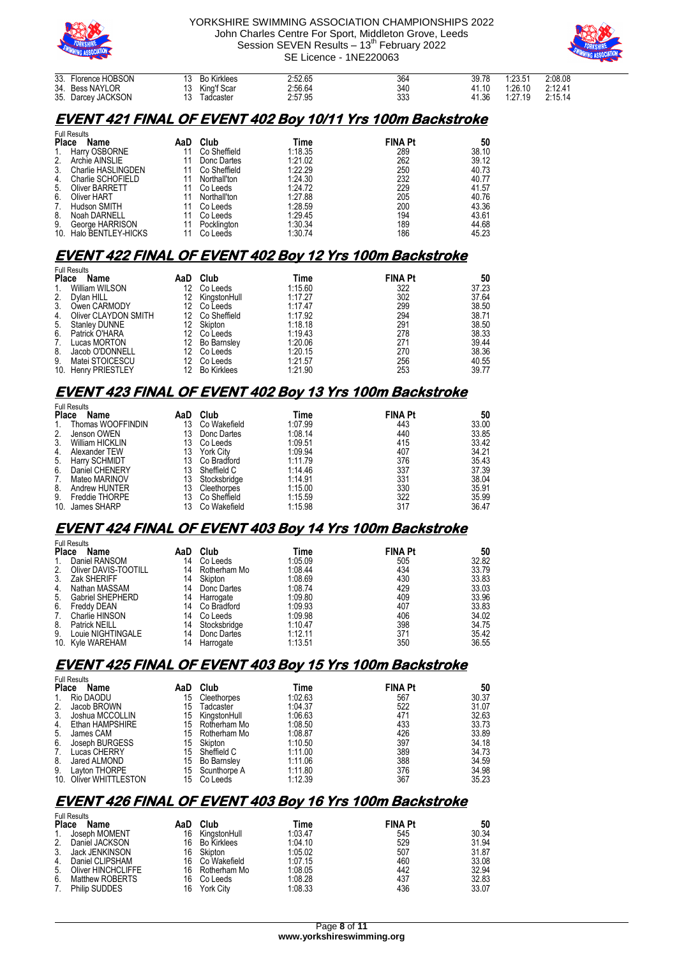



| 33. Florence HOBSON<br>34. Bess NAYLOR<br>35. Darcey JACKSON | <b>Bo Kirklees</b><br>King'f Scar<br>Tadcaster<br>12 | 2:52.65<br>2:56.64<br>2:57.95 | 364<br>340<br>333 | 39.78<br>41.10<br>41.36 | 1:23.51<br>1:26.10<br>1:27.19 | 2:08.08<br>2:12.41<br>2:15.14 |
|--------------------------------------------------------------|------------------------------------------------------|-------------------------------|-------------------|-------------------------|-------------------------------|-------------------------------|
|                                                              |                                                      |                               |                   |                         |                               |                               |

### **EVENT 421 FINAL OF EVENT 402 Boy 10/11 Yrs 100m Backstroke**

|              | <b>Full Results</b>    |     |              |         |                |       |  |  |  |  |
|--------------|------------------------|-----|--------------|---------|----------------|-------|--|--|--|--|
| <b>Place</b> | Name                   | AaD | Club         | Time    | <b>FINA Pt</b> | 50    |  |  |  |  |
| 1.           | Harry OSBORNE          | 11  | Co Sheffield | 1:18.35 | 289            | 38.10 |  |  |  |  |
| 2.           | Archie AINSLIE         | 11  | Donc Dartes  | 1:21.02 | 262            | 39.12 |  |  |  |  |
| 3.           | Charlie HASLINGDEN     | 11  | Co Sheffield | 1:22.29 | 250            | 40.73 |  |  |  |  |
| 4.           | Charlie SCHOFIELD      | 11  | Northall'ton | 1:24.30 | 232            | 40.77 |  |  |  |  |
| 5.           | <b>Oliver BARRETT</b>  | 11  | Co Leeds     | 1:24.72 | 229            | 41.57 |  |  |  |  |
| 6.           | Oliver HART            | 11  | Northall'ton | 1:27.88 | 205            | 40.76 |  |  |  |  |
| 7.           | Hudson SMITH           | 11  | Co Leeds     | 1:28.59 | 200            | 43.36 |  |  |  |  |
| 8.           | Noah DARNELL           | 11  | Co Leeds     | 1:29.45 | 194            | 43.61 |  |  |  |  |
| 9.           | George HARRISON        | 11  | Pocklington  | 1:30.34 | 189            | 44.68 |  |  |  |  |
|              | 10. Halo BENTLEY-HICKS | 11  | Co Leeds     | 1:30.74 | 186            | 45.23 |  |  |  |  |

## **EVENT 422 FINAL OF EVENT 402 Boy 12 Yrs 100m Backstroke**

|              | <b>Full Results</b>  |     |                    |         |                |       |  |  |  |  |
|--------------|----------------------|-----|--------------------|---------|----------------|-------|--|--|--|--|
| <b>Place</b> | Name                 | AaD | Club               | Time    | <b>FINA Pt</b> | 50    |  |  |  |  |
| $1_{\cdot}$  | William WILSON       | 12  | Co Leeds           | 1:15.60 | 322            | 37.23 |  |  |  |  |
| 2.           | Dvlan HILL           | 12. | KingstonHull       | 1:17.27 | 302            | 37.64 |  |  |  |  |
| 3.           | Owen CARMODY         | 12  | Co Leeds           | 1:17.47 | 299            | 38.50 |  |  |  |  |
| 4.           | Oliver CLAYDON SMITH | 12. | Co Sheffield       | 1:17.92 | 294            | 38.71 |  |  |  |  |
| 5.           | <b>Stanley DUNNE</b> | 12. | Skipton            | 1:18.18 | 291            | 38.50 |  |  |  |  |
|              | 6. Patrick O'HARA    |     | Co Leeds           | 1:19.43 | 278            | 38.33 |  |  |  |  |
| 7.           | Lucas MORTON         | 12  | <b>Bo Barnsley</b> | 1:20.06 | 271            | 39.44 |  |  |  |  |
| 8.           | Jacob O'DONNELL      | 12. | Co Leeds           | 1:20.15 | 270            | 38.36 |  |  |  |  |
| 9.           | Matei STOICESCU      | 12  | Co Leeds           | 1:21.57 | 256            | 40.55 |  |  |  |  |
|              | 10. Henry PRIESTLEY  | 12  | <b>Bo Kirklees</b> | 1:21.90 | 253            | 39.77 |  |  |  |  |

## **EVENT 423 FINAL OF EVENT 402 Boy 13 Yrs 100m Backstroke**

|              | <b>Full Results</b>    |     |                  |         |                |       |  |  |  |  |
|--------------|------------------------|-----|------------------|---------|----------------|-------|--|--|--|--|
| <b>Place</b> | Name                   | AaD | Club             | Time    | <b>FINA Pt</b> | 50    |  |  |  |  |
| 1.           | Thomas WOOFFINDIN      | 13  | Co Wakefield     | 1:07.99 | 443            | 33.00 |  |  |  |  |
| 2.           | Jenson OWEN            | 13  | Donc Dartes      | 1:08.14 | 440            | 33.85 |  |  |  |  |
| 3.           | <b>William HICKLIN</b> | 13  | Co Leeds         | 1:09.51 | 415            | 33.42 |  |  |  |  |
| 4.           | Alexander TEW          | 13  | <b>York City</b> | 1:09.94 | 407            | 34.21 |  |  |  |  |
| 5.           | Harry SCHMIDT          | 13  | Co Bradford      | 1:11.79 | 376            | 35.43 |  |  |  |  |
| 6.           | Daniel CHENERY         | 13  | Sheffield C      | 1:14.46 | 337            | 37.39 |  |  |  |  |
| 7.           | Mateo MARINOV          | 13  | Stocksbridge     | 1:14.91 | 331            | 38.04 |  |  |  |  |
| 8.           | Andrew HUNTER          | 13  | Cleethorpes      | 1:15.00 | 330            | 35.91 |  |  |  |  |
| 9.           | Freddie THORPE         | 13  | Co Sheffield     | 1:15.59 | 322            | 35.99 |  |  |  |  |
| 10.          | James SHARP            |     | Co Wakefield     | 1:15.98 | 317            | 36.47 |  |  |  |  |

### **EVENT 424 FINAL OF EVENT 403 Boy 14 Yrs 100m Backstroke**

|              | <b>Full Results</b>  |     |              |         |                |       |  |  |  |  |
|--------------|----------------------|-----|--------------|---------|----------------|-------|--|--|--|--|
| <b>Place</b> | Name                 | AaD | Club         | Time    | <b>FINA Pt</b> | 50    |  |  |  |  |
| 1.           | Daniel RANSOM        | 14  | Co Leeds     | 1:05.09 | 505            | 32.82 |  |  |  |  |
| 2.           | Oliver DAVIS-TOOTILL | 14  | Rotherham Mo | 1:08.44 | 434            | 33.79 |  |  |  |  |
| 3.           | Zak SHERIFF          | 14  | Skipton      | 1:08.69 | 430            | 33.83 |  |  |  |  |
| 4.           | Nathan MASSAM        | 14  | Donc Dartes  | 1:08.74 | 429            | 33.03 |  |  |  |  |
| 5.           | Gabriel SHEPHERD     | 14  | Harrogate    | 1:09.80 | 409            | 33.96 |  |  |  |  |
| 6.           | Freddy DEAN          | 14  | Co Bradford  | 1:09.93 | 407            | 33.83 |  |  |  |  |
| 7.           | Charlie HINSON       | 14  | Co Leeds     | 1:09.98 | 406            | 34.02 |  |  |  |  |
| 8.           | <b>Patrick NEILL</b> | 14  | Stocksbridge | 1:10.47 | 398            | 34.75 |  |  |  |  |
| 9.           | Louie NIGHTINGALE    | 14  | Donc Dartes  | 1:12.11 | 371            | 35.42 |  |  |  |  |
|              | 10. Kyle WAREHAM     | 14  | Harrogate    | 1:13.51 | 350            | 36.55 |  |  |  |  |

## **EVENT 425 FINAL OF EVENT 403 Boy 15 Yrs 100m Backstroke**

| <b>Full Results</b> |                        |     |                    |         |                |       |  |  |  |  |
|---------------------|------------------------|-----|--------------------|---------|----------------|-------|--|--|--|--|
| <b>Place</b>        | Name                   | AaD | Club               | Time    | <b>FINA Pt</b> | 50    |  |  |  |  |
| 1.                  | Rio DAODU              | 15  | Cleethorpes        | 1:02.63 | 567            | 30.37 |  |  |  |  |
| 2.                  | Jacob BROWN            | 15  | Tadcaster          | 1:04.37 | 522            | 31.07 |  |  |  |  |
| 3 <sub>1</sub>      | Joshua MCCOLLIN        | 15  | KingstonHull       | 1:06.63 | 471            | 32.63 |  |  |  |  |
| 4.                  | Ethan HAMPSHIRE        |     | 15 Rotherham Mo    | 1:08.50 | 433            | 33.73 |  |  |  |  |
| 5.                  | James CAM              |     | 15 Rotherham Mo    | 1:08.87 | 426            | 33.89 |  |  |  |  |
| 6.                  | Joseph BURGESS         |     | 15 Skipton         | 1:10.50 | 397            | 34.18 |  |  |  |  |
| 7.                  | Lucas CHERRY           | 15  | Sheffield C        | 1:11.00 | 389            | 34.73 |  |  |  |  |
| 8.                  | Jared ALMOND           | 15  | <b>Bo Barnsley</b> | 1:11.06 | 388            | 34.59 |  |  |  |  |
| 9.                  | Layton THORPE          |     | 15 Scunthorpe A    | 1:11.80 | 376            | 34.98 |  |  |  |  |
|                     | 10. Oliver WHITTLESTON |     | 15 Co Leeds        | 1:12.39 | 367            | 35.23 |  |  |  |  |

## **EVENT 426 FINAL OF EVENT 403 Boy 16 Yrs 100m Backstroke**

|              | <b>Full Results</b>  |     |                  |         |                |       |
|--------------|----------------------|-----|------------------|---------|----------------|-------|
| <b>Place</b> | Name                 | AaD | Club             | Time    | <b>FINA Pt</b> | 50    |
| $1_{\cdot}$  | Joseph MOMENT        | 16  | KingstonHull     | 1:03.47 | 545            | 30.34 |
| 2.           | Daniel JACKSON       | 16  | Bo Kirklees      | 1:04.10 | 529            | 31.94 |
| 3.           | Jack JENKINSON       | 16  | Skipton          | 1:05.02 | 507            | 31.87 |
| 4.           | Daniel CLIPSHAM      | 16  | Co Wakefield     | 1:07.15 | 460            | 33.08 |
| 5.           | Oliver HINCHCLIFFE   | 16  | Rotherham Mo     | 1:08.05 | 442            | 32.94 |
| 6.           | Matthew ROBERTS      | 16  | Co Leeds         | 1:08.28 | 437            | 32.83 |
| 7.           | <b>Philip SUDDES</b> | 16  | <b>York City</b> | 1:08.33 | 436            | 33.07 |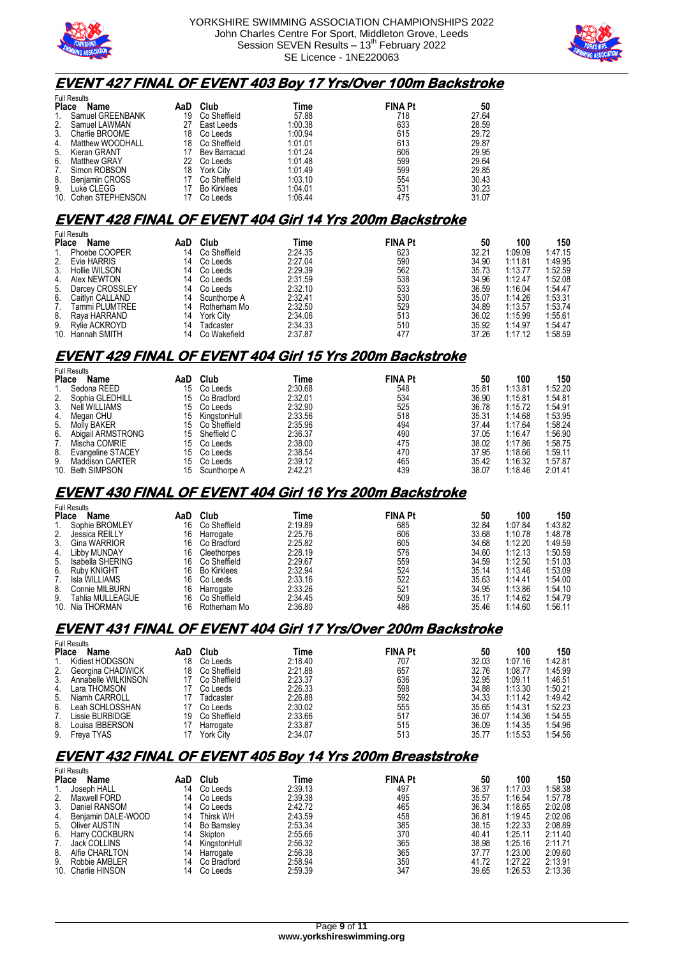



#### **EVENT 427 FINAL OF EVENT 403 Boy 17 Yrs/Over 100m Backstroke**

|                | <b>Full Results</b>  |     |                    |         |                |       |  |  |  |  |  |
|----------------|----------------------|-----|--------------------|---------|----------------|-------|--|--|--|--|--|
| <b>Place</b>   | Name                 | AaD | Club               | Time    | <b>FINA Pt</b> | 50    |  |  |  |  |  |
| $\mathbf{1}$ . | Samuel GREENBANK     | 19  | Co Sheffield       | 57.88   | 718            | 27.64 |  |  |  |  |  |
| 2.             | Samuel LAWMAN        | 27  | East Leeds         | 1:00.38 | 633            | 28.59 |  |  |  |  |  |
| 3.             | Charlie BROOME       | 18  | Co Leeds           | 1:00.94 | 615            | 29.72 |  |  |  |  |  |
| 4.             | Matthew WOODHALL     | 18  | Co Sheffield       | 1:01.01 | 613            | 29.87 |  |  |  |  |  |
| 5.             | Kieran GRANT         |     | Bev Barracud       | 1:01.24 | 606            | 29.95 |  |  |  |  |  |
| 6.             | <b>Matthew GRAY</b>  | 22  | Co Leeds           | 1:01.48 | 599            | 29.64 |  |  |  |  |  |
| 7.             | Simon ROBSON         | 18  | <b>York City</b>   | 1:01.49 | 599            | 29.85 |  |  |  |  |  |
| 8.             | Benjamin CROSS       |     | Co Sheffield       | 1:03.10 | 554            | 30.43 |  |  |  |  |  |
| 9.             | Luke CLEGG           |     | <b>Bo Kirklees</b> | 1:04.01 | 531            | 30.23 |  |  |  |  |  |
|                | 10. Cohen STEPHENSON |     | Co Leeds           | 1:06.44 | 475            | 31.07 |  |  |  |  |  |

#### **EVENT 428 FINAL OF EVENT 404 Girl 14 Yrs 200m Backstroke**

|              | <b>Full Results</b> |     |                  |         |                |       |         |         |
|--------------|---------------------|-----|------------------|---------|----------------|-------|---------|---------|
| <b>Place</b> | Name                | AaD | Club             | Time    | <b>FINA Pt</b> | 50    | 100     | 150     |
|              | Phoebe COOPER       | 14  | Co Sheffield     | 2:24.35 | 623            | 32.21 | 1:09.09 | 1:47.15 |
| 2.           | Evie HARRIS         | 14  | Co Leeds         | 2:27.04 | 590            | 34.90 | 1:11.81 | 1:49.95 |
| 3.           | Hollie WILSON       | 14  | Co Leeds         | 2:29.39 | 562            | 35.73 | 1:13.77 | 1:52.59 |
| 4.           | Alex NEWTON         | 14  | Co Leeds         | 2:31.59 | 538            | 34.96 | 1:12.47 | 1:52.08 |
| 5.           | Darcey CROSSLEY     | 14  | Co Leeds         | 2:32.10 | 533            | 36.59 | 1:16.04 | 1:54.47 |
| 6.           | Caitlyn CALLAND     | 14  | Scunthorpe A     | 2:32.41 | 530            | 35.07 | 1:14.26 | 1:53.31 |
| 7.           | Tammi PLUMTREE      | 14  | Rotherham Mo     | 2:32.50 | 529            | 34.89 | 1:13.57 | 1:53.74 |
| 8.           | Rava HARRAND        | 14  | <b>York City</b> | 2:34.06 | 513            | 36.02 | 1:15.99 | 1:55.61 |
| 9.           | Rylie ACKROYD       | 14  | Tadcaster        | 2:34.33 | 510            | 35.92 | 1:14.97 | 1:54.47 |
|              | 10. Hannah SMITH    | 14  | Co Wakefield     | 2:37.87 | 477            | 37.26 | 1:17.12 | 1:58.59 |

### **EVENT 429 FINAL OF EVENT 404 Girl 15 Yrs 200m Backstroke**

|              | <b>Full Results</b>    |     |              |         |                |       |         |         |  |
|--------------|------------------------|-----|--------------|---------|----------------|-------|---------|---------|--|
| <b>Place</b> | Name                   | AaD | Club         | Time    | <b>FINA Pt</b> | 50    | 100     | 150     |  |
|              | Sedona REED            | 15  | Co Leeds     | 2:30.68 | 548            | 35.81 | 1:13.81 | 1:52.20 |  |
| 2.           | Sophia GLEDHILL        | 15  | Co Bradford  | 2:32.01 | 534            | 36.90 | 1:15.81 | 1:54.81 |  |
| 3.           | Neil WILLIAMS          | 15  | Co Leeds     | 2:32.90 | 525            | 36.78 | 1:15.72 | 1:54.91 |  |
| 4.           | Megan CHU              | 15  | KingstonHull | 2:33.56 | 518            | 35.31 | 1:14.68 | 1:53.95 |  |
|              | 5. Molly BAKER         | 15  | Co Sheffield | 2:35.96 | 494            | 37.44 | 1:17.64 | 1:58.24 |  |
| 6.           | Abigail ARMSTRONG      | 15  | Sheffield C  | 2:36.37 | 490            | 37.05 | 1:16.47 | 1:56.90 |  |
| 7.           | Mischa COMRIE          | 15  | Co Leeds     | 2:38.00 | 475            | 38.02 | 1:17.86 | 1:58.75 |  |
| 8.           | Evangeline STACEY      | 15  | Co Leeds     | 2:38.54 | 470            | 37.95 | 1:18.66 | 1:59.11 |  |
| 9.           | <b>Maddison CARTER</b> | 15  | Co Leeds     | 2:39.12 | 465            | 35.42 | 1:16.32 | 1:57.87 |  |
|              | 10. Beth SIMPSON       | 15  | Scunthorpe A | 2:42.21 | 439            | 38.07 | 1:18.46 | 2:01.41 |  |

## **EVENT 430 FINAL OF EVENT 404 Girl 16 Yrs 200m Backstroke**

|              | <b>Full Results</b> |     |                    |         |                |       |         |         |  |  |  |
|--------------|---------------------|-----|--------------------|---------|----------------|-------|---------|---------|--|--|--|
| <b>Place</b> | Name                | AaD | Club               | Time    | <b>FINA Pt</b> | 50    | 100     | 150     |  |  |  |
|              | Sophie BROMLEY      | 16  | Co Sheffield       | 2:19.89 | 685            | 32.84 | 1:07.84 | 1:43.82 |  |  |  |
| 2.           | Jessica REILLY      | 16  | Harrogate          | 2:25.76 | 606            | 33.68 | 1:10.78 | 1:48.78 |  |  |  |
| 3.           | <b>Gina WARRIOR</b> | 16  | Co Bradford        | 2:25.82 | 605            | 34.68 | 1:12.20 | 1:49.59 |  |  |  |
| 4.           | Libby MUNDAY        | 16  | Cleethorpes        | 2:28.19 | 576            | 34.60 | 1:12.13 | 1:50.59 |  |  |  |
| 5.           | Isabella SHERING    | 16  | Co Sheffield       | 2:29.67 | 559            | 34.59 | 1:12.50 | 1:51.03 |  |  |  |
| 6.           | <b>Ruby KNIGHT</b>  | 16  | <b>Bo Kirklees</b> | 2:32.94 | 524            | 35.14 | 1:13.46 | 1:53.09 |  |  |  |
| 7.           | Isla WILLIAMS       | 16  | Co Leeds           | 2:33.16 | 522            | 35.63 | 1:14.41 | 1:54.00 |  |  |  |
| 8.           | Connie MILBURN      | 16  | Harrogate          | 2:33.26 | 521            | 34.95 | 1:13.86 | 1:54.10 |  |  |  |
| 9.           | Tahlia MULLEAGUE    | 16  | Co Sheffield       | 2:34.45 | 509            | 35.17 | 1:14.62 | 1:54.79 |  |  |  |
|              | 10. Nia THORMAN     | 16  | Rotherham Mo       | 2:36.80 | 486            | 35.46 | 1:14.60 | 1:56.11 |  |  |  |

## **EVENT 431 FINAL OF EVENT 404 Girl 17 Yrs/Over 200m Backstroke**

|    | <b>Full Results</b>  |     |                  |         |                |       |         |         |  |
|----|----------------------|-----|------------------|---------|----------------|-------|---------|---------|--|
|    | <b>Place</b><br>Name | AaD | Club             | Time    | <b>FINA Pt</b> | 50    | 100     | 150     |  |
|    | Kidiest HODGSON      | 18  | Co Leeds         | 2:18.40 | 707            | 32.03 | 1:07.16 | 1:42.81 |  |
| 2. | Georgina CHADWICK    | 18  | Co Sheffield     | 2:21.88 | 657            | 32.76 | 1:08.77 | 1:45.99 |  |
| 3. | Annabelle WILKINSON  | 17  | Co Sheffield     | 2:23.37 | 636            | 32.95 | 1:09.11 | 1:46.51 |  |
| 4. | Lara THOMSON         |     | Co Leeds         | 2:26.33 | 598            | 34.88 | 1:13.30 | 1:50.21 |  |
| 5. | Niamh CARROLL        |     | Tadcaster        | 2:26.88 | 592            | 34.33 | 1:11.42 | 1:49.42 |  |
| 6. | Leah SCHLOSSHAN      |     | Co Leeds         | 2:30.02 | 555            | 35.65 | 1:14.31 | 1:52.23 |  |
|    | Lissie BURBIDGE      | 19  | Co Sheffield     | 2:33.66 | 517            | 36.07 | 1:14.36 | 1:54.55 |  |
| 8. | Louisa IBBERSON      |     | Harrogate        | 2:33.87 | 515            | 36.09 | 1:14.35 | 1:54.96 |  |
| 9. | Freva TYAS           |     | <b>York City</b> | 2:34.07 | 513            | 35.77 | 1:15.53 | 1:54.56 |  |

#### **EVENT 432 FINAL OF EVENT 405 Boy 14 Yrs 200m Breaststroke**  Full Results

| Place | ull I wuulw<br>Name | AaD | Club               | Time    | <b>FINA Pt</b> | 50    | 100     | 150     |
|-------|---------------------|-----|--------------------|---------|----------------|-------|---------|---------|
|       | Joseph HALL         | 14  | Co Leeds           | 2:39.13 | 497            | 36.37 | 1:17.03 | 1:58.38 |
| 2.    | Maxwell FORD        | 14  | Co Leeds           | 2:39.38 | 495            | 35.57 | 1:16.54 | 1:57.78 |
| 3.    | Daniel RANSOM       | 14  | Co Leeds           | 2:42.72 | 465            | 36.34 | 1:18.65 | 2:02.08 |
| 4.    | Benjamin DALE-WOOD  | 14  | Thirsk WH          | 2:43.59 | 458            | 36.81 | 1:19.45 | 2:02.06 |
| 5.    | Oliver AUSTIN       | 14  | <b>Bo Barnsley</b> | 2:53.34 | 385            | 38.15 | 1:22.33 | 2:08.89 |
| 6.    | Harry COCKBURN      | 14  | Skipton            | 2:55.66 | 370            | 40.41 | 1:25.11 | 2:11.40 |
|       | Jack COLLINS        | 14  | KingstonHull       | 2:56.32 | 365            | 38.98 | 1:25.16 | 2:11.71 |
| 8.    | Alfie CHARLTON      | 14  | Harrogate          | 2:56.38 | 365            | 37.77 | 1:23.00 | 2:09.60 |
| 9.    | Robbie AMBLER       | 14  | Co Bradford        | 2:58.94 | 350            | 41.72 | 1:27.22 | 2:13.91 |
| 10.   | Charlie HINSON      | 14  | Co Leeds           | 2:59.39 | 347            | 39.65 | 1:26.53 | 2:13.36 |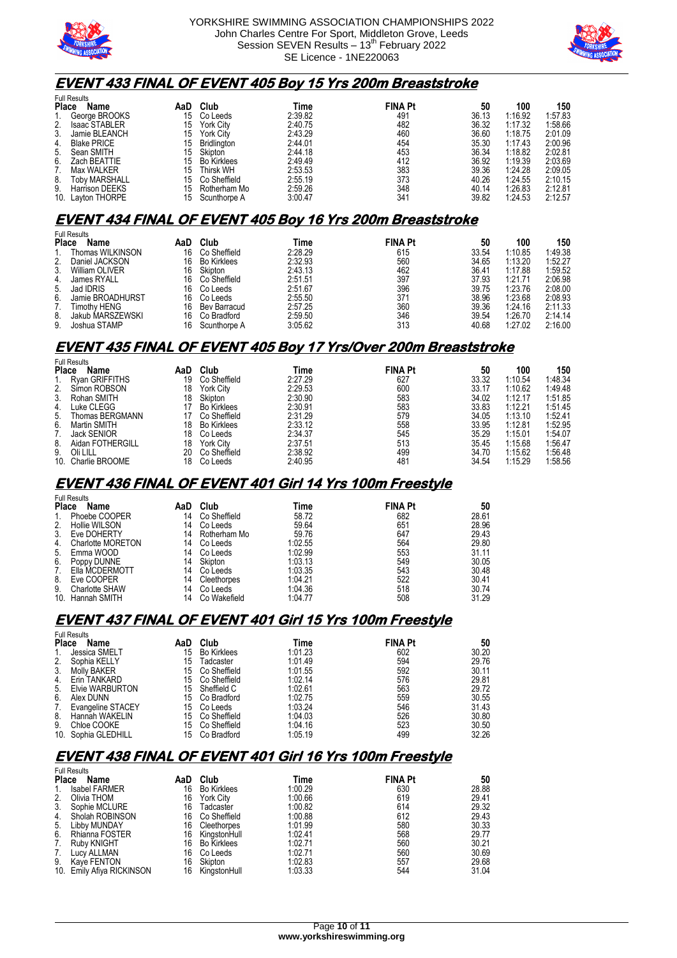



#### **EVENT 433 FINAL OF EVENT 405 Boy 15 Yrs 200m Breaststroke**

| Name                  | AaD                                     | Club                | Time    |     | 50             | 100     | 150     |
|-----------------------|-----------------------------------------|---------------------|---------|-----|----------------|---------|---------|
| George BROOKS         | 15                                      | Co Leeds            | 2:39.82 | 491 | 36.13          | 1:16.92 | 1:57.83 |
| <b>Isaac STABLER</b>  | 15                                      | <b>York City</b>    | 2:40.75 | 482 | 36.32          | 1:17.32 | 1:58.66 |
| Jamie BLEANCH         | 15                                      | York City           | 2:43.29 | 460 | 36.60          | 1:18.75 | 2:01.09 |
| <b>Blake PRICE</b>    | 15                                      | Bridlington         | 2:44.01 | 454 | 35.30          | 1:17.43 | 2:00.96 |
| Sean SMITH            | 15                                      | Skipton             | 2:44.18 | 453 | 36.34          | 1:18.82 | 2:02.81 |
| Zach BEATTIE          | 15                                      | <b>Bo Kirklees</b>  | 2:49.49 | 412 | 36.92          | 1:19.39 | 2:03.69 |
| Max WALKER            | 15                                      | Thirsk WH           | 2:53.53 | 383 | 39.36          | 1:24.28 | 2:09.05 |
| <b>Toby MARSHALL</b>  | 15                                      | Co Sheffield        | 2:55.19 | 373 | 40.26          | 1:24.55 | 2:10.15 |
| <b>Harrison DEEKS</b> | 15                                      | Rotherham Mo        | 2:59.26 | 348 | 40.14          | 1:26.83 | 2:12.81 |
|                       | 15                                      | Scunthorpe A        | 3:00.47 | 341 | 39.82          | 1:24.53 | 2:12.57 |
| 2.<br>5.<br>6.        | <b>Place</b><br>9.<br>10. Layton THORPE | <b>Full Results</b> |         |     | <b>FINA Pt</b> |         |         |

#### **EVENT 434 FINAL OF EVENT 405 Boy 16 Yrs 200m Breaststroke**

| <b>Full Results</b> |                    |                    |         |     |                |         |         |  |  |
|---------------------|--------------------|--------------------|---------|-----|----------------|---------|---------|--|--|
| Name                | AaD                | Club               | Time    |     | 50             | 100     | 150     |  |  |
| Thomas WILKINSON    | 16                 | Co Sheffield       | 2:28.29 | 615 | 33.54          | 1:10.85 | 1:49.38 |  |  |
| Daniel JACKSON      | 16                 | <b>Bo Kirklees</b> | 2:32.93 | 560 | 34.65          | 1:13.20 | 1:52.27 |  |  |
| William OLIVER      | 16                 | Skipton            | 2:43.13 | 462 | 36.41          | 1:17.88 | 1:59.52 |  |  |
| James RYALL         | 16                 | Co Sheffield       | 2:51.51 | 397 | 37.93          | 1:21.71 | 2:06.98 |  |  |
| Jad IDRIS           | 16                 | Co Leeds           | 2:51.67 | 396 | 39.75          | 1:23.76 | 2:08.00 |  |  |
| Jamie BROADHURST    | 16                 | Co Leeds           | 2:55.50 | 371 | 38.96          | 1:23.68 | 2:08.93 |  |  |
| Timothv HENG        | 16                 | Bev Barracud       | 2:57.25 | 360 | 39.36          | 1:24.16 | 2:11.33 |  |  |
| Jakub MARSZEWSKI    | 16                 | Co Bradford        | 2:59.50 | 346 | 39.54          | 1:26.70 | 2:14.14 |  |  |
| Joshua STAMP        | 16                 | Scunthorpe A       | 3:05.62 | 313 | 40.68          | 1:27.02 | 2:16.00 |  |  |
|                     | <b>Place</b><br>5. |                    |         |     | <b>FINA Pt</b> |         |         |  |  |

### **EVENT 435 FINAL OF EVENT 405 Boy 17 Yrs/Over 200m Breaststroke**

| Name             | AaD                                                                                                 | Club               | Time    |     | 50             | 100     | 150     |
|------------------|-----------------------------------------------------------------------------------------------------|--------------------|---------|-----|----------------|---------|---------|
|                  | 19                                                                                                  | Co Sheffield       | 2:27.29 | 627 | 33.32          | 1:10.54 | 1:48.34 |
|                  | 18                                                                                                  | <b>York City</b>   | 2:29.53 | 600 | 33.17          | 1:10.62 | 1:49.48 |
| Rohan SMITH      | 18                                                                                                  | Skipton            | 2:30.90 | 583 | 34.02          | 1:12.17 | 1:51.85 |
| Luke CLEGG       |                                                                                                     | <b>Bo Kirklees</b> | 2:30.91 | 583 | 33.83          | 1:12.21 | 1:51.45 |
| Thomas BERGMANN  |                                                                                                     | Co Sheffield       | 2:31.29 | 579 | 34.05          | 1:13.10 | 1:52.41 |
| Martin SMITH     | 18                                                                                                  | <b>Bo Kirklees</b> | 2:33.12 | 558 |                | 1:12.81 | 1:52.95 |
|                  | 18                                                                                                  | Co Leeds           | 2:34.37 | 545 | 35.29          | 1:15.01 | 1:54.07 |
| Aidan FOTHERGILL | 18                                                                                                  | <b>York City</b>   | 2:37.51 | 513 | 35.45          | 1:15.68 | 1:56.47 |
| Oli LILL         | 20                                                                                                  | Co Sheffield       | 2:38.92 | 499 | 34.70          | 1:15.62 | 1:56.48 |
| Charlie BROOME   | 18                                                                                                  | Co Leeds           | 2:40.95 | 481 | 34.54          | 1:15.29 | 1:58.56 |
|                  | <b>Full Results</b><br><b>Place</b><br>Ryan GRIFFITHS<br>Simon ROBSON<br><b>Jack SENIOR</b><br>10.1 |                    |         |     | <b>FINA Pt</b> | 33.95   |         |

#### **EVENT 436 FINAL OF EVENT 401 Girl 14 Yrs 100m Freestyle**

|              | <b>Full Results</b>   |     |              |         |                |       |  |  |  |  |  |  |
|--------------|-----------------------|-----|--------------|---------|----------------|-------|--|--|--|--|--|--|
| <b>Place</b> | Name                  | AaD | Club         | Time    | <b>FINA Pt</b> | 50    |  |  |  |  |  |  |
| 1.           | Phoebe COOPER         | 14  | Co Sheffield | 58.72   | 682            | 28.61 |  |  |  |  |  |  |
| 2.           | Hollie WILSON         | 14  | Co Leeds     | 59.64   | 651            | 28.96 |  |  |  |  |  |  |
| 3.           | Eve DOHERTY           | 14  | Rotherham Mo | 59.76   | 647            | 29.43 |  |  |  |  |  |  |
| 4.           | Charlotte MORETON     | 14  | Co Leeds     | 1:02.55 | 564            | 29.80 |  |  |  |  |  |  |
| 5.           | Emma WOOD             | 14  | Co Leeds     | 1:02.99 | 553            | 31.11 |  |  |  |  |  |  |
| 6.           | Poppy DUNNE           | 14  | Skipton      | 1:03.13 | 549            | 30.05 |  |  |  |  |  |  |
| 7.           | Ella MCDERMOTT        | 14  | Co Leeds     | 1:03.35 | 543            | 30.48 |  |  |  |  |  |  |
| 8.           | Eve COOPER            | 14  | Cleethorpes  | 1:04.21 | 522            | 30.41 |  |  |  |  |  |  |
| 9.           | <b>Charlotte SHAW</b> | 14  | Co Leeds     | 1:04.36 | 518            | 30.74 |  |  |  |  |  |  |
|              | 10. Hannah SMITH      | 14  | Co Wakefield | 1:04.77 | 508            | 31.29 |  |  |  |  |  |  |

#### **EVENT 437 FINAL OF EVENT 401 Girl 15 Yrs 100m Freestyle**

| <b>Full Results</b> |                     |     |                    |         |                |       |  |  |
|---------------------|---------------------|-----|--------------------|---------|----------------|-------|--|--|
| <b>Place</b>        | Name                | AaD | Club               | Time    | <b>FINA Pt</b> | 50    |  |  |
| 1.                  | Jessica SMELT       | 15  | <b>Bo Kirklees</b> | 1:01.23 | 602            | 30.20 |  |  |
| 2.                  | Sophia KELLY        | 15  | Tadcaster          | 1:01.49 | 594            | 29.76 |  |  |
| 3.                  | <b>Molly BAKER</b>  | 15  | Co Sheffield       | 1:01.55 | 592            | 30.11 |  |  |
| 4.                  | Erin TANKARD        | 15  | Co Sheffield       | 1:02.14 | 576            | 29.81 |  |  |
| 5.                  | Elvie WARBURTON     | 15  | Sheffield C        | 1:02.61 | 563            | 29.72 |  |  |
| 6.                  | Alex DUNN           | 15  | Co Bradford        | 1:02.75 | 559            | 30.55 |  |  |
| 7.                  | Evangeline STACEY   | 15  | Co Leeds           | 1:03.24 | 546            | 31.43 |  |  |
| 8.                  | Hannah WAKELIN      | 15  | Co Sheffield       | 1:04.03 | 526            | 30.80 |  |  |
| 9.                  | Chloe COOKE         | 15  | Co Sheffield       | 1:04.16 | 523            | 30.50 |  |  |
|                     | 10. Sophia GLEDHILL | 15  | Co Bradford        | 1:05.19 | 499            | 32.26 |  |  |

#### **EVENT 438 FINAL OF EVENT 401 Girl 16 Yrs 100m Freestyle**   $F \cup R$

| Name                 | AaD                                                          | Club               | Time    |     | 50             |
|----------------------|--------------------------------------------------------------|--------------------|---------|-----|----------------|
| <b>Isabel FARMER</b> | 16                                                           | <b>Bo Kirklees</b> | 1:00.29 | 630 | 28.88          |
| Olivia THOM          | 16                                                           | <b>York City</b>   | 1:00.66 | 619 | 29.41          |
| Sophie MCLURE        | 16                                                           | Tadcaster          | 1:00.82 | 614 | 29.32          |
| Sholah ROBINSON      | 16                                                           | Co Sheffield       | 1:00.88 | 612 | 29.43          |
| Libby MUNDAY         | 16                                                           | Cleethorpes        | 1:01.99 | 580 | 30.33          |
| Rhianna FOSTER       | 16                                                           | KingstonHull       | 1:02.41 | 568 | 29.77          |
| Ruby KNIGHT          | 16                                                           | <b>Bo Kirklees</b> | 1:02.71 | 560 | 30.21          |
| Lucy ALLMAN          | 16                                                           | Co Leeds           | 1:02.71 | 560 | 30.69          |
| <b>Kave FENTON</b>   | 16                                                           | Skipton            | 1:02.83 | 557 | 29.68          |
|                      | 16                                                           | KinastonHull       | 1:03.33 | 544 | 31.04          |
| 4.                   | i uli i vooullo<br><b>Place</b><br>10. Emily Afiya RICKINSON |                    |         |     | <b>FINA Pt</b> |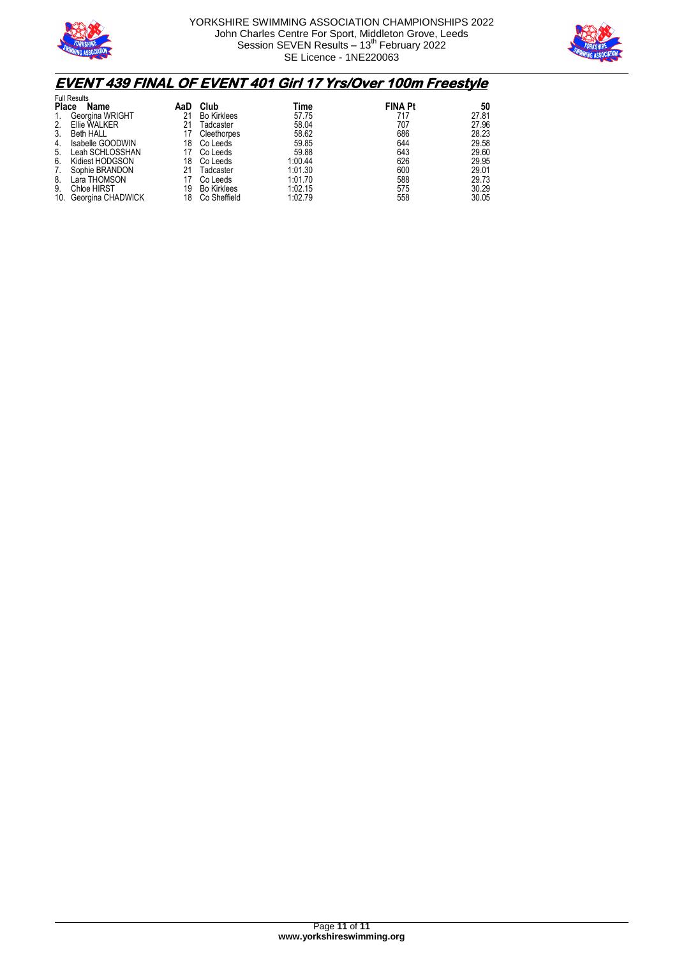



# **EVENT 439 FINAL OF EVENT 401 Girl 17 Yrs/Over 100m Freestyle**

| <b>Full Results</b> |                    |     |                    |         |                |       |  |
|---------------------|--------------------|-----|--------------------|---------|----------------|-------|--|
| <b>Place</b>        | Name               | AaD | Club               | Time    | <b>FINA Pt</b> | 50    |  |
| 1.                  | Georgina WRIGHT    | 21  | <b>Bo Kirklees</b> | 57.75   | 717            | 27.81 |  |
| 2.                  | Ellie WALKER       | 21  | <b>Tadcaster</b>   | 58.04   | 707            | 27.96 |  |
| 3.                  | <b>Beth HALL</b>   |     | Cleethorpes        | 58.62   | 686            | 28.23 |  |
| 4.                  | Isabelle GOODWIN   | 18  | Co Leeds           | 59.85   | 644            | 29.58 |  |
| 5.                  | Leah SCHLOSSHAN    |     | Co Leeds           | 59.88   | 643            | 29.60 |  |
| 6.                  | Kidiest HODGSON    | 18  | Co Leeds           | 1:00.44 | 626            | 29.95 |  |
| 7.                  | Sophie BRANDON     |     | Tadcaster          | 1:01.30 | 600            | 29.01 |  |
| 8.                  | Lara THOMSON       |     | Co Leeds           | 1:01.70 | 588            | 29.73 |  |
| 9.                  | <b>Chloe HIRST</b> | 19  | <b>Bo Kirklees</b> | 1:02.15 | 575            | 30.29 |  |
| 10.                 | Georgina CHADWICK  | 18  | Co Sheffield       | 1:02.79 | 558            | 30.05 |  |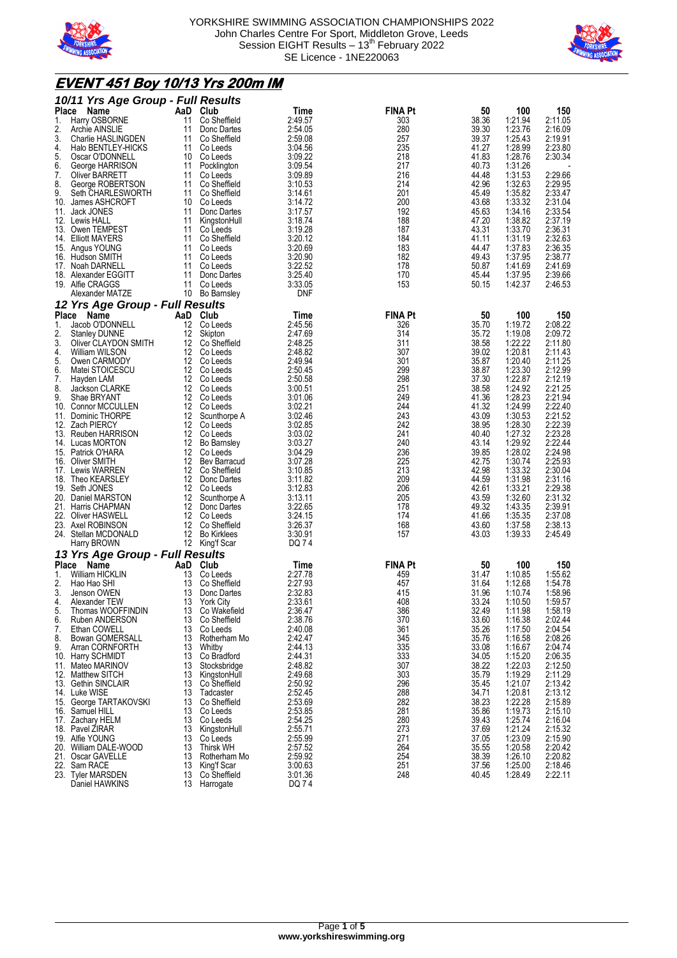



## **EVENT 451 Boy 10/13 Yrs 200m IM**

|              | 10/11 Yrs Age Group - Full Results            |          |                              |                    |                |                |                    |                    |
|--------------|-----------------------------------------------|----------|------------------------------|--------------------|----------------|----------------|--------------------|--------------------|
| Place        | Name                                          | AaD      | Club                         | Time               | <b>FINA Pt</b> | 50             | 100                | 150                |
| 1.<br>2.     | Harry OSBORNE                                 | 11       | Co Sheffield                 | 2:49.57            | 303<br>280     | 38.36          | 1:21.94<br>1:23.76 | 2:11.05            |
| 3.           | Archie AINSLIE<br>Charlie HASLINGDEN          | 11<br>11 | Donc Dartes<br>Co Sheffield  | 2:54.05<br>2:59.08 | 257            | 39.30<br>39.37 | 1:25.43            | 2:16.09<br>2:19.91 |
| 4.           | Halo BENTLEY-HICKS                            | 11       | Co Leeds                     | 3:04.56            | 235            | 41.27          | 1:28.99            | 2:23.80            |
| 5.           | Oscar O'DONNELL                               | 10       | Co Leeds                     | 3:09.22            | 218            | 41.83          | 1:28.76            | 2:30.34            |
| 6.           | George HARRISON                               | 11       | Pocklington                  | 3:09.54            | 217            | 40.73          | 1:31.26            |                    |
| 7.           | <b>Oliver BARRETT</b>                         | 11       | Co Leeds                     | 3:09.89            | 216            | 44.48          | 1:31.53            | 2:29.66            |
| 8.           | George ROBERTSON                              | 11       | Co Sheffield                 | 3:10.53            | 214            | 42.96          | 1:32.63            | 2:29.95            |
| 9.           | Seth CHARLESWORTH<br>10. James ASHCROFT       | 11<br>10 | Co Sheffield<br>Co Leeds     | 3:14.61<br>3:14.72 | 201<br>200     | 45.49<br>43.68 | 1:35.82<br>1:33.32 | 2:33.47<br>2:31.04 |
|              | 11. Jack JONES                                | 11       | Donc Dartes                  | 3:17.57            | 192            | 45.63          | 1:34.16            | 2:33.54            |
|              | 12. Lewis HALL                                | 11       | KingstonHull                 | 3:18.74            | 188            | 47.20          | 1:38.82            | 2:37.19            |
|              | 13. Owen TEMPEST                              | 11       | Co Leeds                     | 3:19.28            | 187            | 43.31          | 1:33.70            | 2:36.31            |
|              | 14. Elliott MAYERS                            | 11       | Co Sheffield                 | 3:20.12            | 184            | 41.11          | 1:31.19            | 2:32.63            |
|              | 15. Angus YOUNG                               | 11       | Co Leeds                     | 3:20.69            | 183            | 44.47          | 1:37.83            | 2:36.35            |
|              | 16. Hudson SMITH<br>17. Noah DARNELL          | 11<br>11 | Co Leeds<br>Co Leeds         | 3:20.90<br>3:22.52 | 182<br>178     | 49.43<br>50.87 | 1:37.95<br>1:41.69 | 2:38.77<br>2:41.69 |
|              | 18. Alexander EGGITT                          | 11       | Donc Dartes                  | 3:25.40            | 170            | 45.44          | 1:37.95            | 2:39.66            |
|              | 19. Alfie CRAGGS                              | 11       | Co Leeds                     | 3:33.05            | 153            | 50.15          | 1:42.37            | 2:46.53            |
|              | Alexander MATZE                               | 10       | Bo Barnsley                  | DNF                |                |                |                    |                    |
|              | 12 Yrs Age Group - Full Results               |          |                              |                    |                |                |                    |                    |
| <b>Place</b> | Name                                          | AaD      | Club                         | Time               | <b>FINA Pt</b> | 50             | 100                | 150                |
| 1.           | Jacob O'DONNELL                               | 12       | Co Leeds                     | 2:45.56            | 326            | 35.70          | 1:19.72            | 2:08.22            |
| 2.           | <b>Stanley DUNNE</b>                          | 12       | Skipton                      | 2:47.69            | 314            | 35.72          | 1:19.08            | 2:09.72            |
| 3.           | Oliver CLAYDON SMITH                          | 12       | Co Sheffield                 | 2:48.25            | 311            | 38.58          | 1:22.22            | 2:11.80            |
| 4.<br>5.     | William WILSON<br>Owen CARMODY                | 12<br>12 | Co Leeds<br>Co Leeds         | 2:48.82<br>2:49.94 | 307<br>301     | 39.02<br>35.87 | 1:20.81<br>1:20.40 | 2:11.43<br>2:11.25 |
| 6.           | Matei STOICESCU                               | 12       | Co Leeds                     | 2:50.45            | 299            | 38.87          | 1:23.30            | 2:12.99            |
| 7.           | Hayden LAM                                    | 12       | Co Leeds                     | 2:50.58            | 298            | 37.30          | 1:22.87            | 2:12.19            |
| 8.           | Jackson CLARKE                                | 12       | Co Leeds                     | 3:00.51            | 251            | 38.58          | 1:24.92            | 2:21.25            |
| 9.           | Shae BRYANT                                   | 12       | Co Leeds                     | 3:01.06            | 249            | 41.36          | 1:28.23            | 2:21.94            |
|              | 10. Connor MCCULLEN                           | 12       | Co Leeds                     | 3:02.21            | 244            | 41.32          | 1:24.99            | 2:22.40            |
|              | 11. Dominic THORPE<br>12. Zach PIERCY         | 12<br>12 | Scunthorpe A<br>Co Leeds     | 3:02.46<br>3:02.85 | 243<br>242     | 43.09<br>38.95 | 1:30.53<br>1:28.30 | 2:21.52<br>2:22.39 |
|              | 13. Reuben HARRISON                           | 12       | Co Leeds                     | 3:03.02            | 241            | 40.40          | 1:27.32            | 2:23.28            |
|              | 14. Lucas MORTON                              | 12       | <b>Bo Barnsley</b>           | 3:03.27            | 240            | 43.14          | 1:29.92            | 2:22.44            |
|              | 15. Patrick O'HARA                            | 12       | Co Leeds                     | 3:04.29            | 236            | 39.85          | 1:28.02            | 2:24.98            |
|              | 16. Oliver SMITH                              | 12       | Bev Barracud                 | 3:07.28            | 225            | 42.75          | 1:30.74            | 2:25.93            |
|              | 17. Lewis WARREN                              | 12       | Co Sheffield                 | 3:10.85            | 213            | 42.98          | 1:33.32            | 2:30.04            |
| 18.          | Theo KEARSLEY<br>19. Seth JONES               | 12<br>12 | Donc Dartes<br>Co Leeds      | 3:11.82<br>3:12.83 | 209<br>206     | 44.59<br>42.61 | 1:31.98<br>1:33.21 | 2:31.16<br>2:29.38 |
|              | 20. Daniel MARSTON                            | 12       | Scunthorpe A                 | 3:13.11            | 205            | 43.59          | 1:32.60            | 2:31.32            |
|              | 21. Harris CHAPMAN                            | 12       | Donc Dartes                  | 3:22.65            | 178            | 49.32          | 1:43.35            | 2:39.91            |
|              | 22. Oliver HASWELL                            | 12       | Co Leeds                     | 3:24.15            | 174            | 41.66          | 1:35.35            | 2:37.08            |
|              | 23. Axel ROBINSON                             | 12       | Co Sheffield                 | 3:26.37            | 168            | 43.60          | 1:37.58            | 2:38.13            |
|              | 24. Stellan MCDONALD                          | 12       | <b>Bo Kirklees</b>           | 3:30.91            | 157            | 43.03          | 1:39.33            | 2:45.49            |
|              | Harry BROWN                                   | 12       | King'f Scar                  | DQ 74              |                |                |                    |                    |
|              | 13 Yrs Age Group - Full Results<br>Place Name | AaD      | Club                         |                    | <b>FINA Pt</b> | 50             | 100                |                    |
| 1.           | William HICKLIN                               | 13       | Co Leeds                     | Time<br>2:27.78    | 459            | 31.47          | 1:10.85            | 150<br>1:55.62     |
| 2.           | Hao Hao SHI                                   | 13       | Co Sheffield                 | 2:27.93            | 457            | 31.64          | 1:12.68            | 1:54.78            |
| 3.           | Jenson OWEN                                   | 13       | Donc Dartes                  | 2:32.83            | 415            | 31.96          | 1:10.74            | 1:58.96            |
| 4.           | Alexander TEW                                 | 13       | <b>York City</b>             | 2:33.61            | 408            | 33.24          | 1:10.50            | 1:59.57            |
| 5.           | Thomas WOOFFINDIN                             | 13       | Co Wakefield                 | 2:36.47            | 386            | 32.49          | 1:11.98            | 1:58.19            |
| 6.<br>7.     | Ruben ANDERSON<br>Ethan COWELL                | 13<br>13 | Co Sheffield<br>Co Leeds     | 2:38.76<br>2:40.08 | 370<br>361     | 33.60<br>35.26 | 1:16.38<br>1:17.50 | 2:02.44<br>2:04.54 |
| 8.           | <b>Bowan GOMERSALL</b>                        | 13       | Rotherham Mo                 | 2:42.47            | 345            | 35.76          | 1:16.58            | 2:08.26            |
| 9.           | Arran CORNFORTH                               | 13       | Whitby                       | 2:44.13            | 335            | 33.08          | 1:16.67            | 2:04.74            |
|              | 10. Harry SCHMIDT                             | 13       | Co Bradford                  | 2:44.31            | 333            | 34.05          | 1:15.20            | 2:06.35            |
|              | 11. Mateo MARINOV                             | 13       | Stocksbridge                 | 2:48.82            | 307            | 38.22          | 1:22.03            | 2:12.50            |
|              | 12. Matthew SITCH<br>13. Gethin SINCLAIR      | 13       | KingstonHull                 | 2:49.68            | 303<br>296     | 35.79<br>35.45 | 1:19.29<br>1:21.07 | 2:11.29<br>2:13.42 |
|              | 14. Luke WISE                                 | 13<br>13 | Co Sheffield<br>Tadcaster    | 2:50.92<br>2:52.45 | 288            | 34.71          | 1:20.81            | 2:13.12            |
|              | 15. George TARTAKOVSKI                        | 13       | Co Sheffield                 | 2:53.69            | 282            | 38.23          | 1:22.28            | 2:15.89            |
|              | 16. Samuel HILL                               | 13       | Co Leeds                     | 2:53.85            | 281            | 35.86          | 1:19.73            | 2:15.10            |
|              | 17. Zachary HELM                              | 13       | Co Leeds                     | 2:54.25            | 280            | 39.43          | 1:25.74            | 2:16.04            |
|              | 18. Pavel ZIRAR                               | 13       | KingstonHull                 | 2:55.71            | 273            | 37.69          | 1:21.24            | 2:15.32            |
|              | 19. Alfie YOUNG<br>20. William DALE-WOOD      | 13<br>13 | Co Leeds<br><b>Thirsk WH</b> | 2:55.99<br>2:57.52 | 271<br>264     | 37.05<br>35.55 | 1:23.09<br>1:20.58 | 2:15.90<br>2:20.42 |
|              | 21. Oscar GAVELLE                             | 13       | Rotherham Mo                 | 2:59.92            | 254            | 38.39          | 1:26.10            | 2:20.82            |
| 22.          | Sam RACE                                      | 13       | King'f Scar                  | 3:00.63            | 251            | 37.56          | 1:25.00            | 2:18.46            |
|              | 23. Tyler MARSDEN                             | 13       | Co Sheffield                 | 3:01.36            | 248            | 40.45          | 1:28.49            | 2:22.11            |
|              | Daniel HAWKINS                                | 13       | Harrogate                    | DQ 74              |                |                |                    |                    |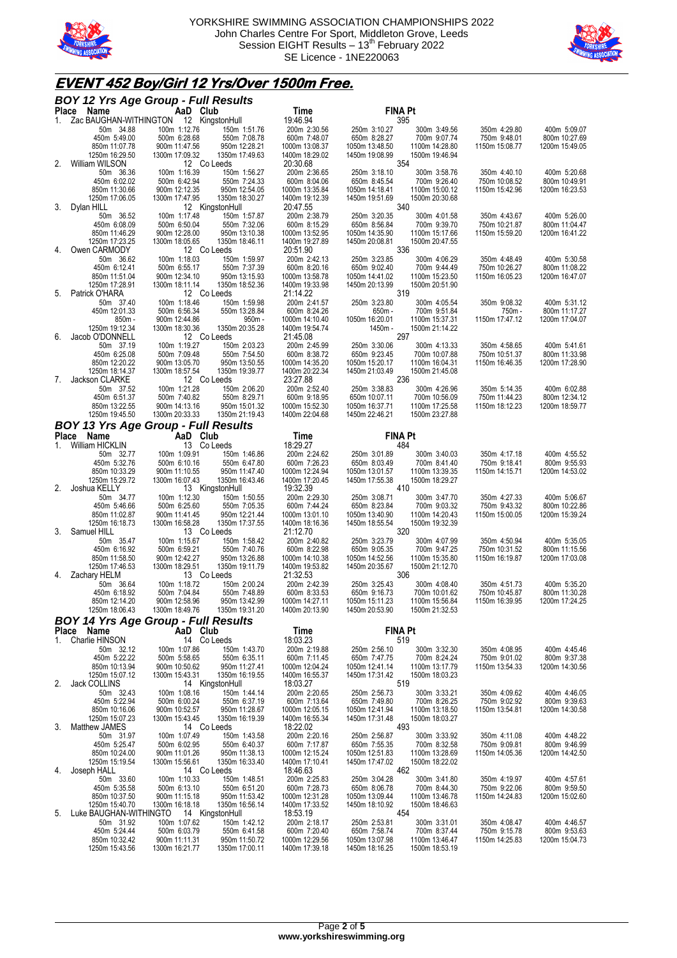



## **EVENT 452 Boy/Girl 12 Yrs/Over 1500m Free.**

|    | <b>BOY 12 Yrs Age Group - Full Results</b>                         |                                 |                                 |                                  |                                  |                                  |                                 |                                 |
|----|--------------------------------------------------------------------|---------------------------------|---------------------------------|----------------------------------|----------------------------------|----------------------------------|---------------------------------|---------------------------------|
|    | Place Name<br>1. Zac BAUGHAN-WITHINGTON 12 KingstonHull            | AaD Club                        |                                 | Time<br>19:46.94                 |                                  | <b>FINA Pt</b><br>395            |                                 |                                 |
|    | 50m 34.88                                                          | 100m 1:12.76                    | 150m 1:51.76                    | 200m 2:30.56                     | 250m 3:10.27                     | 300m 3:49.56                     | 350m 4:29.80                    | 400m 5:09.07                    |
|    | 450m 5:49.00                                                       | 500m 6:28.68                    | 550m 7:08.78                    | 600m 7:48.07                     | 650m 8:28.27                     | 700m 9:07.74                     | 750m 9:48.01                    | 800m 10:27.69                   |
|    | 850m 11:07.78                                                      | 900m 11:47.56                   | 950m 12:28.21                   | 1000m 13:08.37                   | 1050m 13:48.50                   | 1100m 14:28.80                   | 1150m 15:08.77                  | 1200m 15:49.05                  |
| 2. | 1250m 16:29.50<br>William WILSON                                   | 1300m 17:09.32<br>12 Co Leeds   | 1350m 17:49.63                  | 1400m 18:29.02<br>20:30.68       | 1450m 19:08.99                   | 1500m 19:46.94<br>354            |                                 |                                 |
|    | 50m 36.36                                                          | 100m 1:16.39                    | 150m 1:56.27                    | 200m 2:36.65                     | 250m 3:18.10                     | 300m 3:58.76                     | 350m 4:40.10                    | 400m 5:20.68                    |
|    | 450m 6:02.02                                                       | 500m 6:42.94                    | 550m 7:24.33                    | 600m 8:04.06                     | 650m 8:45.54                     | 700m 9:26.40                     | 750m 10:08.52                   | 800m 10:49.91                   |
|    | 850m 11:30.66                                                      | 900m 12:12.35                   | 950m 12:54.05                   | 1000m 13:35.84                   | 1050m 14:18.41                   | 1100m 15:00.12                   | 1150m 15:42.96                  | 1200m 16:23.53                  |
|    | 1250m 17:06.05                                                     | 1300m 17:47.95                  | 1350m 18:30.27                  | 1400m 19:12.39                   | 1450m 19:51.69                   | 1500m 20:30.68                   |                                 |                                 |
| 3. | Dylan HILL<br>50m 36.52                                            | 100m 1:17.48                    | 12 KingstonHull<br>150m 1:57.87 | 20:47.55<br>200m 2:38.79         | 250m 3:20.35                     | 340<br>300m 4:01.58              | 350m 4:43.67                    | 400m 5:26.00                    |
|    | 450m 6:08.09                                                       | 500m 6:50.04                    | 550m 7:32.06                    | 600m 8:15.29                     | 650m 8:56.84                     | 700m 9:39.70                     | 750m 10:21.87                   | 800m 11:04.47                   |
|    | 850m 11:46.29                                                      | 900m 12:28.00                   | 950m 13:10.38                   | 1000m 13:52.95                   | 1050m 14:35.90                   | 1100m 15:17.66                   | 1150m 15:59.20                  | 1200m 16:41.22                  |
|    | 1250m 17:23.25                                                     | 1300m 18:05.65                  | 1350m 18:46.11                  | 1400m 19:27.89                   | 1450m 20:08.81                   | 1500m 20:47.55                   |                                 |                                 |
| 4. | Owen CARMODY                                                       | 12 Co Leeds                     |                                 | 20:51.90                         |                                  | 336                              |                                 |                                 |
|    | 50m 36.62<br>450m 6:12.41                                          | 100m 1:18.03<br>500m 6:55.17    | 150m 1:59.97<br>550m 7:37.39    | 200m 2:42.13<br>600m 8:20.16     | 250m 3:23.85<br>650m 9:02.40     | 300m 4:06.29<br>700m 9:44.49     | 350m 4:48.49<br>750m 10:26.27   | 400m 5:30.58<br>800m 11:08.22   |
|    | 850m 11:51.04                                                      | 900m 12:34.10                   | 950m 13:15.93                   | 1000m 13:58.78                   | 1050m 14:41.02                   | 1100m 15:23.50                   | 1150m 16:05.23                  | 1200m 16:47.07                  |
|    | 1250m 17:28.91                                                     | 1300m 18:11.14                  | 1350m 18:52.36                  | 1400m 19:33.98                   | 1450m 20:13.99                   | 1500m 20:51.90                   |                                 |                                 |
| 5. | Patrick O'HARA                                                     | 12 Co Leeds                     |                                 | 21:14.22                         |                                  | 319                              |                                 |                                 |
|    | 50m 37.40                                                          | 100m 1:18.46<br>500m 6:56.34    | 150m 1:59.98                    | 200m 2:41.57<br>600m 8:24.26     | 250m 3:23.80                     | 300m 4:05.54                     | 350m 9:08.32                    | 400m 5:31.12                    |
|    | 450m 12:01.33<br>850m -                                            | 900m 12:44.86                   | 550m 13:28.84<br>950m -         | 1000m 14:10.40                   | 650m -<br>1050m 16:20.01         | 700m 9:51.84<br>1100m 15:37.31   | 750m -<br>1150m 17:47.12        | 800m 11:17.27<br>1200m 17:04.07 |
|    | 1250m 19:12.34                                                     | 1300m 18:30.36                  | 1350m 20:35.28                  | 1400m 19:54.74                   | 1450m -                          | 1500m 21:14.22                   |                                 |                                 |
| 6. | Jacob O'DONNELL                                                    | 12 Co Leeds                     |                                 | 21:45.08                         |                                  | 297                              |                                 |                                 |
|    | 50m 37.19                                                          | 100m 1:19.27                    | 150m 2:03.23                    | 200m 2:45.99                     | 250m 3:30.06                     | 300m 4:13.33                     | 350m 4:58.65                    | 400m 5:41.61                    |
|    | 450m 6:25.08<br>850m 12:20.22                                      | 500m 7:09.48<br>900m 13:05.70   | 550m 7:54.50<br>950m 13:50.55   | 600m 8:38.72<br>1000m 14:35.20   | 650m 9:23.45<br>1050m 15:20.17   | 700m 10:07.88<br>1100m 16:04.31  | 750m 10:51.37<br>1150m 16:46.35 | 800m 11:33.98<br>1200m 17:28.90 |
|    | 1250m 18:14.37                                                     | 1300m 18:57.54                  | 1350m 19:39.77                  | 1400m 20:22.34                   | 1450m 21:03.49                   | 1500m 21:45.08                   |                                 |                                 |
| 7. | Jackson CLARKE                                                     | 12 Co Leeds                     |                                 | 23:27.88                         |                                  | 236                              |                                 |                                 |
|    | 50m 37.52                                                          | 100m 1:21.28                    | 150m 2:06.20                    | 200m 2:52.40                     | 250m 3:38.83                     | 300m 4:26.96                     | 350m 5:14.35                    | 400m 6:02.88                    |
|    | 450m 6:51.37                                                       | 500m 7:40.82                    | 550m 8:29.71                    | 600m 9:18.95                     | 650m 10:07.11                    | 700m 10:56.09                    | 750m 11:44.23                   | 800m 12:34.12                   |
|    | 850m 13:22.55                                                      | 900m 14:13.16                   | 950m 15:01.32<br>1350m 21:19.43 | 1000m 15:52.30                   | 1050m 16:37.71<br>1450m 22:46.21 | 1100m 17:25.58                   | 1150m 18:12.23                  | 1200m 18:59.77                  |
|    | 1250m 19:45.50                                                     | 1300m 20:33.33                  |                                 | 1400m 22:04.68                   |                                  | 1500m 23:27.88                   |                                 |                                 |
|    | <b>BOY 13 Yrs Age Group - Full Results</b><br>Name<br><b>Place</b> | AaD Club                        |                                 | Time                             |                                  | <b>FINA Pt</b>                   |                                 |                                 |
| 1. | William HICKLIN                                                    | 13 Co Leeds                     |                                 | 18:29.27                         |                                  | 484                              |                                 |                                 |
|    | 50m 32.77                                                          | 100m 1:09.91                    | 150m 1:46.86                    | 200m 2:24.62                     | 250m 3:01.89                     | 300m 3:40.03                     | 350m 4:17.18                    | 400m 4:55.52                    |
|    | 450m 5:32.76                                                       | 500m 6:10.16                    | 550m 6:47.80                    | 600m 7:26.23                     | 650m 8:03.49                     | 700m 8:41.40                     | 750m 9:18.41                    | 800m 9:55.93                    |
|    | 850m 10:33.29                                                      | 900m 11:10.55                   | 950m 11:47.40                   | 1000m 12:24.94                   | 1050m 13:01.57                   | 1100m 13:39.35                   | 1150m 14:15.71                  | 1200m 14:53.02                  |
|    | 1250m 15:29.72                                                     | 1300m 16:07.43                  | 1350m 16:43.46                  | 1400m 17:20.45<br>19:32.39       | 1450m 17:55.38                   | 1500m 18:29.27<br>410            |                                 |                                 |
| 2. | Joshua KELLY<br>50m 34.77                                          | 100m 1:12.30                    | 13 KingstonHull<br>150m 1:50.55 | 200m 2:29.30                     | 250m 3:08.71                     | 300m 3:47.70                     | 350m 4:27.33                    | 400m 5:06.67                    |
|    | 450m 5:46.66                                                       | 500m 6:25.60                    | 550m 7:05.35                    | 600m 7:44.24                     | 650m 8:23.84                     | 700m 9:03.32                     | 750m 9:43.32                    | 800m 10:22.86                   |
|    | 850m 11:02.87                                                      | 900m 11:41.45                   | 950m 12:21.44                   | 1000m 13:01.10                   | 1050m 13:40.90                   | 1100m 14:20.43                   | 1150m 15:00.05                  | 1200m 15:39.24                  |
|    | 1250m 16:18.73                                                     | 1300m 16:58.28                  | 1350m 17:37.55                  | 1400m 18:16.36                   | 1450m 18:55.54                   | 1500m 19:32.39                   |                                 |                                 |
| 3. | Samuel HILL<br>50m 35.47                                           | 13 Co Leeds<br>100m 1:15.67     | 150m 1:58.42                    | 21:12.70<br>200m 2:40.82         | 250m 3:23.79                     | 320<br>300m 4:07.99              | 350m 4:50.94                    | 400m 5:35.05                    |
|    | 450m 6:16.92                                                       | 500m 6:59.21                    | 550m 7:40.76                    | 600m 8:22.98                     | 650m 9:05.35                     | 700m 9:47.25                     | 750m 10:31.52                   | 800m 11:15.56                   |
|    | 850m 11:58.50                                                      | 900m 12:42.27                   | 950m 13:26.88                   | 1000m 14:10.38                   | 1050m 14:52.56                   | 1100m 15:35.80                   | 1150m 16:19.87                  | 1200m 17:03.08                  |
|    | 1250m 17:46.53                                                     | 1300m 18:29.51                  | 1350m 19:11.79                  | 1400m 19:53.82                   | 1450m 20:35.67                   | 1500m 21:12.70                   |                                 |                                 |
|    | 4. Zachary HELM                                                    | 13 Co Leeds                     |                                 | 21:32.53                         |                                  | 306                              |                                 |                                 |
|    | 50m 36.64<br>450m 6:18.92                                          | 100m 1:18.72<br>500m 7:04.84    | 150m 2:00.24<br>550m 7:48.89    | 200m 2:42.39<br>600m 8:33.53     | 250m 3:25.43<br>650m 9:16.73     | 300m 4:08.40<br>700m 10:01.62    | 350m 4:51.73<br>750m 10:45.87   | 400m 5:35.20<br>800m 11:30.28   |
|    | 850m 12:14.20                                                      | 900m 12:58.96                   | 950m 13:42.99                   | 1000m 14:27.11                   | 1050m 15:11.23                   | 1100m 15:56.84                   | 1150m 16:39.95                  | 1200m 17:24.25                  |
|    | 1250m 18:06.43                                                     | 1300m 18:49.76                  | 1350m 19:31.20                  | 1400m 20:13.90                   | 1450m 20:53.90                   | 1500m 21:32.53                   |                                 |                                 |
|    | <b>BOY 14 Yrs Age Group - Full Results</b>                         |                                 |                                 |                                  |                                  |                                  |                                 |                                 |
|    | Place Name                                                         | AaD Club                        |                                 | Time                             |                                  | <b>FINA Pt</b>                   |                                 |                                 |
| 1. | Charlie HINSON                                                     | 14 Co Leeds                     |                                 | 18:03.23                         |                                  | 519                              |                                 |                                 |
|    | 50m 32.12                                                          | 100m 1:07.86                    | 150m 1:43.70                    | 200m 2:19.88                     | 250m 2:56.10                     | 300m 3:32.30                     | 350m 4:08.95                    | 400m 4:45.46                    |
|    | 450m 5:22.22                                                       | 500m 5:58.65                    | 550m 6:35.11<br>950m 11:27.41   | 600m 7:11.45<br>1000m 12:04.24   | 650m 7:47.75<br>1050m 12:41.14   | 700m 8:24.24<br>1100m 13:17.79   | 750m 9:01.02<br>1150m 13:54.33  | 800m 9:37.38<br>1200m 14:30.56  |
|    | 850m 10:13.94<br>1250m 15:07.12                                    | 900m 10:50.62<br>1300m 15:43.31 | 1350m 16:19.55                  | 1400m 16:55.37                   | 1450m 17:31.42                   | 1500m 18:03.23                   |                                 |                                 |
| 2. | Jack COLLINS                                                       |                                 | 14 KingstonHull                 | 18:03.27                         |                                  | 519                              |                                 |                                 |
|    | 50m 32.43                                                          | 100m 1:08.16                    | 150m 1:44.14                    | 200m 2:20.65                     | 250m 2:56.73                     | 300m 3:33.21                     | 350m 4:09.62                    | 400m 4:46.05                    |
|    | 450m 5:22.94                                                       | 500m 6:00.24                    | 550m 6:37.19                    | 600m 7:13.64                     | 650m 7:49.80                     | 700m 8:26.25                     | 750m 9:02.92                    | 800m 9:39.63                    |
|    | 850m 10:16.06<br>1250m 15:07.23                                    | 900m 10:52.57<br>1300m 15:43.45 | 950m 11:28.67                   | 1000m 12:05.15<br>1400m 16:55.34 | 1050m 12:41.94<br>1450m 17:31.48 | 1100m 13:18.50<br>1500m 18:03.27 | 1150m 13:54.81                  | 1200m 14:30.58                  |
| 3. | Matthew JAMES                                                      | 14 Co Leeds                     | 1350m 16:19.39                  | 18:22.02                         |                                  | 493                              |                                 |                                 |
|    | 50m 31.97                                                          | 100m 1:07.49                    | 150m 1:43.58                    | 200m 2:20.16                     | 250m 2:56.87                     | 300m 3:33.92                     | 350m 4:11.08                    | 400m 4:48.22                    |
|    | 450m 5:25.47                                                       | 500m 6:02.95                    | 550m 6:40.37                    | 600m 7:17.87                     | 650m 7:55.35                     | 700m 8:32.58                     | 750m 9:09.81                    | 800m 9:46.99                    |
|    | 850m 10:24.00                                                      | 900m 11:01.26                   | 950m 11:38.13                   | 1000m 12:15.24                   | 1050m 12:51.83                   | 1100m 13:28.69                   | 1150m 14:05.36                  | 1200m 14:42.50                  |
|    | 1250m 15:19.54<br>Joseph HALL                                      | 1300m 15:56.61<br>14 Co Leeds   | 1350m 16:33.40                  | 1400m 17:10.41<br>18:46.63       | 1450m 17:47.02                   | 1500m 18:22.02<br>462            |                                 |                                 |
| 4. | 50m 33.60                                                          | 100m 1:10.33                    | 150m 1:48.51                    | 200m 2:25.83                     | 250m 3:04.28                     | 300m 3:41.80                     | 350m 4:19.97                    | 400m 4:57.61                    |
|    | 450m 5:35.58                                                       | 500m 6:13.10                    | 550m 6:51.20                    | 600m 7:28.73                     | 650m 8:06.78                     | 700m 8:44.30                     | 750m 9:22.06                    | 800m 9:59.50                    |
|    | 850m 10:37.50                                                      | 900m 11:15.18                   | 950m 11:53.42                   | 1000m 12:31.28                   | 1050m 13:09.44                   | 1100m 13:46.78                   | 1150m 14:24.83                  | 1200m 15:02.60                  |
|    | 1250m 15:40.70                                                     | 1300m 16:18.18                  | 1350m 16:56.14                  | 1400m 17:33.52                   | 1450m 18:10.92                   | 1500m 18:46.63                   |                                 |                                 |
| 5. | Luke BAUGHAN-WITHINGTO<br>50m 31.92                                | 100m 1:07.62                    | 14 KingstonHull<br>150m 1:42.12 | 18:53.19<br>200m 2:18.17         | 250m 2:53.81                     | 454<br>300m 3:31.01              |                                 | 400m 4:46.57                    |
|    | 450m 5:24.44                                                       | 500m 6:03.79                    | 550m 6:41.58                    | 600m 7:20.40                     | 650m 7:58.74                     | 700m 8:37.44                     | 350m 4:08.47<br>750m 9:15.78    | 800m 9:53.63                    |
|    | 850m 10:32.42                                                      | 900m 11:11.31                   | 950m 11:50.72                   | 1000m 12:29.56                   | 1050m 13:07.98                   | 1100m 13:46.47                   | 1150m 14:25.83                  | 1200m 15:04.73                  |
|    | 1250m 15:43.56                                                     | 1300m 16:21.77                  | 1350m 17:00.11                  | 1400m 17:39.18                   | 1450m 18:16.25                   | 1500m 18:53.19                   |                                 |                                 |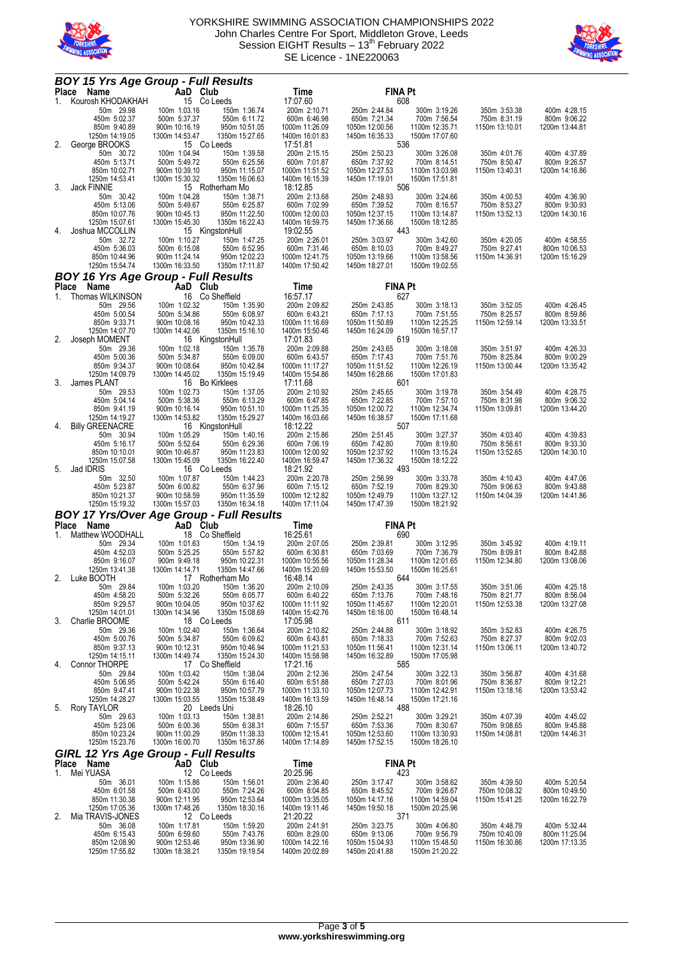



|    | <b>BOY 15 Yrs Age Group - Full Results</b><br>Place Name | AaD Club                        |                                   | Time                             | <b>FINA Pt</b>                   |                                  |                                |                                |
|----|----------------------------------------------------------|---------------------------------|-----------------------------------|----------------------------------|----------------------------------|----------------------------------|--------------------------------|--------------------------------|
|    | 1. Kourosh KHODAKHAH                                     | 15 Co Leeds                     |                                   | 17:07.60                         |                                  | 608                              |                                |                                |
|    | 50m 29.98                                                | 100m 1:03.16                    | 150m 1:36.74                      | 200m 2:10.71                     | 250m 2:44.84                     | 300m 3:19.26                     | 350m 3:53.38                   | 400m 4:28.15                   |
|    | 450m 5:02.37                                             | 500m 5:37.37                    | 550m 6:11.72                      | 600m 6:46.98                     | 650m 7:21.34                     | 700m 7:56.54                     | 750m 8:31.19                   | 800m 9:06.22                   |
|    | 850m 9:40.89<br>1250m 14:19.05                           | 900m 10:16.19<br>1300m 14:53.47 | 950m 10:51.05<br>1350m 15:27.65   | 1000m 11:26.09<br>1400m 16:01.83 | 1050m 12:00.56<br>1450m 16:35.33 | 1100m 12:35.71<br>1500m 17:07.60 | 1150m 13:10.01                 | 1200m 13:44.81                 |
| 2. | George BROOKS                                            |                                 | 15 Co Leeds                       | 17:51.81                         |                                  | 536                              |                                |                                |
|    | 50m 30.72                                                | 100m 1:04.94                    | 150m 1:39.58                      | 200m 2:15.15                     | 250m 2:50.23                     | 300m 3:26.08                     | 350m 4:01.76                   | 400m 4:37.89                   |
|    | 450m 5:13.71<br>850m 10:02.71                            | 500m 5:49.72<br>900m 10:39.10   | 550m 6:25.56<br>950m 11:15.07     | 600m 7:01.87<br>1000m 11:51.52   | 650m 7:37.92<br>1050m 12:27.53   | 700m 8:14.51<br>1100m 13:03.98   | 750m 8:50.47<br>1150m 13:40.31 | 800m 9:26.57<br>1200m 14:16.86 |
|    | 1250m 14:53.41                                           | 1300m 15:30.32                  | 1350m 16:06.63                    | 1400m 16:15.39                   | 1450m 17:19.01                   | 1500m 17:51.81                   |                                |                                |
| 3. | <b>Jack FINNIE</b>                                       |                                 | 15 Rotherham Mo                   | 18:12.85                         |                                  | 506                              |                                |                                |
|    | 50m 30.42                                                | 100m 1:04.28                    | 150m 1:38.71                      | 200m 2:13.68                     | 250m 2:48.93                     | 300m 3:24.66                     | 350m 4:00.53                   | 400m 4:36.90                   |
|    | 450m 5:13.06<br>850m 10:07.76                            | 500m 5:49.67<br>900m 10:45.13   | 550m 6:25.87<br>950m 11:22.50     | 600m 7:02.99<br>1000m 12:00.03   | 650m 7:39.52<br>1050m 12:37.15   | 700m 8:16.57<br>1100m 13:14.87   | 750m 8:53.27<br>1150m 13:52.13 | 800m 9:30.93<br>1200m 14:30.16 |
|    | 1250m 15:07.61                                           | 1300m 15:45.30                  | 1350m 16:22.43                    | 1400m 16:59.75                   | 1450m 17:36.66                   | 1500m 18:12.85                   |                                |                                |
| 4. | Joshua MCCOLLIN                                          |                                 | 15 KingstonHull                   | 19:02.55                         |                                  | 443                              |                                |                                |
|    | 50m 32.72<br>450m 5:36.03                                | 100m 1:10.27<br>500m 6:15.08    | 150m 1:47.25<br>550m 6:52.95      | 200m 2:26.01<br>600m 7:31.46     | 250m 3:03.97<br>650m 8:10.03     | 300m 3:42.60<br>700m 8:49.27     | 350m 4:20.05<br>750m 9:27.41   | 400m 4:58.55<br>800m 10:06.53  |
|    | 850m 10:44.96                                            | 900m 11:24.14                   | 950m 12:02.23                     | 1000m 12:41.75                   | 1050m 13:19.66                   | 1100m 13:58.56                   | 1150m 14:36.91                 | 1200m 15:16.29                 |
|    | 1250m 15:54.74                                           | 1300m 16:33.50                  | 1350m 17:11.87                    | 1400m 17:50.42                   | 1450m 18:27.01                   | 1500m 19:02.55                   |                                |                                |
|    | <b>BOY 16 Yrs Age Group - Full Results</b>               |                                 |                                   |                                  |                                  |                                  |                                |                                |
|    | Place<br>Name                                            | AaD Club                        |                                   | Time                             | <b>FINA Pt</b>                   |                                  |                                |                                |
| 1. | Thomas WILKINSON<br>50m 29.56                            | 100m 1:02.32                    | 16 Co Sheffield<br>150m 1:35.90   | 16:57.17<br>200m 2:09.82         | 250m 2:43.85                     | 627<br>300m 3:18.13              | 350m 3:52.05                   | 400m 4:26.45                   |
|    | 450m 5:00.54                                             | 500m 5:34.86                    | 550m 6:08.97                      | 600m 6:43.21                     | 650m 7:17.13                     | 700m 7:51.55                     | 750m 8:25.57                   | 800m 8:59.86                   |
|    | 850m 9:33.71                                             | 900m 10:08.16                   | 950m 10:42.33                     | 1000m 11:16.69                   | 1050m 11:50.89                   | 1100m 12:25.25                   | 1150m 12:59.14                 | 1200m 13:33.51                 |
| 2. | 1250m 14:07.70<br>Joseph MOMENT                          | 1300m 14:42.06                  | 1350m 15:16.10<br>16 KingstonHull | 1400m 15:50.46<br>17:01.83       | 1450m 16:24.09                   | 1500m 16:57.17<br>619            |                                |                                |
|    | 50m 29.36                                                | 100m 1:02.18                    | 150m 1:35.78                      | 200m 2:09.88                     | 250m 2:43.65                     | 300m 3:18.08                     | 350m 3:51.97                   | 400m 4:26.33                   |
|    | 450m 5:00.36                                             | 500m 5:34.87                    | 550m 6:09.00                      | 600m 6:43.57                     | 650m 7:17.43                     | 700m 7:51.76                     | 750m 8:25.84                   | 800m 9:00.29                   |
|    | 850m 9:34.37                                             | 900m 10:08.64                   | 950m 10:42.84                     | 1000m 11:17.27                   | 1050m 11:51.52<br>1450m 16:28.66 | 1100m 12:26.19<br>1500m 17:01.83 | 1150m 13:00.44                 | 1200m 13:35.42                 |
| 3. | 1250m 14:09.79<br>James PLANT                            | 1300m 14:45.02                  | 1350m 15:19.49<br>16 Bo Kirklees  | 1400m 15:54.86<br>17:11.68       |                                  | 601                              |                                |                                |
|    | 50m 29.53                                                | 100m 1:02.73                    | 150m 1:37.05                      | 200m 2:10.92                     | 250m 2:45.65                     | 300m 3:19.78                     | 350m 3:54.49                   | 400m 4:28.75                   |
|    | 450m 5:04.14                                             | 500m 5:38.36                    | 550m 6:13.29                      | 600m 6:47.85                     | 650m 7:22.85                     | 700m 7:57.10                     | 750m 8:31.98                   | 800m 9:06.32                   |
|    | 850m 9:41.19<br>1250m 14:19.27                           | 900m 10:16.14<br>1300m 14:53.82 | 950m 10:51.10<br>1350m 15:29.27   | 1000m 11:25.35<br>1400m 16:03.66 | 1050m 12:00.72<br>1450m 16:38.57 | 1100m 12:34.74<br>1500m 17:11.68 | 1150m 13:09.81                 | 1200m 13:44.20                 |
| 4. | <b>Billy GREENACRE</b>                                   |                                 | 16 KingstonHull                   | 18:12.22                         |                                  | 507                              |                                |                                |
|    | 50m 30.94                                                | 100m 1:05.29                    | 150m 1:40.16                      | 200m 2:15.86                     | 250m 2:51.45                     | 300m 3:27.37                     | 350m 4:03.40                   | 400m 4:39.83                   |
|    | 450m 5:16.17<br>850m 10:10.01                            | 500m 5:52.64<br>900m 10:46.87   | 550m 6:29.36<br>950m 11:23.83     | 600m 7:06.19<br>1000m 12:00.92   | 650m 7:42.80<br>1050m 12:37.92   | 700m 8:19.80<br>1100m 13:15.24   | 750m 8:56.61<br>1150m 13:52.65 | 800m 9:33.30<br>1200m 14:30.10 |
|    |                                                          |                                 |                                   |                                  |                                  |                                  |                                |                                |
|    |                                                          |                                 |                                   |                                  |                                  |                                  |                                |                                |
| 5. | 1250m 15:07.58<br>Jad IDRIS                              | 1300m 15:45.09                  | 1350m 16:22.40<br>16 Co Leeds     | 1400m 16:59.47<br>18:21.92       | 1450m 17:36.32                   | 1500m 18:12.22<br>493            |                                |                                |
|    | 50m 32.50                                                | 100m 1:07.87                    | 150m 1:44.23                      | 200m 2:20.78                     | 250m 2:56.99                     | 300m 3:33.78                     | 350m 4:10.43                   | 400m 4:47.06                   |
|    | 450m 5:23.87                                             | 500m 6:00.82                    | 550m 6:37.96                      | 600m 7:15.12                     | 650m 7:52.19                     | 700m 8:29.30                     | 750m 9:06.63                   |                                |
|    | 850m 10:21.37<br>1250m 15:19.32                          | 900m 10:58.59<br>1300m 15:57.03 | 950m 11:35.59<br>1350m 16:34.18   | 1000m 12:12.82<br>1400m 17:11.04 | 1050m 12:49.79<br>1450m 17:47.39 | 1100m 13:27.12<br>1500m 18:21.92 | 1150m 14:04.39                 | 1200m 14:41.86                 |
|    | <b>BOY 17 Yrs/Over Age Group - Full Results</b>          |                                 |                                   |                                  |                                  |                                  |                                |                                |
|    | <b>Place</b><br>Name                                     | AaD Club                        |                                   | Time                             | <b>FINA Pt</b>                   |                                  |                                | 800m 9:43.88                   |
| 1. | Matthew WOODHALL                                         |                                 | 18 Co Sheffield                   | 16:25.61                         |                                  | 690                              |                                |                                |
|    | 50m 29.34<br>450m 4:52.03                                | 100m 1:01.63<br>500m 5:25.25    | 150m 1:34.19                      | 200m 2:07.05                     | 250m 2:39.81<br>650m 7:03.69     | 300m 3:12.95<br>700m 7:36.79     | 350m 3:45.92<br>750m 8:09.81   | 400m 4:19.11<br>800m 8:42.88   |
|    | 850m 9:16.07                                             | 900m 9:49.18                    | 550m 5:57.82<br>950m 10:22.31     | 600m 6:30.81<br>1000m 10:55.56   | 1050m 11:28.34                   | 1100m 12:01.65                   | 1150m 12:34.80                 | 1200m 13:08.06                 |
|    | 1250m 13:41.38                                           | 1300m 14:14.71                  | 1350m 14:47.66                    | 1400m 15:20.69                   | 1450m 15:53.50                   | 1500m 16:25.61                   |                                |                                |
|    | 2. Luke BOOTH                                            |                                 | 17 Rotherham Mo                   | 16:48.14                         |                                  | 644                              |                                |                                |
|    | 50m 29.84<br>450m 4:58.20                                | 100m 1:03.20<br>500m 5:32.26    | 150m 1:36.20<br>550m 6:05.77      | 200m 2:10.09<br>600m 6:40.22     | 250m 2:43.35<br>650m 7:13.76     | 300m 3:17.55<br>700m 7:48.16     | 350m 3:51.06<br>750m 8:21.77   | 400m 4:25.18<br>800m 8:56.04   |
|    | 850m 9:29.57                                             | 900m 10:04.05                   | 950m 10:37.62                     | 1000m 11:11.92                   | 1050m 11:45.67                   | 1100m 12:20.01                   | 1150m 12:53.38                 | 1200m 13:27.08                 |
|    | 1250m 14:01.01                                           | 1300m 14:34.96                  | 1350m 15:08.69                    | 1400m 15:42.76<br>17:05.98       | 1450m 16:16.00                   | 1500m 16:48.14                   |                                |                                |
| 3. | Charlie BROOME<br>50m 29.36                              | 100m 1:02.40                    | 18 Co Leeds<br>150m 1:36.64       | 200m 2:10.82                     | 250m 2:44.88                     | 611<br>300m 3:18.92              | 350m 3:52.83                   | 400m 4:26.75                   |
|    | 450m 5:00.76                                             | 500m 5:34.87                    | 550m 6:09.62                      | 600m 6:43.81                     | 650m 7:18.33                     | 700m 7:52.63                     | 750m 8:27.37                   | 800m 9:02.03                   |
|    | 850m 9:37.13                                             | 900m 10:12.31                   | 950m 10:46.94                     | 1000m 11:21.53                   | 1050m 11:56.41                   | 1100m 12:31.14                   | 1150m 13:06.11                 | 1200m 13:40.72                 |
| 4. | 1250m 14:15.11<br><b>Connor THORPE</b>                   | 1300m 14:49.74                  | 1350m 15:24.30<br>17 Co Sheffield | 1400m 15:58.98<br>17:21.16       | 1450m 16:32.89                   | 1500m 17:05.98<br>585            |                                |                                |
|    | 50m 29.84                                                | 100m 1:03.42                    | 150m 1:38.04                      | 200m 2:12.36                     | 250m 2:47.54                     | 300m 3:22.13                     | 350m 3:56.87                   | 400m 4:31.68                   |
|    | 450m 5:06.95                                             | 500m 5:42.24                    | 550m 6:16.40                      | 600m 6:51.88                     | 650m 7:27.03                     | 700m 8:01.96                     | 750m 8:36.87                   | 800m 9:12.21                   |
|    | 850m 9:47.41                                             | 900m 10:22.38                   | 950m 10:57.79                     | 1000m 11:33.10<br>1400m 16:13.59 | 1050m 12:07.73                   | 1100m 12:42.91                   | 1150m 13:18.16                 | 1200m 13:53.42                 |
| 5. | 1250m 14:28.27<br>Rory TAYLOR                            | 1300m 15:03.55                  | 1350m 15:38.49<br>20 Leeds Uni    | 18:26.10                         | 1450m 16:48.14                   | 1500m 17:21.16<br>488            |                                |                                |
|    | 50m 29.63                                                | 100m 1:03.13                    | 150m 1:38.81                      | 200m 2:14.86                     | 250m 2:52.21                     | 300m 3:29.21                     | 350m 4:07.39                   | 400m 4:45.02                   |
|    | 450m 5:23.06                                             | 500m 6:00.36                    | 550m 6:38.31                      | 600m 7:15.57                     | 650m 7:53.36                     | 700m 8:30.67                     | 750m 9:08.65                   | 800m 9:45.88                   |
|    | 850m 10:23.24<br>1250m 15:23.76                          | 900m 11:00.29<br>1300m 16:00.70 | 950m 11:38.33<br>1350m 16:37.86   | 1000m 12:15.41<br>1400m 17:14.89 | 1050m 12:53.60<br>1450m 17:52.15 | 1100m 13:30.93<br>1500m 18:26.10 | 1150m 14:08.81                 | 1200m 14:46.31                 |
|    | <b>GIRL 12 Yrs Age Group - Full Results</b>              |                                 |                                   |                                  |                                  |                                  |                                |                                |
|    | Place Name                                               | AaD Club                        |                                   | Time                             | <b>FINA Pt</b>                   |                                  |                                |                                |
| 1. | Mei YUASA                                                |                                 | 12 Co Leeds                       | 20:25.96                         |                                  | 423                              |                                |                                |
|    | 50m 36.01<br>450m 6:01.58                                | 100m 1:15.86<br>500m 6:43.00    | 150m 1:56.01<br>550m 7:24.26      | 200m 2:36.40<br>600m 8:04.85     | 250m 3:17.47<br>650m 8:45.52     | 300m 3:58.62<br>700m 9:26.67     | 350m 4:39.50<br>750m 10:08.32  | 400m 5:20.54<br>800m 10:49.50  |
|    | 850m 11:30.38                                            | 900m 12:11.95                   | 950m 12:53.64                     | 1000m 13:35.05                   | 1050m 14:17.16                   | 1100m 14:59.04                   | 1150m 15:41.25                 | 1200m 16:22.79                 |
|    | 1250m 17:05.36                                           | 1300m 17:48.26                  | 1350m 18:30.16                    | 1400m 19:11.46                   | 1450m 19:50.18                   | 1500m 20:25.96                   |                                |                                |
| 2. | Mia TRAVIS-JONES<br>50m 36.08                            | 100m 1:17.81                    | 12 Co Leeds<br>150m 1:59.20       | 21:20.22<br>200m 2:41.91         | 250m 3:23.75                     | 371<br>300m 4:06.80              | 350m 4:48.79                   | 400m 5:32.44                   |
|    | 450m 6:15.43                                             | 500m 6:59.60                    | 550m 7:43.76                      | 600m 8:29.00                     | 650m 9:13.06                     | 700m 9:56.79                     | 750m 10:40.09                  | 800m 11:25.04                  |
|    | 850m 12:08.90<br>1250m 17:55.82                          | 900m 12:53.46<br>1300m 18:38.21 | 950m 13:36.90<br>1350m 19:19.54   | 1000m 14:22.16<br>1400m 20:02.89 | 1050m 15:04.93<br>1450m 20:41.88 | 1100m 15:48.50<br>1500m 21:20.22 | 1150m 16:30.86                 | 1200m 17:13.35                 |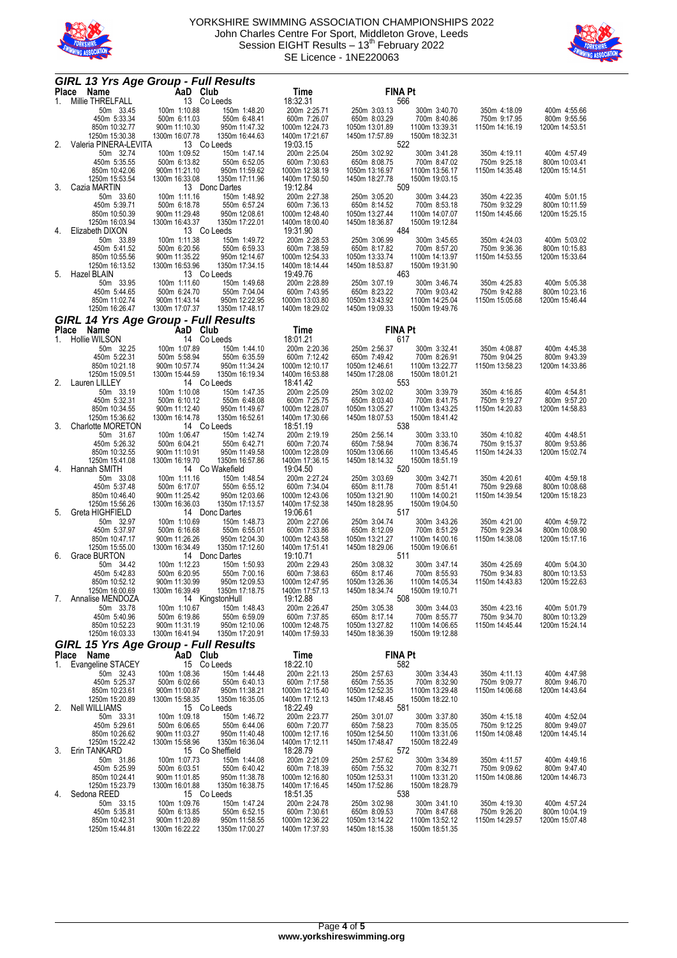



|    | <b>GIRL 13 Yrs Age Group - Full Results</b> |                                 |                                  |                                  |                                  |                                  |                                |                                 |
|----|---------------------------------------------|---------------------------------|----------------------------------|----------------------------------|----------------------------------|----------------------------------|--------------------------------|---------------------------------|
|    | Place Name<br>1. Millie THRELFALL           | AaD Club<br>ALL 13 Cole         |                                  | Time                             | <b>FINA Pt</b>                   |                                  |                                |                                 |
|    | 50m 33.45                                   | 13 Co Leeds<br>100m 1:10.88     | 150m 1:48.20                     | 18:32.31<br>200m 2:25.71         | 250m 3:03.13                     | 566<br>300m 3:40.70              | 350m 4:18.09                   | 400m 4:55.66                    |
|    | 450m 5:33.34                                | 500m 6:11.03                    | 550m 6:48.41                     | 600m 7:26.07                     | 650m 8:03.29                     | 700m 8:40.86                     | 750m 9:17.95                   | 800m 9:55.56                    |
|    | 850m 10:32.77                               | 900m 11:10.30                   | 950m 11:47.32                    | 1000m 12:24.73                   | 1050m 13:01.89                   | 1100m 13:39.31                   | 1150m 14:16.19                 | 1200m 14:53.51                  |
| 2. | 1250m 15:30.38<br>Valeria PINERA-LEVITA     | 1300m 16:07.78<br>13 Co Leeds   | 1350m 16:44.63                   | 1400m 17:21.67<br>19:03.15       | 1450m 17:57.89                   | 1500m 18:32.31<br>522            |                                |                                 |
|    | 50m 32.74                                   | 100m 1:09.52                    | 150m 1:47.14                     | 200m 2:25.04                     | 250m 3:02.92                     | 300m 3:41.28                     | 350m 4:19.11                   | 400m 4:57.49                    |
|    | 450m 5:35.55                                | 500m 6:13.82                    | 550m 6:52.05                     | 600m 7:30.63                     | 650m 8:08.75                     | 700m 8:47.02                     | 750m 9:25.18                   | 800m 10:03.41                   |
|    | 850m 10:42.06                               | 900m 11:21.10                   | 950m 11:59.62                    | 1000m 12:38.19                   | 1050m 13:16.97                   | 1100m 13:56.17                   | 1150m 14:35.48                 | 1200m 15:14.51                  |
| 3. | 1250m 15:53.54<br>Cazia MARTIN              | 1300m 16:33.08                  | 1350m 17:11.96<br>13 Donc Dartes | 1400m 17:50.50<br>19:12.84       | 1450m 18:27.78                   | 1500m 19:03.15<br>509            |                                |                                 |
|    | 50m 33.60                                   | 100m 1:11.16                    | 150m 1:48.92                     | 200m 2:27.38                     | 250m 3:05.20                     | 300m 3:44.23                     | 350m 4:22.35                   | 400m 5:01.15                    |
|    | 450m 5:39.71                                | 500m 6:18.78                    | 550m 6:57.24                     | 600m 7:36.13                     | 650m 8:14.52                     | 700m 8:53.18                     | 750m 9:32.29                   | 800m 10:11.59                   |
|    | 850m 10:50.39                               | 900m 11:29.48                   | 950m 12:08.61                    | 1000m 12:48.40                   | 1050m 13:27.44                   | 1100m 14:07.07                   | 1150m 14:45.66                 | 1200m 15:25.15                  |
| 4. | 1250m 16:03.94<br>Elizabeth DIXON           | 1300m 16:43.37<br>13 Co Leeds   | 1350m 17:22.01                   | 1400m 18:00.40<br>19:31.90       | 1450m 18:36.87                   | 1500m 19:12.84<br>484            |                                |                                 |
|    | 50m 33.89                                   | 100m 1:11.38                    | 150m 1:49.72                     | 200m 2:28.53                     | 250m 3:06.99                     | 300m 3:45.65                     | 350m 4:24.03                   | 400m 5:03.02                    |
|    | 450m 5:41.52                                | 500m 6:20.56                    | 550m 6:59.33                     | 600m 7:38.59                     | 650m 8:17.82                     | 700m 8:57.20                     | 750m 9:36.36                   | 800m 10:15.83                   |
|    | 850m 10:55.56                               | 900m 11:35.22                   | 950m 12:14.67                    | 1000m 12:54.33                   | 1050m 13:33.74                   | 1100m 14:13.97                   | 1150m 14:53.55                 | 1200m 15:33.64                  |
| 5. | 1250m 16:13.52<br>Hazel BLAIN               | 1300m 16:53.96<br>13 Co Leeds   | 1350m 17:34.15                   | 1400m 18:14.44<br>19:49.76       | 1450m 18:53.87                   | 1500m 19:31.90<br>463            |                                |                                 |
|    | 50m 33.95                                   | 100m 1:11.60                    | 150m 1:49.68                     | 200m 2:28.89                     | 250m 3:07.19                     | 300m 3:46.74                     | 350m 4:25.83                   | 400m 5:05.38                    |
|    | 450m 5:44.65                                | 500m 6:24.70                    | 550m 7:04.04                     | 600m 7:43.95                     | 650m 8:23.22                     | 700m 9:03.42                     | 750m 9:42.88                   | 800m 10:23.16                   |
|    | 850m 11:02.74                               | 900m 11:43.14                   | 950m 12:22.95                    | 1000m 13:03.80                   | 1050m 13:43.92                   | 1100m 14:25.04                   | 1150m 15:05.68                 | 1200m 15:46.44                  |
|    | 1250m 16:26.47                              | 1300m 17:07.37                  | 1350m 17:48.17                   | 1400m 18:29.02                   | 1450m 19:09.33                   | 1500m 19:49.76                   |                                |                                 |
|    | <b>GIRL 14 Yrs Age Group - Full Results</b> |                                 |                                  |                                  |                                  |                                  |                                |                                 |
|    | Place<br>Name<br>1. Hollie WILSON           | AaD Club<br>14 Co Leeds         |                                  | Time<br>18:01.21                 | <b>FINA Pt</b>                   | 617                              |                                |                                 |
|    | 50m 32.25                                   | 100m 1:07.89                    | 150m 1:44.10                     | 200m 2:20.36                     | 250m 2:56.37                     | 300m 3:32.41                     | 350m 4:08.87                   | 400m 4:45.38                    |
|    | 450m 5:22.31                                | 500m 5:58.94                    | 550m 6:35.59                     | 600m 7:12.42                     | 650m 7:49.42                     | 700m 8:26.91                     | 750m 9:04.25                   | 800m 9:43.39                    |
|    | 850m 10:21.18<br>1250m 15:09.51             | 900m 10:57.74<br>1300m 15:44.59 | 950m 11:34.24<br>1350m 16:19.34  | 1000m 12:10.17<br>1400m 16:53.88 | 1050m 12:46.61<br>1450m 17:28.08 | 1100m 13:22.77<br>1500m 18:01.21 | 1150m 13:58.23                 | 1200m 14:33.86                  |
| 2. | Lauren LILLEY                               | 14 Co Leeds                     |                                  | 18:41.42                         |                                  | 553                              |                                |                                 |
|    | 50m 33.19                                   | 100m 1:10.08                    | 150m 1:47.35                     | 200m 2:25.09                     | 250m 3:02.02                     | 300m 3:39.79                     | 350m 4:16.85                   | 400m 4:54.81                    |
|    | 450m 5:32.31                                | 500m 6:10.12                    | 550m 6:48.08                     | 600m 7:25.75                     | 650m 8:03.40                     | 700m 8:41.75                     | 750m 9:19.27                   | 800m 9:57.20                    |
|    | 850m 10:34.55<br>1250m 15:36.62             | 900m 11:12.40<br>1300m 16:14.78 | 950m 11:49.67<br>1350m 16:52.61  | 1000m 12:28.07<br>1400m 17:30.66 | 1050m 13:05.27<br>1450m 18:07.53 | 1100m 13:43.25<br>1500m 18:41.42 | 1150m 14:20.83                 | 1200m 14:58.83                  |
| 3. | Charlotte MORETON                           | 14 Co Leeds                     |                                  | 18:51.19                         |                                  | 538                              |                                |                                 |
|    | 50m 31.67                                   | 100m 1:06.47                    | 150m 1:42.74                     | 200m 2:19.19                     | 250m 2:56.14                     | 300m 3:33.10                     | 350m 4:10.82                   | 400m 4:48.51                    |
|    | 450m 5:26.32                                | 500m 6:04.21                    | 550m 6:42.71                     | 600m 7:20.74                     | 650m 7:58.94                     | 700m 8:36.74                     | 750m 9:15.37                   | 800m 9:53.86                    |
|    | 850m 10:32.55<br>1250m 15:41.08             | 900m 11:10.91<br>1300m 16:19.70 | 950m 11:49.58<br>1350m 16:57.86  | 1000m 12:28.09<br>1400m 17:36.15 | 1050m 13:06.66<br>1450m 18:14.32 | 1100m 13:45.45<br>1500m 18:51.19 | 1150m 14:24.33                 | 1200m 15:02.74                  |
| 4. | Hannah SMITH                                |                                 | 14 Co Wakefield                  | 19:04.50                         |                                  | 520                              |                                |                                 |
|    | 50m 33.08                                   | 100m 1:11.16                    | 150m 1:48.54                     | 200m 2:27.24                     | 250m 3:03.69                     | 300m 3:42.71                     | 350m 4:20.61                   | 400m 4:59.18                    |
|    | 450m 5:37.48                                | 500m 6:17.07                    | 550m 6:55.12                     | 600m 7:34.04                     | 650m 8:11.78                     | 700m 8:51.41                     | 750m 9:29.68                   | 800m 10:08.68                   |
|    | 850m 10:46.40<br>1250m 15:56.26             | 900m 11:25.42<br>1300m 16:36.03 | 950m 12:03.66<br>1350m 17:13.57  | 1000m 12:43.06<br>1400m 17:52.38 | 1050m 13:21.90<br>1450m 18:28.95 | 1100m 14:00.21<br>1500m 19:04.50 | 1150m 14:39.54                 | 1200m 15:18.23                  |
| 5. | Greta HIGHFIELD                             |                                 | 14 Donc Dartes                   | 19:06.61                         |                                  | 517                              |                                |                                 |
|    | 50m 32.97                                   | 100m 1:10.69                    | 150m 1:48.73                     | 200m 2:27.06                     | 250m 3:04.74                     | 300m 3:43.26                     | 350m 4:21.00                   | 400m 4:59.72                    |
|    | 450m 5:37.97                                | 500m 6:16.68                    | 550m 6:55.01                     | 600m 7:33.86                     | 650m 8:12.09                     | 700m 8:51.29                     | 750m 9:29.34                   | 800m 10:08.90                   |
|    | 850m 10:47.17<br>1250m 15:55.00             | 900m 11:26.26<br>1300m 16:34.49 | 950m 12:04.30<br>1350m 17:12.60  | 1000m 12:43.58<br>1400m 17:51.41 | 1050m 13:21.27<br>1450m 18:29.06 | 1100m 14:00.16<br>1500m 19:06.61 | 1150m 14:38.08                 | 1200m 15:17.16                  |
| 6. | Grace BURTON                                |                                 | 14 Donc Dartes                   | 19:10.71                         |                                  | 511                              |                                |                                 |
|    | 50m 34.42                                   | 100m 1:12.23                    | 150m 1:50.93                     | 200m 2:29.43                     | 250m 3:08.32                     | 300m 3:47.14                     | 350m 4:25.69                   | 400m 5:04.30                    |
|    | 450m 5:42.83                                | 500m 6:20.95<br>900m 11:30.99   | 550m 7:00.16                     | 600m 7:38.63                     | 650m 8:17.46                     | 700m 8:55.93                     | 750m 9:34.83<br>1150m 14:43.83 | 800m 10:13.53                   |
|    | 850m 10:52.12<br>1250m 16:00.69             | 1300m 16:39.49                  | 950m 12:09.53<br>1350m 17:18.75  | 1000m 12:47.95<br>1400m 17:57.13 | 1050m 13:26.36<br>1450m 18:34.74 | 1100m 14:05.34<br>1500m 19:10.71 |                                | 1200m 15:22.63                  |
| 7. | Annalise MENDOZA                            |                                 | 14 KingstonHull                  | 19:12.88                         |                                  | 508                              |                                |                                 |
|    | 50m 33.78                                   | 100m 1:10.67                    | 150m 1:48.43                     | 200m 2:26.47                     | 250m 3:05.38                     | 300m 3:44.03                     | 350m 4:23.16                   | 400m 5:01.79                    |
|    | 450m 5:40.96<br>850m 10:52.23               | 500m 6:19.86<br>900m 11:31.19   | 550m 6:59.09<br>950m 12:10.06    | 600m 7:37.85<br>1000m 12:48.75   | 650m 8:17.14<br>1050m 13:27.82   | 700m 8:55.77<br>1100m 14:06.65   | 750m 9:34.70<br>1150m 14:45.44 | 800m 10:13.29<br>1200m 15:24.14 |
|    | 1250m 16:03.33                              | 1300m 16:41.94                  | 1350m 17:20.91                   | 1400m 17:59.33                   | 1450m 18:36.39                   | 1500m 19:12.88                   |                                |                                 |
|    | <b>GIRL 15 Yrs Age Group - Full Results</b> |                                 |                                  |                                  |                                  |                                  |                                |                                 |
|    | Place Name                                  | AaD Club                        |                                  | Time                             | <b>FINA Pt</b>                   |                                  |                                |                                 |
| 1. | Evangeline STACEY                           | 15 Co Leeds                     |                                  | 18:22.10                         |                                  | 582                              |                                |                                 |
|    | 50m 32.43<br>450m 5:25.37                   | 100m 1:08.36<br>500m 6:02.66    | 150m 1:44.48<br>550m 6:40.13     | 200m 2:21.13<br>600m 7:17.58     | 250m 2:57.63<br>650m 7:55.35     | 300m 3:34.43<br>700m 8:32.90     | 350m 4:11.13<br>750m 9:09.77   | 400m 4:47.98<br>800m 9:46.70    |
|    | 850m 10:23.61                               | 900m 11:00.87                   | 950m 11:38.21                    | 1000m 12:15.40                   | 1050m 12:52.35                   | 1100m 13:29.48                   | 1150m 14:06.68                 | 1200m 14:43.64                  |
|    | 1250m 15:20.89                              | 1300m 15:58.35                  | 1350m 16:35.05                   | 1400m 17:12.13                   | 1450m 17:48.45                   | 1500m 18:22.10                   |                                |                                 |
| 2. | <b>Nell WILLIAMS</b>                        | 15 Co Leeds                     |                                  | 18:22.49<br>200m 2:23.77         |                                  | 581                              |                                | 400m 4:52.04                    |
|    | 50m 33.31<br>450m 5:29.61                   | 100m 1:09.18<br>500m 6:06.65    | 150m 1:46.72<br>550m 6:44.06     | 600m 7:20.77                     | 250m 3:01.07<br>650m 7:58.23     | 300m 3:37.80<br>700m 8:35.05     | 350m 4:15.18<br>750m 9:12.25   | 800m 9:49.07                    |
|    | 850m 10:26.62                               | 900m 11:03.27                   | 950m 11:40.48                    | 1000m 12:17.16                   | 1050m 12:54.50                   | 1100m 13:31.06                   | 1150m 14:08.48                 | 1200m 14:45.14                  |
|    | 1250m 15:22.42                              | 1300m 15:58.96                  | 1350m 16:36.04                   | 1400m 17:12.11                   | 1450m 17:48.47                   | 1500m 18:22.49                   |                                |                                 |
| 3. | Erin TANKARD                                |                                 | 15 Co Sheffield                  | 18:28.79                         |                                  | 572                              |                                |                                 |
|    | 50m 31.86<br>450m 5:25.99                   | 100m 1:07.73<br>500m 6:03.51    | 150m 1:44.08<br>550m 6:40.42     | 200m 2:21.09<br>600m 7:18.39     | 250m 2:57.62<br>650m 7:55.32     | 300m 3:34.89<br>700m 8:32.71     | 350m 4:11.57<br>750m 9:09.62   | 400m 4:49.16<br>800m 9:47.40    |
|    | 850m 10:24.41                               | 900m 11:01.85                   | 950m 11:38.78                    | 1000m 12:16.80                   | 1050m 12:53.31                   | 1100m 13:31.20                   | 1150m 14:08.86                 | 1200m 14:46.73                  |
|    | 1250m 15:23.79                              | 1300m 16:01.88                  | 1350m 16:38.75                   | 1400m 17:16.45                   | 1450m 17:52.86                   | 1500m 18:28.79                   |                                |                                 |
| 4. | Sedona REED<br>50m 33.15                    | 15 Co Leeds<br>100m 1:09.76     | 150m 1:47.24                     | 18:51.35<br>200m 2:24.78         | 250m 3:02.98                     | 538<br>300m 3:41.10              | 350m 4:19.30                   | 400m 4:57.24                    |
|    | 450m 5:35.81                                | 500m 6:13.85                    | 550m 6:52.15                     | 600m 7:30.61                     | 650m 8:09.53                     | 700m 8:47.68                     | 750m 9:26.20                   | 800m 10:04.19                   |
|    | 850m 10:42.31                               | 900m 11:20.89                   | 950m 11:58.55                    | 1000m 12:36.22                   | 1050m 13:14.22                   | 1100m 13:52.12                   | 1150m 14:29.57                 | 1200m 15:07.48                  |
|    | 1250m 15:44.81                              | 1300m 16:22.22                  | 1350m 17:00.27                   | 1400m 17:37.93                   | 1450m 18:15.38                   | 1500m 18:51.35                   |                                |                                 |